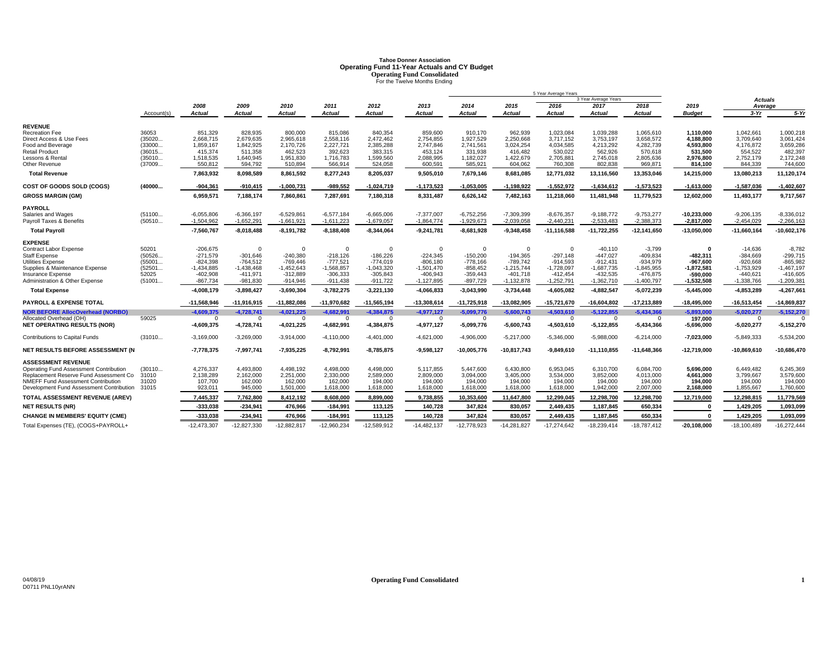# **Tahoe Donner AssociationOperating Fund 11-Year Actuals and CY Budget<br>
Operating Fund Consolidated<br>
For the Twelve Months Ending**

|                                                |            |                |                       |                       |                |                |                |                       |                | 5 Year Average Years  |                      |                |                       |                   |               |
|------------------------------------------------|------------|----------------|-----------------------|-----------------------|----------------|----------------|----------------|-----------------------|----------------|-----------------------|----------------------|----------------|-----------------------|-------------------|---------------|
|                                                |            |                |                       |                       |                |                |                |                       |                |                       | 3 Year Average Years |                |                       | <b>Actuals</b>    |               |
|                                                | Account(s) | 2008<br>Actual | 2009<br><b>Actual</b> | 2010<br><b>Actual</b> | 2011<br>Actual | 2012<br>Actual | 2013<br>Actual | 2014<br><b>Actual</b> | 2015<br>Actual | 2016<br><b>Actual</b> | 2017<br>Actual       | 2018<br>Actual | 2019<br><b>Budget</b> | Average<br>$3-Yr$ | $5-Yr$        |
|                                                |            |                |                       |                       |                |                |                |                       |                |                       |                      |                |                       |                   |               |
| <b>REVENUE</b>                                 |            |                |                       |                       |                |                |                |                       |                |                       |                      |                |                       |                   |               |
| Recreation Fee                                 | 36053      | 851.329        | 828.935               | 800,000               | 815.086        | 840.354        | 859,600        | 910.170               | 962.939        | 1,023,084             | 1.039.288            | 1.065.610      | 1.110.000             | 1.042.661         | 1.000.218     |
| Direct Access & Use Fees                       | (35020     | 2,668,715      | 2,679,635             | 2,965,618             | 2,558,116      | 2,472,462      | 2,754,855      | 1,927,529             | 2,250,668      | 3,717,152             | 3,753,197            | 3,658,572      | 4,188,800             | 3,709,640         | 3,061,424     |
| Food and Beverage                              | (33000     | 1,859,167      | 1,842,925             | 2.170.726             | 2,227,721      | 2.385.288      | 2,747,846      | 2,741,561             | 3,024,254      | 4,034,585             | 4.213.292            | 4.282.739      | 4,593,800             | 4,176,872         | 3,659,286     |
| <b>Retail Product</b>                          | (36015     | 415,374        | 511,358               | 462,523               | 392,623        | 383,315        | 453,124        | 331,938               | 416,482        | 530,022               | 562,926              | 570.618        | 531.500               | 554,522           | 482,397       |
| Lessons & Rental                               | (35010     | 1,518,535      | 1,640,945             | 1.951.830             | 1,716,783      | 1,599,560      | 2,088,995      | 1,182,027             | 1,422,679      | 2,705,881             | 2,745,018            | 2,805,636      | 2,976,800             | 2,752,179         | 2,172,248     |
| Other Revenue                                  | (37009     | 550,812        | 594,792               | 510,894               | 566,914        | 524,058        | 600,591        | 585,921               | 604,062        | 760,308               | 802,838              | 969,871        | 814,100               | 844,339           | 744,600       |
| <b>Total Revenue</b>                           |            | 7,863,932      | 8,098,589             | 8,861,592             | 8,277,243      | 8,205,037      | 9,505,010      | 7,679,146             | 8,681,085      | 12,771,032            | 13,116,560           | 13,353,046     | 14,215,000            | 13,080,213        | 11,120,174    |
| COST OF GOODS SOLD (COGS)                      | (40000     | $-904,361$     | $-910,415$            | $-1,000,731$          | $-989,552$     | $-1,024,719$   | $-1, 173, 523$ | $-1,053,005$          | $-1,198,922$   | $-1,552,972$          | $-1,634,612$         | $-1,573,523$   | $-1,613,000$          | $-1,587,036$      | $-1,402,607$  |
| <b>GROSS MARGIN (GM)</b>                       |            | 6,959,571      | 7,188,174             | 7,860,861             | 7,287,691      | 7,180,318      | 8,331,487      | 6,626,142             | 7,482,163      | 11,218,060            | 11,481,948           | 11,779,523     | 12,602,000            | 11,493,177        | 9,717,567     |
| <b>PAYROLL</b>                                 |            |                |                       |                       |                |                |                |                       |                |                       |                      |                |                       |                   |               |
| Salaries and Wages                             | (51100     | $-6.055.806$   | $-6.366.197$          | $-6.529.861$          | $-6.577.184$   | $-6.665.006$   | $-7.377.007$   | $-6,752,256$          | $-7.309.399$   | $-8.676.357$          | $-9.188.772$         | $-9.753.277$   | $-10.233.000$         | $-9.206.135$      | $-8.336.012$  |
| Payroll Taxes & Benefits                       | (50510     | $-1,504,962$   | $-1,652,291$          | $-1,661,921$          | $-1,611,223$   | $-1,679,057$   | $-1,864,774$   | $-1,929,673$          | $-2,039,058$   | $-2,440,231$          | $-2,533,483$         | $-2,388,373$   | $-2,817,000$          | $-2,454,029$      | $-2,266,163$  |
| <b>Total Payroll</b>                           |            | -7,560,767     | $-8,018,488$          | $-8,191,782$          | $-8,188,408$   | $-8,344,064$   | $-9,241,781$   | $-8,681,928$          | $-9,348,458$   | $-11, 116, 588$       | $-11,722,255$        | $-12,141,650$  | $-13,050,000$         | $-11,660,164$     | $-10,602,176$ |
| <b>EXPENSE</b>                                 |            |                |                       |                       |                |                |                |                       |                |                       |                      |                |                       |                   |               |
| Contract Labor Expense                         | 50201      | $-206,675$     | $\Omega$              | $\Omega$              | $\Omega$       | $\Omega$       | $\Omega$       | $\mathbf 0$           | $\mathbf 0$    | $\Omega$              | $-40,110$            | $-3,799$       | $\Omega$              | $-14,636$         | $-8,782$      |
| Staff Expense                                  | (50526     | $-271,579$     | $-301,646$            | $-240,380$            | $-218,126$     | $-186,226$     | $-224,345$     | $-150,200$            | $-194,365$     | $-297,148$            | $-447,027$           | $-409,834$     | $-482.311$            | $-384,669$        | $-299,715$    |
| Utilities Expense                              | (55001     | $-824.398$     | $-764.512$            | $-769.446$            | $-777.521$     | $-774.019$     | $-806.180$     | $-778,166$            | $-789.742$     | $-914.593$            | $-912.431$           | $-934.979$     | -967.600              | $-920.668$        | $-865.982$    |
| Supplies & Maintenance Expense                 | (52501     | $-1,434,885$   | $-1,438,468$          | $-1,452,643$          | $-1,568,857$   | $-1,043,320$   | $-1,501,470$   | $-858,452$            | $-1,215,744$   | $-1,728,097$          | -1,687,735           | $-1,845,955$   | $-1,872,581$          | $-1,753,929$      | $-1,467,197$  |
| Insurance Expense                              | 52025      | -402.908       | $-411.971$            | $-312.889$            | $-306,333$     | $-305,843$     | $-406,943$     | $-359,443$            | $-401,718$     | $-412,454$            | $-432.535$           | -476.875       | -590.000              | $-440,621$        | $-416,605$    |
| Administration & Other Expense                 | (51001     | $-867,734$     | $-981,830$            | $-914,946$            | $-911,438$     | $-911,722$     | $-1,127,895$   | $-897,729$            | $-1,132,878$   | $-1,252,791$          | $-1,362,710$         | $-1,400,797$   | $-1,532,508$          | $-1,338,766$      | $-1,209,38$   |
| <b>Total Expense</b>                           |            | $-4,008,179$   | $-3,898,427$          | $-3,690,304$          | $-3,782,275$   | $-3,221,130$   | $-4,066,833$   | $-3,043,990$          | $-3,734,448$   | $-4,605,082$          | -4,882,547           | $-5,072,239$   | $-5,445,000$          | $-4,853,289$      | $-4,267,661$  |
| <b>PAYROLL &amp; EXPENSE TOTAL</b>             |            | $-11,568,946$  | $-11,916,915$         | $-11,882,086$         | -11,970,682    | $-11,565,194$  | -13,308,614    | $-11,725,918$         | -13,082,905    | -15,721,670           | $-16,604,802$        | $-17,213,889$  | $-18,495,000$         | $-16,513,454$     | $-14,869,837$ |
| <b>NOR BEFORE AllocOverhead (NORBO)</b>        |            | $-4.609.375$   | $-4.728.741$          | $-4,021,225$          | $-4,682,991$   | $-4,384,875$   | $-4,977,127$   | $-5,099,776$          | $-5.600.743$   | $-4,503,610$          | $-5,122,855$         | $-5,434,366$   | $-5,893,000$          | $-5.020.277$      | $-5,152,270$  |
| Allocated Overhead (OH)                        | 59025      | $\mathbf{0}$   | $\Omega$              | $\Omega$              | $\Omega$       | $\Omega$       | $\Omega$       | $\Omega$              | $\overline{0}$ | $\Omega$              | $\Omega$             | $\Omega$       | 197,000               | $\mathbf{0}$      |               |
| <b>NET OPERATING RESULTS (NOR)</b>             |            | $-4,609,375$   | $-4,728,741$          | $-4,021,225$          | $-4,682,991$   | $-4,384,875$   | $-4,977,127$   | $-5,099,776$          | $-5,600,743$   | $-4,503,610$          | $-5,122,855$         | $-5,434,366$   | $-5,696,000$          | $-5,020,277$      | $-5,152,270$  |
| Contributions to Capital Funds                 | (31010     | $-3,169,000$   | $-3,269,000$          | $-3,914,000$          | $-4,110,000$   | $-4,401,000$   | $-4,621,000$   | $-4,906,000$          | $-5,217,000$   | $-5,346,000$          | $-5,988,000$         | $-6,214,000$   | $-7,023,000$          | $-5,849,333$      | $-5,534,200$  |
| NET RESULTS BEFORE ASSESSMENT (N               |            | $-7,778,375$   | -7,997,741            | $-7,935,225$          | $-8,792,991$   | $-8,785,875$   | $-9,598,127$   | $-10,005,776$         | $-10,817,743$  | $-9,849,610$          | $-11,110,855$        | $-11,648,366$  | $-12,719,000$         | -10,869,610       | $-10,686,470$ |
| <b>ASSESSMENT REVENUE</b>                      |            |                |                       |                       |                |                |                |                       |                |                       |                      |                |                       |                   |               |
| Operating Fund Assessment Contribution         | (30110     | 4,276,337      | 4,493,800             | 4,498,192             | 4,498,000      | 4,498,000      | 5,117,855      | 5,447,600             | 6,430,800      | 6,953,045             | 6,310,700            | 6.084.700      | 5.696.000             | 6,449,482         | 6,245,369     |
| Replacement Reserve Fund Assessment Co         | 31010      | 2,138,289      | 2,162,000             | 2,251,000             | 2,330,000      | 2,589,000      | 2,809,000      | 3,094,000             | 3,405,000      | 3,534,000             | 3,852,000            | 4,013,000      | 4,661,000             | 3,799,667         | 3,579,600     |
| NMEFF Fund Assessment Contribution             | 31020      | 107,700        | 162,000               | 162,000               | 162,000        | 194,000        | 194,000        | 194,000               | 194,000        | 194,000               | 194,000              | 194.000        | 194.000               | 194,000           | 194,000       |
| Development Fund Assessment Contribution 31015 |            | 923,011        | 945,000               | 1,501,000             | 1,618,000      | 1,618,000      | 1,618,000      | 1,618,000             | 1,618,000      | 1,618,000             | 1,942,000            | 2,007,000      | 2,168,000             | 1,855,667         | 1,760,600     |
| TOTAL ASSESSMENT REVENUE (AREV)                |            | 7,445,337      | 7,762,800             | 8,412,192             | 8,608,000      | 8,899,000      | 9,738,855      | 10,353,600            | 11,647,800     | 12,299,045            | 12,298,700           | 12,298,700     | 12,719,000            | 12,298,815        | 11,779,569    |
| <b>NET RESULTS (NR)</b>                        |            | $-333,038$     | $-234,941$            | 476,966               | $-184,991$     | 113,125        | 140,728        | 347,824               | 830,057        | 2,449,435             | 1,187,845            | 650,334        | n                     | 1,429,205         | 1,093,099     |
| <b>CHANGE IN MEMBERS' EQUITY (CME)</b>         |            | -333,038       | $-234,941$            | 476,966               | $-184,99$      | 113,125        | 140,728        | 347,824               | 830,057        | 2,449,435             | 1,187,845            | 650,334        |                       | 1,429,205         | 1,093,099     |
| Total Expenses (TE), (COGS+PAYROLL+            |            | $-12.473.307$  | $-12.827.330$         | -12.882.817           | -12.960.234    | $-12.589.912$  | $-14.482.137$  | $-12.778.923$         | $-14.281.827$  | $-17.274.642$         | $-18.239.414$        | -18.787.412    | $-20.108.000$         | $-18.100.489$     | $-16.272.444$ |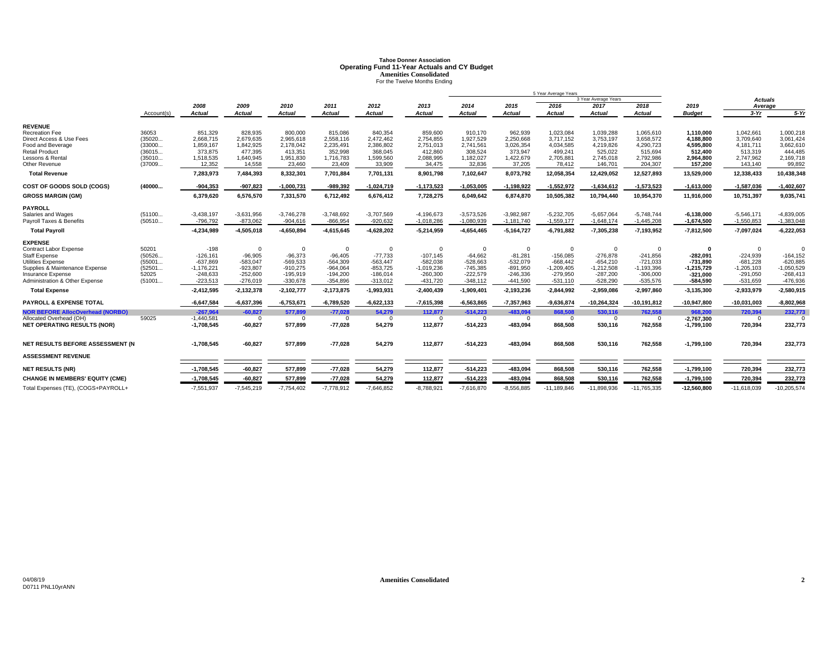# **Tahoe Donner AssociationOperating Fund 11-Year Actuals and CY Budget<br>Amenities Consolidated<br>For the Twelve Months Ending**

|                                         |            |               |                |               |               |                |                |               |              | 5 Year Average Years |                      |                 |               |               |               |
|-----------------------------------------|------------|---------------|----------------|---------------|---------------|----------------|----------------|---------------|--------------|----------------------|----------------------|-----------------|---------------|---------------|---------------|
|                                         |            |               |                |               |               |                |                |               |              |                      | 3 Year Average Years |                 |               | Actuals       |               |
|                                         |            | 2008          | 2009           | 2010          | 2011          | 2012           | 2013           | 2014          | 2015         | 2016                 | 2017                 | 2018            | 2019          | Average       |               |
|                                         | Account(s) | <b>Actual</b> | Actual         | <b>Actual</b> | <b>Actual</b> | <b>Actual</b>  | <b>Actual</b>  | <b>Actual</b> | Actual       | <b>Actual</b>        | <b>Actual</b>        | Actual          | <b>Budget</b> | $3-Yr$        | $5-Yr$        |
| <b>REVENUE</b>                          |            |               |                |               |               |                |                |               |              |                      |                      |                 |               |               |               |
| <b>Recreation Fee</b>                   | 36053      | 851,329       | 828,935        | 800,000       | 815,086       | 840,354        | 859,600        | 910,170       | 962,939      | 1,023,084            | 1,039,288            | 1,065,610       | 1,110,000     | 1,042,661     | 1,000,218     |
| Direct Access & Use Fees                | (35020     | 2,668,715     | 2,679,635      | 2,965,618     | 2,558,116     | 2,472,462      | 2,754,855      | 1,927,529     | 2,250,668    | 3,717,152            | 3,753,197            | 3,658,572       | 4,188,800     | 3,709,640     | 3,061,424     |
| Food and Beverage                       | (33000     | 1,859,167     | 1,842,925      | 2,178,042     | 2,235,491     | 2,386,802      | 2,751,013      | 2,741,561     | 3,026,354    | 4,034,585            | 4,219,826            | 4,290,723       | 4.595.800     | 4,181,711     | 3,662,610     |
| <b>Retail Product</b>                   | (36015     | 373,875       | 477,395        | 413,351       | 352,998       | 368,045        | 412,860        | 308,524       | 373,947      | 499,241              | 525,022              | 515,694         | 512.400       | 513,319       | 444,485       |
| Lessons & Rental                        | (35010     | 1,518,535     | 1,640,945      | 1,951,830     | 1,716,783     | 1,599,560      | 2,088,995      | 1,182,027     | 1,422,679    | 2,705,881            | 2,745,018            | 2,792,986       | 2,964,800     | 2,747,962     | 2,169,718     |
| Other Revenue                           | (37009     | 12,352        | 14,558         | 23,460        | 23,409        | 33,909         | 34,475         | 32,836        | 37,205       | 78,412               | 146,701              | 204,307         | 157,200       | 143,140       | 99,892        |
| <b>Total Revenue</b>                    |            | 7,283,973     | 7,484,393      | 8,332,301     | 7,701,884     | 7,701,131      | 8,901,798      | 7,102,647     | 8,073,792    | 12,058,354           | 12,429,052           | 12,527,893      | 13,529,000    | 12,338,433    | 10,438,348    |
| COST OF GOODS SOLD (COGS)               | (40000     | $-904,353$    | $-907,823$     | $-1,000,731$  | $-989,392$    | $-1,024,719$   | $-1, 173, 523$ | $-1,053,005$  | $-1,198,922$ | $-1,552,972$         | $-1,634,612$         | $-1,573,523$    | $-1,613,000$  | $-1,587,036$  | $-1,402,607$  |
| <b>GROSS MARGIN (GM)</b>                |            | 6,379,620     | 6,576,570      | 7,331,570     | 6,712,492     | 6,676,412      | 7,728,275      | 6,049,642     | 6,874,870    | 10,505,382           | 10,794,440           | 10,954,370      | 11,916,000    | 10,751,397    | 9,035,741     |
| <b>PAYROLL</b>                          |            |               |                |               |               |                |                |               |              |                      |                      |                 |               |               |               |
| Salaries and Wages                      | (51100     | $-3,438,197$  | $-3,631,956$   | $-3,746,278$  | $-3,748,692$  | $-3,707,569$   | $-4,196,673$   | $-3,573,526$  | $-3,982,987$ | $-5,232,705$         | $-5,657,064$         | $-5,748,744$    | $-6,138,000$  | $-5,546,171$  | $-4,839,005$  |
| Payroll Taxes & Benefits                | (50510     | $-796,792$    | $-873,062$     | $-904,616$    | $-866,954$    | $-920,632$     | $-1,018,286$   | $-1,080,939$  | $-1,181,740$ | $-1,559,177$         | $-1,648,174$         | $-1,445,208$    | $-1,674,500$  | $-1,550,853$  | $-1,383,048$  |
| <b>Total Pavroll</b>                    |            | -4,234,989    | $-4,505,018$   | $-4,650,894$  | $-4,615,645$  | $-4,628,202$   | $-5,214,959$   | $-4,654,465$  | $-5,164,727$ | $-6,791,882$         | $-7,305,238$         | $-7,193,952$    | $-7,812,500$  | $-7,097,024$  | $-6,222,053$  |
| <b>EXPENSE</b>                          |            |               |                |               |               |                |                |               |              |                      |                      |                 |               |               |               |
| Contract Labor Expense                  | 50201      | $-198$        | $\overline{0}$ | $\Omega$      | $\Omega$      | $\overline{0}$ | $\Omega$       | $\Omega$      | $\mathbf 0$  | $\overline{0}$       | $\Omega$             | $\Omega$        | $\mathbf{0}$  | $\mathbf 0$   |               |
| <b>Staff Expense</b>                    | (50526     | $-126,161$    | $-96.905$      | $-96,373$     | $-96,405$     | $-77,733$      | $-107,145$     | $-64,662$     | $-81,281$    | $-156,085$           | $-276,878$           | $-241,856$      | $-282.091$    | $-224,939$    | $-164, 152$   |
| Utilities Expense                       | (55001     | $-637,869$    | $-583,047$     | $-569,533$    | $-564,309$    | $-563,447$     | $-582,038$     | $-528,663$    | $-532,079$   | $-668,442$           | $-654,210$           | $-721,033$      | $-731.890$    | $-681,228$    | $-620,885$    |
| Supplies & Maintenance Expense          | (52501     | $-1,176,221$  | $-923,807$     | $-910,275$    | $-964,064$    | $-853,725$     | $-1,019,236$   | $-745,385$    | $-891,950$   | $-1,209,405$         | $-1,212,508$         | $-1,193,396$    | $-1,215,729$  | $-1,205,103$  | $-1,050,529$  |
| Insurance Expense                       | 52025      | $-248,633$    | $-252.600$     | $-195.919$    | $-194,200$    | $-186,014$     | $-260,300$     | $-222,579$    | $-246,336$   | $-279,950$           | $-287,200$           | $-306,000$      | $-321.000$    | $-291,050$    | $-268,413$    |
| Administration & Other Expense          | (51001     | $-223.513$    | $-276,019$     | $-330,678$    | $-354,896$    | $-313,012$     | $-431,720$     | $-348,112$    | $-441.590$   | $-531,110$           | $-528,290$           | $-535,576$      | $-584,590$    | $-531,659$    | -476,936      |
| <b>Total Expense</b>                    |            | $-2,412,595$  | $-2,132,378$   | $-2,102,777$  | $-2,173,875$  | $-1,993,931$   | $-2,400,439$   | $-1,909,401$  | $-2,193,236$ | $-2,844,992$         | $-2,959,086$         | $-2,997,860$    | $-3,135,300$  | $-2,933,979$  | $-2,580,915$  |
| <b>PAYROLL &amp; EXPENSE TOTAL</b>      |            | $-6,647,584$  | $-6,637,396$   | $-6,753,671$  | $-6,789,520$  | $-6,622,133$   | $-7,615,398$   | $-6,563,865$  | $-7,357,963$ | $-9,636,874$         | $-10,264,324$        | $-10, 191, 812$ | $-10,947,800$ | $-10,031,003$ | $-8,802,968$  |
| <b>NOR BEFORE AllocOverhead (NORBO)</b> |            | $-267,964$    | $-60.827$      | 577,899       | $-77,028$     | 54,279         | 112.877        | $-514.223$    | $-483.094$   | 868,508              | 530,116              | 762,558         | 968.200       | 720,394       | 232,773       |
| Allocated Overhead (OH)                 | 59025      | $-1,440,581$  | $\Omega$       | $\Omega$      | $\Omega$      | $\Omega$       | $\Omega$       | $\Omega$      | $\Omega$     | $\Omega$             | $\Omega$             | $\Omega$        | $-2,767,300$  | $\Omega$      |               |
| <b>NET OPERATING RESULTS (NOR)</b>      |            | $-1,708,545$  | $-60,827$      | 577,899       | $-77,028$     | 54,279         | 112,877        | $-514,223$    | $-483,094$   | 868,508              | 530,116              | 762,558         | $-1,799,100$  | 720,394       | 232,773       |
| NET RESULTS BEFORE ASSESSMENT (N        |            | $-1,708,545$  | $-60,827$      | 577,899       | $-77,028$     | 54,279         | 112,877        | $-514,223$    | $-483.094$   | 868,508              | 530,116              | 762,558         | $-1,799,100$  | 720,394       | 232,773       |
|                                         |            |               |                |               |               |                |                |               |              |                      |                      |                 |               |               |               |
| <b>ASSESSMENT REVENUE</b>               |            |               |                |               |               |                |                |               |              |                      |                      |                 |               |               |               |
| <b>NET RESULTS (NR)</b>                 |            | $-1,708,545$  | $-60,827$      | 577,899       | $-77,028$     | 54,279         | 112,877        | $-514,223$    | $-483,094$   | 868,508              | 530,116              | 762,558         | $-1,799,100$  | 720,394       | 232,773       |
| <b>CHANGE IN MEMBERS' EQUITY (CME)</b>  |            | $-1,708,545$  | $-60,827$      | 577,899       | $-77,028$     | 54,279         | 112,877        | $-514,223$    | $-483,094$   | 868,508              | 530,116              | 762,558         | $-1,799,100$  | 720,394       | 232,773       |
| Total Expenses (TE), (COGS+PAYROLL+     |            | $-7,551,937$  | $-7,545,219$   | $-7,754,402$  | $-7,778,912$  | $-7,646,852$   | $-8,788,921$   | $-7,616,870$  | $-8,556,885$ | $-11,189,846$        | $-11,898,936$        | $-11,765,335$   | $-12,560,800$ | $-11,618,039$ | $-10,205,574$ |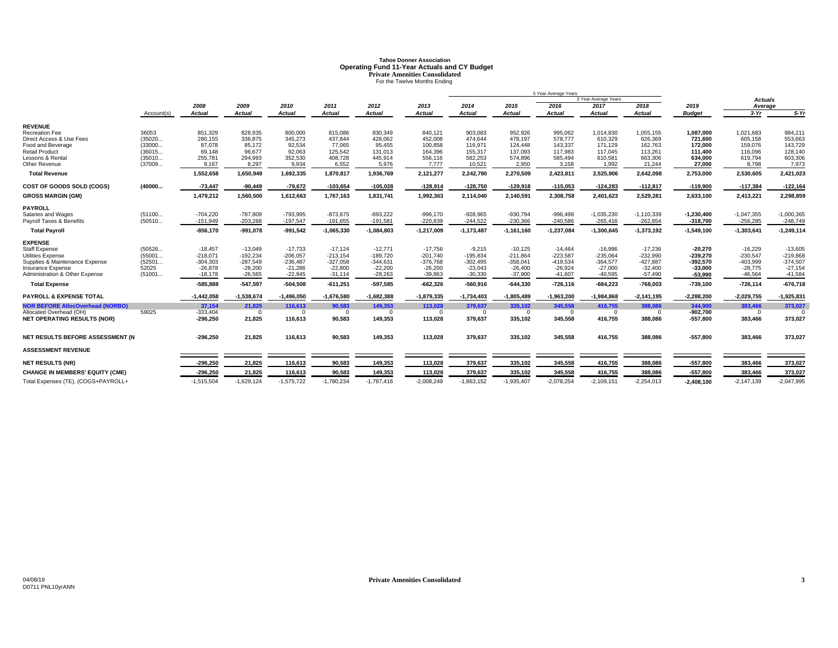# **Tahoe Donner AssociationOperating Fund 11-Year Actuals and CY Budget<br>Private Amenities Consolidated<br>For the Twelve Months Ending**

|                                           |            |              |               |              |               |               |                |               |               | 5 Year Average Years |                      |              |               |                |              |
|-------------------------------------------|------------|--------------|---------------|--------------|---------------|---------------|----------------|---------------|---------------|----------------------|----------------------|--------------|---------------|----------------|--------------|
|                                           |            |              |               |              |               |               |                |               |               |                      | 3 Year Average Years |              |               | <b>Actuals</b> |              |
|                                           |            | 2008         | 2009          | 2010         | 2011          | 2012          | 2013           | 2014          | 2015          | 2016                 | 2017                 | 2018         | 2019          | Average        |              |
|                                           | Account(s) | Actual       | <b>Actual</b> | Actual       | <b>Actual</b> | <b>Actual</b> | <b>Actual</b>  | <b>Actual</b> | <b>Actual</b> | <b>Actual</b>        | <b>Actual</b>        | Actual       | <b>Budget</b> | $3-Yr$         | $5-Yr$       |
| <b>REVENUE</b>                            |            |              |               |              |               |               |                |               |               |                      |                      |              |               |                |              |
| Recreation Fee                            | 36053      | 851,329      | 828,935       | 800,000      | 815,086       | 830,349       | 840,121        | 903,083       | 952,926       | 995,062              | 1,014,830            | 1,055,155    | 1,087,000     | 1,021,683      | 984,211      |
| Direct Access & Use Fees                  | (35020     | 280,155      | 336,875       | 345,273      | 437.844       | 428,062       | 452,008        | 474.644       | 478.197       | 578,777              | 610.329              | 626,369      | 721.600       | 605.158        | 553.663      |
| Food and Beverage                         | (33000     | 87.078       | 85,172        | 92,534       | 77,065        | 95,455        | 100,858        | 116,971       | 124.448       | 143.337              | 171.129              | 162,763      | 172.000       | 159,076        | 143,729      |
| <b>Retail Product</b>                     | (36015     | 69,148       | 96,677        | 92,063       | 125,542       | 131,013       | 164,396        | 155,317       | 137,093       | 117,983              | 117,045              | 113,261      | 111.400       | 116,096        | 128,140      |
| Lessons & Rental                          | (35010     | 255,781      | 294,993       | 352,530      | 408,728       | 445,914       | 556,116        | 582,253       | 574.896       | 585.494              | 610,581              | 663,306      | 634.000       | 619,794        | 603,306      |
| Other Revenue                             | (37009     | 9.167        | 8,297         | 9,934        | 6,552         | 5,976         | 7.777          | 10,521        | 2,950         | 3,158                | 1,992                | 21,244       | 27,000        | 8,798          | 7,973        |
| <b>Total Revenue</b>                      |            | 1,552,658    | 1,650,949     | 1,692,335    | 1,870,817     | 1,936,769     | 2,121,277      | 2,242,790     | 2,270,509     | 2,423,811            | 2,525,906            | 2,642,098    | 2,753,000     | 2,530,605      | 2,421,023    |
| COST OF GOODS SOLD (COGS)                 | (40000     | $-73.447$    | $-90,449$     | $-79,672$    | $-103,654$    | $-105,028$    | $-128,914$     | $-128,750$    | $-129,918$    | $-115,053$           | $-124,283$           | $-112,817$   | $-119,900$    | $-117,384$     | $-122,16$    |
| <b>GROSS MARGIN (GM)</b>                  |            | 1,479,212    | 1,560,500     | 1,612,663    | 1,767,163     | 1,831,741     | 1,992,363      | 2,114,040     | 2,140,591     | 2,308,758            | 2,401,623            | 2,529,281    | 2,633,100     | 2,413,221      | 2,298,859    |
| <b>PAYROLL</b>                            |            |              |               |              |               |               |                |               |               |                      |                      |              |               |                |              |
| Salaries and Wages                        | (51100     | $-704,220$   | $-787.809$    | -793,995     | $-873,675$    | $-893,222$    | $-996,170$     | $-928,965$    | $-930,794$    | $-996,498$           | $-1,035,230$         | $-1,110,339$ | $-1,230,400$  | $-1,047,355$   | $-1,000,365$ |
| Pavroll Taxes & Benefits                  | (50510     | $-151.949$   | $-203.268$    | $-197.547$   | $-191,655$    | $-191,581$    | $-220.839$     | $-244,522$    | $-230.366$    | $-240.586$           | $-265,416$           | $-262,854$   | $-318.700$    | $-256,285$     | $-248.749$   |
| <b>Total Payroll</b>                      |            | $-856,170$   | $-991,078$    | $-991,542$   | $-1,065,330$  | $-1,084,803$  | $-1,217,009$   | $-1,173,487$  | $-1,161,160$  | $-1,237,084$         | $-1,300,645$         | $-1,373,192$ | $-1,549,100$  | $-1,303,641$   | $-1,249,114$ |
| <b>EXPENSE</b>                            |            |              |               |              |               |               |                |               |               |                      |                      |              |               |                |              |
| <b>Staff Expense</b>                      | (50526     | $-18.457$    | $-13,049$     | $-17,733$    | $-17,124$     | $-12,771$     | $-17,756$      | $-9,215$      | $-10,125$     | $-14.464$            | $-16,986$            | $-17,236$    | $-20.270$     | $-16,229$      | $-13,605$    |
| <b>Utilities Expense</b>                  | (55001     | $-218,071$   | $-192,234$    | $-206,057$   | $-213,154$    | $-189,720$    | $-201,740$     | $-195,834$    | $-211,864$    | $-223,587$           | $-235,064$           | $-232,990$   | $-239,270$    | $-230,547$     | $-219,868$   |
| Supplies & Maintenance Expense            | (52501     | $-304,303$   | $-287,549$    | $-236,487$   | $-327,058$    | $-344,631$    | $-376,768$     | $-302,495$    | $-358,041$    | $-419,534$           | $-364,577$           | $-427,887$   | $-392,570$    | $-403,999$     | $-374,507$   |
| Insurance Expense                         | 52025      | $-26,878$    | $-28,200$     | $-21,286$    | $-22,800$     | $-22,200$     | $-26,200$      | $-23,043$     | $-26.400$     | $-26,924$            | $-27,000$            | $-32,400$    | $-33,000$     | $-28.775$      | $-27,154$    |
| <b>Administration &amp; Other Expense</b> | (51001     | $-18,178$    | $-26,565$     | $-22,945$    | $-31,114$     | $-28,263$     | $-39,863$      | $-30,330$     | $-37,900$     | $-41.607$            | $-40,595$            | $-57,490$    | -53,990       | $-46,564$      | $-41,584$    |
| <b>Total Expense</b>                      |            | $-585,888$   | $-547,597$    | $-504,508$   | $-611,251$    | $-597,585$    | $-662,326$     | $-560,916$    | $-644,330$    | $-726, 116$          | $-684,223$           | $-768,003$   | $-739,100$    | $-726,114$     | $-676,718$   |
| <b>PAYROLL &amp; EXPENSE TOTAL</b>        |            | $-1,442,058$ | $-1,538,674$  | $-1,496,050$ | $-1,676,580$  | $-1,682,388$  | $-1,879,335$   | $-1,734,403$  | $-1,805,489$  | $-1,963,200$         | $-1,984,868$         | $-2,141,195$ | $-2,288,200$  | $-2,029,755$   | $-1,925,831$ |
| <b>NOR BEFORE AllocOverhead (NORBO)</b>   |            | 37,154       | 21.825        | 116.613      | 90,583        | 149.353       | 113.028        | 379.637       | 335,102       | 345,558              | 416,755              | 388.086      | 344.900       | 383,466        | 373,027      |
| Allocated Overhead (OH)                   | 59025      | $-333,404$   | $\Omega$      | $\Omega$     | $\Omega$      | $\Omega$      | $\overline{0}$ | $\Omega$      | $\Omega$      | $\Omega$             | $\Omega$             | $\Omega$     | $-902.700$    | $^{\circ}$     | $\Omega$     |
| <b>NET OPERATING RESULTS (NOR)</b>        |            | $-296,250$   | 21,825        | 116,613      | 90,583        | 149,353       | 113,028        | 379,637       | 335,102       | 345,558              | 416,755              | 388,086      | $-557,800$    | 383,466        | 373,027      |
| NET RESULTS BEFORE ASSESSMENT (N          |            | $-296,250$   | 21,825        | 116,613      | 90,583        | 149,353       | 113,028        | 379,637       | 335,102       | 345,558              | 416,755              | 388,086      | $-557,800$    | 383,466        | 373,027      |
|                                           |            |              |               |              |               |               |                |               |               |                      |                      |              |               |                |              |
| <b>ASSESSMENT REVENUE</b>                 |            |              |               |              |               |               |                |               |               |                      |                      |              |               |                |              |
| <b>NET RESULTS (NR)</b>                   |            | $-296,250$   | 21,825        | 116,613      | 90,583        | 149,353       | 113,028        | 379,637       | 335,102       | 345,558              | 416,755              | 388,086      | $-557,800$    | 383,466        | 373,027      |
| <b>CHANGE IN MEMBERS' EQUITY (CME)</b>    |            | $-296,250$   | 21,825        | 116,613      | 90,583        | 149,353       | 113,028        | 379,637       | 335,102       | 345,558              | 416,755              | 388,086      | $-557,800$    | 383,466        | 373,027      |
| Total Expenses (TE), (COGS+PAYROLL+       |            | $-1,515,504$ | $-1,629,124$  | $-1,575,722$ | $-1,780,234$  | $-1,787,416$  | $-2,008,249$   | $-1,863,152$  | $-1,935,407$  | $-2,078,254$         | $-2,109,151$         | $-2,254,013$ | $-2,408,100$  | $-2,147,139$   | $-2,047,995$ |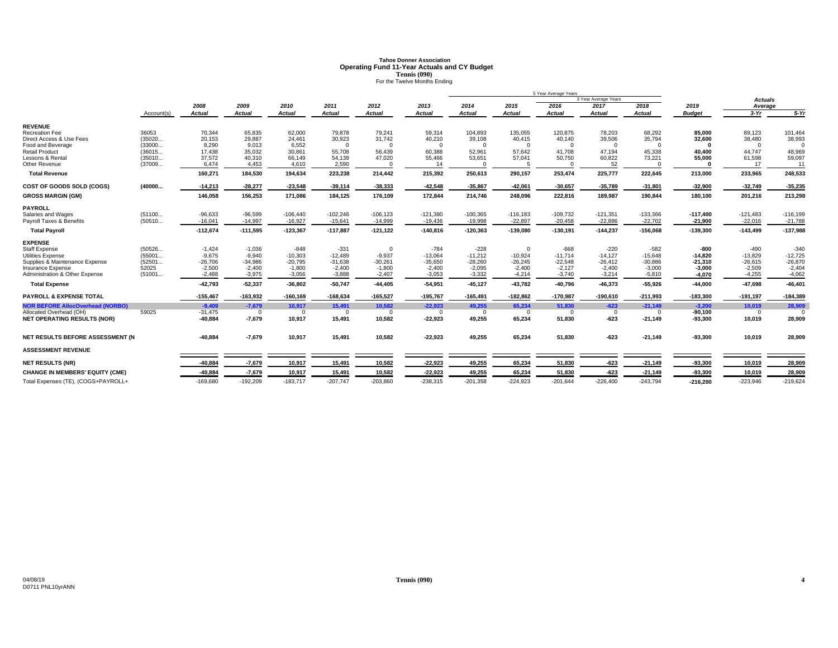# **Tahoe Donner AssociationOperating Fund 11-Year Actuals and CY Budget<br>
<b>Tennis (090)**<br>For the Twelve Months Ending

|                                         |            | 5 Year Average Years |               |               |               |                |               |               |            |               |                      |               |               |                |            |
|-----------------------------------------|------------|----------------------|---------------|---------------|---------------|----------------|---------------|---------------|------------|---------------|----------------------|---------------|---------------|----------------|------------|
|                                         |            |                      |               |               |               |                |               |               |            |               | 3 Year Average Years |               |               | <b>Actuals</b> |            |
|                                         |            | 2008                 | 2009          | 2010          | 2011          | 2012           | 2013          | 2014          | 2015       | 2016          | 2017                 | 2018          | 2019          | Average        |            |
|                                         | Account(s) | Actual               | <b>Actual</b> | <b>Actual</b> | <b>Actual</b> | <b>Actual</b>  | <b>Actual</b> | <b>Actual</b> | Actual     | <b>Actual</b> | <b>Actual</b>        | <b>Actual</b> | <b>Budget</b> | $3-Yr$         | $5-Yr$     |
| <b>REVENUE</b>                          |            |                      |               |               |               |                |               |               |            |               |                      |               |               |                |            |
| <b>Recreation Fee</b>                   | 36053      | 70,344               | 65,835        | 62,000        | 79,878        | 79,241         | 59,314        | 104,893       | 135,055    | 120,875       | 78,203               | 68,292        | 85,000        | 89,123         | 101,464    |
| Direct Access & Use Fees                | (35020     | 20.153               | 29.887        | 24.461        | 30,923        | 31,742         | 40,210        | 39,108        | 40.415     | 40.140        | 39,506               | 35,794        | 32.600        | 38,480         | 38,993     |
| Food and Beverage                       | (33000     | 8.290                | 9.013         | 6.552         | $\Omega$      | $\Omega$       | $\Omega$      | $\Omega$      | $\Omega$   | $\Omega$      | $\Omega$             | $\Omega$      |               | $\Omega$       |            |
| <b>Retail Product</b>                   | (36015     | 17,438               | 35,032        | 30,861        | 55,708        | 56,439         | 60,388        | 52,961        | 57,642     | 41,708        | 47,194               | 45,338        | 40.400        | 44.747         | 48,969     |
| Lessons & Rental                        | (35010     | 37.572               | 40,310        | 66.149        | 54,139        | 47,020         | 55,466        | 53,651        | 57,041     | 50,750        | 60,822               | 73,221        | 55,000        | 61,598         | 59,097     |
| Other Revenue                           | (37009     | 6,474                | 4,453         | 4,610         | 2,590         | $\Omega$       | 14            | $\Omega$      | 5          |               | 52                   | C             |               | 17             | 11         |
| <b>Total Revenue</b>                    |            | 160,271              | 184,530       | 194,634       | 223,238       | 214,442        | 215,392       | 250,613       | 290,157    | 253,474       | 225,777              | 222,645       | 213,000       | 233,965        | 248,533    |
| COST OF GOODS SOLD (COGS)               | (40000     | $-14,213$            | $-28,277$     | $-23,548$     | $-39,114$     | $-38,333$      | $-42,548$     | $-35,867$     | $-42,061$  | $-30,657$     | $-35,789$            | $-31,801$     | $-32,900$     | $-32,749$      | $-35,235$  |
| <b>GROSS MARGIN (GM)</b>                |            | 146,058              | 156,253       | 171,086       | 184,125       | 176,109        | 172,844       | 214,746       | 248,096    | 222,816       | 189,987              | 190,844       | 180,100       | 201,216        | 213,298    |
| <b>PAYROLL</b>                          |            |                      |               |               |               |                |               |               |            |               |                      |               |               |                |            |
| Salaries and Wages                      | (51100     | $-96,633$            | $-96,599$     | $-106,440$    | $-102,246$    | $-106, 123$    | $-121,380$    | $-100,365$    | $-116,183$ | $-109,732$    | $-121,351$           | $-133,366$    | $-117,400$    | $-121,483$     | $-116,199$ |
| Payroll Taxes & Benefits                | (50510     | $-16,041$            | $-14,997$     | $-16,927$     | $-15,641$     | $-14,999$      | $-19,436$     | $-19,998$     | $-22,897$  | $-20,458$     | $-22,886$            | $-22,702$     | $-21,900$     | $-22,016$      | $-21,788$  |
| <b>Total Payroll</b>                    |            | $-112,674$           | $-111,595$    | $-123,367$    | $-117,887$    | $-121, 122$    | $-140,816$    | $-120,363$    | $-139,080$ | $-130,191$    | $-144,237$           | $-156,068$    | $-139,300$    | $-143,499$     | $-137,988$ |
| <b>EXPENSE</b>                          |            |                      |               |               |               |                |               |               |            |               |                      |               |               |                |            |
| <b>Staff Expense</b>                    | (50526     | $-1,424$             | $-1,036$      | $-848$        | $-331$        | $\overline{0}$ | $-784$        | $-228$        | $\Omega$   | $-668$        | $-220$               | $-582$        | -800          | $-490$         | $-340$     |
| Utilities Expense                       | (55001     | $-9.675$             | $-9.940$      | $-10,303$     | $-12.489$     | $-9.937$       | $-13.064$     | $-11.212$     | $-10.924$  | $-11.714$     | $-14.127$            | $-15.648$     | $-14.820$     | $-13.829$      | $-12.725$  |
| Supplies & Maintenance Expense          | (52501     | $-26,706$            | $-34,986$     | $-20,795$     | $-31,638$     | $-30,261$      | $-35,650$     | $-28,260$     | $-26,245$  | $-22,548$     | $-26,412$            | $-30,886$     | $-21,310$     | $-26,615$      | $-26,870$  |
| Insurance Expense                       | 52025      | $-2,500$             | $-2,400$      | $-1,800$      | $-2,400$      | $-1,800$       | $-2,400$      | $-2,095$      | $-2.400$   | $-2,127$      | $-2,400$             | $-3,000$      | $-3,000$      | $-2,509$       | $-2,404$   |
| Administration & Other Expense          | (51001     | $-2,488$             | $-3,975$      | $-3,056$      | $-3,888$      | $-2,407$       | $-3,053$      | $-3,332$      | $-4,214$   | $-3,740$      | $-3,214$             | $-5,810$      | $-4,070$      | $-4,255$       | $-4,062$   |
| <b>Total Expense</b>                    |            | $-42.793$            | $-52,337$     | $-36,802$     | $-50,747$     | $-44,405$      | $-54,951$     | $-45,127$     | $-43,782$  | $-40.796$     | $-46,373$            | $-55,926$     | $-44.000$     | $-47,698$      | $-46,40$   |
| <b>PAYROLL &amp; EXPENSE TOTAL</b>      |            | $-155,467$           | $-163,932$    | $-160, 169$   | $-168,634$    | $-165,527$     | $-195,767$    | $-165,491$    | $-182,862$ | $-170,987$    | $-190,610$           | $-211,993$    | $-183,300$    | $-191,197$     | $-184,389$ |
| <b>NOR BEFORE AllocOverhead (NORBO)</b> |            | $-9.409$             | $-7.679$      | 10.917        | 15,491        | 10.582         | $-22.923$     | 49.255        | 65.234     | 51.830        | $-623$               | $-21,149$     | $-3.200$      | 10.019         | 28,909     |
| Allocated Overhead (OH)                 | 59025      | $-31,475$            | $\Omega$      | $\Omega$      | $\Omega$      | $\overline{0}$ | $\Omega$      | $\Omega$      | $\Omega$   | $\Omega$      | $\Omega$             | $\Omega$      | $-90,100$     | $\Omega$       | $\Omega$   |
| <b>NET OPERATING RESULTS (NOR)</b>      |            | $-40,884$            | $-7,679$      | 10,917        | 15,491        | 10,582         | $-22,923$     | 49,255        | 65,234     | 51,830        | $-623$               | $-21,149$     | $-93,300$     | 10,019         | 28,909     |
| NET RESULTS BEFORE ASSESSMENT (N        |            | $-40.884$            | $-7,679$      | 10,917        | 15,491        | 10,582         | $-22,923$     | 49.255        | 65,234     | 51,830        | $-623$               | $-21,149$     | $-93,300$     | 10,019         | 28,909     |
| <b>ASSESSMENT REVENUE</b>               |            |                      |               |               |               |                |               |               |            |               |                      |               |               |                |            |
|                                         |            |                      |               |               |               |                |               |               |            |               |                      |               |               |                |            |
| <b>NET RESULTS (NR)</b>                 |            | $-40,884$            | $-7,679$      | 10,917        | 15,491        | 10,582         | $-22,923$     | 49,255        | 65,234     | 51,830        | $-623$               | $-21,149$     | $-93,300$     | 10,019         | 28,909     |
| <b>CHANGE IN MEMBERS' EQUITY (CME)</b>  |            | $-40.884$            | $-7,679$      | 10,917        | 15,491        | 10,582         | $-22,923$     | 49,255        | 65,234     | 51,830        | $-623$               | $-21,149$     | $-93,300$     | 10,019         | 28,909     |
| Total Expenses (TE), (COGS+PAYROLL+     |            | $-169,680$           | $-192,209$    | $-183,717$    | $-207,747$    | $-203,860$     | $-238,315$    | $-201,358$    | $-224,923$ | $-201,644$    | $-226,400$           | $-243,794$    | $-216,200$    | $-223,946$     | $-219,624$ |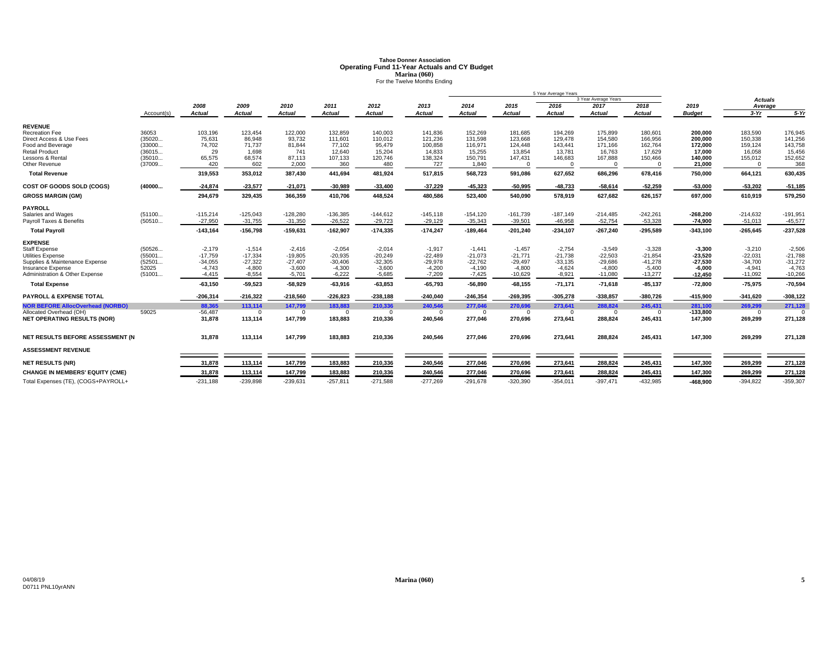# **Tahoe Donner AssociationOperating Fund 11-Year Actuals and CY Budget<br>Marina (060)<br>For the Twelve Months Ending**

|                                         |            |            |               |               |               |               |               |               |               | 5 Year Average Years |                      |               |               |                |             |
|-----------------------------------------|------------|------------|---------------|---------------|---------------|---------------|---------------|---------------|---------------|----------------------|----------------------|---------------|---------------|----------------|-------------|
|                                         |            |            |               |               |               |               |               |               |               |                      | 3 Year Average Years |               |               | <b>Actuals</b> |             |
|                                         |            | 2008       | 2009          | 2010          | 2011          | 2012          | 2013          | 2014          | 2015          | 2016                 | 2017                 | 2018          | 2019          | Average        |             |
|                                         | Account(s) | Actual     | <b>Actual</b> | <b>Actual</b> | <b>Actual</b> | <b>Actual</b> | <b>Actual</b> | <b>Actual</b> | <b>Actual</b> | <b>Actual</b>        | <b>Actual</b>        | <b>Actual</b> | <b>Budget</b> | $3-Yr$         | $5-Yr$      |
| <b>REVENUE</b>                          |            |            |               |               |               |               |               |               |               |                      |                      |               |               |                |             |
| <b>Recreation Fee</b>                   | 36053      | 103,196    | 123,454       | 122,000       | 132,859       | 140,003       | 141,836       | 152,269       | 181.685       | 194.269              | 175.899              | 180,601       | 200.000       | 183.590        | 176.945     |
| Direct Access & Use Fees                | (35020     | 75,631     | 86,948        | 93,732        | 111,601       | 110,012       | 121,236       | 131,598       | 123,668       | 129,478              | 154,580              | 166,956       | 200,000       | 150,338        | 141,256     |
| Food and Beverage                       | (33000     | 74,702     | 71.737        | 81,844        | 77,102        | 95,479        | 100,858       | 116,971       | 124,448       | 143,441              | 171,166              | 162,764       | 172.000       | 159,124        | 143,758     |
| <b>Retail Product</b>                   | (36015     | 29         | 1,698         | 741           | 12,640        | 15,204        | 14,833        | 15,255        | 13,854        | 13,781               | 16,763               | 17,629        | 17,000        | 16,058         | 15,456      |
| Lessons & Rental                        | (35010     | 65,575     | 68,574        | 87,113        | 107,133       | 120,746       | 138,324       | 150,791       | 147,431       | 146,683              | 167,888              | 150,466       | 140,000       | 155,012        | 152,652     |
| Other Revenue                           | (37009     | 420        | 602           | 2,000         | 360           | 480           | 727           | 1,840         | $\Omega$      | $\Omega$             | $\Omega$             |               | 21,000        | $\Omega$       | 368         |
| <b>Total Revenue</b>                    |            | 319,553    | 353,012       | 387,430       | 441,694       | 481,924       | 517,815       | 568,723       | 591,086       | 627,652              | 686,296              | 678,416       | 750,000       | 664,121        | 630,435     |
| COST OF GOODS SOLD (COGS)               | (40000     | $-24,874$  | $-23,577$     | $-21,071$     | $-30,989$     | $-33,400$     | $-37,229$     | $-45,323$     | $-50,995$     | $-48,733$            | $-58,614$            | $-52,259$     | $-53,000$     | $-53,202$      | $-51,185$   |
| <b>GROSS MARGIN (GM)</b>                |            | 294,679    | 329,435       | 366,359       | 410,706       | 448,524       | 480,586       | 523,400       | 540,090       | 578,919              | 627,682              | 626,157       | 697,000       | 610,919        | 579,250     |
| <b>PAYROLL</b>                          |            |            |               |               |               |               |               |               |               |                      |                      |               |               |                |             |
| Salaries and Wages                      | (51100     | $-115,214$ | $-125,043$    | $-128,280$    | $-136,385$    | $-144.612$    | $-145, 118$   | $-154,120$    | $-161.739$    | $-187.149$           | $-214.485$           | $-242,261$    | $-268,200$    | $-214,632$     | $-191,951$  |
| Payroll Taxes & Benefits                | (50510     | $-27,950$  | $-31,755$     | $-31,350$     | $-26,522$     | $-29,723$     | $-29,129$     | $-35,343$     | $-39,501$     | $-46,958$            | $-52,754$            | $-53,328$     | $-74,900$     | $-51,013$      | $-45,577$   |
| <b>Total Payroll</b>                    |            | $-143,164$ | $-156,798$    | $-159,631$    | $-162,907$    | $-174,335$    | $-174,247$    | $-189,464$    | $-201,240$    | $-234,107$           | $-267,240$           | $-295,589$    | $-343,100$    | $-265,645$     | $-237,528$  |
| <b>EXPENSE</b>                          |            |            |               |               |               |               |               |               |               |                      |                      |               |               |                |             |
| <b>Staff Expense</b>                    | (50526     | $-2.179$   | $-1.514$      | $-2.416$      | $-2.054$      | $-2.014$      | $-1.917$      | $-1.441$      | $-1.457$      | $-2.754$             | $-3.549$             | $-3,328$      | $-3,300$      | $-3,210$       | $-2.506$    |
| <b>Utilities Expense</b>                | (55001     | $-17,759$  | $-17,334$     | $-19,805$     | $-20,935$     | $-20,249$     | $-22,489$     | $-21,073$     | $-21,771$     | $-21,738$            | $-22,503$            | $-21,854$     | $-23,520$     | $-22,031$      | $-21,788$   |
| Supplies & Maintenance Expense          | (52501     | $-34,055$  | $-27.322$     | $-27,407$     | $-30,406$     | $-32,305$     | $-29,978$     | $-22,762$     | $-29,497$     | $-33.135$            | $-29.686$            | $-41,278$     | $-27.530$     | $-34.700$      | $-31.272$   |
| Insurance Expense                       | 52025      | $-4.743$   | $-4.800$      | $-3,600$      | $-4,300$      | $-3,600$      | $-4,200$      | $-4,190$      | $-4.800$      | $-4,624$             | $-4.800$             | $-5,400$      | $-6,000$      | $-4,941$       | $-4,763$    |
| Administration & Other Expense          | (51001     | $-4,415$   | $-8,554$      | $-5,701$      | $-6,222$      | $-5,685$      | $-7,209$      | $-7,425$      | $-10,629$     | $-8,921$             | $-11,080$            | $-13,277$     | $-12,450$     | $-11,092$      | $-10,266$   |
| <b>Total Expense</b>                    |            | $-63,150$  | $-59.523$     | $-58,929$     | $-63,916$     | $-63,853$     | $-65,793$     | $-56,890$     | $-68,155$     | $-71,171$            | $-71.618$            | $-85,137$     | $-72,800$     | $-75,975$      | $-70,594$   |
| PAYROLL & EXPENSE TOTAL                 |            | $-206.314$ | $-216,322$    | $-218,560$    | $-226,823$    | $-238,188$    | $-240.040$    | $-246,354$    | $-269,395$    | $-305,278$           | $-338.857$           | $-380,726$    | $-415,900$    | $-341.620$     | $-308, 122$ |
| <b>NOR BEFORE AllocOverhead (NORBO)</b> |            | 88.365     | 113,114       | 147,799       | 183,883       | 210,336       | 240,546       | 277,046       | 270,696       | 273,641              | 288,824              | 245,431       | 281,100       | 269,299        | 271,128     |
| Allocated Overhead (OH)                 | 59025      | $-56,487$  | $\Omega$      |               | $\Omega$      | $\Omega$      | $\Omega$      | $\Omega$      | $\Omega$      | $\Omega$             | $\Omega$             |               | $-133,800$    | $\Omega$       |             |
| <b>NET OPERATING RESULTS (NOR)</b>      |            | 31,878     | 113,114       | 147,799       | 183,883       | 210,336       | 240,546       | 277,046       | 270,696       | 273,641              | 288,824              | 245,431       | 147,300       | 269,299        | 271,128     |
| NET RESULTS BEFORE ASSESSMENT (N        |            | 31,878     | 113,114       | 147,799       | 183,883       | 210,336       | 240,546       | 277.046       | 270.696       | 273,641              | 288,824              | 245,431       | 147,300       | 269,299        | 271,128     |
| <b>ASSESSMENT REVENUE</b>               |            |            |               |               |               |               |               |               |               |                      |                      |               |               |                |             |
| <b>NET RESULTS (NR)</b>                 |            | 31,878     | 113,114       | 147,799       | 183,883       | 210,336       | 240,546       | 277,046       | 270,696       | 273,641              | 288,824              | 245,431       | 147,300       | 269,299        | 271,128     |
| <b>CHANGE IN MEMBERS' EQUITY (CME)</b>  |            | 31.878     |               | 147,799       | 183,883       | 210,336       | 240,546       | 277,046       | 270,696       |                      | 288,824              |               | 147,300       | 269,299        |             |
|                                         |            |            | 113,114       |               |               |               |               |               |               | 273,641              |                      | 245,431       |               |                | 271,128     |
| Total Expenses (TE), (COGS+PAYROLL+     |            | $-231,188$ | $-239,898$    | $-239,631$    | $-257,811$    | $-271,588$    | $-277,269$    | $-291,678$    | $-320,390$    | $-354,011$           | $-397,471$           | $-432,985$    | $-468,900$    | $-394,822$     | $-359,307$  |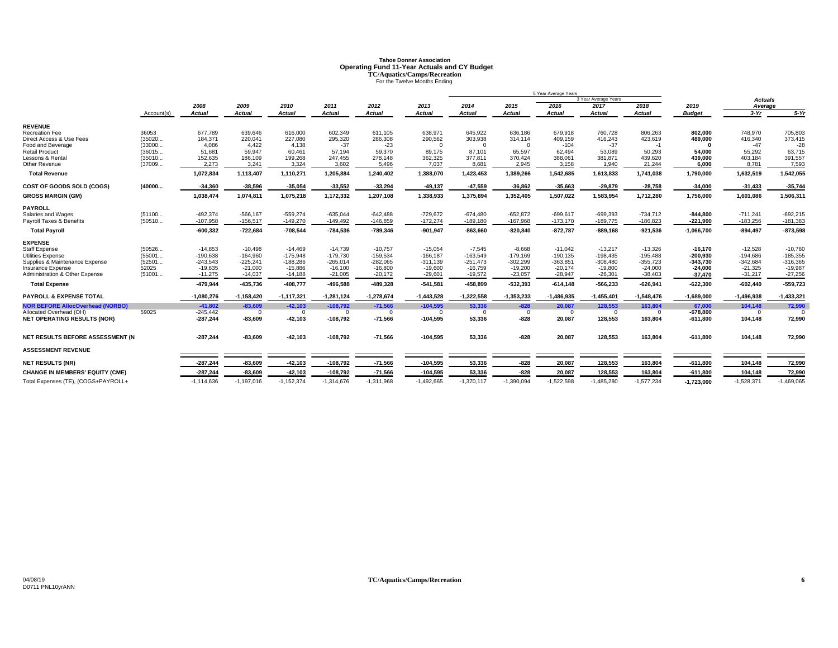# **Tahoe Donner AssociationOperating Fund 11-Year Actuals and CY Budget<br>
TC/Aquatics/Camps/Recreation<br>
For the Twelve Months Ending**

|                                         |            |                       |                |                       |                       |                       |                       |                       |                       | 5 Year Average Years  |                       |                |                       |                   |              |
|-----------------------------------------|------------|-----------------------|----------------|-----------------------|-----------------------|-----------------------|-----------------------|-----------------------|-----------------------|-----------------------|-----------------------|----------------|-----------------------|-------------------|--------------|
|                                         |            |                       |                |                       |                       |                       |                       |                       |                       |                       | 3 Year Average Years  |                |                       | Actuals           |              |
|                                         | Account(s) | 2008<br><b>Actual</b> | 2009<br>Actual | 2010<br><b>Actual</b> | 2011<br><b>Actual</b> | 2012<br><b>Actual</b> | 2013<br><b>Actual</b> | 2014<br><b>Actual</b> | 2015<br><b>Actual</b> | 2016<br><b>Actual</b> | 2017<br><b>Actual</b> | 2018<br>Actual | 2019<br><b>Budget</b> | Average<br>$3-Yr$ | $5-Yr$       |
|                                         |            |                       |                |                       |                       |                       |                       |                       |                       |                       |                       |                |                       |                   |              |
| <b>REVENUE</b>                          |            |                       |                |                       |                       |                       |                       |                       |                       |                       |                       |                |                       |                   |              |
| <b>Recreation Fee</b>                   | 36053      | 677.789               | 639.646        | 616,000               | 602,349               | 611.105               | 638,971               | 645,922               | 636,186               | 679.918               | 760.728               | 806.263        | 802.000               | 748.970           | 705,803      |
| Direct Access & Use Fees                | (35020     | 184,371               | 220,041        | 227,080               | 295,320               | 286,308               | 290,562               | 303,938               | 314,114               | 409,159               | 416,243               | 423,619        | 489,000               | 416,340           | 373,415      |
| Food and Beverage                       | (33000     | 4.086                 | 4.422          | 4.138                 | $-37$                 | $-23$                 | $\Omega$              | $\Omega$              | $\Omega$              | $-104$                | $-37$                 | $-1$           | $\Omega$              | $-47$             | $-28$        |
| <b>Retail Product</b>                   | (36015     | 51,681                | 59,947         | 60,461                | 57,194                | 59,370                | 89,175                | 87,101                | 65,597                | 62,494                | 53,089                | 50,293         | 54.000                | 55,292            | 63,715       |
| Lessons & Rental                        | (35010     | 152,635               | 186,109        | 199,268               | 247,455               | 278,148               | 362,325               | 377,811               | 370,424               | 388,061               | 381,871               | 439,620        | 439,000               | 403,184           | 391,557      |
| Other Revenue                           | (37009     | 2,273                 | 3,241          | 3,324                 | 3,602                 | 5,496                 | 7,037                 | 8,681                 | 2,945                 | 3,158                 | 1,940                 | 21,244         | 6,000                 | 8,781             | 7,593        |
| <b>Total Revenue</b>                    |            | 1,072,834             | 1.113.407      | 1,110,271             | 1,205,884             | 1,240,402             | 1,388,070             | 1,423,453             | 1,389,266             | 1,542,685             | 1,613,833             | 1.741.038      | 1,790,000             | 1,632,519         | 1,542,055    |
| COST OF GOODS SOLD (COGS)               | (40000     | $-34,360$             | $-38,596$      | $-35,054$             | $-33,552$             | $-33,294$             | $-49,137$             | $-47,559$             | $-36,862$             | $-35,663$             | $-29,879$             | $-28,758$      | $-34,000$             | $-31,433$         | $-35,744$    |
| <b>GROSS MARGIN (GM)</b>                |            | 1,038,474             | 1,074,811      | 1,075,218             | 1,172,332             | 1,207,108             | 1,338,933             | 1,375,894             | 1,352,405             | 1,507,022             | 1,583,954             | 1,712,280      | 1,756,000             | 1,601,086         | 1,506,311    |
| <b>PAYROLL</b>                          |            |                       |                |                       |                       |                       |                       |                       |                       |                       |                       |                |                       |                   |              |
| Salaries and Wages                      | (51100     | $-492,374$            | $-566, 167$    | $-559,274$            | $-635,044$            | $-642,488$            | $-729,672$            | $-674,480$            | $-652,872$            | $-699,617$            | $-699,393$            | $-734,712$     | $-844,800$            | $-711,241$        | $-692,215$   |
| Payroll Taxes & Benefits                | (50510     | $-107,958$            | $-156,517$     | $-149,270$            | $-149,492$            | $-146,859$            | $-172,274$            | $-189,180$            | $-167,968$            | $-173,170$            | $-189,775$            | $-186,823$     | $-221,900$            | $-183,256$        | $-181,383$   |
| <b>Total Payroll</b>                    |            | $-600,332$            | $-722,684$     | $-708,544$            | $-784,536$            | $-789,346$            | $-901,947$            | $-863,660$            | $-820, 840$           | $-872,787$            | $-889,168$            | $-921,536$     | $-1,066,700$          | $-894,497$        | $-873,598$   |
| <b>EXPENSE</b>                          |            |                       |                |                       |                       |                       |                       |                       |                       |                       |                       |                |                       |                   |              |
| <b>Staff Expense</b>                    | (50526     | $-14.853$             | $-10.498$      | $-14.469$             | $-14,739$             | $-10.757$             | $-15,054$             | $-7,545$              | $-8.668$              | $-11.042$             | $-13.217$             | $-13.326$      | $-16.170$             | $-12,528$         | $-10.760$    |
| Utilities Expense                       | (55001     | $-190.638$            | $-164.960$     | $-175,948$            | $-179,730$            | $-159,534$            | $-166, 187$           | $-163,549$            | $-179,169$            | $-190, 135$           | $-198.435$            | $-195,488$     | $-200.930$            | $-194,686$        | $-185,355$   |
| Supplies & Maintenance Expense          | (52501     | $-243,543$            | $-225,241$     | $-188,286$            | $-265,014$            | $-282,065$            | $-311,139$            | $-251,473$            | $-302,299$            | $-363,851$            | $-308,480$            | $-355,723$     | $-343,730$            | $-342,684$        | $-316,365$   |
| Insurance Expense                       | 52025      | $-19.635$             | $-21.000$      | $-15,886$             | $-16,100$             | $-16,800$             | $-19,600$             | $-16,759$             | $-19,200$             | $-20.174$             | $-19.800$             | $-24,000$      | $-24.000$             | $-21,325$         | $-19,987$    |
| Administration & Other Expense          | (51001     | $-11,275$             | $-14,037$      | $-14,188$             | $-21,005$             | $-20,172$             | $-29,601$             | $-19,572$             | $-23,057$             | $-28,947$             | $-26,301$             | $-38,403$      | $-37,470$             | $-31,217$         | $-27,256$    |
| <b>Total Expense</b>                    |            | $-479,944$            | $-435,736$     | $-408,777$            | $-496,588$            | $-489,328$            | $-541,581$            | -458,899              | $-532,393$            | $-614,148$            | $-566,233$            | $-626,941$     | $-622,300$            | $-602,440$        | $-559,723$   |
| <b>PAYROLL &amp; EXPENSE TOTAL</b>      |            | $-1.080.276$          | $-1,158,420$   | $-1,117,321$          | $-1,281,124$          | $-1,278,674$          | $-1,443,528$          | $-1,322,558$          | $-1,353,233$          | $-1,486,935$          | $-1,455,401$          | $-1,548,476$   | $-1,689,000$          | $-1,496,938$      | $-1,433,32$  |
| <b>NOR BEFORE AllocOverhead (NORBO)</b> |            | $-41,802$             | $-83.609$      | $-42,103$             | $-108,792$            | $-71,566$             | $-104,595$            | 53,336                | $-828$                | 20,087                | 128,553               | 163,804        | 67.000                | 104,148           | 72,990       |
| Allocated Overhead (OH)                 | 59025      | $-245,442$            | $\Omega$       | $\Omega$              | $\mathbf{0}$          | $\overline{0}$        | $\overline{0}$        | $\Omega$              | $^{\circ}$            | $\overline{0}$        | $\Omega$              | $\mathbf{0}$   | $-678.800$            | $\mathbf{0}$      |              |
| <b>NET OPERATING RESULTS (NOR)</b>      |            | $-287.244$            | $-83,609$      | $-42,103$             | $-108,792$            | $-71,566$             | $-104,595$            | 53,336                | $-828$                | 20,087                | 128,553               | 163,804        | $-611.800$            | 104,148           | 72,990       |
|                                         |            |                       |                |                       |                       |                       |                       |                       | $-828$                |                       |                       |                |                       |                   |              |
| NET RESULTS BEFORE ASSESSMENT (N        |            | $-287,244$            | $-83,609$      | $-42,103$             | $-108,792$            | $-71,566$             | $-104,595$            | 53,336                |                       | 20,087                | 128,553               | 163,804        | $-611,800$            | 104,148           | 72,990       |
| <b>ASSESSMENT REVENUE</b>               |            |                       |                |                       |                       |                       |                       |                       |                       |                       |                       |                |                       |                   |              |
| <b>NET RESULTS (NR)</b>                 |            | $-287.244$            | $-83,609$      | $-42,103$             | $-108,792$            | $-71,566$             | $-104,595$            | 53,336                | $-828$                | 20,087                | 128,553               | 163,804        | $-611,800$            | 104,148           | 72,990       |
| <b>CHANGE IN MEMBERS' EQUITY (CME)</b>  |            | $-287.244$            | $-83,609$      | $-42,103$             | $-108,792$            | $-71,566$             | $-104,595$            | 53,336                | $-828$                | 20,087                | 128,553               | 163,804        | $-611,800$            | 104.148           | 72,990       |
| Total Expenses (TE), (COGS+PAYROLL+     |            | $-1,114,636$          | $-1,197,016$   | $-1,152,374$          | $-1,314,676$          | $-1,311,968$          | $-1,492,665$          | $-1,370,117$          | $-1,390,094$          | $-1,522,598$          | $-1,485,280$          | $-1,577,234$   | $-1,723,000$          | $-1,528,371$      | $-1,469,065$ |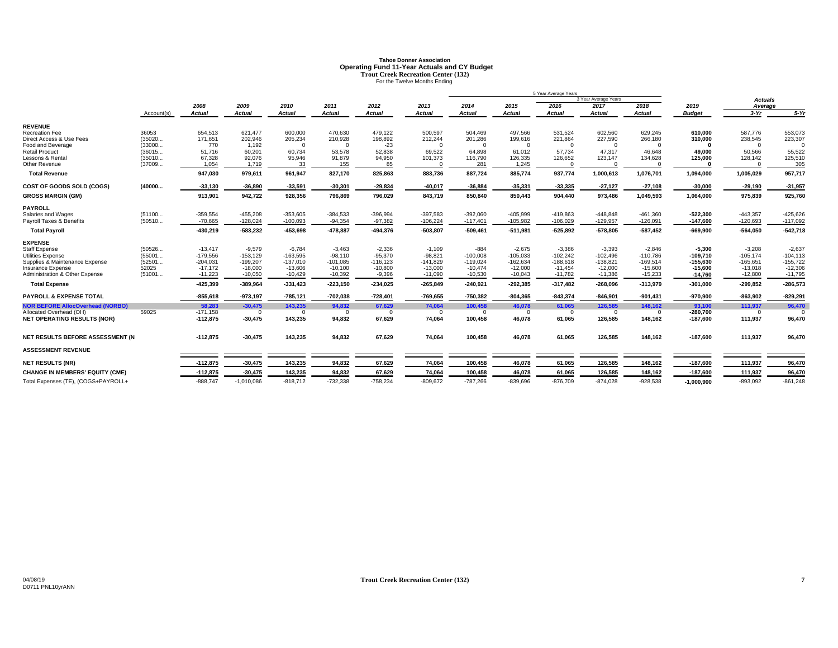# **Tahoe Donner AssociationOperating Fund 11-Year Actuals and CY Budget<br>
Trout Creek Recreation Center (132)**<br>
For the Twelve Months Ending

|                                         |            |               |               |            |               |             |            |            |               | 5 Year Average Years |                      |               |               |                |             |
|-----------------------------------------|------------|---------------|---------------|------------|---------------|-------------|------------|------------|---------------|----------------------|----------------------|---------------|---------------|----------------|-------------|
|                                         |            |               |               |            |               |             |            |            |               |                      | 3 Year Average Years |               |               | <b>Actuals</b> |             |
|                                         |            | 2008          | 2009          | 2010       | 2011          | 2012        | 2013       | 2014       | 2015          | 2016                 | 2017                 | 2018          | 2019          | Average        |             |
|                                         | Account(s) | <b>Actual</b> | <b>Actual</b> | Actual     | <b>Actual</b> | Actual      | Actual     | Actual     | <b>Actual</b> | <b>Actual</b>        | <b>Actual</b>        | <b>Actual</b> | <b>Budget</b> | $3-Yr$         | $5-Yr$      |
| <b>REVENUE</b>                          |            |               |               |            |               |             |            |            |               |                      |                      |               |               |                |             |
| <b>Recreation Fee</b>                   | 36053      | 654,513       | 621,477       | 600,000    | 470,630       | 479,122     | 500,597    | 504,469    | 497,566       | 531,524              | 602,560              | 629,245       | 610,000       | 587,776        | 553,073     |
| Direct Access & Use Fees                | (35020     | 171,651       | 202,946       | 205,234    | 210,928       | 198,892     | 212,244    | 201,286    | 199,616       | 221,864              | 227,590              | 266,180       | 310,000       | 238,545        | 223,307     |
| Food and Beverage                       | (33000     | 770           | 1,192         | $\Omega$   |               | $-23$       | $\Omega$   | $\Omega$   | $\Omega$      | $\Omega$             | $\Omega$             | $\Omega$      | $\Omega$      | $\Omega$       |             |
| <b>Retail Product</b>                   | (36015     | 51.716        | 60,201        | 60.734     | 53,578        | 52,838      | 69,522     | 64,898     | 61.012        | 57.734               | 47.317               | 46.648        | 49.000        | 50.566         | 55,522      |
| Lessons & Rental                        | (35010     | 67,328        | 92,076        | 95,946     | 91,879        | 94,950      | 101,373    | 116,790    | 126,335       | 126,652              | 123,147              | 134,628       | 125,000       | 128,142        | 125,510     |
| Other Revenue                           | (37009     | 1,054         | 1,719         | 33         | 155           | 85          |            | 281        | 1,245         | $\Omega$             | $\Omega$             | ſ             |               | $\Omega$       | 305         |
| <b>Total Revenue</b>                    |            | 947,030       | 979,611       | 961,947    | 827,170       | 825,863     | 883,736    | 887,724    | 885,774       | 937,774              | 1,000,613            | 1,076,701     | 1,094,000     | 1,005,029      | 957,717     |
| COST OF GOODS SOLD (COGS)               | (40000     | $-33,130$     | $-36,890$     | $-33,591$  | $-30,301$     | $-29,834$   | $-40,017$  | $-36,884$  | $-35,331$     | $-33,335$            | $-27,127$            | $-27,108$     | $-30,000$     | $-29,190$      | $-31,957$   |
| <b>GROSS MARGIN (GM)</b>                |            | 913,901       | 942,722       | 928,356    | 796,869       | 796,029     | 843,719    | 850,840    | 850,443       | 904,440              | 973,486              | 1,049,593     | 1,064,000     | 975,839        | 925,760     |
| <b>PAYROLL</b>                          |            |               |               |            |               |             |            |            |               |                      |                      |               |               |                |             |
| Salaries and Wages                      | (51100     | $-359,554$    | $-455,208$    | $-353,605$ | $-384,533$    | $-396,994$  | $-397,583$ | $-392,060$ | $-405,999$    | $-419,863$           | $-448,848$           | $-461,360$    | $-522,300$    | $-443,357$     | $-425,626$  |
| Payroll Taxes & Benefits                | (50510     | $-70.665$     | $-128,024$    | $-100,093$ | $-94,354$     | $-97,382$   | $-106,224$ | $-117,401$ | $-105,982$    | $-106,029$           | $-129,957$           | $-126,091$    | $-147,600$    | $-120,693$     | $-117,092$  |
| <b>Total Payroll</b>                    |            | -430,219      | $-583,232$    | -453,698   | $-478,887$    | $-494,376$  | $-503,807$ | $-509,461$ | $-511,981$    | $-525,892$           | $-578,805$           | $-587,452$    | $-669,900$    | $-564,050$     | $-542,718$  |
| <b>EXPENSE</b>                          |            |               |               |            |               |             |            |            |               |                      |                      |               |               |                |             |
| <b>Staff Expense</b>                    | (50526     | $-13.417$     | $-9,579$      | $-6.784$   | $-3.463$      | $-2,336$    | $-1,109$   | $-884$     | $-2.675$      | $-3.386$             | $-3,393$             | $-2,846$      | $-5.300$      | $-3,208$       | $-2,637$    |
| <b>Utilities Expense</b>                | (55001     | $-179,556$    | $-153,129$    | $-163,595$ | $-98,110$     | $-95,370$   | $-98,821$  | $-100,008$ | $-105,033$    | $-102,242$           | $-102,496$           | $-110,786$    | $-109,710$    | $-105,174$     | $-104, 113$ |
| Supplies & Maintenance Expense          | (52501     | $-204,031$    | $-199.207$    | $-137,010$ | $-101,085$    | $-116, 123$ | $-141,829$ | $-119,024$ | $-162,634$    | $-188.618$           | $-138.821$           | $-169,514$    | $-155.630$    | $-165,651$     | $-155,722$  |
| Insurance Expense                       | 52025      | $-17.172$     | $-18,000$     | $-13,606$  | $-10,100$     | $-10,800$   | $-13,000$  | $-10,474$  | $-12,000$     | $-11.454$            | $-12.000$            | $-15,600$     | $-15,600$     | $-13,018$      | $-12,306$   |
| Administration & Other Expense          | (51001     | $-11,223$     | $-10,050$     | $-10,429$  | $-10,392$     | $-9,396$    | $-11,090$  | $-10,530$  | $-10,043$     | $-11,782$            | $-11,386$            | $-15,233$     | $-14,760$     | $-12,800$      | $-11,795$   |
| <b>Total Expense</b>                    |            | -425,399      | $-389,964$    | $-331,423$ | $-223,150$    | $-234,025$  | $-265,849$ | $-240,921$ | $-292,385$    | $-317,482$           | $-268,096$           | $-313,979$    | $-301,000$    | $-299,852$     | $-286,573$  |
| <b>PAYROLL &amp; EXPENSE TOTAL</b>      |            | $-855,618$    | $-973,197$    | $-785,121$ | $-702,038$    | $-728,401$  | $-769.655$ | $-750.382$ | $-804,365$    | $-843,374$           | $-846.901$           | $-901,431$    | -970.900      | $-863,902$     | $-829,29$   |
| <b>NOR BEFORE AllocOverhead (NORBO)</b> |            | 58.283        | $-30.475$     | 143.235    | 94,832        | 67,629      | 74.064     | 100.458    | 46,078        | 61.065               | 126.585              | 148,162       | 93.100        | 111.937        | 96,470      |
| Allocated Overhead (OH)                 | 59025      | $-171.158$    | $\Omega$      | $\Omega$   | $\Omega$      | $\Omega$    | $\Omega$   | $\Omega$   | $\mathbf{0}$  | $\Omega$             | $\Omega$             | $\Omega$      | $-280.700$    | $\Omega$       |             |
| <b>NET OPERATING RESULTS (NOR)</b>      |            | $-112,875$    | $-30,475$     | 143,235    | 94,832        | 67,629      | 74,064     | 100,458    | 46,078        | 61,065               | 126,585              | 148,162       | $-187,600$    | 111,937        | 96,470      |
| NET RESULTS BEFORE ASSESSMENT (N        |            | $-112,875$    | $-30,475$     | 143,235    | 94,832        | 67,629      | 74,064     | 100,458    | 46,078        | 61,065               | 126,585              | 148,162       | $-187,600$    | 111,937        | 96,470      |
|                                         |            |               |               |            |               |             |            |            |               |                      |                      |               |               |                |             |
| <b>ASSESSMENT REVENUE</b>               |            |               |               |            |               |             |            |            |               |                      |                      |               |               |                |             |
| <b>NET RESULTS (NR)</b>                 |            | $-112.875$    | $-30,475$     | 143,235    | 94,832        | 67,629      | 74,064     | 100,458    | 46,078        | 61,065               | 126,585              | 148,162       | $-187,600$    | 111,937        | 96,470      |
| <b>CHANGE IN MEMBERS' EQUITY (CME)</b>  |            | $-112,875$    | $-30,475$     | 143,235    | 94,832        | 67,629      | 74,064     | 100,458    | 46,078        | 61,065               | 126,585              | 148,162       | $-187,600$    | 111,937        | 96,470      |
| Total Expenses (TE), (COGS+PAYROLL+     |            | $-888,747$    | $-1,010,086$  | $-818,712$ | $-732,338$    | $-758,234$  | $-809,672$ | $-787,266$ | $-839,696$    | $-876.709$           | $-874,028$           | $-928,538$    | $-1,000,900$  | $-893,092$     | $-861,248$  |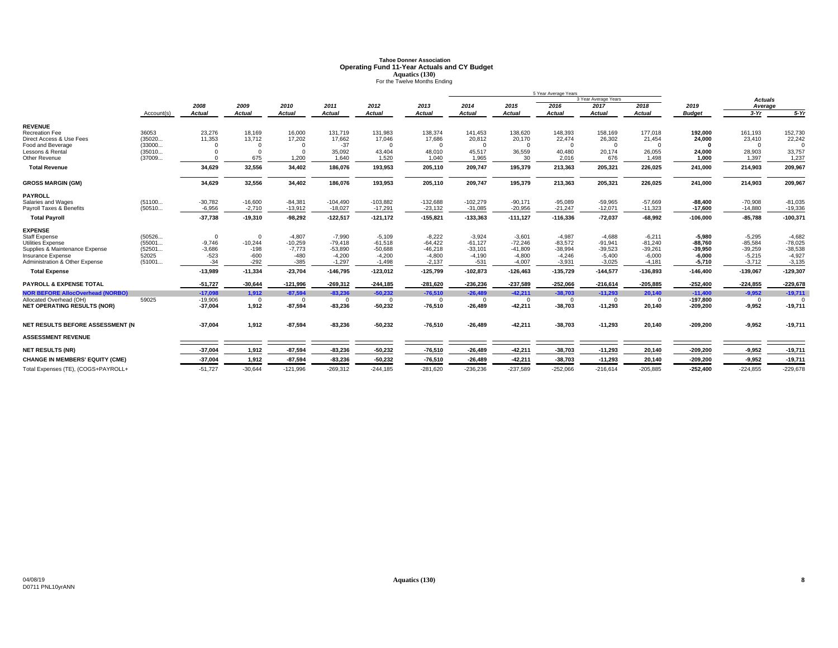# **Tahoe Donner AssociationOperating Fund 11-Year Actuals and CY Budget<br>Aquatics (130)<br>For the Twelve Months Ending**

|                                                            |                  |                        |                       |                       |                           |                           |                        |                             |                        | 5 Year Average Years      |                        |                        |                          |                          |                        |
|------------------------------------------------------------|------------------|------------------------|-----------------------|-----------------------|---------------------------|---------------------------|------------------------|-----------------------------|------------------------|---------------------------|------------------------|------------------------|--------------------------|--------------------------|------------------------|
|                                                            |                  |                        |                       |                       |                           |                           |                        |                             |                        |                           | 3 Year Average Years   |                        |                          | <b>Actuals</b>           |                        |
|                                                            |                  | 2008                   | 2009                  | 2010                  | 2011                      | 2012                      | 2013                   | 2014                        | 2015                   | 2016                      | 2017                   | 2018                   | 2019                     | Average                  |                        |
|                                                            | Account(s)       | <b>Actual</b>          | <b>Actual</b>         | <b>Actual</b>         | <b>Actual</b>             | <b>Actual</b>             | <b>Actual</b>          | <b>Actual</b>               | Actual                 | <b>Actual</b>             | <b>Actual</b>          | <b>Actual</b>          | <b>Budget</b>            | $3-Yr$                   | $5-Yr$                 |
| <b>REVENUE</b>                                             |                  |                        |                       |                       |                           |                           |                        |                             |                        |                           |                        |                        |                          |                          |                        |
| <b>Recreation Fee</b>                                      | 36053            | 23,276                 | 18,169                | 16,000                | 131,719                   | 131,983                   | 138,374                | 141,453                     | 138,620                | 148,393                   | 158,169                | 177,018                | 192,000                  | 161,193                  | 152,730                |
| Direct Access & Use Fees                                   | (35020           | 11,353                 | 13,712                | 17,202                | 17,662                    | 17,046                    | 17,686                 | 20,812                      | 20,170                 | 22,474                    | 26,302                 | 21,454                 | 24,000                   | 23,410                   | 22,242                 |
| Food and Beverage                                          | (33000           | $\Omega$               |                       |                       | $-37$                     | $\Omega$                  | $\Omega$               | $\Omega$                    | $\Omega$               | $\Omega$                  | $\Omega$               |                        |                          | $\Omega$                 |                        |
| Lessons & Rental                                           | (35010           | $^{\circ}$             |                       | $\Omega$              | 35,092                    | 43,404                    | 48,010                 | 45,517                      | 36,559                 | 40,480                    | 20,174                 | 26,055                 | 24.000                   | 28,903                   | 33,757                 |
| Other Revenue                                              | (37009           | $\Omega$               | 675                   | 1,200                 | 1,640                     | 1,520                     | 1.040                  | 1.965                       | 30                     | 2.016                     | 676                    | 1,498                  | 1.000                    | 1.397                    | 1,237                  |
| <b>Total Revenue</b>                                       |                  | 34,629                 | 32,556                | 34,402                | 186,076                   | 193,953                   | 205,110                | 209,747                     | 195,379                | 213,363                   | 205,321                | 226,025                | 241,000                  | 214,903                  | 209,967                |
| <b>GROSS MARGIN (GM)</b>                                   |                  | 34,629                 | 32,556                | 34,402                | 186,076                   | 193,953                   | 205,110                | 209,747                     | 195,379                | 213,363                   | 205,321                | 226,025                | 241,000                  | 214,903                  | 209,967                |
| <b>PAYROLL</b>                                             |                  |                        |                       |                       |                           |                           |                        |                             |                        |                           |                        |                        |                          |                          |                        |
| Salaries and Wages                                         | (51100           | $-30,782$              | $-16,600$             | $-84,381$             | $-104,490$                | $-103,882$                | $-132,688$             | $-102,279$                  | $-90,171$              | $-95,089$                 | $-59,965$              | $-57,669$              | $-88.400$                | $-70,908$                | $-81,035$              |
| Pavroll Taxes & Benefits                                   | (50510           | $-6.956$               | $-2,710$              | $-13,912$             | $-18.027$                 | $-17,291$                 | $-23,132$              | $-31,085$                   | $-20.956$              | $-21.247$                 | $-12,071$              | $-11,323$              | $-17,600$                | $-14,880$                | $-19,336$              |
| <b>Total Payroll</b>                                       |                  | $-37,738$              | $-19,310$             | $-98,292$             | $-122,517$                | $-121,172$                | $-155,821$             | $-133,363$                  | $-111,127$             | $-116,336$                | $-72,037$              | $-68,992$              | $-106,000$               | $-85,788$                | $-100,371$             |
|                                                            |                  |                        |                       |                       |                           |                           |                        |                             |                        |                           |                        |                        |                          |                          |                        |
| <b>EXPENSE</b>                                             |                  |                        |                       |                       |                           |                           |                        |                             |                        |                           |                        |                        |                          |                          |                        |
| <b>Staff Expense</b>                                       | (50526           | $\Omega$               | $\Omega$              | $-4,807$              | $-7,990$                  | $-5,109$                  | $-8,222$               | $-3,924$                    | $-3,601$               | $-4,987$                  | $-4,688$               | $-6,211$               | $-5,980$                 | $-5,295$                 | $-4,682$               |
| <b>Utilities Expense</b><br>Supplies & Maintenance Expense | (55001<br>(52501 | $-9,746$<br>$-3,686$   | $-10,244$<br>$-198$   | $-10,259$<br>$-7.773$ | $-79,418$<br>$-53,890$    | $-61,518$<br>$-50,688$    | $-64,422$<br>$-46,218$ | $-61,127$<br>$-33,101$      | $-72,246$<br>$-41,809$ | $-83,572$<br>$-38,994$    | $-91,941$<br>$-39,523$ | $-81,240$<br>$-39,261$ | $-88.760$                | $-85,584$<br>$-39,259$   | $-78,025$<br>$-38,538$ |
| Insurance Expense                                          | 52025            | $-523$                 | $-600$                | $-480$                | $-4,200$                  | $-4,200$                  | $-4,800$               | $-4,190$                    | $-4,800$               | $-4,246$                  | $-5,400$               | $-6,000$               | $-39.950$<br>$-6.000$    | $-5,215$                 | $-4,927$               |
| Administration & Other Expense                             | (51001           | $-34$                  | $-292$                | $-385$                | $-1,297$                  | $-1,498$                  | $-2,137$               | $-531$                      | $-4,007$               | $-3,931$                  | $-3.025$               | $-4,181$               | $-5,710$                 | $-3,712$                 | $-3,135$               |
| <b>Total Expense</b>                                       |                  | $-13,989$              | $-11,334$             | $-23,704$             | $-146,795$                | $-123,012$                | $-125.799$             | $-102,873$                  | $-126,463$             | $-135.729$                | $-144,577$             | $-136,893$             | $-146.400$               | $-139.067$               | $-129,307$             |
|                                                            |                  |                        |                       |                       |                           |                           |                        |                             |                        |                           |                        |                        |                          |                          |                        |
| <b>PAYROLL &amp; EXPENSE TOTAL</b>                         |                  | $-51,727$              | $-30,644$             | $-121,996$            | $-269,312$                | $-244,185$                | $-281,620$             | $-236,236$                  | $-237,589$             | $-252,066$                | $-216,614$             | $-205,885$             | $-252,400$               | $-224,855$               | $-229,678$             |
| <b>NOR BEFORE AllocOverhead (NORBO)</b>                    |                  | $-17,098$              | 1,912                 | $-87,594$             | $-83,236$                 | $-50,232$                 | $-76,510$              | $-26,489$                   | $-42,211$              | $-38,703$                 | $-11,293$              | 20,140                 | $-11,400$                | $-9,952$                 | $-19,711$              |
| Allocated Overhead (OH)                                    | 59025            | $-19,906$<br>$-37,004$ | $\mathbf{0}$<br>1,912 | $\Omega$<br>$-87,594$ | $\mathbf{0}$<br>$-83,236$ | $\mathbf{0}$<br>$-50,232$ | $\Omega$<br>$-76,510$  | $\overline{0}$<br>$-26,489$ | $\Omega$<br>$-42,211$  | $\mathbf{0}$<br>$-38,703$ | $\Omega$<br>$-11,293$  | $\Omega$<br>20,140     | $-197.800$<br>$-209,200$ | $\mathbf{0}$<br>$-9,952$ | $-19,711$              |
| <b>NET OPERATING RESULTS (NOR)</b>                         |                  |                        |                       |                       |                           |                           |                        |                             |                        |                           |                        |                        |                          |                          |                        |
| NET RESULTS BEFORE ASSESSMENT (N                           |                  | $-37,004$              | 1,912                 | $-87,594$             | $-83,236$                 | $-50,232$                 | $-76,510$              | $-26,489$                   | $-42,211$              | $-38,703$                 | $-11,293$              | 20,140                 | $-209,200$               | $-9,952$                 | $-19,711$              |
| <b>ASSESSMENT REVENUE</b>                                  |                  |                        |                       |                       |                           |                           |                        |                             |                        |                           |                        |                        |                          |                          |                        |
| <b>NET RESULTS (NR)</b>                                    |                  | $-37,004$              | 1,912                 | $-87,594$             | $-83,236$                 | $-50,232$                 | $-76,510$              | $-26,489$                   | $-42,211$              | $-38,703$                 | $-11,293$              | 20,140                 | $-209,200$               | $-9,952$                 | $-19,711$              |
| <b>CHANGE IN MEMBERS' EQUITY (CME)</b>                     |                  | $-37,004$              | 1,912                 | $-87,594$             | $-83,236$                 | $-50,232$                 | $-76,510$              | $-26,489$                   | $-42,21$               | $-38,703$                 | $-11,293$              | 20,140                 | $-209,200$               | $-9,952$                 | $-19,711$              |
| Total Expenses (TE), (COGS+PAYROLL+                        |                  | $-51,727$              | $-30,644$             | $-121,996$            | $-269,312$                | $-244,185$                | $-281,620$             | $-236,236$                  | $-237,589$             | $-252,066$                | $-216,614$             | $-205,885$             | $-252,400$               | $-224,855$               | $-229,678$             |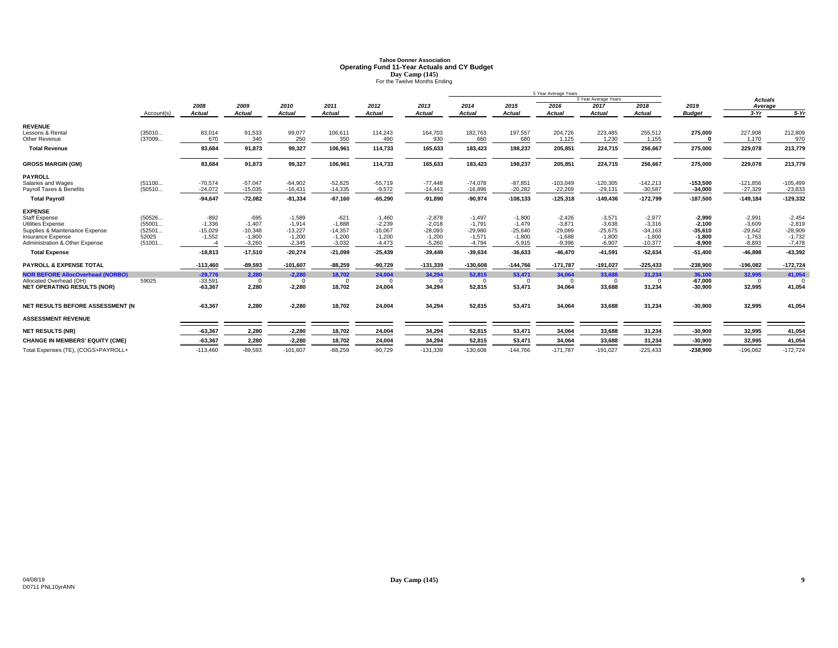# **Tahoe Donner AssociationOperating Fund 11-Year Actuals and CY Budget<br>
Day Camp (145)<br>
For the Twelve Months Ending**

|                                         |            |               |               |               |               |               |               |               |               | 5 Year Average Years |                      |               |               |                |            |
|-----------------------------------------|------------|---------------|---------------|---------------|---------------|---------------|---------------|---------------|---------------|----------------------|----------------------|---------------|---------------|----------------|------------|
|                                         |            |               |               |               |               |               |               |               |               |                      | 3 Year Average Years |               |               | <b>Actuals</b> |            |
|                                         |            | 2008          | 2009          | 2010          | 2011          | 2012          | 2013          | 2014          | 2015          | 2016                 | 2017                 | 2018          | 2019          | Average        |            |
|                                         | Account(s) | <b>Actual</b> | <b>Actual</b> | <b>Actual</b> | <b>Actual</b> | <b>Actual</b> | <b>Actual</b> | <b>Actual</b> | <b>Actual</b> | <b>Actual</b>        | <b>Actual</b>        | <b>Actual</b> | <b>Budget</b> | $3-Yr$         | $5-Yr$     |
| <b>REVENUE</b>                          |            |               |               |               |               |               |               |               |               |                      |                      |               |               |                |            |
| Lessons & Rental                        | (35010     | 83,014        | 91,533        | 99,077        | 106,611       | 114,243       | 164,703       | 182,763       | 197,557       | 204,726              | 223,485              | 255,512       | 275,000       | 227,908        | 212,809    |
| Other Revenue                           | (37009     | 670           | 340           | 250           | 350           | 490           | 930           | 660           | 680           | 1,125                | 1,230                | 1,155         |               | 1,170          | 970        |
| <b>Total Revenue</b>                    |            | 83.684        | 91,873        | 99,327        | 106,961       | 114,733       | 165.633       | 183,423       | 198,237       | 205,851              | 224,715              | 256,667       | 275,000       | 229,078        | 213,779    |
| <b>GROSS MARGIN (GM)</b>                |            | 83,684        | 91,873        | 99,327        | 106,961       | 114,733       | 165,633       | 183,423       | 198,237       | 205,851              | 224,715              | 256,667       | 275,000       | 229,078        | 213,779    |
| <b>PAYROLL</b>                          |            |               |               |               |               |               |               |               |               |                      |                      |               |               |                |            |
| Salaries and Wages                      | (51100     | $-70,574$     | $-57.047$     | $-64,902$     | $-52,825$     | $-55,719$     | $-77,448$     | $-74.078$     | $-87.851$     | $-103,049$           | $-120,305$           | $-142,213$    | $-153,500$    | $-121,856$     | $-105,499$ |
| Payroll Taxes & Benefits                | (50510     | $-24,072$     | $-15,035$     | $-16,431$     | $-14,335$     | $-9,572$      | $-14.443$     | $-16,896$     | $-20,282$     | $-22.269$            | $-29,131$            | $-30,587$     | $-34.000$     | $-27,329$      | $-23,833$  |
| <b>Total Payroll</b>                    |            | $-94,647$     | $-72,082$     | $-81,334$     | $-67,160$     | $-65,290$     | $-91,890$     | $-90,974$     | $-108,133$    | $-125,318$           | $-149,436$           | $-172,799$    | $-187,500$    | $-149,184$     | $-129,332$ |
| <b>EXPENSE</b>                          |            |               |               |               |               |               |               |               |               |                      |                      |               |               |                |            |
| <b>Staff Expense</b>                    | (50526     | $-892$        | $-695$        | $-1.589$      | $-621$        | $-1.460$      | $-2,878$      | $-1.497$      | $-1.800$      | $-2.426$             | $-3,571$             | $-2,977$      | $-2.990$      | $-2,991$       | $-2,454$   |
| Utilities Expense                       | (55001     | $-1.336$      | $-1.407$      | $-1.914$      | $-1.888$      | $-2.239$      | $-2,018$      | $-1.791$      | $-1.479$      | $-3.871$             | $-3.638$             | $-3,316$      | $-2.100$      | $-3.609$       | $-2.819$   |
| Supplies & Maintenance Expense          | (52501     | $-15,029$     | $-10,348$     | $-13,227$     | $-14,357$     | $-16,067$     | $-28,093$     | $-29,980$     | $-25,640$     | $-29,089$            | $-25,675$            | $-34,163$     | $-35,610$     | $-29,642$      | $-28,909$  |
| Insurance Expense                       | 52025      | $-1.552$      | $-1.800$      | $-1,200$      | $-1,200$      | $-1,200$      | $-1.200$      | $-1.571$      | $-1.800$      | $-1.688$             | $-1.800$             | $-1,800$      | $-1.800$      | $-1,763$       | $-1,732$   |
| Administration & Other Expense          | (51001     |               | $-3.260$      | $-2,345$      | $-3,032$      | $-4,473$      | $-5.260$      | $-4,794$      | $-5.915$      | $-9.396$             | $-6.907$             | $-10,377$     | $-8.900$      | $-8,893$       | $-7,478$   |
| <b>Total Expense</b>                    |            | $-18,813$     | $-17,510$     | $-20,274$     | -21,099       | $-25,439$     | $-39,449$     | $-39,634$     | $-36,633$     | $-46,470$            | $-41,591$            | $-52,634$     | $-51,400$     | $-46,898$      | -43,392    |
| <b>PAYROLL &amp; EXPENSE TOTAL</b>      |            | $-113.460$    | $-89,593$     | $-101.607$    | $-88.259$     | $-90.729$     | $-131.339$    | $-130.608$    | $-144.766$    | $-171.787$           | $-191.027$           | $-225,433$    | $-238.900$    | $-196.082$     | $-172,724$ |
| <b>NOR BEFORE AllocOverhead (NORBO)</b> |            | $-29,776$     | 2,280         | $-2,280$      | 18,702        | 24,004        | 34.294        | 52,815        | 53,471        | 34,064               | 33,688               | 31,234        | 36,100        | 32,995         | 41,054     |
| Allocated Overhead (OH)                 | 59025      | $-33,591$     | 0             | $\Omega$      | 0             | $\Omega$      | $\Omega$      | $\Omega$      | $^{\circ}$    | $\Omega$             | $\Omega$             | $\Omega$      | $-67,000$     | $\Omega$       |            |
| <b>NET OPERATING RESULTS (NOR)</b>      |            | $-63,367$     | 2,280         | $-2,280$      | 18,702        | 24,004        | 34,294        | 52,815        | 53,471        | 34,064               | 33,688               | 31,234        | $-30.900$     | 32,995         | 41,054     |
| NET RESULTS BEFORE ASSESSMENT (N        |            | $-63,367$     | 2,280         | $-2,280$      | 18,702        | 24,004        | 34,294        | 52,815        | 53,471        | 34,064               | 33,688               | 31,234        | $-30,900$     | 32,995         | 41,054     |
| <b>ASSESSMENT REVENUE</b>               |            |               |               |               |               |               |               |               |               |                      |                      |               |               |                |            |
| <b>NET RESULTS (NR)</b>                 |            | $-63.367$     | 2,280         | $-2,280$      | 18,702        | 24,004        | 34.294        | 52,815        | 53,471        | 34,064               | 33,688               | 31,234        | $-30,900$     | 32,995         | 41,054     |
|                                         |            |               |               |               |               |               |               |               |               |                      |                      |               |               |                |            |
| <b>CHANGE IN MEMBERS' EQUITY (CME)</b>  |            | $-63,367$     | 2,280         | $-2,280$      | 18,702        | 24,004        | 34,294        | 52,815        | 53,471        | 34,064               | 33,688               | 31,234        | $-30,900$     | 32,995         | 41,054     |
| Total Expenses (TE), (COGS+PAYROLL+     |            | $-113.460$    | $-89.593$     | $-101.607$    | $-88,259$     | $-90.729$     | $-131.339$    | $-130.608$    | $-144.766$    | $-171.787$           | $-191.027$           | $-225.433$    | $-238.900$    | $-196.082$     | $-172,724$ |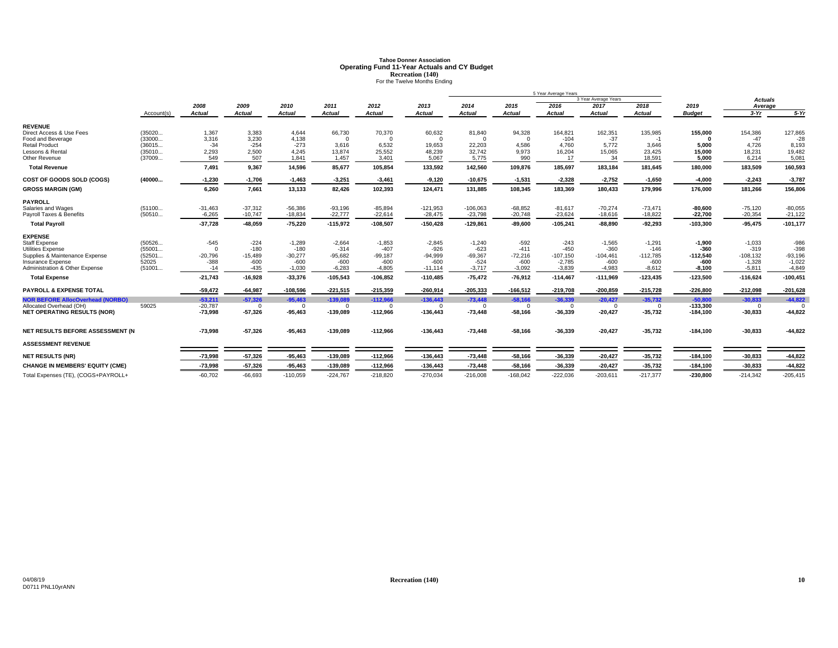# **Tahoe Donner AssociationOperating Fund 11-Year Actuals and CY Budget<br>
<b>Recreation (140)**<br>
For the Twelve Months Ending

|                                                            |                 |                     |                     |                     |                     |                     |                     |                     |                     | 5 Year Average Years   |                      |                      |                      |                        |                       |
|------------------------------------------------------------|-----------------|---------------------|---------------------|---------------------|---------------------|---------------------|---------------------|---------------------|---------------------|------------------------|----------------------|----------------------|----------------------|------------------------|-----------------------|
|                                                            |                 |                     |                     |                     |                     |                     |                     |                     |                     |                        | 3 Year Average Years |                      |                      | <b>Actuals</b>         |                       |
|                                                            |                 | 2008                | 2009                | 2010                | 2011                | 2012                | 2013                | 2014                | 2015                | 2016                   | 2017                 | 2018                 | 2019                 | Average                |                       |
|                                                            | Account(s)      | Actual              | Actual              | Actual              | <b>Actual</b>       | Actual              | <b>Actual</b>       | <b>Actual</b>       | Actual              | Actual                 | <b>Actual</b>        | <b>Actual</b>        | <b>Budget</b>        | $3-Yr$                 | $5-Yr$                |
| <b>REVENUE</b>                                             |                 |                     |                     |                     |                     |                     |                     |                     |                     |                        |                      |                      |                      |                        |                       |
| Direct Access & Use Fees                                   | (35020          | 1,367               | 3,383               | 4,644               | 66,730              | 70,370              | 60,632              | 81,840              | 94,328              | 164,821                | 162,351              | 135,985              | 155,000              | 154,386                | 127,865               |
| Food and Beverage                                          | (33000          | 3.316               | 3,230               | 4,138               | $\Omega$            | $\Omega$            | $\Omega$            | $\Omega$            | $\Omega$            | $-104$                 | $-37$                | $-1$                 | $\sqrt{2}$           | $-47$                  | $-28$                 |
| <b>Retail Product</b>                                      | (36015          | $-34$               | $-254$              | $-273$              | 3,616               | 6,532               | 19,653              | 22,203              | 4,586               | 4.760                  | 5,772                | 3,646                | 5.000                | 4,726                  | 8,193                 |
| Lessons & Rental                                           | (35010          | 2,293               | 2,500               | 4.245               | 13,874              | 25,552              | 48,239              | 32,742              | 9,973               | 16,204                 | 15,065               | 23,425               | 15.000               | 18,231                 | 19,482                |
| Other Revenue                                              | (37009          | 549                 | 507                 | 1,841               | 1,457               | 3,401               | 5,067               | 5,775               | 990                 | 17                     | 34                   | 18,591               | 5.000                | 6,214                  | 5,08'                 |
| <b>Total Revenue</b>                                       |                 | 7,491               | 9,367               | 14,596              | 85,677              | 105,854             | 133,592             | 142,560             | 109,876             | 185,697                | 183,184              | 181,645              | 180,000              | 183,509                | 160,593               |
| COST OF GOODS SOLD (COGS)                                  | (40000          | $-1,230$            | $-1,706$            | $-1,463$            | $-3,251$            | $-3,461$            | $-9,120$            | $-10,675$           | $-1,531$            | $-2,328$               | $-2,752$             | $-1,650$             | $-4,000$             | $-2,243$               | $-3,787$              |
| <b>GROSS MARGIN (GM)</b>                                   |                 | 6,260               | 7,661               | 13,133              | 82,426              | 102,393             | 124,471             | 131,885             | 108,345             | 183,369                | 180,433              | 179,996              | 176,000              | 181,266                | 156,806               |
| <b>PAYROLL</b>                                             |                 |                     |                     |                     |                     |                     |                     |                     |                     |                        |                      |                      |                      |                        |                       |
| Salaries and Wages                                         | (51100          | $-31,463$           | $-37,312$           | $-56,386$           | $-93,196$           | $-85,894$           | $-121,953$          | $-106,063$          | $-68,852$           | $-81.617$              | $-70,274$            | $-73,471$            | $-80.600$            | $-75,120$              | $-80,055$             |
| Payroll Taxes & Benefits                                   | (50510          | $-6.265$            | $-10,747$           | $-18,834$           | $-22,777$           | $-22,614$           | $-28,475$           | $-23,798$           | $-20,748$           | $-23,624$              | $-18,616$            | $-18,822$            | $-22,700$            | $-20,354$              | $-21,122$             |
| <b>Total Payroll</b>                                       |                 | $-37,728$           | $-48,059$           | $-75,220$           | $-115,972$          | $-108,507$          | $-150,428$          | $-129,861$          | $-89,600$           | $-105,241$             | $-88,890$            | $-92,293$            | $-103,300$           | $-95,475$              | $-101,177$            |
| <b>EXPENSE</b>                                             |                 |                     |                     |                     |                     |                     |                     |                     |                     |                        |                      |                      |                      |                        |                       |
| <b>Staff Expense</b>                                       | (50526          | $-545$              | $-224$              | $-1,289$            | $-2,664$            | $-1,853$            | $-2,845$            | $-1,240$            | $-592$              | $-243$                 | $-1,565$             | $-1,291$             | $-1,900$             | $-1,033$               | $-986$                |
| <b>Utilities Expense</b>                                   | (55001          | $\Omega$            | $-180$              | $-180$              | $-314$              | $-407$              | $-926$              | $-623$              | $-411$              | $-450$                 | $-360$               | $-146$               | $-360$               | $-319$                 | $-398$                |
| Supplies & Maintenance Expense<br><b>Insurance Expense</b> | (52501<br>52025 | $-20,796$<br>$-388$ | $-15,489$<br>$-600$ | $-30,277$<br>$-600$ | $-95,682$<br>$-600$ | $-99,187$<br>$-600$ | $-94,999$<br>$-600$ | $-69,367$<br>$-524$ | $-72,216$<br>$-600$ | $-107,150$<br>$-2.785$ | $-104,461$<br>$-600$ | $-112,785$<br>$-600$ | $-112,540$<br>$-600$ | $-108,132$<br>$-1.328$ | $-93,196$<br>$-1,022$ |
| Administration & Other Expense                             | (51001          | $-14$               | $-435$              | $-1,030$            | $-6,283$            | $-4,805$            | $-11.114$           | $-3,717$            | $-3,092$            | $-3,839$               | $-4,983$             | $-8,612$             | $-8,100$             | $-5,811$               | $-4,849$              |
| <b>Total Expense</b>                                       |                 | $-21,743$           | $-16,928$           | $-33,376$           | $-105,543$          | $-106,852$          | $-110,485$          | $-75,472$           | $-76,912$           | $-114,467$             | $-111,969$           | $-123,435$           | $-123,500$           | $-116,624$             | $-100,451$            |
| <b>PAYROLL &amp; EXPENSE TOTAL</b>                         |                 | $-59,472$           | $-64,987$           | $-108,596$          | $-221,515$          | $-215,359$          | $-260,914$          | $-205,333$          | $-166,512$          | $-219,708$             | $-200,859$           | $-215,728$           | $-226,800$           | $-212,098$             | $-201,628$            |
| <b>NOR BEFORE AllocOverhead (NORBO)</b>                    |                 | $-53,211$           | $-57,326$           | $-95,463$           | $-139,089$          | $-112,966$          | $-136,443$          | $-73,448$           | $-58,166$           | $-36,339$              | $-20,427$            | $-35,732$            | $-50,800$            | $-30,833$              | $-44,822$             |
| Allocated Overhead (OH)                                    | 59025           | $-20,787$           | - 0                 | $\Omega$            | $\Omega$            | $^{\circ}$          | $\Omega$            | $\Omega$            | $^{\circ}$          | $^{\circ}$             | $\Omega$             | $\mathbf{0}$         | $-133,300$           | $^{\circ}$             |                       |
| <b>NET OPERATING RESULTS (NOR)</b>                         |                 | $-73,998$           | $-57,326$           | $-95,463$           | $-139,089$          | $-112,966$          | $-136,443$          | $-73,448$           | $-58,166$           | $-36,339$              | $-20,427$            | $-35,732$            | $-184,100$           | $-30,833$              | $-44,822$             |
|                                                            |                 |                     |                     |                     |                     |                     |                     |                     |                     |                        |                      |                      |                      |                        |                       |
| NET RESULTS BEFORE ASSESSMENT (N                           |                 | $-73,998$           | $-57,326$           | $-95,463$           | $-139,089$          | $-112,966$          | $-136,443$          | $-73,448$           | $-58,166$           | $-36,339$              | $-20,427$            | $-35,732$            | $-184,100$           | $-30,833$              | $-44,822$             |
| <b>ASSESSMENT REVENUE</b>                                  |                 |                     |                     |                     |                     |                     |                     |                     |                     |                        |                      |                      |                      |                        |                       |
| <b>NET RESULTS (NR)</b>                                    |                 | $-73,998$           | $-57,326$           | $-95,463$           | $-139,089$          | $-112,966$          | $-136,443$          | $-73,448$           | $-58,166$           | $-36,339$              | $-20,427$            | $-35,732$            | $-184,100$           | $-30,833$              | $-44,822$             |
| <b>CHANGE IN MEMBERS' EQUITY (CME)</b>                     |                 | $-73,998$           | $-57,326$           | $-95.463$           | $-139,089$          | $-112,966$          | $-136,443$          | $-73,448$           | $-58,166$           | $-36,339$              | $-20,427$            | $-35,732$            | $-184,100$           | $-30,833$              | $-44,822$             |
| Total Expenses (TE), (COGS+PAYROLL+                        |                 | $-60,702$           | $-66.693$           | $-110,059$          | $-224,767$          | $-218,820$          | $-270,034$          | $-216,008$          | $-168,042$          | $-222,036$             | $-203,611$           | $-217,377$           | $-230,800$           | $-214,342$             | $-205,415$            |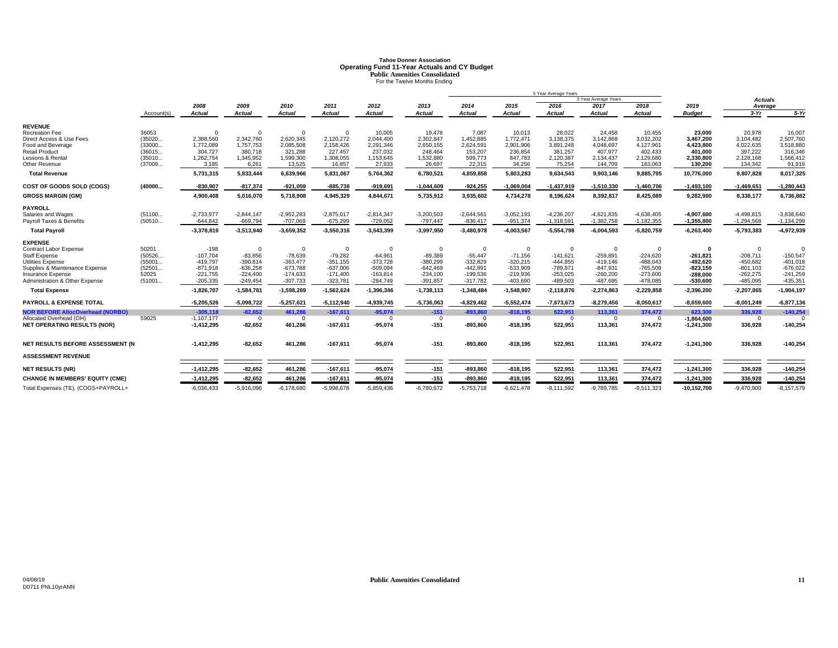# **Tahoe Donner AssociationOperating Fund 11-Year Actuals and CY Budget<br>Public Amenities Consolidated<br>For the Twelve Months Ending**

|                                                  |                  |                          |                         |                         |                         |                         |                         |                         |                         | 5 Year Average Years     |                          |                          |                          |                          |                          |
|--------------------------------------------------|------------------|--------------------------|-------------------------|-------------------------|-------------------------|-------------------------|-------------------------|-------------------------|-------------------------|--------------------------|--------------------------|--------------------------|--------------------------|--------------------------|--------------------------|
|                                                  |                  |                          |                         |                         |                         |                         |                         |                         |                         |                          | 3 Year Average Years     |                          |                          | Actuals                  |                          |
|                                                  | Account(s)       | 2008<br>Actual           | 2009<br>Actual          | 2010<br><b>Actual</b>   | 2011<br><b>Actual</b>   | 2012<br>Actual          | 2013<br>Actual          | 2014<br><b>Actual</b>   | 2015<br><b>Actual</b>   | 2016<br><b>Actual</b>    | 2017<br><b>Actual</b>    | 2018<br><b>Actual</b>    | 2019<br><b>Budget</b>    | Average<br>$3-Yr$        | $5-Yr$                   |
|                                                  |                  |                          |                         |                         |                         |                         |                         |                         |                         |                          |                          |                          |                          |                          |                          |
| <b>REVENUE</b>                                   |                  |                          |                         |                         |                         |                         |                         |                         |                         |                          |                          |                          |                          |                          |                          |
| Recreation Fee                                   | 36053<br>(35020  | 2,388,560                | $\Omega$<br>2,342,760   | $\Omega$<br>2,620,345   | 2,120,272               | 10,005<br>2.044.400     | 19,478<br>2,302,847     | 7,087<br>1,452,885      | 10,013<br>1,772,471     | 28,022<br>3,138,375      | 24,458<br>3.142.868      | 10,455                   | 23,000<br>3.467.200      | 20,978                   | 16,007<br>2,507,760      |
| Direct Access & Use Fees<br>Food and Beverage    | (33000           | 1,772,089                | 1.757.753               | 2,085,508               | 2,158,426               | 2,291,346               | 2,650,155               | 2,624,591               | 2,901,906               | 3,891,248                | 4.048.697                | 3,032,202<br>4,127,961   | 4,423,800                | 3,104,482<br>4,022,635   | 3,518,880                |
| <b>Retail Product</b>                            | (36015           | 304,727                  | 380,718                 | 321,288                 | 227,457                 | 237,032                 | 248,464                 | 153,207                 | 236,854                 | 381,257                  | 407.977                  | 402,433                  | 401.000                  | 397,222                  | 316,346                  |
| <b>Lessons &amp; Rental</b>                      | (35010           | 1,262,754                | 1,345,952               | 1,599,300               | 1,308,055               | 1,153,645               | 1,532,880               | 599,773                 | 847,783                 | 2,120,387                | 2,134,437                | 2,129,680                | 2,330,800                | 2,128,168                | 1,566,412                |
| Other Revenue                                    | (37009           | 3.185                    | 6.261                   | 13.525                  | 16,857                  | 27,933                  | 26.697                  | 22.315                  | 34.256                  | 75.254                   | 144.709                  | 183.063                  | 130.200                  | 134,342                  | 91,919                   |
| <b>Total Revenue</b>                             |                  | 5,731,315                | 5,833,444               | 6,639,966               | 5,831,067               | 5,764,362               | 6,780,521               | 4,859,858               | 5,803,283               | 9,634,543                | 9,903,146                | 9,885,795                | 10,776,000               | 9,807,828                | 8,017,325                |
| COST OF GOODS SOLD (COGS)                        | (40000           | $-830.907$               | $-817,374$              | $-921,059$              | $-885,738$              | $-919,691$              | $-1,044,609$            | $-924.255$              | $-1,069,004$            | $-1,437,919$             | $-1,510,330$             | $-1,460,706$             | $-1,493,100$             | $-1,469,651$             | $-1,280,443$             |
| <b>GROSS MARGIN (GM)</b>                         |                  | 4,900,408                | 5,016,070               | 5,718,908               | 4,945,329               | 4,844,671               | 5,735,912               | 3,935,602               | 4,734,278               | 8,196,624                | 8,392,817                | 8,425,089                | 9,282,900                | 8,338,177                | 6,736,882                |
| <b>PAYROLL</b>                                   |                  |                          |                         |                         |                         |                         |                         |                         |                         |                          |                          |                          |                          |                          |                          |
| Salaries and Wages                               | (51100           | $-2,733,977$             | $-2.844.147$            | $-2.952.283$            | $-2.875.017$            | $-2,814,347$            | $-3.200.503$            | $-2.644.561$            | $-3,052,193$            | $-4.236.207$             | $-4.621.835$             | $-4.638.405$             | $-4.907.600$             | $-4,498,815$             | $-3.838.640$             |
| Payroll Taxes & Benefits                         | (50510           | $-644,842$               | $-669,794$              | $-707,069$              | $-675,299$              | $-729,052$              | $-797,447$              | $-836,417$              | $-951,374$              | $-1,318,591$             | $-1,382,758$             | $-1,182,355$             | $-1,355,800$             | $-1,294,568$             | $-1,134,299$             |
| <b>Total Payroll</b>                             |                  | $-3,378,819$             | $-3,513,940$            | $-3,659,352$            | $-3,550,316$            | $-3,543,399$            | $-3,997,950$            | $-3,480,978$            | $-4,003,567$            | $-5,554,798$             | $-6,004,593$             | $-5,820,759$             | $-6,263,400$             | $-5,793,383$             | $-4,972,939$             |
| <b>EXPENSE</b>                                   |                  |                          |                         |                         |                         |                         |                         |                         |                         |                          |                          |                          |                          |                          |                          |
| Contract Labor Expense                           | 50201            | $-198$                   | $\Omega$                | $\Omega$                | $\Omega$                | $\mathbf 0$             | $\mathbf 0$             | $\Omega$                | $\mathbf 0$             | $\mathbf 0$              | $\Omega$                 | $\Omega$                 | 0                        | $\mathbf 0$              | $\Omega$                 |
| <b>Staff Expense</b><br><b>Utilities Expense</b> | (50526<br>(55001 | $-107,704$<br>$-419,797$ | $-83,856$<br>$-390,814$ | $-78,639$<br>$-363,477$ | $-79,282$<br>$-351,155$ | $-64,961$<br>$-373,728$ | $-89,389$<br>$-380,299$ | $-55,447$<br>$-332,829$ | $-71,156$<br>$-320,215$ | $-141,621$<br>$-444,855$ | $-259,891$<br>$-419,146$ | $-224,620$<br>$-488,043$ | $-261,821$<br>$-492.620$ | $-208,711$<br>$-450,682$ | $-150,547$<br>$-401,018$ |
| Supplies & Maintenance Expense                   | (52501           | $-871.918$               | $-636.258$              | $-673.788$              | $-637.006$              | $-509,094$              | $-642.469$              | $-442,891$              | $-533,909$              | $-789.871$               | $-847.931$               | $-765.509$               | -823.159                 | $-801,103$               | $-676,022$               |
| Insurance Expense                                | 52025            | $-221,755$               | $-224,400$              | $-174,633$              | $-171,400$              | $-163,814$              | $-234,100$              | $-199,536$              | $-219,936$              | $-253,025$               | $-260,200$               | $-273,600$               | $-288,000$               | $-262,275$               | $-241,259$               |
| Administration & Other Expense                   | (51001           | $-205,335$               | $-249,454$              | $-307,733$              | $-323,781$              | $-284,749$              | $-391,857$              | $-317,782$              | $-403,690$              | $-489,503$               | $-487,695$               | $-478,085$               | $-530,600$               | $-485,095$               | $-435,351$               |
| <b>Total Expense</b>                             |                  | $-1,826,707$             | $-1,584,781$            | $-1,598,269$            | $-1,562,624$            | $-1,396,346$            | $-1,738,113$            | $-1,348,484$            | $-1,548,907$            | $-2,118,876$             | $-2,274,863$             | $-2,229,858$             | $-2,396,200$             | $-2,207,865$             | $-1,904,197$             |
| <b>PAYROLL &amp; EXPENSE TOTAL</b>               |                  | $-5,205,526$             | $-5,098,722$            | $-5,257,621$            | $-5,112,940$            | $-4,939,745$            | $-5,736,063$            | $-4,829,462$            | $-5,552,474$            | $-7,673,673$             | $-8,279,456$             | $-8,050,617$             | $-8,659,600$             | $-8,001,249$             | $-6,877,136$             |
| <b>NOR BEFORE AllocOverhead (NORBO)</b>          |                  | $-305.118$               | $-82.652$               | 461.286                 | $-167.611$              | $-95,074$               | $-151$                  | $-893.860$              | $-818.195$              | 522.951                  | 113.361                  | 374,472                  | 623.300                  | 336,928                  | $-140,254$               |
| Allocated Overhead (OH)                          | 59025            | $-1,107,177$             | $\Omega$                | $\Omega$                | $\Omega$                | $\Omega$                | $\Omega$<br>$-151$      | $\Omega$                | $\Omega$                | $\Omega$                 | $\Omega$                 | $\Omega$                 | $-1,864,600$             | $^{\circ}$               |                          |
| <b>NET OPERATING RESULTS (NOR)</b>               |                  | $-1,412,295$             | $-82,652$               | 461,286                 | $-167,611$              | $-95,074$               |                         | $-893,860$              | $-818,195$              | 522,951                  | 113,361                  | 374,472                  | $-1,241,300$             | 336,928                  | $-140,254$               |
| NET RESULTS BEFORE ASSESSMENT (N                 |                  | $-1,412,295$             | $-82.652$               | 461,286                 | $-167,611$              | $-95,074$               | $-151$                  | $-893,860$              | $-818,195$              | 522,951                  | 113,361                  | 374,472                  | $-1,241,300$             | 336,928                  | $-140,254$               |
| <b>ASSESSMENT REVENUE</b>                        |                  |                          |                         |                         |                         |                         |                         |                         |                         |                          |                          |                          |                          |                          |                          |
| <b>NET RESULTS (NR)</b>                          |                  | $-1,412,295$             | $-82,652$               | 461,286                 | $-167,611$              | $-95,074$               | $-151$                  | $-893,860$              | $-818,195$              | 522,951                  | 113,361                  | 374,472                  | $-1,241,300$             | 336,928                  | $-140,254$               |
| <b>CHANGE IN MEMBERS' EQUITY (CME)</b>           |                  | $-1,412,295$             | $-82,652$               | 461,286                 | $-167,611$              | $-95,074$               | $-151$                  | $-893,860$              | $-818, 195$             | 522,951                  | 113,361                  | 374,472                  | $-1,241,300$             | 336,928                  | $-140,254$               |
| Total Expenses (TE), (COGS+PAYROLL+              |                  | $-6,036,433$             | $-5,916,096$            | $-6,178,680$            | $-5,998,678$            | $-5,859,436$            | $-6,780,672$            | $-5,753,718$            | $-6,621,478$            | $-9,111,592$             | $-9,789,785$             | $-9,511,323$             | $-10,152,700$            | $-9,470,900$             | $-8,157,579$             |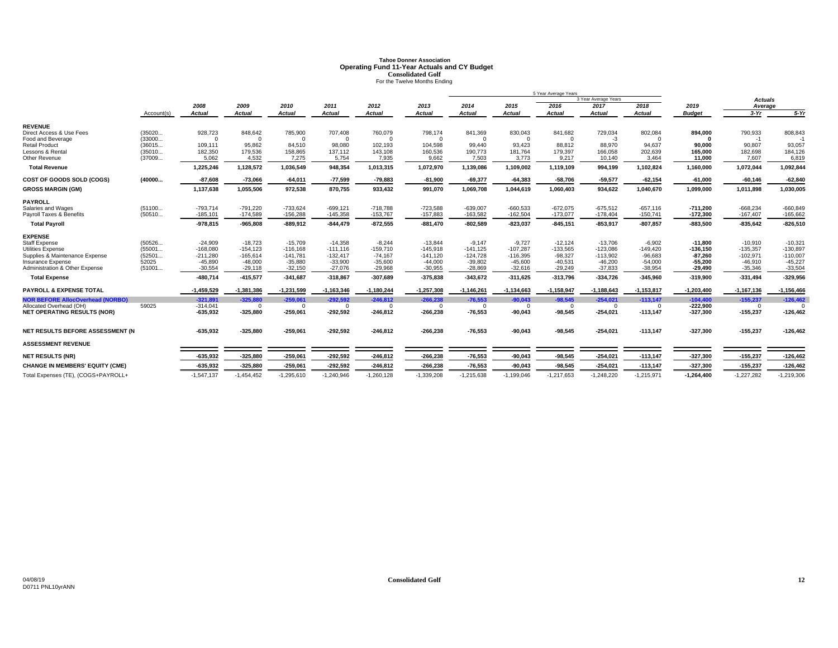# **Tahoe Donner AssociationOperating Fund 11-Year Actuals and CY Budget<br>
For the Twelve Months Ending<br>
For the Twelve Months Ending**

|                                                               |                 |                          |                         |                         |                         |                        |                         | 5 Year Average Years    |                         |                             |                         |                        |                          |                          |                         |
|---------------------------------------------------------------|-----------------|--------------------------|-------------------------|-------------------------|-------------------------|------------------------|-------------------------|-------------------------|-------------------------|-----------------------------|-------------------------|------------------------|--------------------------|--------------------------|-------------------------|
|                                                               |                 |                          |                         |                         |                         |                        |                         |                         |                         |                             | 3 Year Average Years    |                        |                          | Actuals                  |                         |
|                                                               |                 | 2008                     | 2009                    | 2010                    | 2011                    | 2012                   | 2013                    | 2014                    | 2015                    | 2016                        | 2017                    | 2018                   | 2019                     | Average                  |                         |
|                                                               | Account(s)      | <b>Actual</b>            | <b>Actual</b>           | <b>Actual</b>           | <b>Actual</b>           | <b>Actual</b>          | <b>Actual</b>           | <b>Actual</b>           | <b>Actual</b>           | <b>Actual</b>               | <b>Actual</b>           | Actual                 | <b>Budget</b>            | $3-Yr$                   | $5-Yr$                  |
| <b>REVENUE</b>                                                |                 |                          |                         |                         |                         |                        |                         |                         |                         |                             |                         |                        |                          |                          |                         |
| Direct Access & Use Fees                                      | (35020          | 928,723                  | 848,642                 | 785,900                 | 707,408                 | 760,079                | 798,174                 | 841,369                 | 830,043                 | 841,682                     | 729,034                 | 802,084                | 894,000                  | 790,933                  | 808,843                 |
| Food and Beverage                                             | (33000          | $\Omega$                 | $\Omega$                |                         | $\Omega$                | $\Omega$               | $\Omega$                | $\Omega$                | $\Omega$                | $\Omega$                    | -3                      | $\Omega$               |                          | $-1$                     |                         |
| <b>Retail Product</b>                                         | (36015          | 109,111                  | 95,862                  | 84,510                  | 98,080                  | 102,193                | 104,598                 | 99,440                  | 93,423                  | 88,812                      | 88,970                  | 94,637                 | 90.000                   | 90,807                   | 93,057                  |
| Lessons & Rental                                              | (35010          | 182,350                  | 179,536                 | 158,865                 | 137,112                 | 143,108                | 160,536                 | 190,773                 | 181,764                 | 179,397                     | 166,058                 | 202,639                | 165.000                  | 182,698                  | 184,126                 |
| Other Revenue                                                 | (37009          | 5,062                    | 4,532                   | 7,275                   | 5,754                   | 7,935                  | 9,662                   | 7,503                   | 3,773                   | 9,217                       | 10,140                  | 3,464                  | 11,000                   | 7,607                    | 6,819                   |
| <b>Total Revenue</b>                                          |                 | 1,225,246                | 1,128,572               | 1,036,549               | 948,354                 | 1,013,315              | 1,072,970               | 1,139,086               | 1,109,002               | 1,119,109                   | 994,199                 | 1,102,824              | 1,160,000                | 1,072,044                | 1,092,844               |
| COST OF GOODS SOLD (COGS)                                     | (40000          | $-87,608$                | $-73,066$               | $-64,011$               | $-77,599$               | $-79,883$              | $-81,900$               | $-69,377$               | $-64,383$               | $-58,706$                   | $-59,577$               | $-62,154$              | $-61,000$                | $-60,146$                | $-62,840$               |
| <b>GROSS MARGIN (GM)</b>                                      |                 | 1,137,638                | 1,055,506               | 972,538                 | 870,755                 | 933,432                | 991,070                 | 1,069,708               | 1,044,619               | 1,060,403                   | 934,622                 | 1,040,670              | 1,099,000                | 1,011,898                | 1,030,005               |
| <b>PAYROLL</b>                                                |                 |                          |                         |                         |                         |                        |                         |                         |                         |                             |                         |                        |                          |                          |                         |
| Salaries and Wages                                            | (51100          | $-793,714$               | $-791,220$              | $-733,624$              | $-699, 121$             | $-718,788$             | $-723,588$              | $-639,007$              | $-660,533$              | $-672,075$                  | $-675,512$              | $-657,116$             | $-711,200$               | $-668,234$               | $-660,849$              |
| Payroll Taxes & Benefits                                      | (50510          | $-185, 101$              | $-174,589$              | $-156,288$              | $-145,358$              | $-153,767$             | $-157,883$              | $-163,582$              | $-162,504$              | $-173,077$                  | $-178,404$              | $-150,741$             | $-172,300$               | $-167,407$               | $-165,662$              |
| <b>Total Pavroll</b>                                          |                 | $-978,815$               | $-965.808$              | $-889,912$              | $-844,479$              | $-872,555$             | $-881,470$              | $-802,589$              | $-823,037$              | $-845, 151$                 | $-853,917$              | $-807,857$             | $-883,500$               | $-835,642$               | $-826,510$              |
| <b>EXPENSE</b>                                                |                 |                          |                         |                         |                         |                        |                         |                         |                         |                             |                         |                        |                          |                          |                         |
| <b>Staff Expense</b>                                          | (50526          | $-24,909$                | $-18,723$               | $-15,709$               | $-14,358$               | $-8,244$               | $-13,844$               | $-9.147$                | $-9.727$                | $-12.124$                   | $-13,706$               | $-6,902$               | $-11.800$                | $-10,910$                | $-10,321$               |
| <b>Utilities Expense</b>                                      | (55001          | $-168,080$               | $-154.123$              | $-116,168$              | $-111,116$              | $-159,710$             | $-145,918$              | $-141,125$              | $-107,287$              | $-133.565$                  | $-123.086$              | $-149,420$             | $-136.150$               | $-135,357$               | $-130,897$              |
| Supplies & Maintenance Expense<br><b>Insurance Expense</b>    | (52501<br>52025 | $-211,280$<br>$-45,890$  | $-165,614$<br>$-48,000$ | $-141,781$<br>$-35,880$ | $-132,417$<br>$-33,900$ | $-74,167$<br>$-35,600$ | $-141,120$<br>$-44,000$ | $-124,728$<br>$-39,802$ | $-116,395$<br>$-45,600$ | $-98,327$<br>$-40,531$      | $-113,902$<br>$-46,200$ | $-96,683$<br>$-54,000$ | $-87,260$<br>$-55,200$   | $-102,971$<br>$-46,910$  | $-110,007$<br>$-45,227$ |
| Administration & Other Expense                                | (51001          | $-30,554$                | $-29,118$               | $-32,150$               | $-27,076$               | $-29,968$              | $-30,955$               | $-28,869$               | $-32,616$               | $-29,249$                   | $-37,833$               | $-38,954$              | $-29,490$                | $-35,346$                | $-33,504$               |
| <b>Total Expense</b>                                          |                 | $-480.714$               | $-415,577$              | $-341,687$              | $-318,867$              | $-307,689$             | $-375,838$              | $-343,672$              | $-311.625$              | $-313,796$                  | $-334,726$              | $-345,960$             | $-319,900$               | $-331,494$               | $-329,956$              |
|                                                               |                 |                          |                         |                         |                         |                        |                         |                         |                         |                             |                         |                        |                          |                          |                         |
| <b>PAYROLL &amp; EXPENSE TOTAL</b>                            |                 | 1,459,529                | $-1,381,386$            | $-1,231,599$            | $-1, 163, 346$          | $-1,180,244$           | $-1,257,308$            | $-1,146,261$            | $-1,134,663$            | $-1,158,947$                | $-1,188,643$            | $-1,153,817$           | $-1,203,400$             | $-1,167,136$             | $-1,156,466$            |
| <b>NOR BEFORE AllocOverhead (NORBO)</b>                       |                 | $-321,891$               | $-325.880$              | $-259,061$              | $-292,592$              | $-246,812$             | $-266.238$              | $-76,553$               | $-90,043$               | $-98,545$                   | $-254,021$              | $-113,147$             | $-104,400$               | $-155,237$               | $-126,462$              |
| Allocated Overhead (OH)<br><b>NET OPERATING RESULTS (NOR)</b> | 59025           | $-314,041$<br>$-635,932$ | $\Omega$<br>$-325,880$  | $\Omega$<br>$-259,061$  | $\Omega$<br>$-292,592$  | $\Omega$<br>$-246,812$ | $\Omega$<br>$-266,238$  | $\Omega$<br>$-76,553$   | $\Omega$<br>$-90,043$   | $\overline{0}$<br>$-98,545$ | $\Omega$<br>$-254,021$  | $\Omega$<br>$-113,147$ | $-222,900$<br>$-327,300$ | $^{\circ}$<br>$-155,237$ | $-126,462$              |
|                                                               |                 |                          |                         |                         |                         |                        |                         |                         |                         |                             |                         |                        |                          |                          |                         |
| NET RESULTS BEFORE ASSESSMENT (N                              |                 | $-635,932$               | $-325,880$              | $-259,061$              | $-292,592$              | $-246,812$             | $-266,238$              | $-76,553$               | $-90,043$               | $-98,545$                   | $-254,021$              | $-113,147$             | $-327,300$               | $-155,237$               | $-126,462$              |
|                                                               |                 |                          |                         |                         |                         |                        |                         |                         |                         |                             |                         |                        |                          |                          |                         |
| <b>ASSESSMENT REVENUE</b>                                     |                 |                          |                         |                         |                         |                        |                         |                         |                         |                             |                         |                        |                          |                          |                         |
| <b>NET RESULTS (NR)</b>                                       |                 | $-635,932$               | $-325,880$              | $-259,061$              | $-292,592$              | $-246,812$             | $-266,238$              | $-76,553$               | $-90,043$               | $-98,545$                   | $-254,021$              | $-113,147$             | $-327,300$               | $-155,237$               | $-126,462$              |
| <b>CHANGE IN MEMBERS' EQUITY (CME)</b>                        |                 | $-635,932$               | $-325,880$              | $-259,061$              | $-292,592$              | $-246,812$             | $-266,238$              | $-76,553$               | $-90,043$               | $-98,545$                   | $-254,021$              | $-113,147$             | $-327,300$               | $-155,237$               | $-126,462$              |
| Total Expenses (TE), (COGS+PAYROLL+                           |                 | $-1,547,137$             | $-1,454,452$            | $-1,295,610$            | $-1,240,946$            | $-1,260,128$           | $-1,339,208$            | $-1,215,638$            | $-1,199,046$            | $-1,217,653$                | $-1,248,220$            | $-1,215,971$           | $-1,264,400$             | $-1,227,282$             | $-1,219,306$            |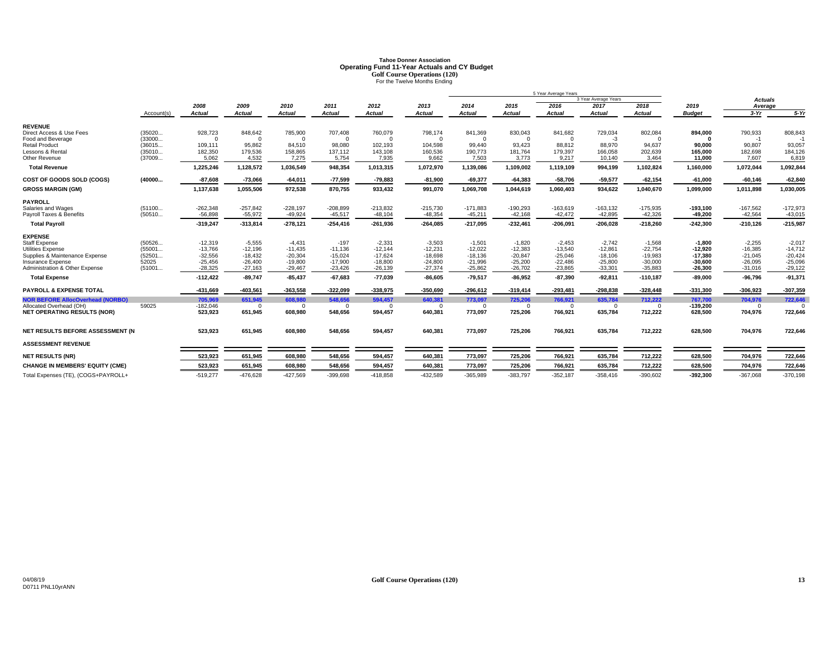# **Tahoe Donner AssociationOperating Fund 11-Year Actuals and CY Budget<br>
Golf Course Operations (120)<br>
For the Twelve Months Ending**

|                                                  |                  | 5 Year Average Years   |                       |                       |                     |                       |                       |                       |                       |                       |                       |                       |                       |                       |                       |
|--------------------------------------------------|------------------|------------------------|-----------------------|-----------------------|---------------------|-----------------------|-----------------------|-----------------------|-----------------------|-----------------------|-----------------------|-----------------------|-----------------------|-----------------------|-----------------------|
|                                                  |                  |                        |                       |                       |                     |                       |                       |                       |                       |                       | 3 Year Average Years  |                       |                       | <b>Actuals</b>        |                       |
|                                                  |                  | 2008                   | 2009                  | 2010                  | 2011                | 2012                  | 2013                  | 2014                  | 2015                  | 2016                  | 2017                  | 2018                  | 2019                  | Average               |                       |
|                                                  | Account(s)       | Actual                 | Actual                | Actual                | <b>Actual</b>       | <b>Actual</b>         | <b>Actual</b>         | Actual                | <b>Actual</b>         | Actual                | <b>Actual</b>         | <b>Actual</b>         | <b>Budget</b>         | $3-Yr$                | $5-Yr$                |
| <b>REVENUE</b>                                   |                  |                        |                       |                       |                     |                       |                       |                       |                       |                       |                       |                       |                       |                       |                       |
| Direct Access & Use Fees                         | (35020           | 928,723                | 848,642               | 785,900               | 707,408             | 760,079               | 798,174               | 841,369               | 830,043               | 841,682               | 729,034               | 802,084               | 894,000               | 790,933               | 808,843               |
| Food and Beverage                                | (33000           | $\Omega$               | $\Omega$              | $\Omega$              | $\Omega$            | $\Omega$              | $\Omega$              | $\Omega$              | $\Omega$              | $\Omega$              | $-3$                  |                       |                       | $-1$                  |                       |
| <b>Retail Product</b>                            | (36015           | 109.111                | 95.862                | 84,510                | 98,080              | 102,193               | 104,598               | 99.440                | 93.423                | 88.812                | 88.970                | 94,637                | 90,000                | 90.807                | 93,057                |
| Lessons & Rental                                 | (35010           | 182,350                | 179,536               | 158,865               | 137,112             | 143,108               | 160,536               | 190,773               | 181,764               | 179,397               | 166,058               | 202,639               | 165.000               | 182,698               | 184,126               |
| Other Revenue                                    | (37009           | 5,062                  | 4,532                 | 7,275                 | 5,754               | 7,935                 | 9,662                 | 7,503                 | 3,773                 | 9,217                 | 10,140                | 3,464                 | 11,000                | 7,607                 | 6,819                 |
| <b>Total Revenue</b>                             |                  | 1,225,246              | 1,128,572             | 1,036,549             | 948,354             | 1,013,315             | 1,072,970             | 1,139,086             | 1,109,002             | 1,119,109             | 994,199               | 1,102,824             | 1,160,000             | 1,072,044             | 1,092,844             |
| COST OF GOODS SOLD (COGS)                        | (40000           | $-87,608$              | $-73,066$             | $-64,011$             | $-77,599$           | $-79,883$             | $-81,900$             | $-69,377$             | $-64,383$             | $-58,706$             | $-59,577$             | $-62, 154$            | $-61,000$             | $-60,146$             | $-62,840$             |
| <b>GROSS MARGIN (GM)</b>                         |                  | 1,137,638              | 1,055,506             | 972,538               | 870,755             | 933,432               | 991,070               | 1,069,708             | 1,044,619             | 1,060,403             | 934,622               | 1,040,670             | 1,099,000             | 1,011,898             | 1,030,005             |
| <b>PAYROLL</b>                                   |                  |                        |                       |                       |                     |                       |                       |                       |                       |                       |                       |                       |                       |                       |                       |
| Salaries and Wages                               | (51100           | $-262,348$             | $-257.842$            | $-228,197$            | $-208,899$          | $-213,832$            | $-215,730$            | $-171,883$            | $-190,293$            | $-163,619$            | $-163, 132$           | $-175,935$            | $-193,100$            | $-167,562$            | $-172,973$            |
| Payroll Taxes & Benefits                         | (50510           | $-56.898$              | $-55.972$             | $-49.924$             | $-45,517$           | $-48,104$             | $-48,354$             | $-45,211$             | $-42,168$             | $-42.472$             | $-42,895$             | $-42,326$             | $-49.200$             | $-42,564$             | $-43,015$             |
| <b>Total Payroll</b>                             |                  | $-319,247$             | $-313,814$            | $-278,121$            | $-254,416$          | $-261,936$            | $-264,085$            | $-217,095$            | $-232,461$            | $-206,091$            | $-206,028$            | $-218,260$            | $-242,300$            | $-210,126$            | $-215,987$            |
| <b>EXPENSE</b>                                   |                  |                        |                       |                       |                     |                       |                       |                       |                       |                       |                       |                       |                       |                       |                       |
| <b>Staff Expense</b><br><b>Utilities Expense</b> | (50526<br>(55001 | $-12,319$<br>$-13,766$ | $-5,555$<br>$-12,196$ | $-4,431$<br>$-11,435$ | $-197$<br>$-11,136$ | $-2,331$<br>$-12,144$ | $-3,503$<br>$-12,231$ | $-1.501$<br>$-12,022$ | $-1.820$<br>$-12,383$ | $-2,453$<br>$-13,540$ | $-2.742$<br>$-12,861$ | $-1,568$<br>$-22,754$ | $-1.800$<br>$-12.920$ | $-2,255$<br>$-16,385$ | $-2,017$<br>$-14,712$ |
| Supplies & Maintenance Expense                   | (52501           | $-32,556$              | $-18,432$             | $-20,304$             | $-15,024$           | $-17,624$             | $-18,698$             | $-18,136$             | $-20,847$             | $-25,046$             | $-18,106$             | $-19,983$             | $-17,380$             | $-21,045$             | $-20,424$             |
| Insurance Expense                                | 52025            | $-25,456$              | $-26,400$             | $-19,800$             | $-17,900$           | $-18,800$             | $-24,800$             | $-21,996$             | $-25,200$             | $-22.486$             | $-25,800$             | $-30,000$             | $-30,600$             | $-26,095$             | $-25,096$             |
| Administration & Other Expense                   | (51001           | $-28,325$              | $-27.163$             | $-29.467$             | $-23,426$           | $-26,139$             | $-27,374$             | $-25,862$             | $-26,702$             | $-23,865$             | $-33,301$             | $-35,883$             | $-26,300$             | $-31,016$             | $-29,122$             |
| <b>Total Expense</b>                             |                  | $-112,422$             | $-89,747$             | $-85,437$             | $-67,683$           | $-77,039$             | $-86,605$             | $-79,517$             | $-86,952$             | $-87,390$             | $-92,811$             | $-110, 187$           | $-89,000$             | $-96,796$             | $-91,371$             |
| <b>PAYROLL &amp; EXPENSE TOTAL</b>               |                  | -431.669               | $-403,561$            | $-363,558$            | $-322,099$          | $-338,975$            | $-350.690$            | $-296.612$            | $-319,414$            | $-293,481$            | $-298.838$            | $-328,448$            | $-331,300$            | $-306.923$            | $-307,359$            |
| <b>NOR BEFORE AllocOverhead (NORBO)</b>          |                  | 705,969                | 651,945               | 608,980               | 548.656             | 594,457               | 640.381               | 773,097               | 725,206               | 766,921               | 635,784               | 712,222               | 767,700               | 704,976               | 722,646               |
| Allocated Overhead (OH)                          | 59025            | $-182,046$             | - 0                   | - 0                   | $\Omega$            | $\Omega$              | $\Omega$              | $\Omega$              | $\Omega$              | $\Omega$              | - 0                   | $\Omega$              | $-139.200$            | $\Omega$              |                       |
| <b>NET OPERATING RESULTS (NOR)</b>               |                  | 523,923                | 651,945               | 608,980               | 548,656             | 594,457               | 640,381               | 773,097               | 725,206               | 766,921               | 635,784               | 712,222               | 628,500               | 704,976               | 722,646               |
| NET RESULTS BEFORE ASSESSMENT (N                 |                  | 523,923                | 651,945               | 608,980               | 548,656             | 594,457               | 640,381               | 773,097               | 725,206               | 766,921               | 635,784               | 712,222               | 628,500               | 704,976               | 722,646               |
|                                                  |                  |                        |                       |                       |                     |                       |                       |                       |                       |                       |                       |                       |                       |                       |                       |
| <b>ASSESSMENT REVENUE</b>                        |                  |                        |                       |                       |                     |                       |                       |                       |                       |                       |                       |                       |                       |                       |                       |
| <b>NET RESULTS (NR)</b>                          |                  | 523,923                | 651,945               | 608,980               | 548,656             | 594,457               | 640,381               | 773,097               | 725,206               | 766,921               | 635,784               | 712,222               | 628,500               | 704,976               | 722,646               |
| <b>CHANGE IN MEMBERS' EQUITY (CME)</b>           |                  | 523,923                | 651,945               | 608,980               | 548,656             | 594,457               | 640,381               | 773,097               | 725,206               | 766,921               | 635,784               | 712,222               | 628,500               | 704,976               | 722,646               |
| Total Expenses (TE), (COGS+PAYROLL+              |                  | $-519,277$             | $-476,628$            | $-427,569$            | $-399,698$          | $-418,858$            | $-432,589$            | $-365,989$            | $-383,797$            | $-352,187$            | $-358,416$            | $-390,602$            | $-392,300$            | $-367,068$            | $-370,198$            |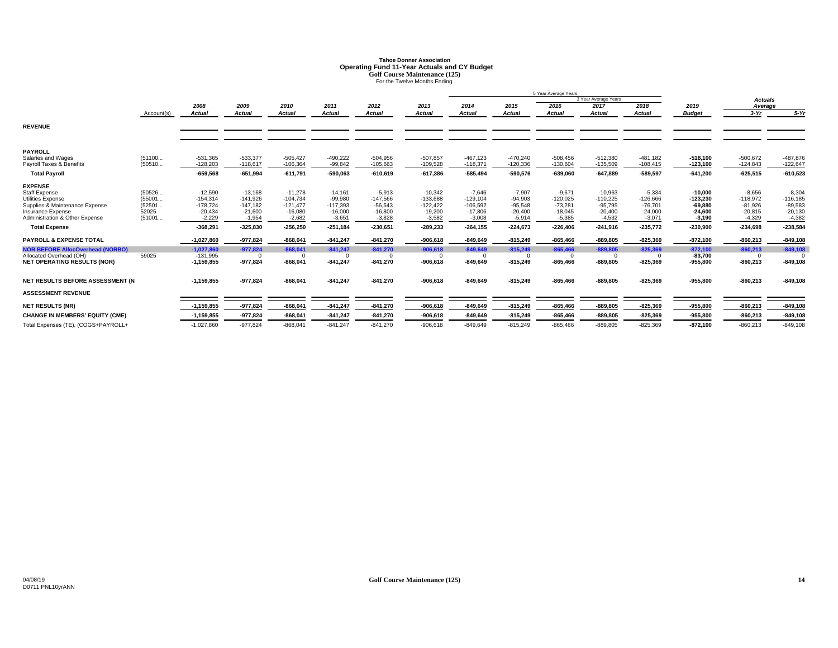# **Tahoe Donner AssociationOperating Fund 11-Year Actuals and CY Budget**<br>
Golf Course Maintenance (125)<br>
For the Twelve Months Ending

|                                                                                                                                                                                                                                                                                                                                |                                                        |                                                                                                                                              |                                                                                                                        |                                                                                                                        |                                                                                                                       |                                                                                                                      |                                                                                                                        | 5 Year Average Years                                                                                                              |                                                                                                                                 |                                                                                                                                  |                                                                                                                       |                                                                                                                      |                                                                                                                                    |                                                                                                                                  |                                                                                                                       |
|--------------------------------------------------------------------------------------------------------------------------------------------------------------------------------------------------------------------------------------------------------------------------------------------------------------------------------|--------------------------------------------------------|----------------------------------------------------------------------------------------------------------------------------------------------|------------------------------------------------------------------------------------------------------------------------|------------------------------------------------------------------------------------------------------------------------|-----------------------------------------------------------------------------------------------------------------------|----------------------------------------------------------------------------------------------------------------------|------------------------------------------------------------------------------------------------------------------------|-----------------------------------------------------------------------------------------------------------------------------------|---------------------------------------------------------------------------------------------------------------------------------|----------------------------------------------------------------------------------------------------------------------------------|-----------------------------------------------------------------------------------------------------------------------|----------------------------------------------------------------------------------------------------------------------|------------------------------------------------------------------------------------------------------------------------------------|----------------------------------------------------------------------------------------------------------------------------------|-----------------------------------------------------------------------------------------------------------------------|
|                                                                                                                                                                                                                                                                                                                                |                                                        |                                                                                                                                              |                                                                                                                        |                                                                                                                        |                                                                                                                       |                                                                                                                      |                                                                                                                        |                                                                                                                                   |                                                                                                                                 |                                                                                                                                  | 3 Year Average Years                                                                                                  |                                                                                                                      |                                                                                                                                    | <b>Actuals</b>                                                                                                                   |                                                                                                                       |
|                                                                                                                                                                                                                                                                                                                                |                                                        | 2008                                                                                                                                         | 2009                                                                                                                   | 2010                                                                                                                   | 2011                                                                                                                  | 2012                                                                                                                 | 2013                                                                                                                   | 2014                                                                                                                              | 2015                                                                                                                            | 2016                                                                                                                             | 2017                                                                                                                  | 2018                                                                                                                 | 2019                                                                                                                               | Average                                                                                                                          |                                                                                                                       |
|                                                                                                                                                                                                                                                                                                                                | Account(s)                                             | Actual                                                                                                                                       | <b>Actual</b>                                                                                                          | <b>Actual</b>                                                                                                          | <b>Actual</b>                                                                                                         | <b>Actual</b>                                                                                                        | Actual                                                                                                                 | Actual                                                                                                                            | <b>Actual</b>                                                                                                                   | Actual                                                                                                                           | <b>Actual</b>                                                                                                         | <b>Actual</b>                                                                                                        | <b>Budget</b>                                                                                                                      | $3-Yr$                                                                                                                           | $5-Yr$                                                                                                                |
| <b>REVENUE</b>                                                                                                                                                                                                                                                                                                                 |                                                        |                                                                                                                                              |                                                                                                                        |                                                                                                                        |                                                                                                                       |                                                                                                                      |                                                                                                                        |                                                                                                                                   |                                                                                                                                 |                                                                                                                                  |                                                                                                                       |                                                                                                                      |                                                                                                                                    |                                                                                                                                  |                                                                                                                       |
| <b>PAYROLL</b><br>Salaries and Wages<br>Pavroll Taxes & Benefits                                                                                                                                                                                                                                                               | (51100<br>(50510                                       | $-531,365$<br>$-128.203$                                                                                                                     | $-533,377$<br>$-118.617$                                                                                               | $-505.427$<br>$-106.364$                                                                                               | $-490,222$<br>$-99.842$                                                                                               | $-504,956$<br>$-105,663$                                                                                             | $-507,857$<br>$-109.528$                                                                                               | $-467.123$<br>$-118.371$                                                                                                          | $-470,240$<br>$-120,336$                                                                                                        | $-508,456$<br>$-130.604$                                                                                                         | $-512.380$<br>$-135.509$                                                                                              | $-481.182$<br>$-108,415$                                                                                             | $-518.100$<br>$-123,100$                                                                                                           | $-500,672$<br>$-124.843$                                                                                                         | $-487,876$<br>$-122,647$                                                                                              |
| <b>Total Payroll</b>                                                                                                                                                                                                                                                                                                           |                                                        | $-659,568$                                                                                                                                   | $-651.994$                                                                                                             | $-611,791$                                                                                                             | $-590,063$                                                                                                            | $-610,619$                                                                                                           | $-617,386$                                                                                                             | $-585,494$                                                                                                                        | $-590,576$                                                                                                                      | $-639,060$                                                                                                                       | $-647,889$                                                                                                            | $-589,597$                                                                                                           | $-641.200$                                                                                                                         | $-625,515$                                                                                                                       | $-610,523$                                                                                                            |
| <b>EXPENSE</b><br><b>Staff Expense</b><br>Utilities Expense<br>Supplies & Maintenance Expense<br>Insurance Expense<br>Administration & Other Expense<br><b>Total Expense</b><br><b>PAYROLL &amp; EXPENSE TOTAL</b><br><b>NOR BEFORE AllocOverhead (NORBO)</b><br>Allocated Overhead (OH)<br><b>NET OPERATING RESULTS (NOR)</b> | (50526<br>(55001<br>(52501<br>52025<br>(51001<br>59025 | $-12,590$<br>$-154,314$<br>$-178,724$<br>$-20.434$<br>$-2,229$<br>$-368,291$<br>$-1.027.860$<br>$-1.027.860$<br>$-131,995$<br>$-1, 159, 855$ | $-13,168$<br>$-141.926$<br>$-147,182$<br>$-21.600$<br>$-1,954$<br>$-325.830$<br>$-977.824$<br>$-977.824$<br>$-977,824$ | $-11.278$<br>$-104.734$<br>$-121,477$<br>$-16.080$<br>$-2,682$<br>$-256.250$<br>$-868.041$<br>$-868.041$<br>$-868,041$ | $-14,161$<br>$-99,980$<br>$-117,393$<br>$-16,000$<br>$-3,651$<br>$-251,184$<br>$-841.247$<br>$-841,247$<br>$-841,247$ | $-5,913$<br>$-147,566$<br>$-56,543$<br>$-16,800$<br>$-3,828$<br>$-230.651$<br>$-841,270$<br>$-841,270$<br>$-841,270$ | $-10,342$<br>$-133,688$<br>$-122,422$<br>$-19.200$<br>$-3,582$<br>$-289.233$<br>$-906.618$<br>$-906.618$<br>$-906,618$ | $-7,646$<br>$-129,104$<br>$-106,592$<br>$-17.806$<br>$-3.008$<br>$-264,155$<br>$-849.649$<br>$-849.649$<br>$\Omega$<br>$-849,649$ | $-7,907$<br>$-94,903$<br>$-95,548$<br>$-20,400$<br>$-5,914$<br>$-224.673$<br>$-815,249$<br>$-815.249$<br>$\Omega$<br>$-815,249$ | $-9,671$<br>$-120,025$<br>$-73,281$<br>$-18.045$<br>$-5,385$<br>$-226.406$<br>$-865.466$<br>$-865.466$<br>$\Omega$<br>$-865,466$ | $-10,963$<br>$-110,225$<br>$-95,795$<br>$-20.400$<br>$-4,532$<br>$-241.916$<br>$-889.805$<br>$-889.805$<br>$-889,805$ | $-5,334$<br>$-126,666$<br>$-76,701$<br>$-24,000$<br>$-3,071$<br>$-235.772$<br>$-825,369$<br>$-825,369$<br>$-825,369$ | $-10,000$<br>$-123,230$<br>$-69.880$<br>$-24.600$<br>$-3,190$<br>$-230.900$<br>$-872,100$<br>$-872.100$<br>$-83.700$<br>$-955,800$ | $-8,656$<br>$-118,972$<br>$-81,926$<br>$-20.815$<br>$-4,329$<br>$-234,698$<br>$-860.213$<br>$-860.213$<br>$\Omega$<br>$-860,213$ | $-8,304$<br>$-116, 185$<br>$-89,583$<br>$-20,130$<br>$-4,382$<br>$-238,584$<br>$-849,108$<br>$-849,108$<br>$-849,108$ |
| NET RESULTS BEFORE ASSESSMENT (N                                                                                                                                                                                                                                                                                               |                                                        | $-1, 159, 855$                                                                                                                               | $-977,824$                                                                                                             | $-868,041$                                                                                                             | $-841,247$                                                                                                            | $-841,270$                                                                                                           | $-906,618$                                                                                                             | $-849,649$                                                                                                                        | $-815,249$                                                                                                                      | $-865,466$                                                                                                                       | $-889,805$                                                                                                            | $-825,369$                                                                                                           | $-955,800$                                                                                                                         | $-860,213$                                                                                                                       | $-849,108$                                                                                                            |
| <b>ASSESSMENT REVENUE</b>                                                                                                                                                                                                                                                                                                      |                                                        |                                                                                                                                              |                                                                                                                        |                                                                                                                        |                                                                                                                       |                                                                                                                      |                                                                                                                        |                                                                                                                                   |                                                                                                                                 |                                                                                                                                  |                                                                                                                       |                                                                                                                      |                                                                                                                                    |                                                                                                                                  |                                                                                                                       |
| <b>NET RESULTS (NR)</b>                                                                                                                                                                                                                                                                                                        |                                                        | $-1,159,855$                                                                                                                                 | $-977,824$                                                                                                             | $-868,041$                                                                                                             | $-841,247$                                                                                                            | $-841,270$                                                                                                           | $-906,618$                                                                                                             | $-849,649$                                                                                                                        | $-815,249$                                                                                                                      | $-865,466$                                                                                                                       | $-889,805$                                                                                                            | $-825,369$                                                                                                           | $-955,800$                                                                                                                         | $-860,213$                                                                                                                       | $-849,108$                                                                                                            |
| <b>CHANGE IN MEMBERS' EQUITY (CME)</b>                                                                                                                                                                                                                                                                                         |                                                        | $-1,159,855$                                                                                                                                 | $-977,824$                                                                                                             | $-868,041$                                                                                                             | $-841,247$                                                                                                            | $-841,270$                                                                                                           | $-906,618$                                                                                                             | $-849,649$                                                                                                                        | $-815,249$                                                                                                                      | $-865,466$                                                                                                                       | $-889,805$                                                                                                            | $-825,369$                                                                                                           | $-955,800$                                                                                                                         | $-860,213$                                                                                                                       | $-849,108$                                                                                                            |
| Total Expenses (TE), (COGS+PAYROLL+                                                                                                                                                                                                                                                                                            |                                                        | $-1,027,860$                                                                                                                                 | $-977,824$                                                                                                             | $-868,041$                                                                                                             | $-841,247$                                                                                                            | $-841,270$                                                                                                           | $-906,618$                                                                                                             | $-849,649$                                                                                                                        | $-815,249$                                                                                                                      | $-865.466$                                                                                                                       | $-889,805$                                                                                                            | $-825,369$                                                                                                           | $-872,100$                                                                                                                         | $-860,213$                                                                                                                       | $-849,108$                                                                                                            |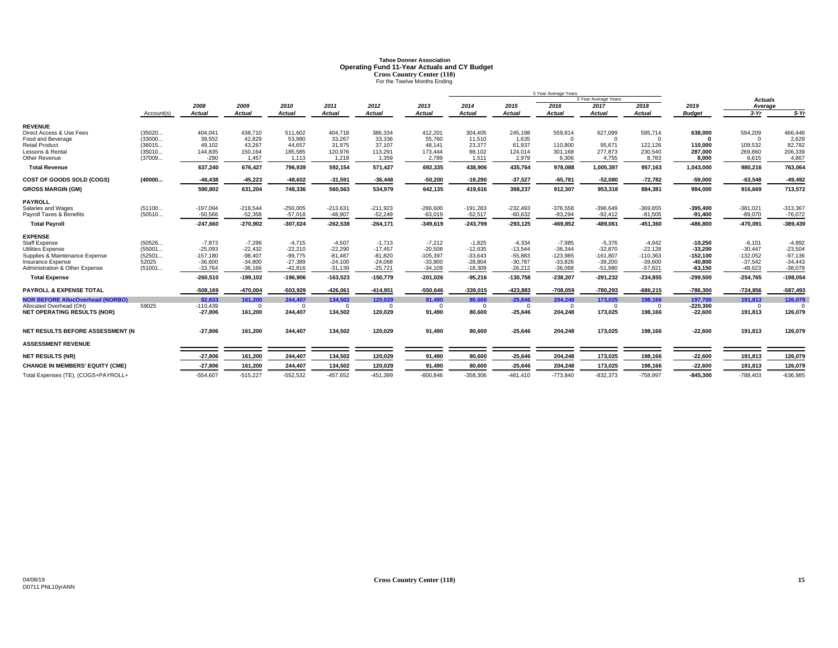# **Tahoe Donner AssociationOperating Fund 11-Year Actuals and CY Budget<br>Cross Country Center (110)<br>For the Twelve Months Ending**

|                                                            |                  |                         |                        |                        |                        |                        |                         |                        |                        | 5 Year Average Years    |                         |                         |                         |                         |                        |
|------------------------------------------------------------|------------------|-------------------------|------------------------|------------------------|------------------------|------------------------|-------------------------|------------------------|------------------------|-------------------------|-------------------------|-------------------------|-------------------------|-------------------------|------------------------|
|                                                            |                  |                         |                        |                        |                        |                        |                         |                        |                        |                         | 3 Year Average Years    |                         |                         | <b>Actuals</b>          |                        |
|                                                            |                  | 2008                    | 2009                   | 2010                   | 2011                   | 2012                   | 2013                    | 2014                   | 2015                   | 2016                    | 2017                    | 2018                    | 2019                    | Average                 |                        |
|                                                            | Account(s)       | Actual                  | Actual                 | Actual                 | <b>Actual</b>          | <b>Actual</b>          | <b>Actual</b>           | Actual                 | <b>Actual</b>          | Actual                  | <b>Actual</b>           | <b>Actual</b>           | <b>Budget</b>           | $3-Yr$                  | $5-Yr$                 |
| <b>REVENUE</b>                                             |                  |                         |                        |                        |                        |                        |                         |                        |                        |                         |                         |                         |                         |                         |                        |
| Direct Access & Use Fees                                   | (35020           | 404,041                 | 438,710                | 511,602                | 404,718                | 386,334                | 412,201                 | 304,405                | 245,198                | 559,814                 | 627,099                 | 595,714                 | 638,000                 | 594,209                 | 466,446                |
| Food and Beverage                                          | (33000           | 39,552                  | 42.829                 | 53,980                 | 33,267                 | 33,336                 | 55,760                  | 11,510                 | 1.635                  | $\Omega$                | $\Omega$                | $\Omega$                |                         | $\Omega$                | 2,629                  |
| <b>Retail Product</b>                                      | (36015           | 49.102                  | 43.267                 | 44,657                 | 31,975                 | 37,107                 | 48.141                  | 23,377                 | 61.937                 | 110,800                 | 95.671                  | 122,126                 | 110,000                 | 109,532                 | 82,782                 |
| Lessons & Rental                                           | (35010           | 144,835                 | 150,164                | 185,585                | 120,976                | 113,291                | 173,444                 | 98,102                 | 124,014                | 301,168                 | 277,873                 | 230,540                 | 287.000                 | 269,860                 | 206,339                |
| Other Revenue                                              | (37009           | $-290$                  | 1,457                  | 1,113                  | 1,218                  | 1,359                  | 2,789                   | 1,511                  | 2,979                  | 6,306                   | 4,755                   | 8,783                   | 8,000                   | 6,615                   | 4,867                  |
| <b>Total Revenue</b>                                       |                  | 637,240                 | 676,427                | 796,939                | 592,154                | 571,427                | 692,335                 | 438,906                | 435,764                | 978,088                 | 1,005,397               | 957,163                 | 1,043,000               | 980,216                 | 763,064                |
| COST OF GOODS SOLD (COGS)                                  | (40000           | $-46.438$               | $-45,223$              | $-48,602$              | $-31,591$              | $-36,448$              | $-50.200$               | $-19.290$              | $-37,527$              | $-65,781$               | $-52.080$               | $-72,782$               | $-59.000$               | $-63,548$               | $-49,492$              |
| <b>GROSS MARGIN (GM)</b>                                   |                  | 590,802                 | 631,204                | 748,336                | 560,563                | 534,979                | 642,135                 | 419,616                | 398,237                | 912,307                 | 953,318                 | 884,381                 | 984,000                 | 916,669                 | 713,572                |
| <b>PAYROLL</b>                                             |                  |                         |                        |                        |                        |                        |                         |                        |                        |                         |                         |                         |                         |                         |                        |
| Salaries and Wages                                         | (51100           | $-197,094$              | $-218,544$             | $-250,005$             | $-213,631$             | $-211,923$             | $-286,600$              | $-191,283$             | $-232,493$             | $-376,558$              | $-396,649$              | $-369,855$              | $-395,400$              | $-381,021$              | $-313,367$             |
| Payroll Taxes & Benefits                                   | (50510           | $-50.566$               | $-52,358$              | $-57,018$              | $-48.907$              | $-52,249$              | $-63.019$               | $-52,517$              | $-60.632$              | $-93,294$               | $-92.412$               | $-81,505$               | $-91.400$               | $-89.070$               | $-76,072$              |
| <b>Total Payroll</b>                                       |                  | $-247,660$              | $-270,902$             | $-307,024$             | $-262,538$             | $-264,171$             | $-349,619$              | $-243,799$             | $-293,125$             | $-469,852$              | $-489,061$              | $-451,360$              | $-486,800$              | $-470,091$              | $-389,439$             |
| <b>EXPENSE</b>                                             |                  |                         |                        |                        |                        |                        |                         |                        |                        |                         |                         |                         |                         |                         |                        |
| <b>Staff Expense</b>                                       | (50526           | $-7.873$                | $-7.296$               | $-4.715$               | $-4.507$               | $-1.713$               | $-7.212$                | $-1.825$               | $-4.334$               | $-7.985$                | $-5.376$                | $-4.942$                | $-10.250$               | $-6.101$                | $-4,892$               |
| <b>Utilities Expense</b><br>Supplies & Maintenance Expense | (55001<br>(52501 | $-25,093$<br>$-157,180$ | $-22,432$<br>$-98.407$ | $-22,210$<br>$-99,775$ | $-22,290$<br>$-81,487$ | $-17,457$<br>$-81,820$ | $-20,508$<br>$-105,397$ | $-12,635$<br>$-33,643$ | $-13,544$<br>$-55,883$ | $-36,344$<br>$-123,985$ | $-32,870$<br>$-161,807$ | $-22,128$<br>$-110,363$ | $-33.200$<br>$-152,100$ | $-30,447$<br>$-132,052$ | $-23,504$<br>$-97,136$ |
| Insurance Expense                                          | 52025            | $-36,600$               | $-34.800$              | $-27,389$              | $-24,100$              | $-24,068$              | $-33,800$               | $-28,804$              | $-30,787$              | $-33.826$               | $-39,200$               | $-39,600$               | $-40,800$               | $-37,542$               | $-34.443$              |
| Administration & Other Expense                             | (51001           | $-33,764$               | $-36.166$              | $-42,816$              | $-31,139$              | $-25,721$              | $-34,109$               | $-18,309$              | $-26,212$              | $-36,068$               | $-51,980$               | $-57,821$               | $-63,150$               | $-48,623$               | $-38,078$              |
| <b>Total Expense</b>                                       |                  | $-260,510$              | $-199, 102$            | $-196,906$             | $-163,523$             | $-150,779$             | $-201,026$              | $-95,216$              | $-130,758$             | $-238,207$              | $-291,232$              | $-234,855$              | $-299,500$              | $-254,765$              | $-198,054$             |
| <b>PAYROLL &amp; EXPENSE TOTAL</b>                         |                  | $-508.169$              | $-470.004$             | $-503.929$             | $-426.061$             | $-414,951$             | $-550.646$              | -339.015               | $-423.883$             | $-708.059$              | $-780.293$              | $-686,215$              | $-786.300$              | $-724,856$              | $-587,493$             |
| <b>NOR BEFORE AllocOverhead (NORBO)</b>                    |                  | 82.633                  | 161.200                | 244,407                | 134,502                | 120,029                | 91,490                  | 80.600                 | $-25,646$              | 204,248                 | 173,025                 | 198,166                 | 197.700                 | 191,813                 | 126,079                |
| Allocated Overhead (OH)                                    | 59025            | $-110,439$              | - 0                    |                        | $\Omega$               | $\Omega$               | $\Omega$                | $\Omega$               | $\Omega$               | $\Omega$                | - 0                     | $\Omega$                | $-220,300$              | $\Omega$                |                        |
| <b>NET OPERATING RESULTS (NOR)</b>                         |                  | $-27,806$               | 161,200                | 244,407                | 134,502                | 120,029                | 91,490                  | 80,600                 | $-25,646$              | 204,248                 | 173,025                 | 198,166                 | $-22,600$               | 191,813                 | 126,079                |
|                                                            |                  |                         |                        |                        |                        |                        |                         |                        |                        |                         |                         |                         |                         |                         |                        |
| NET RESULTS BEFORE ASSESSMENT (N                           |                  | $-27,806$               | 161,200                | 244,407                | 134,502                | 120,029                | 91,490                  | 80,600                 | $-25,646$              | 204,248                 | 173,025                 | 198,166                 | $-22,600$               | 191,813                 | 126,079                |
| <b>ASSESSMENT REVENUE</b>                                  |                  |                         |                        |                        |                        |                        |                         |                        |                        |                         |                         |                         |                         |                         |                        |
| <b>NET RESULTS (NR)</b>                                    |                  | $-27,806$               | 161,200                | 244,407                | 134,502                | 120,029                | 91,490                  | 80,600                 | $-25,646$              | 204,248                 | 173,025                 | 198,166                 | $-22,600$               | 191,813                 | 126,079                |
| <b>CHANGE IN MEMBERS' EQUITY (CME)</b>                     |                  | $-27,806$               | 161,200                | 244,407                | 134,502                | 120,029                | 91.490                  | 80,600                 | $-25,646$              | 204,248                 | 173,025                 | 198,166                 | $-22,600$               | 191,813                 | 126,079                |
| Total Expenses (TE), (COGS+PAYROLL+                        |                  | $-554,607$              | $-515,227$             | $-552,532$             | $-457,652$             | $-451,399$             | $-600,846$              | $-358,306$             | $-461,410$             | $-773,840$              | $-832,373$              | $-758,997$              | $-845,300$              | $-788,403$              | $-636,985$             |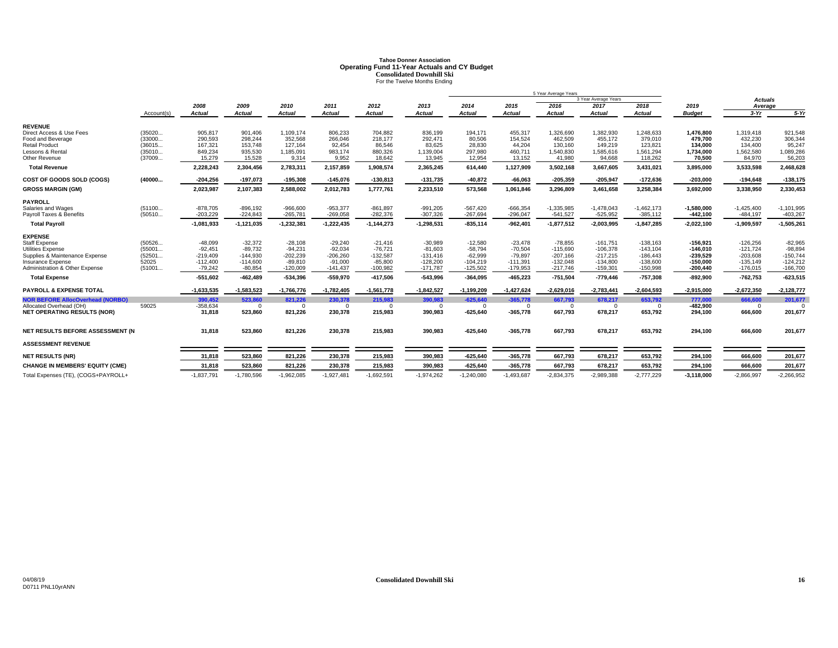# **Tahoe Donner AssociationOperating Fund 11-Year Actuals and CY Budget<br>Consolidated Downhill Ski<br>For the Twelve Months Ending**

|                                                |                  |                          |                           |                          |                          |                          |                          |                          |                          | 5 Year Average Years       |                            |                            |                            |                             |                            |
|------------------------------------------------|------------------|--------------------------|---------------------------|--------------------------|--------------------------|--------------------------|--------------------------|--------------------------|--------------------------|----------------------------|----------------------------|----------------------------|----------------------------|-----------------------------|----------------------------|
|                                                |                  |                          |                           |                          |                          |                          |                          |                          |                          |                            | 3 Year Average Years       |                            |                            | <b>Actuals</b>              |                            |
|                                                |                  | 2008                     | 2009                      | 2010                     | 2011                     | 2012                     | 2013                     | 2014                     | 2015                     | 2016                       | 2017                       | 2018                       | 2019                       | Average                     |                            |
|                                                | Account(s)       | <b>Actual</b>            | Actual                    | <b>Actual</b>            | <b>Actual</b>            | <b>Actual</b>            | <b>Actual</b>            | Actual                   | <b>Actual</b>            | <b>Actual</b>              | <b>Actual</b>              | <b>Actual</b>              | <b>Budget</b>              | $3-Yr$                      | $5-Yr$                     |
| <b>REVENUE</b>                                 |                  |                          |                           |                          |                          |                          |                          |                          |                          |                            |                            |                            |                            |                             |                            |
| Direct Access & Use Fees                       | (35020           | 905,817                  | 901,406                   | 1,109,174                | 806,233                  | 704,882                  | 836,199                  | 194,171                  | 455,317                  | 1,326,690                  | 1,382,930                  | 1,248,633                  | 1,476,800                  | 1,319,418                   | 921,548                    |
| Food and Beverage<br><b>Retail Product</b>     | (33000<br>(36015 | 290,593<br>167,321       | 298,244<br>153,748        | 352,568<br>127,164       | 266,046<br>92,454        | 218,177<br>86,546        | 292,471<br>83,625        | 80,506<br>28,830         | 154,524<br>44,204        | 462,509<br>130,160         | 455,172<br>149,219         | 379,010<br>123,821         | 479,700<br>134.000         | 432,230<br>134,400          | 306,344<br>95,247          |
| Lessons & Rental                               | (35010           | 849,234                  | 935,530                   | 1,185,091                | 983,174                  | 880,326                  | 1,139,004                | 297,980                  | 460,711                  | 1,540,830                  | 1,585,616                  | 1,561,294                  | 1,734,000                  | 1,562,580                   | 1,089,286                  |
| Other Revenue                                  | (37009           | 15,279                   | 15,528                    | 9,314                    | 9,952                    | 18,642                   | 13,945                   | 12,954                   | 13,152                   | 41,980                     | 94,668                     | 118,262                    | 70,500                     | 84,970                      | 56,203                     |
| <b>Total Revenue</b>                           |                  | 2,228,243                | 2,304,456                 | 2,783,311                | 2,157,859                | 1,908,574                | 2,365,245                | 614.440                  | 1,127,909                | 3,502,168                  | 3,667,605                  | 3,431,021                  | 3,895,000                  | 3,533,598                   | 2,468,628                  |
| COST OF GOODS SOLD (COGS)                      | (40000           | $-204,256$               | $-197,073$                | $-195,308$               | $-145,076$               | $-130,813$               | $-131,735$               | $-40,872$                | $-66,063$                | $-205,359$                 | $-205,947$                 | $-172,636$                 | $-203,000$                 | $-194,648$                  | $-138,175$                 |
| <b>GROSS MARGIN (GM)</b>                       |                  | 2,023,987                | 2,107,383                 | 2,588,002                | 2,012,783                | 1,777,761                | 2,233,510                | 573,568                  | 1,061,846                | 3,296,809                  | 3,461,658                  | 3,258,384                  | 3,692,000                  | 3,338,950                   | 2,330,453                  |
| <b>PAYROLL</b>                                 |                  |                          |                           |                          |                          |                          |                          |                          |                          |                            |                            |                            |                            |                             |                            |
| Salaries and Wages<br>Payroll Taxes & Benefits | (51100<br>(50510 | $-878,705$<br>$-203,229$ | $-896, 192$<br>$-224,843$ | $-966,600$<br>$-265,781$ | $-953,377$<br>$-269,058$ | $-861,897$<br>$-282,376$ | $-991,205$<br>$-307,326$ | $-567,420$<br>$-267,694$ | $-666,354$<br>$-296,047$ | $-1,335,985$<br>$-541,527$ | $-1,478,043$<br>$-525,952$ | $-1,462,173$<br>$-385,112$ | $-1,580,000$<br>$-442,100$ | $-1,425,400$<br>$-484, 197$ | $-1,101,995$<br>$-403,267$ |
| <b>Total Pavroll</b>                           |                  | $-1,081,933$             | $-1, 121, 035$            | $-1,232,381$             | $-1,222,435$             | $-1, 144, 273$           | $-1,298,531$             | $-835,114$               | $-962,401$               | $-1,877,512$               | $-2,003,995$               | $-1,847,285$               | $-2,022,100$               | $-1,909,597$                | $-1,505,261$               |
| <b>EXPENSE</b>                                 |                  |                          |                           |                          |                          |                          |                          |                          |                          |                            |                            |                            |                            |                             |                            |
| Staff Expense                                  | (50526           | $-48,099$                | $-32,372$                 | $-28,108$                | $-29,240$                | $-21,416$                | $-30,989$                | $-12,580$                | $-23,478$                | $-78,855$                  | $-161,751$                 | $-138,163$                 | $-156,921$                 | $-126,256$                  | $-82,965$                  |
| <b>Utilities Expense</b>                       | (55001           | $-92.451$                | $-89.732$                 | $-94,231$                | $-92,034$                | $-76,721$                | $-81,603$                | $-58.794$                | $-70.504$                | $-115.690$                 | $-106.378$                 | $-143,104$                 | $-146.010$                 | $-121,724$                  | $-98,894$                  |
| Supplies & Maintenance Expense                 | (52501           | $-219,409$               | $-144,930$                | $-202,239$               | $-206,260$               | $-132,587$               | $-131,416$               | $-62,999$                | -79,897                  | $-207,166$                 | $-217,215$                 | $-186.443$                 | $-239,529$                 | $-203,608$                  | $-150,744$                 |
| Insurance Expense                              | 52025            | $-112,400$               | $-114,600$                | $-89,810$                | $-91,000$                | $-85,800$                | $-128,200$               | $-104,219$               | $-111,391$               | $-132,048$                 | $-134,800$                 | $-138,600$                 | $-150,000$                 | $-135,149$                  | $-124,212$                 |
| Administration & Other Expense                 | (51001           | $-79,242$                | $-80,854$                 | $-120,009$               | $-141,437$               | $-100,982$               | $-171,787$               | $-125,502$               | -179,953                 | $-217,746$                 | $-159,301$                 | $-150,998$                 | $-200,440$                 | $-176,015$                  | $-166,700$                 |
| <b>Total Expense</b>                           |                  | $-551,602$               | $-462,489$                | $-534,396$               | -559,970                 | $-417,506$               | $-543,996$               | $-364,095$               | $-465,223$               | $-751,504$                 | $-779,446$                 | $-757,308$                 | $-892,900$                 | $-762,753$                  | $-623,515$                 |
| <b>PAYROLL &amp; EXPENSE TOTAL</b>             |                  | $-1,633,535$             | $-1,583,523$              | $-1,766,776$             | $-1,782,405$             | $-1,561,778$             | $-1,842,527$             | $-1,199,209$             | $-1,427,624$             | $-2,629,016$               | $-2,783,441$               | $-2,604,593$               | $-2,915,000$               | $-2,672,350$                | $-2,128,777$               |
| <b>NOR BEFORE AllocOverhead (NORBO)</b>        |                  | 390,452                  | 523.860                   | 821,226                  | 230,378                  | 215,983                  | 390,983                  | $-625.640$               | $-365,778$               | 667,793                    | 678,217                    | 653,792                    | 777,000                    | 666,600                     | 201,677                    |
| Allocated Overhead (OH)                        | 59025            | $-358,634$               | $\Omega$                  | $\Omega$                 | $\Omega$                 | $\Omega$                 | $\Omega$                 | $\Omega$                 | $\Omega$                 | $\Omega$                   | $\Omega$                   | $\Omega$                   | $-482,900$                 | $\Omega$                    |                            |
| <b>NET OPERATING RESULTS (NOR)</b>             |                  | 31,818                   | 523,860                   | 821,226                  | 230,378                  | 215,983                  | 390,983                  | $-625,640$               | $-365,778$               | 667,793                    | 678,217                    | 653,792                    | 294,100                    | 666,600                     | 201,677                    |
| NET RESULTS BEFORE ASSESSMENT (N               |                  | 31,818                   | 523,860                   | 821,226                  | 230,378                  | 215,983                  | 390,983                  | $-625,640$               | $-365,778$               | 667,793                    | 678,217                    | 653,792                    | 294,100                    | 666,600                     | 201,677                    |
| <b>ASSESSMENT REVENUE</b>                      |                  |                          |                           |                          |                          |                          |                          |                          |                          |                            |                            |                            |                            |                             |                            |
| <b>NET RESULTS (NR)</b>                        |                  | 31,818                   | 523,860                   | 821,226                  | 230,378                  | 215,983                  | 390,983                  | $-625,640$               | $-365,778$               | 667,793                    | 678,217                    | 653,792                    | 294,100                    | 666,600                     | 201,677                    |
| <b>CHANGE IN MEMBERS' EQUITY (CME)</b>         |                  | 31.818                   | 523,860                   | 821,226                  | 230,378                  | 215,983                  | 390.983                  | $-625,640$               | $-365,778$               | 667,793                    | 678,217                    | 653,792                    | 294,100                    | 666,600                     | 201,677                    |
| Total Expenses (TE), (COGS+PAYROLL+            |                  | $-1,837,791$             | $-1,780,596$              | $-1,962,085$             | $-1,927,481$             | $-1,692,591$             | $-1,974,262$             | $-1,240,080$             | $-1,493,687$             | $-2,834,375$               | $-2,989,388$               | $-2,777,229$               | $-3,118,000$               | $-2,866,997$                | $-2,266,952$               |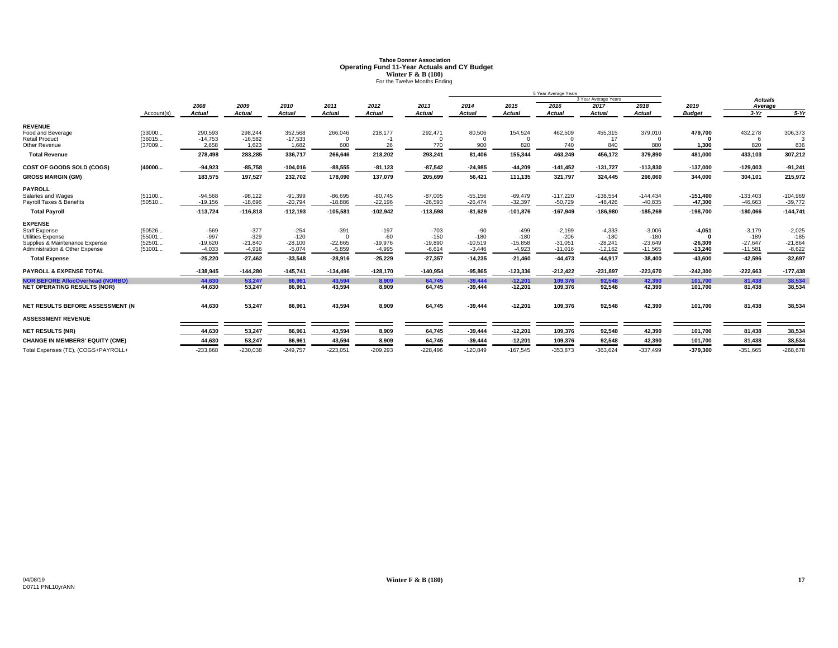# **Tahoe Donner AssociationOperating Fund 11-Year Actuals and CY Budget<br>Winter F & B (180)<br>For the Twelve Months Ending**

|                                         |            |               |               |               |               |               |               | 5 Year Average Years |               |               |                      |               |               |                |            |
|-----------------------------------------|------------|---------------|---------------|---------------|---------------|---------------|---------------|----------------------|---------------|---------------|----------------------|---------------|---------------|----------------|------------|
|                                         |            |               |               |               |               |               |               |                      |               |               | 3 Year Average Years |               |               | <b>Actuals</b> |            |
|                                         |            | 2008          | 2009          | 2010          | 2011          | 2012          | 2013          | 2014                 | 2015          | 2016          | 2017                 | 2018          | 2019          | Average        |            |
|                                         | Account(s) | <b>Actual</b> | <b>Actual</b> | <b>Actual</b> | <b>Actual</b> | <b>Actual</b> | <b>Actual</b> | Actual               | <b>Actual</b> | <b>Actual</b> | <b>Actual</b>        | <b>Actual</b> | <b>Budget</b> | $3-Yr$         | $5-Yr$     |
| <b>REVENUE</b>                          |            |               |               |               |               |               |               |                      |               |               |                      |               |               |                |            |
| Food and Beverage                       | (33000     | 290,593       | 298,244       | 352,568       | 266,046       | 218,177       | 292,471       | 80,506               | 154,524       | 462,509       | 455,315              | 379,010       | 479,700       | 432,278        | 306,373    |
| <b>Retail Product</b>                   | (36015     | $-14,753$     | $-16,582$     | $-17,533$     | $\Omega$      | $-1$          |               | $\Omega$             |               |               | 17                   |               |               |                |            |
| Other Revenue                           | (37009     | 2,658         | 1,623         | 1,682         | 600           | 26            | 770           | 900                  | 820           | 740           | 840                  | 880           | 1,300         | 820            | 836        |
| <b>Total Revenue</b>                    |            | 278,498       | 283,285       | 336,717       | 266,646       | 218,202       | 293,241       | 81,406               | 155,344       | 463,249       | 456,172              | 379,890       | 481,000       | 433,103        | 307,212    |
| COST OF GOODS SOLD (COGS)               | (40000     | $-94,923$     | $-85,758$     | $-104,016$    | $-88,555$     | $-81,123$     | $-87,542$     | $-24.985$            | $-44,209$     | $-141,452$    | $-131,727$           | $-113,830$    | $-137,000$    | $-129,003$     | $-91,241$  |
| <b>GROSS MARGIN (GM)</b>                |            | 183,575       | 197,527       | 232,702       | 178,090       | 137,079       | 205,699       | 56,421               | 111,135       | 321,797       | 324,445              | 266,060       | 344,000       | 304,101        | 215,972    |
| <b>PAYROLL</b>                          |            |               |               |               |               |               |               |                      |               |               |                      |               |               |                |            |
| Salaries and Wages                      | (51100     | $-94.568$     | $-98,122$     | $-91,399$     | $-86,695$     | $-80,745$     | $-87,005$     | $-55,156$            | $-69.479$     | $-117.220$    | $-138,554$           | $-144.434$    | $-151.400$    | $-133,403$     | $-104,969$ |
| Payroll Taxes & Benefits                | (50510     | $-19,156$     | $-18,696$     | $-20,794$     | $-18,886$     | $-22,196$     | $-26,593$     | $-26,474$            | $-32,397$     | $-50,729$     | $-48,426$            | $-40,835$     | $-47,300$     | $-46,663$      | $-39,772$  |
| <b>Total Payroll</b>                    |            | $-113,724$    | $-116,818$    | $-112,193$    | $-105,581$    | $-102,942$    | $-113,598$    | $-81,629$            | $-101,876$    | $-167,949$    | $-186,980$           | $-185,269$    | $-198,700$    | $-180,066$     | $-144,741$ |
| <b>EXPENSE</b>                          |            |               |               |               |               |               |               |                      |               |               |                      |               |               |                |            |
| <b>Staff Expense</b>                    | (50526     | $-569$        | $-377$        | $-254$        | $-391$        | $-197$        | $-703$        | $-90$                | $-499$        | $-2,199$      | $-4,333$             | $-3,006$      | $-4,051$      | $-3,179$       | $-2,025$   |
| <b>Utilities Expense</b>                | (55001     | $-997$        | $-329$        | $-120$        | $\Omega$      | $-60$         | $-150$        | $-180$               | $-180$        | $-206$        | $-180$               | $-180$        |               | $-189$         | $-185$     |
| Supplies & Maintenance Expense          | (52501     | $-19,620$     | $-21,840$     | $-28,100$     | $-22,665$     | $-19,976$     | $-19,890$     | $-10,519$            | $-15,858$     | $-31,051$     | $-28,241$            | $-23,649$     | $-26,309$     | $-27,647$      | $-21,864$  |
| Administration & Other Expense          | (51001     | $-4,033$      | $-4,916$      | $-5,074$      | $-5,859$      | $-4,995$      | $-6,614$      | $-3,446$             | $-4,923$      | $-11,016$     | $-12,162$            | $-11,565$     | $-13.240$     | $-11,581$      | $-8,622$   |
| <b>Total Expense</b>                    |            | $-25,220$     | $-27,462$     | $-33,548$     | $-28,916$     | $-25,229$     | $-27,357$     | $-14,235$            | $-21,460$     | $-44,473$     | $-44,917$            | $-38,400$     | $-43.600$     | $-42,596$      | $-32,697$  |
| <b>PAYROLL &amp; EXPENSE TOTAL</b>      |            | $-138,945$    | $-144,280$    | $-145,741$    | $-134,496$    | $-128,170$    | $-140.954$    | $-95,865$            | $-123,336$    | $-212,422$    | $-231,897$           | $-223,670$    | $-242,300$    | $-222,663$     | $-177,438$ |
| <b>NOR BEFORE AllocOverhead (NORBO)</b> |            | 44,630        | 53,247        | 86,961        | 43,594        | 8,909         | 64,745        | $-39,444$            | $-12,201$     | 109,376       | 92,548               | 42,390        | 101,700       | 81,438         | 38,534     |
| <b>NET OPERATING RESULTS (NOR)</b>      |            | 44,630        | 53,247        | 86,961        | 43,594        | 8,909         | 64,745        | $-39,444$            | $-12,201$     | 109,376       | 92,548               | 42,390        | 101,700       | 81,438         | 38,534     |
| NET RESULTS BEFORE ASSESSMENT (N        |            | 44,630        | 53,247        | 86,961        | 43,594        | 8,909         | 64,745        | $-39,444$            | $-12,201$     | 109,376       | 92,548               | 42,390        | 101,700       | 81,438         | 38,534     |
|                                         |            |               |               |               |               |               |               |                      |               |               |                      |               |               |                |            |
| <b>ASSESSMENT REVENUE</b>               |            |               |               |               |               |               |               |                      |               |               |                      |               |               |                |            |
| <b>NET RESULTS (NR)</b>                 |            | 44,630        | 53,247        | 86,961        | 43,594        | 8,909         | 64,745        | $-39,444$            | $-12,201$     | 109,376       | 92,548               | 42,390        | 101,700       | 81,438         | 38,534     |
| <b>CHANGE IN MEMBERS' EQUITY (CME)</b>  |            | 44,630        | 53,247        | 86,961        | 43,594        | 8,909         | 64,745        | $-39,444$            | $-12,201$     | 109,376       | 92,548               | 42,390        | 101,700       | 81,438         | 38,534     |
| Total Expenses (TE), (COGS+PAYROLL+     |            | $-233,868$    | $-230,038$    | $-249,757$    | $-223,051$    | $-209,293$    | $-228,496$    | $-120,849$           | $-167,545$    | $-353,873$    | $-363,624$           | $-337.499$    | $-379,300$    | $-351,665$     | $-268,678$ |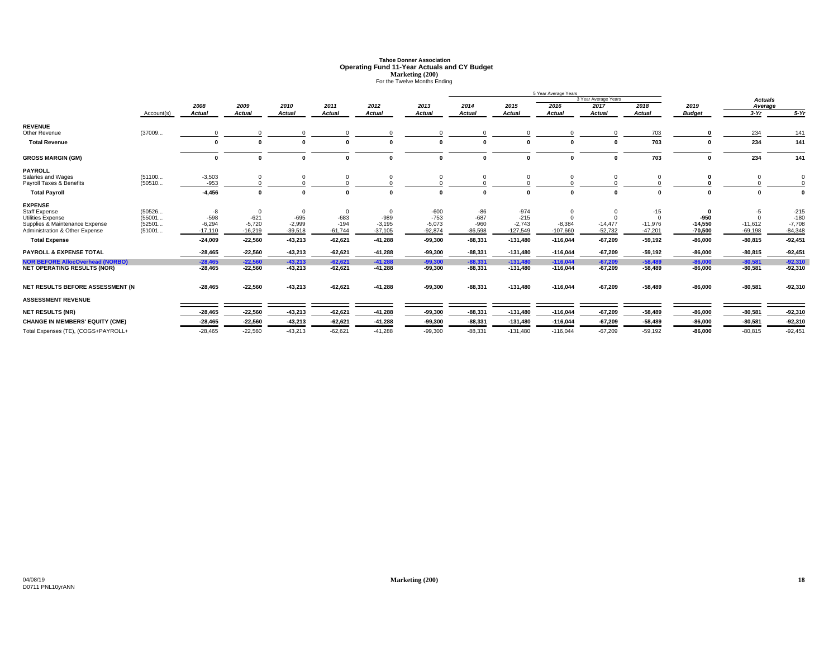# **Tahoe Donner AssociationOperating Fund 11-Year Actuals and CY Budget<br>Marketing (200)<br>For the Twelve Months Ending**

|                                                                  | 5 Year Average Years |                       |                       |               |               |               |                       |                     |            |                        |                      |               |                        |                        |           |
|------------------------------------------------------------------|----------------------|-----------------------|-----------------------|---------------|---------------|---------------|-----------------------|---------------------|------------|------------------------|----------------------|---------------|------------------------|------------------------|-----------|
|                                                                  |                      |                       |                       |               |               |               |                       |                     |            |                        | 3 Year Average Years |               |                        | <b>Actuals</b>         |           |
|                                                                  |                      | 2008                  | 2009                  | 2010          | 2011          | 2012          | 2013                  | 2014                | 2015       | 2016                   | 2017                 | 2018          | 2019                   | Average                |           |
|                                                                  | Account(s)           | <b>Actual</b>         | <b>Actual</b>         | <b>Actual</b> | <b>Actual</b> | <b>Actual</b> | <b>Actual</b>         | <b>Actual</b>       | Actual     | <b>Actual</b>          | <b>Actual</b>        | <b>Actual</b> | <b>Budget</b>          | $3-Yr$                 | $5-Yr$    |
| <b>REVENUE</b>                                                   |                      |                       |                       |               |               |               |                       |                     |            |                        |                      |               |                        |                        |           |
| Other Revenue                                                    | (37009               | $\Omega$              |                       |               |               |               |                       |                     |            | $\Omega$               | $\Omega$             | 703           |                        | 234                    | 141       |
| <b>Total Revenue</b>                                             |                      | $\mathbf{0}$          |                       |               |               |               |                       |                     |            | $\mathbf{0}$           |                      | 703           |                        | 234                    | 141       |
| <b>GROSS MARGIN (GM)</b>                                         |                      | $\mathbf{0}$          | $\Omega$              | $\mathbf{r}$  | $\sqrt{2}$    | $\sqrt{2}$    |                       | $\Omega$            | $\Omega$   | $\mathbf{0}$           | $\Omega$             | 703           | $\mathbf{r}$           | 234                    | 141       |
| <b>PAYROLL</b>                                                   |                      |                       |                       |               |               |               |                       |                     |            |                        |                      |               |                        |                        |           |
| Salaries and Wages<br>Payroll Taxes & Benefits                   | (51100<br>(50510     | $-3,503$<br>$-953$    | $\Omega$              |               | 0             |               |                       | $\Omega$            |            | $\Omega$               | $\Omega$             |               |                        |                        | 0         |
| <b>Total Payroll</b>                                             |                      | $-4,456$              | $\mathbf{0}$          |               |               |               |                       | $\Omega$            | $\Omega$   | $\mathbf{0}$           |                      |               |                        |                        | 0         |
| <b>EXPENSE</b>                                                   |                      |                       |                       |               |               |               |                       |                     |            |                        |                      |               |                        |                        |           |
| <b>Staff Expense</b>                                             | (50526               | -8                    | 0                     |               | 0             | $\mathbf 0$   | $-600$                | $-86$               | $-974$     | $\mathbf 0$            | $\overline{0}$       | $-15$         | 0                      | $-5$                   | $-215$    |
| Utilities Expense                                                | (55001               | $-598$                | $-621$                | $-695$        | $-683$        | $-989$        | $-753$                | $-687$              | $-215$     | $\Omega$               | $\Omega$             | $\Omega$      | $-950$                 | $\Omega$               | $-180$    |
| Supplies & Maintenance Expense<br>Administration & Other Expense | (52501               | $-6,294$<br>$-17.110$ | $-5,720$<br>$-16.219$ | $-2,999$      | $-194$        | $-3,195$      | $-5,073$<br>$-92.874$ | $-960$<br>$-86.598$ | $-2,743$   | $-8,384$<br>$-107.660$ | $-14,477$            | $-11,976$     | $-14,550$<br>$-70.500$ | $-11,612$<br>$-69.198$ | $-7,708$  |
|                                                                  | (51001               |                       |                       | $-39,518$     | $-61,744$     | $-37,105$     |                       |                     | $-127,549$ |                        | $-52,732$            | $-47,201$     |                        |                        | $-84,348$ |
| <b>Total Expense</b>                                             |                      | $-24,009$             | $-22,560$             | $-43,213$     | $-62,621$     | $-41,288$     | $-99,300$             | $-88,331$           | $-131,480$ | $-116,044$             | $-67,209$            | $-59,192$     | $-86.000$              | $-80,815$              | $-92,451$ |
| <b>PAYROLL &amp; EXPENSE TOTAL</b>                               |                      | $-28,465$             | $-22,560$             | $-43,213$     | $-62,621$     | $-41,288$     | $-99,300$             | $-88,331$           | $-131,480$ | $-116,044$             | $-67,209$            | $-59,192$     | $-86,000$              | $-80,815$              | $-92,451$ |
| <b>NOR BEFORE AllocOverhead (NORBO)</b>                          |                      | $-28.465$             | $-22,560$             | $-43,213$     | $-62,621$     | $-41,288$     | $-99.300$             | $-88,331$           | $-131,480$ | $-116,044$             | $-67,209$            | $-58,489$     | $-86,000$              | $-80,581$              | $-92,310$ |
| <b>NET OPERATING RESULTS (NOR)</b>                               |                      | -28,465               | $-22,560$             | $-43,213$     | $-62,621$     | $-41,288$     | -99,300               | $-88,331$           | $-131,480$ | $-116,044$             | $-67,209$            | $-58,489$     | $-86,000$              | $-80,581$              | $-92,310$ |
| NET RESULTS BEFORE ASSESSMENT (N                                 |                      | $-28,465$             | $-22,560$             | $-43,213$     | $-62,621$     | $-41,288$     | $-99,300$             | $-88,331$           | $-131,480$ | $-116,044$             | $-67,209$            | $-58,489$     | $-86,000$              | $-80,581$              | $-92,310$ |
| <b>ASSESSMENT REVENUE</b>                                        |                      |                       |                       |               |               |               |                       |                     |            |                        |                      |               |                        |                        |           |
| <b>NET RESULTS (NR)</b>                                          |                      | $-28,465$             | $-22,560$             | $-43,213$     | $-62,621$     | $-41,288$     | $-99,300$             | $-88,331$           | $-131,480$ | $-116,044$             | $-67,209$            | $-58,489$     | $-86,000$              | $-80,581$              | $-92,310$ |
| <b>CHANGE IN MEMBERS' EQUITY (CME)</b>                           |                      | $-28.465$             | $-22,560$             | $-43,213$     | $-62,621$     | $-41,288$     | $-99.300$             | $-88,331$           | $-131,480$ | $-116,044$             | $-67,209$            | $-58,489$     | $-86.000$              | $-80,581$              | $-92,310$ |
| Total Expenses (TE), (COGS+PAYROLL+                              |                      | $-28.465$             | $-22.560$             | $-43.213$     | $-62.621$     | $-41.288$     | $-99.300$             | $-88.331$           | $-131.480$ | $-116.044$             | $-67.209$            | $-59.192$     | $-86.000$              | $-80.815$              | $-92.451$ |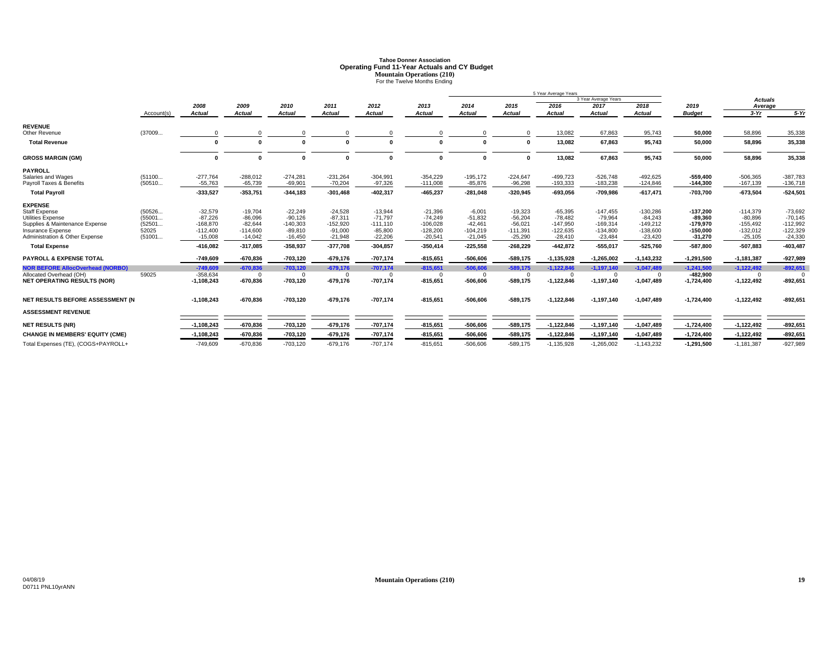# **Tahoe Donner AssociationOperating Fund 11-Year Actuals and CY Budget<br>Mountain Operations (210)<br>For the Twelve Months Ending**

|                                                     |                 |                         |                         |                        |                        |                        |                         |                         | 5 Year Average Years    |                         |                         |                         |                         |                         |                         |
|-----------------------------------------------------|-----------------|-------------------------|-------------------------|------------------------|------------------------|------------------------|-------------------------|-------------------------|-------------------------|-------------------------|-------------------------|-------------------------|-------------------------|-------------------------|-------------------------|
|                                                     |                 |                         |                         |                        |                        |                        |                         |                         |                         |                         | 3 Year Average Years    |                         |                         | <b>Actuals</b>          |                         |
|                                                     |                 | 2008                    | 2009                    | 2010                   | 2011                   | 2012                   | 2013                    | 2014                    | 2015                    | 2016                    | 2017                    | 2018                    | 2019                    | Average                 |                         |
|                                                     | Account(s)      | <b>Actual</b>           | <b>Actual</b>           | <b>Actual</b>          | <b>Actual</b>          | <b>Actual</b>          | <b>Actual</b>           | <b>Actual</b>           | <b>Actual</b>           | <b>Actual</b>           | <b>Actual</b>           | <b>Actual</b>           | <b>Budget</b>           | $3-Yr$                  | $5-Yr$                  |
| <b>REVENUE</b>                                      |                 |                         |                         |                        |                        |                        |                         |                         |                         |                         |                         |                         |                         |                         |                         |
| Other Revenue                                       | (37009          |                         | $\Omega$                |                        |                        | $\Omega$               |                         | $\Omega$                |                         | 13,082                  | 67,863                  | 95,743                  | 50,000                  | 58,896                  | 35,338                  |
| <b>Total Revenue</b>                                |                 | 0                       | $\Omega$                |                        |                        |                        |                         | $\sqrt{2}$              | $\mathbf{0}$            | 13,082                  | 67,863                  | 95,743                  | 50,000                  | 58,896                  | 35,338                  |
| <b>GROSS MARGIN (GM)</b>                            |                 | $\mathbf{0}$            | $\Omega$                | $\Omega$               |                        | $\Omega$               | <sup>0</sup>            | $\Omega$                | $\mathbf{0}$            | 13,082                  | 67,863                  | 95,743                  | 50,000                  | 58,896                  | 35,338                  |
| <b>PAYROLL</b>                                      |                 |                         |                         |                        |                        |                        |                         |                         |                         |                         |                         |                         |                         |                         |                         |
| Salaries and Wages                                  | (51100          | $-277,764$              | $-288,012$              | $-274,281$             | $-231,264$             | $-304,991$             | $-354,229$              | $-195,172$              | $-224,647$              | $-499,723$              | $-526,748$              | $-492,625$              | $-559,400$              | $-506,365$              | $-387,783$              |
| Payroll Taxes & Benefits                            | (50510          | $-55,763$               | $-65,739$               | $-69,901$              | $-70,204$              | $-97,326$              | $-111,008$              | $-85,876$               | $-96.298$               | $-193,333$              | $-183,238$              | $-124,846$              | $-144,300$              | $-167,139$              | $-136,718$              |
| <b>Total Payroll</b>                                |                 | $-333,527$              | $-353,751$              | $-344, 183$            | $-301,468$             | $-402,317$             | $-465.237$              | $-281,048$              | $-320,945$              | $-693,056$              | $-709,986$              | $-617,471$              | $-703,700$              | $-673,504$              | $-524,501$              |
| <b>EXPENSE</b>                                      |                 |                         |                         |                        |                        |                        |                         |                         |                         |                         |                         |                         |                         |                         |                         |
| <b>Staff Expense</b>                                | (50526          | $-32,579$               | $-19,704$               | $-22,249$              | $-24,528$              | $-13,944$              | $-21,396$               | $-6,001$                | $-19,323$               | $-65.395$               | $-147.455$              | $-130,286$              | $-137,200$              | $-114,379$              | $-73,692$               |
| <b>Utilities Expense</b>                            | (55001          | $-87,226$               | $-86,096$               | $-90,126$              | $-87,311$              | $-71,797$              | $-74,249$               | $-51,832$               | $-56,204$               | $-78.482$               | $-79,964$               | $-84,243$               | $-89.360$               | $-80,896$               | $-70,145$               |
| Supplies & Maintenance Expense                      | (52501          | $-168,870$              | $-82,644$               | $-140,303$             | $-152,920$             | $-111,110$             | $-106,028$              | $-42,461$               | $-56,021$               | $-147,950$              | $-169,314$              | $-149,212$              | $-179,970$              | $-155,492$              | $-112,992$              |
| Insurance Expense<br>Administration & Other Expense | 52025<br>(51001 | $-112.400$<br>$-15.008$ | $-114.600$<br>$-14.042$ | $-89,810$<br>$-16.450$ | $-91,000$<br>$-21,948$ | $-85,800$<br>$-22,206$ | $-128,200$<br>$-20.541$ | $-104.219$<br>$-21,045$ | $-111,391$<br>$-25.290$ | $-122.635$<br>$-28.410$ | $-134.800$<br>$-23,484$ | $-138,600$<br>$-23,420$ | $-150.000$<br>$-31.270$ | $-132,012$<br>$-25,105$ | $-122,329$<br>$-24,330$ |
|                                                     |                 |                         |                         |                        |                        |                        |                         |                         |                         |                         |                         |                         |                         |                         |                         |
| <b>Total Expense</b>                                |                 | -416,082                | $-317,085$              | $-358,937$             | $-377,708$             | $-304,857$             | $-350,414$              | $-225,558$              | $-268,229$              | $-442,872$              | $-555,017$              | $-525,760$              | $-587,800$              | $-507,883$              | $-403,487$              |
| <b>PAYROLL &amp; EXPENSE TOTAL</b>                  |                 | $-749.609$              | $-670.836$              | $-703.120$             | $-679,176$             | $-707,174$             | $-815.651$              | $-506.606$              | $-589.175$              | $-1.135.928$            | $-1,265,002$            | $-1,143,232$            | $-1,291,500$            | $-1.181.387$            | $-927,989$              |
| <b>NOR BEFORE AllocOverhead (NORBO)</b>             |                 | $-749.609$              | $-670,836$              | $-703,120$             | $-679,176$             | $-707,174$             | $-815,651$              | $-506.606$              | $-589,175$              | $-1,122,846$            | $-1,197,140$            | $-1,047,489$            | $-1,241,500$            | $-1,122,492$            | $-892,651$              |
| Allocated Overhead (OH)                             | 59025           | $-358.634$              | $\Omega$                | $\Omega$               | $\Omega$               | $\Omega$               | $\Omega$                | $\Omega$                |                         | $\Omega$                | $\Omega$                |                         | $-482.900$              | $\Omega$                |                         |
| <b>NET OPERATING RESULTS (NOR)</b>                  |                 | $-1,108,243$            | $-670,836$              | $-703,120$             | $-679,176$             | $-707,174$             | $-815,651$              | $-506,606$              | $-589,175$              | $-1,122,846$            | $-1,197,140$            | $-1,047,489$            | $-1,724,400$            | $-1,122,492$            | $-892,651$              |
| NET RESULTS BEFORE ASSESSMENT (N                    |                 | $-1,108,243$            | $-670,836$              | $-703,120$             | $-679,176$             | $-707,174$             | $-815,651$              | $-506,606$              | $-589,175$              | $-1,122,846$            | $-1,197,140$            | $-1,047,489$            | $-1,724,400$            | $-1,122,492$            | $-892,651$              |
| <b>ASSESSMENT REVENUE</b>                           |                 |                         |                         |                        |                        |                        |                         |                         |                         |                         |                         |                         |                         |                         |                         |
| <b>NET RESULTS (NR)</b>                             |                 | $-1,108,243$            | $-670,836$              | $-703,120$             | $-679,176$             | $-707,174$             | $-815,651$              | $-506,606$              | $-589,175$              | $-1,122,846$            | $-1,197,140$            | $-1,047,489$            | $-1,724,400$            | $-1,122,492$            | $-892,65$               |
|                                                     |                 |                         |                         |                        |                        |                        |                         |                         |                         |                         |                         |                         |                         |                         |                         |
| <b>CHANGE IN MEMBERS' EQUITY (CME)</b>              |                 | $-1,108,243$            | $-670,836$              | $-703,120$             | $-679,176$             | $-707,174$             | $-815,651$              | $-506,606$              | $-589,175$              | $-1,122,846$            | $-1,197,140$            | $-1,047,489$            | $-1,724,400$            | $-1,122,492$            | $-892,65$               |
| Total Expenses (TE), (COGS+PAYROLL+                 |                 | $-749.609$              | $-670.836$              | $-703.120$             | $-679.176$             | $-707.174$             | $-815.651$              | $-506.606$              | $-589.175$              | $-1.135.928$            | $-1.265.002$            | $-1.143.232$            | $-1.291.500$            | $-1.181.387$            | $-927.989$              |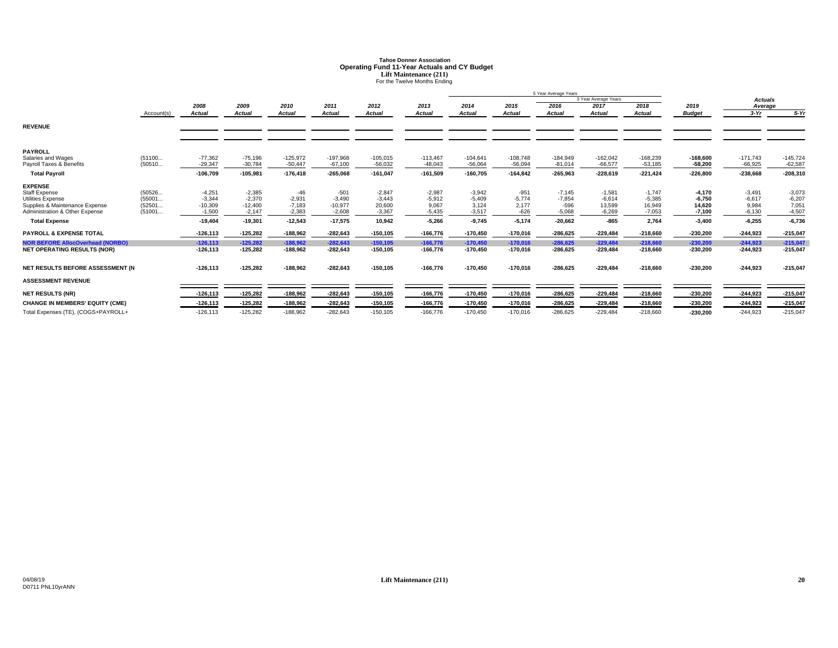# **Tahoe Donner AssociationOperating Fund 11-Year Actuals and CY Budget<br>
Lift Maintenance (211)<br>
For the Twelve Months Ending**

|                                                                  |                  |                       |                       |                      |                       |                    |                   | 5 Year Average Years |                 |                    |                      |                    |                         |                   |                   |
|------------------------------------------------------------------|------------------|-----------------------|-----------------------|----------------------|-----------------------|--------------------|-------------------|----------------------|-----------------|--------------------|----------------------|--------------------|-------------------------|-------------------|-------------------|
|                                                                  |                  |                       |                       |                      |                       |                    |                   |                      |                 |                    | 3 Year Average Years |                    |                         | <b>Actuals</b>    |                   |
|                                                                  |                  | 2008                  | 2009                  | 2010                 | 2011                  | 2012               | 2013              | 2014                 | 2015            | 2016               | 2017                 | 2018               | 2019                    | Average           |                   |
|                                                                  | Account(s)       | <b>Actual</b>         | Actual                | <b>Actual</b>        | <b>Actual</b>         | Actual             | <b>Actual</b>     | <b>Actual</b>        | <b>Actual</b>   | <b>Actual</b>      | <b>Actual</b>        | Actual             | <b>Budget</b>           | $3-Yr$            | $5-Yr$            |
| <b>REVENUE</b>                                                   |                  |                       |                       |                      |                       |                    |                   |                      |                 |                    |                      |                    |                         |                   |                   |
|                                                                  |                  |                       |                       |                      |                       |                    |                   |                      |                 |                    |                      |                    |                         |                   |                   |
| <b>PAYROLL</b><br>Salaries and Wages                             | (51100           | $-77.362$             | $-75,196$             | $-125,972$           | $-197,968$            | $-105,015$         | $-113.467$        | $-104.641$           | $-108.748$      | $-184.949$         | $-162,042$           | $-168,239$         |                         | $-171.743$        | $-145,724$        |
| Payroll Taxes & Benefits                                         | (50510           | $-29,347$             | $-30,784$             | $-50,447$            | $-67,100$             | $-56,032$          | $-48,043$         | $-56,064$            | $-56,094$       | $-81,014$          | $-66,577$            | $-53,185$          | $-168.600$<br>$-58,200$ | $-66,925$         | $-62,587$         |
| <b>Total Payroll</b>                                             |                  | $-106,709$            | $-105,981$            | $-176,418$           | $-265,068$            | $-161,047$         | $-161,509$        | $-160,705$           | $-164,842$      | $-265,963$         | $-228,619$           | $-221,424$         | $-226,800$              | $-238,668$        | $-208,310$        |
| <b>EXPENSE</b>                                                   |                  |                       |                       |                      |                       |                    |                   |                      |                 |                    |                      |                    |                         |                   |                   |
| <b>Staff Expense</b>                                             | (50526           | $-4,251$              | $-2,385$              | $-46$                | $-501$                | $-2,847$           | $-2,987$          | $-3,942$             | $-951$          | $-7,145$           | $-1,581$             | $-1,747$           | $-4.170$                | $-3,491$          | $-3,073$          |
| Utilities Expense                                                | (55001           | $-3.344$              | $-2.370$              | $-2,931$             | $-3,490$              | $-3.443$           | $-5,912$          | $-5,409$             | $-5.774$        | $-7,854$           | $-6,614$             | $-5,385$           | $-6.750$                | $-6,617$          | $-6,207$          |
| Supplies & Maintenance Expense<br>Administration & Other Expense | (52501<br>(51001 | $-10,309$<br>$-1.500$ | $-12,400$<br>$-2.147$ | $-7,183$<br>$-2,383$ | $-10,977$<br>$-2.608$ | 20,600<br>$-3.367$ | 9.067<br>$-5,435$ | 3.124<br>$-3.517$    | 2.177<br>$-626$ | $-596$<br>$-5,068$ | 13,599<br>$-6,269$   | 16,949<br>$-7,053$ | 14.620<br>$-7,100$      | 9,984<br>$-6,130$ | 7,051<br>$-4,507$ |
|                                                                  |                  |                       |                       |                      |                       |                    |                   |                      |                 |                    |                      |                    |                         |                   |                   |
| <b>Total Expense</b>                                             |                  | $-19.404$             | $-19,301$             | $-12,543$            | $-17,575$             | 10,942             | $-5,266$          | $-9.745$             | $-5.174$        | $-20,662$          | $-865$               | 2,764              | $-3.400$                | $-6,255$          | $-6,736$          |
| <b>PAYROLL &amp; EXPENSE TOTAL</b>                               |                  | $-126.113$            | $-125,282$            | $-188,962$           | $-282,643$            | $-150, 105$        | $-166.776$        | $-170,450$           | $-170,016$      | $-286,625$         | $-229,484$           | $-218,660$         | $-230,200$              | $-244.923$        | $-215,047$        |
| <b>NOR BEFORE AllocOverhead (NORBO)</b>                          |                  | $-126.113$            | $-125.282$            | $-188.962$           | $-282.643$            | $-150, 105$        | $-166.776$        | $-170,450$           | $-170.016$      | $-286.625$         | $-229.484$           | $-218.660$         | $-230.200$              | $-244.923$        | $-215.047$        |
| <b>NET OPERATING RESULTS (NOR)</b>                               |                  | $-126, 113$           | $-125.282$            | $-188.962$           | $-282,643$            | $-150.105$         | $-166,776$        | $-170,450$           | $-170,016$      | $-286.625$         | $-229.484$           | $-218.660$         | $-230.200$              | $-244.923$        | $-215,047$        |
| NET RESULTS BEFORE ASSESSMENT (N                                 |                  | $-126, 113$           | $-125,282$            | $-188,962$           | -282,643              | $-150, 105$        | -166,776          | $-170,450$           | $-170,016$      | $-286,625$         | $-229,484$           | $-218,660$         | $-230,200$              | -244,923          | $-215,047$        |
| <b>ASSESSMENT REVENUE</b>                                        |                  |                       |                       |                      |                       |                    |                   |                      |                 |                    |                      |                    |                         |                   |                   |
| <b>NET RESULTS (NR)</b>                                          |                  | $-126, 113$           | $-125,282$            | $-188,962$           | $-282,643$            | $-150, 105$        | $-166,776$        | $-170,450$           | $-170,016$      | $-286,625$         | $-229,484$           | $-218,660$         | $-230,200$              | $-244,923$        | $-215,047$        |
| <b>CHANGE IN MEMBERS' EQUITY (CME)</b>                           |                  | $-126, 113$           | $-125,282$            | $-188,962$           | $-282,643$            | $-150, 105$        | $-166,776$        | $-170,450$           | $-170,016$      | $-286,625$         | $-229,484$           | $-218,660$         | $-230,200$              | $-244,923$        | $-215,047$        |
| Total Expenses (TE), (COGS+PAYROLL+                              |                  | $-126, 113$           | $-125.282$            | $-188.962$           | $-282,643$            | $-150.105$         | $-166.776$        | $-170.450$           | $-170,016$      | $-286.625$         | $-229.484$           | $-218.660$         | $-230.200$              | $-244.923$        | $-215,047$        |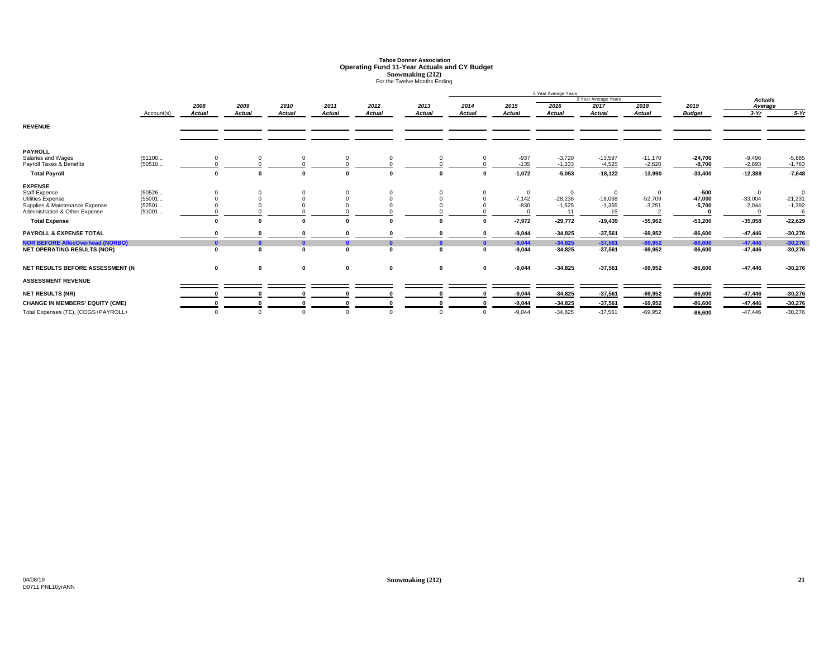# **Tahoe Donner AssociationOperating Fund 11-Year Actuals and CY Budget<br>
<b>Snowmaking (212)**<br>
For the Twelve Months Ending

|                                                                  |                  |               |               |               |               |               |               | 5 Year Average Years |                        |                       |                             |                               |                       |                             |                               |
|------------------------------------------------------------------|------------------|---------------|---------------|---------------|---------------|---------------|---------------|----------------------|------------------------|-----------------------|-----------------------------|-------------------------------|-----------------------|-----------------------------|-------------------------------|
|                                                                  |                  |               |               |               |               |               |               |                      |                        |                       | 3 Year Average Years        |                               |                       | <b>Actuals</b>              |                               |
|                                                                  |                  | 2008          | 2009          | 2010          | 2011          | 2012          | 2013          | 2014                 | 2015                   | 2016                  | 2017                        | 2018                          | 2019                  | Average                     |                               |
|                                                                  | Account(s)       | <b>Actual</b> | <b>Actual</b> | <b>Actual</b> | <b>Actual</b> | <b>Actual</b> | <b>Actual</b> | Actual               | Actual                 | <b>Actual</b>         | <b>Actual</b>               | <b>Actual</b>                 | <b>Budget</b>         | $3-Yr$                      | $5-Yr$                        |
| <b>REVENUE</b>                                                   |                  |               |               |               |               |               |               |                      |                        |                       |                             |                               |                       |                             |                               |
| <b>PAYROLL</b>                                                   |                  |               |               |               |               |               |               |                      |                        |                       |                             |                               |                       |                             |                               |
| Salaries and Wages<br>Payroll Taxes & Benefits                   | (51100<br>(50510 | 0             |               |               | $\Omega$      |               |               |                      | $-937$<br>$-135$       | $-3,720$<br>$-1,333$  | $-13,597$<br>$-4,525$       | $-11,170$<br>$-2,820$         | $-24,700$<br>$-8,700$ | $-9,496$<br>$-2,893$        | $-5,885$<br>$-1,763$          |
| <b>Total Payroll</b>                                             |                  | $\mathbf{0}$  |               |               |               |               |               | $\sqrt{2}$           | $-1,072$               | $-5,053$              | $-18,122$                   | $-13,990$                     | $-33,400$             | $-12,388$                   | $-7,648$                      |
| <b>EXPENSE</b><br>Staff Expense<br>Utilities Expense             | (50526<br>(55001 |               |               |               |               |               |               |                      | $^{\circ}$<br>$-7,142$ | $\Omega$<br>$-28,236$ | $\overline{0}$<br>$-18,068$ |                               | -500<br>$-47.000$     | $\Omega$                    | 0                             |
| Supplies & Maintenance Expense<br>Administration & Other Expense | (52501<br>(51001 |               |               |               |               |               |               |                      | $-830$                 | $-1,525$<br>$-11$     | $-1,355$<br>$-15$           | $-52,709$<br>$-3,251$<br>$-2$ | $-5.700$              | $-33,004$<br>$-2,044$<br>-9 | $-21,231$<br>$-1,392$<br>$-6$ |
| <b>Total Expense</b>                                             |                  | $\mathbf{0}$  |               |               |               |               |               | $\Omega$             | $-7,972$               | $-29,772$             | $-19,439$                   | $-55,962$                     | $-53,200$             | $-35,058$                   | $-22,629$                     |
| <b>PAYROLL &amp; EXPENSE TOTAL</b>                               |                  |               |               |               |               |               |               | $\sqrt{2}$           | $-9,044$               | $-34,825$             | $-37,561$                   | $-69,952$                     | $-86,600$             | $-47,446$                   | $-30,276$                     |
| <b>NOR BEFORE AllocOverhead (NORBO)</b>                          |                  | $\mathbf{a}$  |               |               |               |               |               | $\mathbf{a}$         | $-9,044$               | $-34,825$             | $-37,561$                   | $-69,952$                     | $-86,600$             | $-47,446$                   | $-30,276$                     |
| <b>NET OPERATING RESULTS (NOR)</b>                               |                  | $\mathbf{0}$  | $\sqrt{2}$    |               |               | n             |               | $\sqrt{2}$           | $-9,044$               | $-34,825$             | $-37,561$                   | $-69,952$                     | $-86,600$             | -47,446                     | $-30,276$                     |
| NET RESULTS BEFORE ASSESSMENT (N                                 |                  | 0             | $\mathbf 0$   | $\bf{0}$      | 0             | $\mathbf 0$   | 0             | $\mathbf 0$          | $-9,044$               | $-34,825$             | $-37,561$                   | $-69,952$                     | $-86,600$             | $-47,446$                   | $-30,276$                     |
| <b>ASSESSMENT REVENUE</b>                                        |                  |               |               |               |               |               |               |                      |                        |                       |                             |                               |                       |                             |                               |
| <b>NET RESULTS (NR)</b>                                          |                  |               |               |               |               |               |               |                      | $-9,044$               | $-34,825$             | $-37,561$                   | $-69,952$                     | $-86,600$             | $-47,446$                   | $-30,276$                     |
| <b>CHANGE IN MEMBERS' EQUITY (CME)</b>                           |                  |               |               |               |               |               |               |                      | $-9,044$               | $-34,825$             | $-37,561$                   | $-69,952$                     | $-86,600$             | $-47,446$                   | $-30,276$                     |
| Total Expenses (TE), (COGS+PAYROLL+                              |                  | $\Omega$      |               |               | $\Omega$      |               |               | $\Omega$             | $-9,044$               | $-34,825$             | $-37,561$                   | $-69,952$                     | $-86,600$             | $-47,446$                   | $-30,276$                     |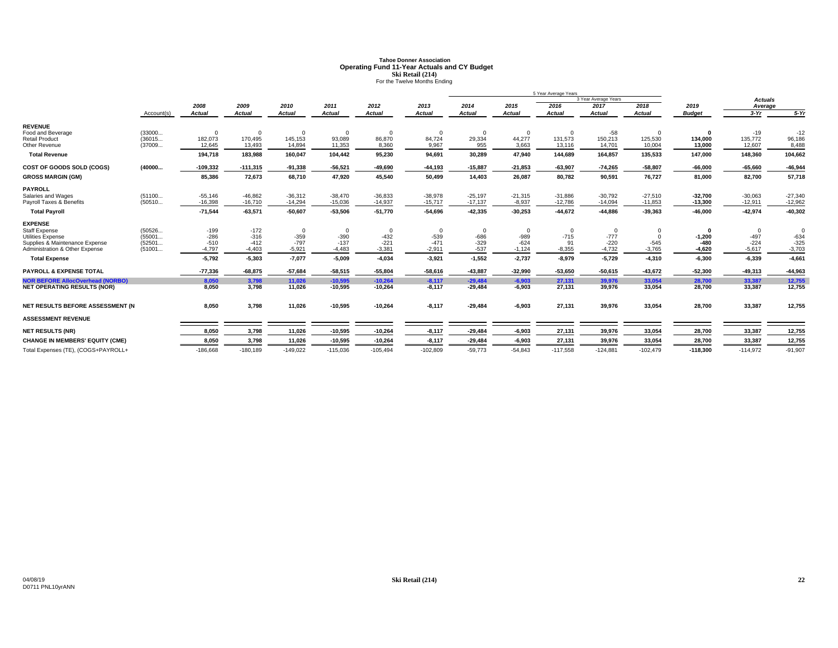# **Tahoe Donner AssociationOperating Fund 11-Year Actuals and CY Budget<br>
<b>Ski Retail (214)**<br>
For the Twelve Months Ending

|                                                                  |                  |                    |                    |                    |                    |                    |                    |                  |                  | 5 Year Average Years |                      |                    |                    |                  |                    |
|------------------------------------------------------------------|------------------|--------------------|--------------------|--------------------|--------------------|--------------------|--------------------|------------------|------------------|----------------------|----------------------|--------------------|--------------------|------------------|--------------------|
|                                                                  |                  |                    |                    |                    |                    |                    |                    |                  |                  |                      | 3 Year Average Years |                    |                    | <b>Actuals</b>   |                    |
|                                                                  |                  | 2008               | 2009               | 2010               | 2011               | 2012               | 2013               | 2014             | 2015             | 2016                 | 2017                 | 2018               | 2019               | Average          |                    |
|                                                                  | Account(s)       | <b>Actual</b>      | <b>Actual</b>      | <b>Actual</b>      | <b>Actual</b>      | <b>Actual</b>      | <b>Actual</b>      | <b>Actual</b>    | <b>Actual</b>    | <b>Actual</b>        | <b>Actual</b>        | <b>Actual</b>      | <b>Budget</b>      | $3-Yr$           | $5-Yr$             |
| <b>REVENUE</b>                                                   |                  |                    |                    |                    |                    |                    |                    |                  |                  |                      |                      |                    |                    |                  |                    |
| Food and Beverage                                                | (33000           | $\Omega$           | $\Omega$           | $\Omega$           | $\Omega$           | $\Omega$           | $\Omega$           | $\Omega$         | $\Omega$         | $\Omega$             | $-58$                |                    | $\Omega$           | $-19$            | $-12$              |
| <b>Retail Product</b>                                            | (36015           | 182,073            | 170,495            | 145,153            | 93,089             | 86,870             | 84,724             | 29,334           | 44,277           | 131,573              | 150,213              | 125,530            | 134,000            | 135,772          | 96,186             |
| Other Revenue                                                    | (37009           | 12,645             | 13,493             | 14,894             | 11,353             | 8,360              | 9,967              | 955              | 3,663            | 13,116               | 14,701               | 10,004             | 13,000             | 12,607           | 8,488              |
| <b>Total Revenue</b>                                             |                  | 194,718            | 183,988            | 160,047            | 104,442            | 95,230             | 94,691             | 30,289           | 47,940           | 144,689              | 164,857              | 135,533            | 147,000            | 148,360          | 104,662            |
| COST OF GOODS SOLD (COGS)                                        | (40000           | $-109,332$         | $-111,315$         | $-91,338$          | $-56,521$          | $-49,690$          | $-44,193$          | $-15.887$        | $-21,853$        | $-63,907$            | $-74,265$            | $-58,807$          | $-66.000$          | $-65,660$        | $-46,944$          |
| <b>GROSS MARGIN (GM)</b>                                         |                  | 85,386             | 72,673             | 68,710             | 47,920             | 45,540             | 50,499             | 14,403           | 26,087           | 80,782               | 90,591               | 76,727             | 81,000             | 82,700           | 57,718             |
| <b>PAYROLL</b>                                                   |                  |                    |                    |                    |                    |                    |                    |                  |                  |                      |                      |                    |                    |                  |                    |
| Salaries and Wages                                               | (51100           | $-55,146$          | $-46,862$          | $-36,312$          | $-38,470$          | $-36,833$          | $-38,978$          | $-25,197$        | $-21,315$        | $-31,886$            | $-30,792$            | $-27,510$          | $-32,700$          | $-30,063$        | $-27,340$          |
| Payroll Taxes & Benefits                                         | (50510           | $-16,398$          | $-16,710$          | $-14,294$          | $-15,036$          | $-14,937$          | $-15,717$          | $-17,137$        | $-8,937$         | $-12,786$            | $-14,094$            | $-11,853$          | $-13,300$          | $-12,911$        | $-12,962$          |
| <b>Total Payroll</b>                                             |                  | $-71,544$          | $-63,571$          | $-50,607$          | $-53,506$          | $-51,770$          | $-54,696$          | $-42,335$        | $-30,253$        | $-44,672$            | $-44,886$            | $-39,363$          | $-46,000$          | $-42,974$        | $-40,302$          |
| <b>EXPENSE</b>                                                   |                  |                    |                    |                    |                    |                    |                    |                  |                  |                      |                      |                    |                    |                  |                    |
| <b>Staff Expense</b>                                             | (50526           | $-199$             | $-172$             | $\mathbf 0$        | $\Omega$           | $\mathbf 0$        | $\Omega$           | $\mathbf 0$      | $\Omega$         | $\mathbf 0$          | $\mathbf 0$          |                    | $\Omega$           | $\Omega$         | $\Omega$           |
| <b>Utilities Expense</b>                                         | (55001           | $-286$             | $-316$             | $-359$             | $-390$             | $-432$             | $-539$             | $-686$           | $-989$<br>$-624$ | $-715$               | $-777$<br>$-220$     |                    | $-1,200$           | $-497$<br>$-224$ | $-634$             |
| Supplies & Maintenance Expense<br>Administration & Other Expense | (52501<br>(51001 | $-510$<br>$-4,797$ | $-412$<br>$-4,403$ | $-797$<br>$-5,921$ | $-137$<br>$-4,483$ | $-221$<br>$-3,381$ | $-471$<br>$-2.911$ | $-329$<br>$-537$ | $-1,124$         | 91<br>$-8,355$       | $-4,732$             | $-545$<br>$-3,765$ | $-480$<br>$-4,620$ | $-5,617$         | $-325$<br>$-3,703$ |
|                                                                  |                  |                    |                    |                    |                    |                    |                    |                  |                  |                      |                      |                    |                    |                  |                    |
| <b>Total Expense</b>                                             |                  | $-5,792$           | $-5,303$           | $-7,077$           | $-5,009$           | $-4,034$           | $-3,921$           | $-1,552$         | $-2,737$         | $-8,979$             | $-5,729$             | $-4,310$           | $-6,300$           | $-6,339$         | $-4,661$           |
| <b>PAYROLL &amp; EXPENSE TOTAL</b>                               |                  | $-77,336$          | $-68,875$          | $-57,684$          | $-58,515$          | $-55,804$          | $-58,616$          | $-43,887$        | $-32,990$        | $-53,650$            | $-50,615$            | $-43,672$          | $-52,300$          | $-49,313$        | $-44,963$          |
| <b>NOR BEFORE AllocOverhead (NORBO)</b>                          |                  | 8.050              | 3,798              | 11,026             | $-10,595$          | $-10,264$          | $-8,117$           | $-29.484$        | $-6.903$         | 27,131               | 39,976               | 33,054             | 28,700             | 33,387           | 12,755             |
| <b>NET OPERATING RESULTS (NOR)</b>                               |                  | 8,050              | 3,798              | 11,026             | $-10,595$          | $-10,264$          | $-8,117$           | $-29,484$        | $-6,903$         | 27,131               | 39,976               | 33,054             | 28,700             | 33,387           | 12,755             |
| NET RESULTS BEFORE ASSESSMENT (N                                 |                  | 8,050              | 3,798              | 11,026             | $-10,595$          | $-10,264$          | $-8,117$           | $-29,484$        | $-6,903$         | 27,131               | 39,976               | 33,054             | 28,700             | 33,387           | 12,755             |
| <b>ASSESSMENT REVENUE</b>                                        |                  |                    |                    |                    |                    |                    |                    |                  |                  |                      |                      |                    |                    |                  |                    |
| <b>NET RESULTS (NR)</b>                                          |                  | 8,050              | 3,798              | 11,026             | $-10,595$          | $-10,264$          | $-8,117$           | $-29,484$        | $-6,903$         | 27,131               | 39,976               | 33,054             | 28,700             | 33,387           | 12,755             |
| <b>CHANGE IN MEMBERS' EQUITY (CME)</b>                           |                  | 8,050              | 3,798              | 11,026             | $-10,595$          | $-10,264$          | $-8,117$           | $-29,484$        | $-6,903$         | 27,131               | 39,976               | 33,054             | 28,700             | 33,387           | 12,755             |
| Total Expenses (TE), (COGS+PAYROLL+                              |                  | $-186,668$         | $-180,189$         | $-149,022$         | $-115,036$         | $-105,494$         | $-102,809$         | $-59,773$        | $-54,843$        | $-117,558$           | $-124,881$           | $-102,479$         | $-118,300$         | $-114,972$       | $-91,907$          |
|                                                                  |                  |                    |                    |                    |                    |                    |                    |                  |                  |                      |                      |                    |                    |                  |                    |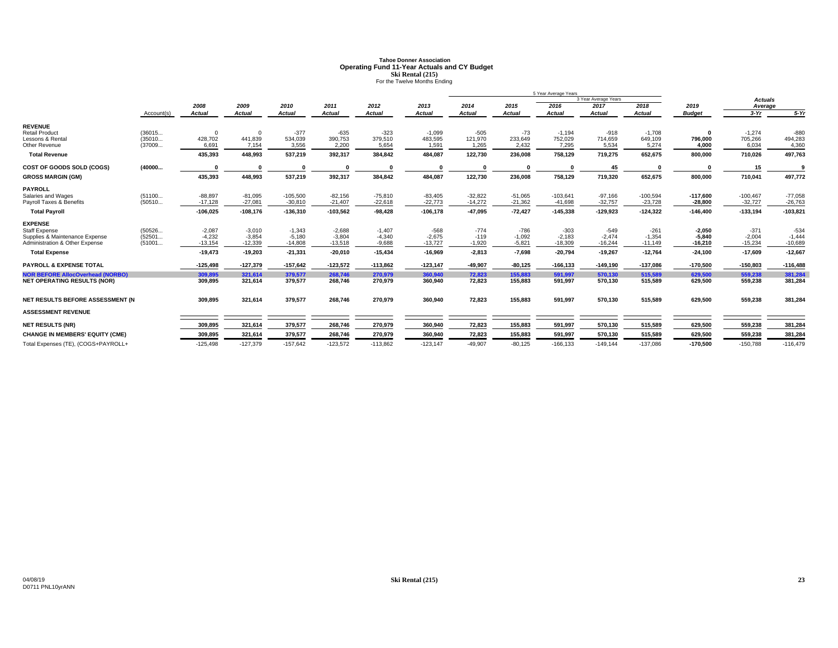# **Tahoe Donner AssociationOperating Fund 11-Year Actuals and CY Budget<br>
<b>Ski Rental (215)**<br>
For the Twelve Months Ending

|                                         |            |               |                |               |               |               |               | 5 Year Average Years |               |               |                      |               |               |                |            |
|-----------------------------------------|------------|---------------|----------------|---------------|---------------|---------------|---------------|----------------------|---------------|---------------|----------------------|---------------|---------------|----------------|------------|
|                                         |            |               |                |               |               |               |               |                      |               |               | 3 Year Average Years |               |               | <b>Actuals</b> |            |
|                                         |            | 2008          | 2009           | 2010          | 2011          | 2012          | 2013          | 2014                 | 2015          | 2016          | 2017                 | 2018          | 2019          | Average        |            |
|                                         | Account(s) | <b>Actual</b> | <b>Actual</b>  | <b>Actual</b> | <b>Actual</b> | <b>Actual</b> | <b>Actual</b> | <b>Actual</b>        | <b>Actual</b> | <b>Actual</b> | <b>Actual</b>        | <b>Actual</b> | <b>Budget</b> | $3-Yr$         | $5-Yr$     |
| <b>REVENUE</b>                          |            |               |                |               |               |               |               |                      |               |               |                      |               |               |                |            |
| <b>Retail Product</b>                   | (36015     | $\mathbf 0$   | $\overline{0}$ | $-377$        | $-635$        | $-323$        | $-1,099$      | $-505$               | $-73$         | $-1,194$      | $-918$               | $-1,708$      | $\mathbf{0}$  | $-1.274$       | $-880$     |
| Lessons & Rental                        | (35010     | 428,702       | 441,839        | 534,039       | 390,753       | 379,510       | 483,595       | 121,970              | 233,649       | 752,029       | 714,659              | 649,109       | 796,000       | 705,266        | 494,283    |
| Other Revenue                           | (37009     | 6,691         | 7,154          | 3,556         | 2,200         | 5,654         | 1,591         | 1,265                | 2,432         | 7,295         | 5,534                | 5,274         | 4.000         | 6,034          | 4,360      |
| <b>Total Revenue</b>                    |            | 435,393       | 448,993        | 537,219       | 392,317       | 384,842       | 484,087       | 122,730              | 236,008       | 758,129       | 719,275              | 652,675       | 800,000       | 710,026        | 497,763    |
| COST OF GOODS SOLD (COGS)               | (40000     |               |                |               |               |               |               |                      |               |               | 45                   |               |               | 15             |            |
| <b>GROSS MARGIN (GM)</b>                |            | 435,393       | 448,993        | 537,219       | 392,317       | 384,842       | 484,087       | 122,730              | 236,008       | 758,129       | 719,320              | 652,675       | 800,000       | 710,041        | 497,772    |
| <b>PAYROLL</b>                          |            |               |                |               |               |               |               |                      |               |               |                      |               |               |                |            |
| Salaries and Wages                      | (51100     | $-88.897$     | $-81,095$      | $-105,500$    | $-82,156$     | $-75,810$     | $-83,405$     | $-32.822$            | $-51.065$     | $-103,641$    | $-97,166$            | $-100,594$    | $-117.600$    | $-100.467$     | $-77,058$  |
| Pavroll Taxes & Benefits                | (50510     | $-17.128$     | $-27.081$      | $-30.810$     | $-21,407$     | $-22,618$     | $-22.773$     | $-14.272$            | $-21.362$     | $-41.698$     | $-32,757$            | $-23,728$     | $-28,800$     | $-32.727$      | $-26,763$  |
| <b>Total Payroll</b>                    |            | $-106,025$    | $-108,176$     | $-136,310$    | $-103,562$    | $-98,428$     | $-106,178$    | $-47,095$            | $-72,427$     | $-145,338$    | $-129,923$           | $-124,322$    | $-146,400$    | $-133,194$     | $-103,821$ |
| <b>EXPENSE</b>                          |            |               |                |               |               |               |               |                      |               |               |                      |               |               |                |            |
| <b>Staff Expense</b>                    | (50526     | $-2,087$      | $-3,010$       | $-1,343$      | $-2,688$      | $-1,407$      | $-568$        | $-774$               | $-786$        | $-303$        | $-549$               | $-261$        | $-2,050$      | $-371$         | $-534$     |
| Supplies & Maintenance Expense          | (52501     | $-4,232$      | $-3,854$       | $-5,180$      | $-3,804$      | $-4,340$      | $-2,675$      | $-119$               | $-1,092$      | $-2,183$      | $-2,474$             | $-1,354$      | $-5,840$      | $-2,004$       | $-1,444$   |
| Administration & Other Expense          | (51001     | $-13,154$     | $-12,339$      | $-14,808$     | $-13,518$     | $-9,688$      | $-13,727$     | $-1,920$             | $-5,821$      | $-18,309$     | $-16,244$            | $-11,149$     | $-16,210$     | $-15,234$      | $-10,689$  |
| <b>Total Expense</b>                    |            | $-19,473$     | $-19,203$      | $-21,331$     | $-20,010$     | $-15,434$     | $-16,969$     | $-2,813$             | $-7,698$      | $-20,794$     | $-19,267$            | $-12,764$     | $-24,100$     | $-17,609$      | $-12,667$  |
| <b>PAYROLL &amp; EXPENSE TOTAL</b>      |            | $-125.498$    | $-127,379$     | $-157,642$    | $-123,572$    | $-113,862$    | $-123.147$    | -49.907              | $-80,125$     | $-166.133$    | $-149,190$           | $-137,086$    | $-170,500$    | $-150.803$     | $-116,488$ |
| <b>NOR BEFORE AllocOverhead (NORBO)</b> |            | 309.895       | 321,614        | 379,577       | 268,746       | 270,979       | 360.940       | 72.823               | 155.883       | 591.997       | 570,130              | 515,589       | 629.500       | 559.238        | 381,284    |
| <b>NET OPERATING RESULTS (NOR)</b>      |            | 309,895       | 321,614        | 379,577       | 268,746       | 270,979       | 360,940       | 72,823               | 155,883       | 591,997       | 570,130              | 515,589       | 629,500       | 559,238        | 381,284    |
| NET RESULTS BEFORE ASSESSMENT (N        |            | 309,895       | 321,614        | 379,577       | 268,746       | 270,979       | 360,940       | 72,823               | 155,883       | 591,997       | 570,130              | 515,589       | 629,500       | 559,238        | 381,284    |
|                                         |            |               |                |               |               |               |               |                      |               |               |                      |               |               |                |            |
| <b>ASSESSMENT REVENUE</b>               |            |               |                |               |               |               |               |                      |               |               |                      |               |               |                |            |
| <b>NET RESULTS (NR)</b>                 |            | 309,895       | 321,614        | 379,577       | 268,746       | 270,979       | 360,940       | 72,823               | 155,883       | 591,997       | 570,130              | 515,589       | 629,500       | 559,238        | 381,284    |
| <b>CHANGE IN MEMBERS' EQUITY (CME)</b>  |            | 309,895       | 321,614        | 379,577       | 268,746       | 270,979       | 360,940       | 72,823               | 155,883       | 591,997       | 570,130              | 515,589       | 629,500       | 559,238        | 381,284    |
| Total Expenses (TE), (COGS+PAYROLL+     |            | $-125.498$    | $-127.379$     | $-157.642$    | $-123.572$    | $-113.862$    | $-123.147$    | $-49.907$            | $-80.125$     | $-166.133$    | $-149.144$           | $-137.086$    | $-170.500$    | $-150.788$     | $-116.479$ |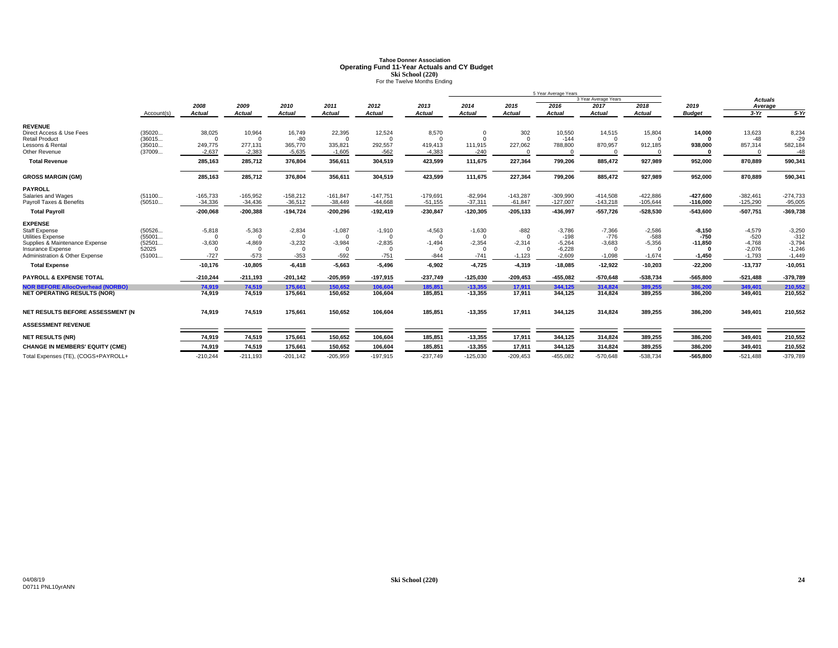# **Tahoe Donner AssociationOperating Fund 11-Year Actuals and CY Budget<br>
Ski School (220)<br>
For the Twelve Months Ending**

|                                         |            |               |            |            |               |               |               | 5 Year Average Years |              |               |                      |            |               |                |            |
|-----------------------------------------|------------|---------------|------------|------------|---------------|---------------|---------------|----------------------|--------------|---------------|----------------------|------------|---------------|----------------|------------|
|                                         |            |               |            |            |               |               |               |                      |              |               | 3 Year Average Years |            |               | <b>Actuals</b> |            |
|                                         |            | 2008          | 2009       | 2010       | 2011          | 2012          | 2013          | 2014                 | 2015         | 2016          | 2017                 | 2018       | 2019          | Average        |            |
|                                         | Account(s) | <b>Actual</b> | Actual     | Actual     | <b>Actual</b> | <b>Actual</b> | <b>Actual</b> | <b>Actual</b>        | Actual       | <b>Actual</b> | <b>Actual</b>        | Actual     | <b>Budget</b> | $3-Yr$         | $5-Yr$     |
| <b>REVENUE</b>                          |            |               |            |            |               |               |               |                      |              |               |                      |            |               |                |            |
| Direct Access & Use Fees                | (35020     | 38,025        | 10,964     | 16,749     | 22,395        | 12,524        | 8,570         | $\Omega$             | 302          | 10,550        | 14,515               | 15,804     | 14,000        | 13,623         | 8,234      |
| <b>Retail Product</b>                   | (36015     | $\Omega$      | $\Omega$   | $-80$      | $\Omega$      | $\Omega$      | $\Omega$      | $\Omega$             | $\mathbf{0}$ | $-144$        | $\Omega$             | $\Omega$   | $\Omega$      | $-48$          | $-29$      |
| Lessons & Rental                        | (35010     | 249,775       | 277,131    | 365,770    | 335,821       | 292,557       | 419,413       | 111,915              | 227,062      | 788,800       | 870,957              | 912,185    | 938.000       | 857,314        | 582,184    |
| Other Revenue                           | (37009     | $-2,637$      | $-2,383$   | $-5,635$   | $-1,605$      | $-562$        | $-4,383$      | $-240$               | $\Omega$     |               |                      |            |               | $\Omega$       | $-48$      |
| <b>Total Revenue</b>                    |            | 285,163       | 285,712    | 376,804    | 356,611       | 304,519       | 423,599       | 111,675              | 227,364      | 799,206       | 885,472              | 927,989    | 952,000       | 870,889        | 590,341    |
| <b>GROSS MARGIN (GM)</b>                |            | 285,163       | 285,712    | 376,804    | 356,611       | 304,519       | 423,599       | 111,675              | 227,364      | 799,206       | 885,472              | 927,989    | 952,000       | 870,889        | 590,341    |
| <b>PAYROLL</b>                          |            |               |            |            |               |               |               |                      |              |               |                      |            |               |                |            |
| Salaries and Wages                      | (51100     | $-165.733$    | $-165.952$ | $-158.212$ | $-161.847$    | $-147.751$    | $-179.691$    | $-82,994$            | $-143.287$   | $-309.990$    | $-414.508$           | $-422.886$ | -427.600      | $-382.461$     | $-274.733$ |
| Payroll Taxes & Benefits                | (50510     | $-34,336$     | $-34,436$  | $-36,512$  | $-38,449$     | $-44,668$     | $-51,155$     | $-37,311$            | $-61,847$    | $-127.007$    | $-143,218$           | $-105,644$ | $-116.000$    | $-125,290$     | $-95,005$  |
| <b>Total Payroll</b>                    |            | $-200,068$    | $-200,388$ | $-194,724$ | $-200,296$    | $-192,419$    | $-230,847$    | $-120,305$           | $-205, 133$  | $-436,997$    | $-557,726$           | -528,530   | $-543,600$    | $-507,751$     | $-369,738$ |
| <b>EXPENSE</b>                          |            |               |            |            |               |               |               |                      |              |               |                      |            |               |                |            |
| <b>Staff Expense</b>                    | (50526     | $-5,818$      | $-5,363$   | $-2,834$   | $-1,087$      | $-1,910$      | $-4,563$      | $-1,630$             | $-882$       | $-3,786$      | $-7,366$             | $-2,586$   | $-8,150$      | $-4,579$       | $-3,250$   |
| <b>Utilities Expense</b>                | (55001     | $\Omega$      | $\Omega$   | $\Omega$   | $\Omega$      | $\Omega$      | $\sqrt{ }$    | $\Omega$             | $\Omega$     | $-198$        | $-776$               | $-588$     | $-750$        | $-520$         | $-312$     |
| Supplies & Maintenance Expense          | (52501     | $-3,630$      | $-4,869$   | $-3,232$   | $-3,984$      | $-2,835$      | $-1,494$      | $-2,354$             | $-2,314$     | $-5,264$      | $-3,683$             | $-5,356$   | $-11.850$     | $-4,768$       | $-3,794$   |
| Insurance Expense                       | 52025      | $\Omega$      | - 0        | $\Omega$   | $\Omega$      |               |               |                      | $\Omega$     | $-6.228$      | $\Omega$             | $\Omega$   |               | $-2.076$       | $-1,246$   |
| Administration & Other Expense          | (51001     | $-727$        | $-573$     | $-353$     | $-592$        | $-751$        | $-844$        | $-741$               | $-1,123$     | $-2.609$      | $-1,098$             | $-1,674$   | $-1,450$      | $-1,793$       | $-1,449$   |
| <b>Total Expense</b>                    |            | $-10,176$     | $-10,805$  | $-6,418$   | $-5,663$      | $-5,496$      | $-6,902$      | $-4,725$             | $-4,319$     | $-18,085$     | $-12,922$            | $-10,203$  | $-22,200$     | $-13,737$      | $-10,051$  |
| <b>PAYROLL &amp; EXPENSE TOTAL</b>      |            | $-210.244$    | $-211,193$ | $-201.142$ | $-205,959$    | $-197,915$    | $-237.749$    | $-125,030$           | $-209.453$   | $-455,082$    | -570,648             | $-538,734$ | $-565.800$    | $-521.488$     | $-379,789$ |
| <b>NOR BEFORE AllocOverhead (NORBO)</b> |            | 74,919        | 74,519     | 175,661    | 150.652       | 106,604       | 185.851       | $-13.355$            | 17,911       | 344,125       | 314,824              | 389,255    | 386.200       | 349,401        | 210,552    |
| <b>NET OPERATING RESULTS (NOR)</b>      |            | 74,919        | 74,519     | 175,661    | 150,652       | 106,604       | 185,851       | $-13,355$            | 17.911       | 344,125       | 314,824              | 389.255    | 386,200       | 349,401        | 210,552    |
| NET RESULTS BEFORE ASSESSMENT (N        |            | 74,919        | 74,519     | 175,661    | 150,652       | 106,604       | 185,851       | $-13,355$            | 17,911       | 344,125       | 314,824              | 389,255    | 386,200       | 349,401        | 210,552    |
| <b>ASSESSMENT REVENUE</b>               |            |               |            |            |               |               |               |                      |              |               |                      |            |               |                |            |
|                                         |            |               |            |            |               |               |               |                      |              |               |                      |            |               |                |            |
| <b>NET RESULTS (NR)</b>                 |            | 74,919        | 74,519     | 175,66     | 150,652       | 106,604       | 185,851       | $-13,355$            | 17,911       | 344,125       | 314,824              | 389,255    | 386,200       | 349,401        | 210,552    |
| <b>CHANGE IN MEMBERS' EQUITY (CME)</b>  |            | 74.919        | 74,519     | 175,661    | 150,652       | 106,604       | 185,851       | $-13,355$            | 17,911       | 344,125       | 314,824              | 389,255    | 386,200       | 349,401        | 210,552    |
| Total Expenses (TE), (COGS+PAYROLL+     |            | $-210,244$    | $-211,193$ | $-201,142$ | $-205,959$    | $-197,915$    | $-237,749$    | $-125,030$           | $-209,453$   | $-455,082$    | $-570,648$           | $-538,734$ | $-565,800$    | $-521,488$     | $-379,789$ |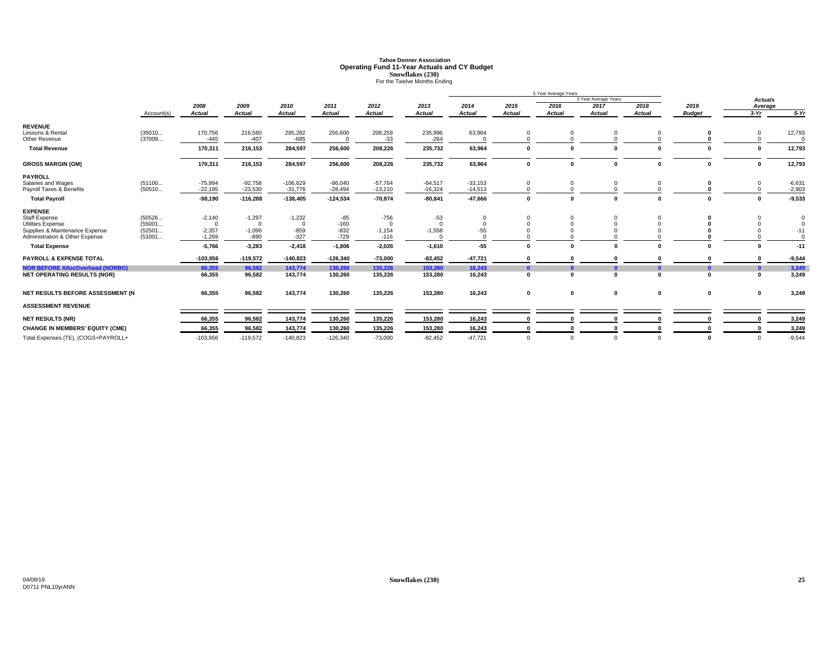# **Tahoe Donner AssociationOperating Fund 11-Year Actuals and CY Budget<br>
<b>Snowflakes (230)**<br>
For the Twelve Months Ending

|                                         |            |               |               |               |               |               |               |               |               | 5 Year Average Years |                      |            |               |                |             |
|-----------------------------------------|------------|---------------|---------------|---------------|---------------|---------------|---------------|---------------|---------------|----------------------|----------------------|------------|---------------|----------------|-------------|
|                                         |            |               |               |               |               |               |               |               |               |                      | 3 Year Average Years |            |               | <b>Actuals</b> |             |
|                                         |            | 2008          | 2009          | 2010          | 2011          | 2012          | 2013          | 2014          | 2015          | 2016                 | 2017                 | 2018       | 2019          | Average        |             |
|                                         | Account(s) | <b>Actual</b> | <b>Actual</b> | <b>Actual</b> | <b>Actual</b> | <b>Actual</b> | <b>Actual</b> | <b>Actual</b> | <b>Actual</b> | Actual               | <b>Actual</b>        | Actual     | <b>Budget</b> | $3-Yr$         | $5-Yr$      |
| <b>REVENUE</b>                          |            |               |               |               |               |               |               |               |               |                      |                      |            |               |                |             |
| Lessons & Rental                        | (35010     | 170,756       | 216,560       | 285,282       | 256,600       | 208,259       | 235,996       | 63,964        | 0             |                      |                      | $^{\circ}$ |               | 0              | 12,793      |
| Other Revenue                           | (37009     | $-445$        | $-407$        | $-685$        | $\Omega$      | $-33$         | $-264$        |               | $\Omega$      |                      |                      |            |               |                |             |
| <b>Total Revenue</b>                    |            | 170,311       | 216,153       | 284,597       | 256,600       | 208,226       | 235,732       | 63,964        | 0             |                      | $\sqrt{ }$           |            |               | $\mathbf 0$    | 12,793      |
| <b>GROSS MARGIN (GM)</b>                |            | 170,311       | 216,153       | 284,597       | 256,600       | 208,226       | 235,732       | 63,964        | $\pmb{0}$     |                      | $\Omega$             | $\Omega$   | $\Omega$      | $\pmb{0}$      | 12,793      |
| <b>PAYROLL</b>                          |            |               |               |               |               |               |               |               |               |                      |                      |            |               |                |             |
| Salaries and Wages                      | (51100     | $-75,994$     | $-92,758$     | $-106,629$    | $-96,040$     | $-57,764$     | $-64,517$     | $-33,153$     | $\mathbf 0$   |                      |                      |            |               | $\mathbf 0$    | $-6,631$    |
| Payroll Taxes & Benefits                | (50510     | $-22,195$     | $-23,530$     | $-31,776$     | $-28,494$     | $-13,210$     | $-16,324$     | $-14,513$     | $\Omega$      |                      |                      |            |               | $\Omega$       | $-2,903$    |
| <b>Total Payroll</b>                    |            | $-98,190$     | $-116,288$    | $-138,405$    | $-124,534$    | $-70,974$     | $-80, 841$    | $-47,666$     | $\mathbf 0$   |                      | $\Omega$             |            | $\Omega$      | $\mathbf{0}$   | $-9,533$    |
| <b>EXPENSE</b>                          |            |               |               |               |               |               |               |               |               |                      |                      |            |               |                |             |
| <b>Staff Expense</b>                    | (50526     | $-2,140$      | $-1,297$      | $-1,232$      | $-85$         | $-756$        | $-53$         | $\mathbf 0$   | $\Omega$      |                      |                      |            |               |                |             |
| Utilities Expense                       | (55001     | $\Omega$      | $\Omega$      | $\Omega$      | $-160$        | $\Omega$      |               | $\Omega$      | $\Omega$      |                      |                      |            |               |                | $\mathbf 0$ |
| Supplies & Maintenance Expense          | (52501     | $-2,357$      | $-1,096$      | $-859$        | $-832$        | $-1,154$      | $-1,558$      | $-55$         |               |                      |                      |            |               |                | $-11$       |
| Administration & Other Expense          | (51001     | $-1,269$      | $-890$        | $-327$        | $-729$        | $-116$        |               | $\Omega$      |               |                      |                      |            |               |                | $\Omega$    |
| <b>Total Expense</b>                    |            | $-5,766$      | $-3,283$      | $-2,418$      | $-1,806$      | $-2,026$      | $-1,610$      | $-55$         | $\mathbf 0$   |                      | $\mathbf{r}$         | $\Omega$   |               | $\Omega$       | $-11$       |
| <b>PAYROLL &amp; EXPENSE TOTAL</b>      |            | $-103,956$    | $-119,572$    | $-140,823$    | $-126,340$    | $-73,000$     | $-82,452$     | $-47,721$     |               |                      |                      |            |               |                | $-9,544$    |
| <b>NOR BEFORE AllocOverhead (NORBO)</b> |            | 66,355        | 96,582        | 143,774       | 130,260       | 135,226       | 153,280       | 16,243        | $\mathbf{0}$  |                      |                      |            | 0             | $\mathbf{0}$   | 3,249       |
| <b>NET OPERATING RESULTS (NOR)</b>      |            | 66,355        | 96,582        | 143,774       | 130,260       | 135,226       | 153,280       | 16,243        | 0             |                      | $\mathbf{r}$         | $\sqrt{2}$ | $\Omega$      | $\mathbf{0}$   | 3,249       |
| NET RESULTS BEFORE ASSESSMENT (N        |            | 66,355        | 96,582        | 143,774       | 130,260       | 135,226       | 153,280       | 16,243        | 0             | $\mathbf 0$          | $\mathbf 0$          | 0          | 0             | 0              | 3,249       |
|                                         |            |               |               |               |               |               |               |               |               |                      |                      |            |               |                |             |
| <b>ASSESSMENT REVENUE</b>               |            |               |               |               |               |               |               |               |               |                      |                      |            |               |                |             |
| <b>NET RESULTS (NR)</b>                 |            | 66,355        | 96,582        | 143,774       | 130,260       | 135,226       | 153,280       | 16,243        | $\mathbf{0}$  |                      |                      |            |               |                | 3,249       |
| <b>CHANGE IN MEMBERS' EQUITY (CME)</b>  |            | 66,355        | 96,582        | 143,774       | 130,260       | 135,226       | 153,280       | 16,243        | $\mathbf{0}$  |                      |                      |            |               | $\Omega$       | 3,249       |
| Total Expenses (TE), (COGS+PAYROLL+     |            | $-103,956$    | $-119,572$    | $-140,823$    | $-126,340$    | $-73,000$     | $-82.452$     | $-47.721$     | $\Omega$      |                      | $\Omega$             | $\Omega$   |               | $\Omega$       | $-9,544$    |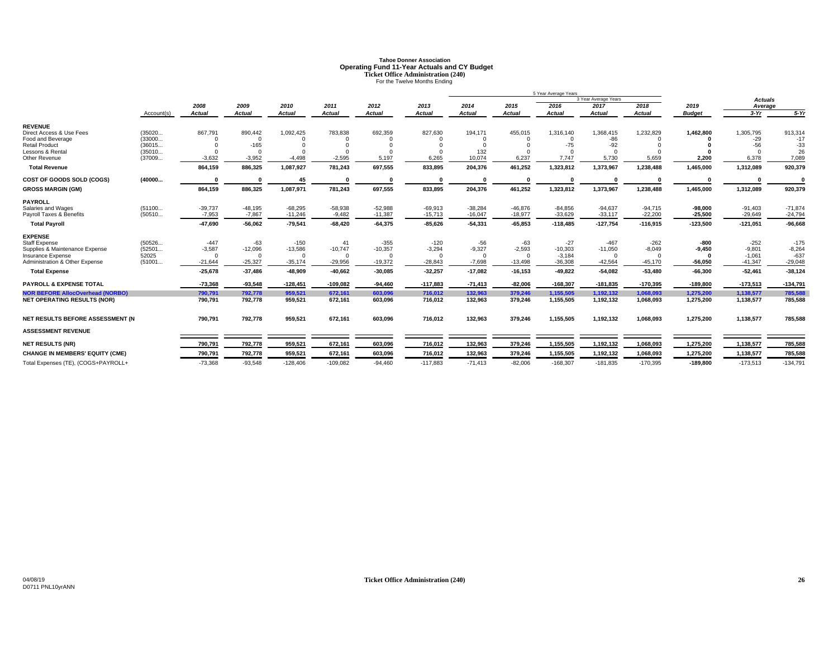# **Tahoe Donner AssociationOperating Fund 11-Year Actuals and CY Budget<br>
Ticket Office Administration (240)<br>
For the Twelve Months Ending**

|                                                     |                 |                       |                       |                       |                       |                     |               |                      |                       | 5 Year Average Years  |                       |                       |                         |                       |                     |
|-----------------------------------------------------|-----------------|-----------------------|-----------------------|-----------------------|-----------------------|---------------------|---------------|----------------------|-----------------------|-----------------------|-----------------------|-----------------------|-------------------------|-----------------------|---------------------|
|                                                     |                 |                       |                       |                       |                       |                     |               |                      |                       |                       | 3 Year Average Years  |                       |                         | <b>Actuals</b>        |                     |
|                                                     |                 | 2008                  | 2009                  | 2010                  | 2011                  | 2012                | 2013          | 2014                 | 2015                  | 2016                  | 2017                  | 2018                  | 2019                    | Average               |                     |
|                                                     | Account(s)      | Actual                | <b>Actual</b>         | <b>Actual</b>         | <b>Actual</b>         | <b>Actual</b>       | <b>Actual</b> | <b>Actual</b>        | <b>Actual</b>         | <b>Actual</b>         | Actual                | <b>Actual</b>         | <b>Budget</b>           | $3-Yr$                | $5-Yr$              |
| <b>REVENUE</b>                                      |                 |                       |                       |                       |                       |                     |               |                      |                       |                       |                       |                       |                         |                       |                     |
| Direct Access & Use Fees                            | (35020          | 867.791               | 890,442               | 1,092,425             | 783,838               | 692,359             | 827,630       | 194,171              | 455,015               | 1,316,140             | 1,368,415             | 1,232,829             | 1,462,800               | 1,305,795             | 913,314             |
| Food and Beverage                                   | (33000          |                       | $\Omega$              |                       |                       |                     |               |                      |                       |                       | $-86$                 |                       |                         | $-29$                 | $-17$               |
| <b>Retail Product</b>                               | (36015          |                       | $-165$                |                       |                       |                     |               | $\Omega$             | $\Omega$              | $-75$                 | $-92$                 |                       |                         | $-56$                 | $-33$               |
| Lessons & Rental                                    | (35010          | $\Omega$              | $\Omega$              |                       | $\Omega$              |                     |               | 132                  | $\Omega$              |                       | $\Omega$              |                       |                         | $\Omega$              | 26                  |
| Other Revenue                                       | (37009          | $-3,632$              | $-3,952$              | $-4,498$              | $-2,595$              | 5,197               | 6,265         | 10,074               | 6,237                 | 7,747                 | 5,730                 | 5,659                 | 2,200                   | 6,378                 | 7,089               |
| <b>Total Revenue</b>                                |                 | 864,159               | 886,325               | 1,087,927             | 781,243               | 697,555             | 833,895       | 204,376              | 461,252               | 1,323,812             | 1,373,967             | 1,238,488             | 1,465,000               | 1,312,089             | 920,379             |
| COST OF GOODS SOLD (COGS)                           | (40000          | $\Omega$              | $\sqrt{2}$            | 45                    |                       |                     |               | $\Omega$             | $\mathbf{0}$          |                       | $\mathbf{r}$          |                       | $\Omega$                |                       |                     |
| <b>GROSS MARGIN (GM)</b>                            |                 | 864,159               | 886,325               | 1,087,971             | 781,243               | 697,555             | 833,895       | 204,376              | 461,252               | 1,323,812             | 1,373,967             | 1,238,488             | 1,465,000               | 1,312,089             | 920,379             |
| <b>PAYROLL</b>                                      |                 |                       |                       |                       |                       |                     |               |                      |                       |                       |                       |                       |                         |                       |                     |
| Salaries and Wages                                  | (51100          | $-39,737$             | $-48.195$             | $-68,295$             | $-58,938$             | $-52,988$           | $-69.913$     | $-38.284$            | $-46.876$             | $-84.856$             | $-94.637$             | $-94,715$             | $-98.000$               | $-91.403$             | $-71.874$           |
| Payroll Taxes & Benefits                            | (50510          | $-7,953$              | $-7,867$              | $-11,246$             | $-9,482$              | $-11,387$           | $-15,713$     | $-16.047$            | $-18,977$             | $-33,629$             | $-33,117$             | $-22,200$             | $-25,500$               | $-29,649$             | $-24,794$           |
| <b>Total Payroll</b>                                |                 | $-47,690$             | $-56,062$             | $-79,541$             | $-68,420$             | $-64,375$           | $-85,626$     | $-54,331$            | $-65,853$             | $-118,485$            | $-127,754$            | $-116,915$            | $-123,500$              | $-121,051$            | $-96,668$           |
| <b>EXPENSE</b>                                      |                 |                       |                       |                       |                       |                     |               |                      |                       |                       |                       |                       |                         |                       |                     |
| <b>Staff Expense</b>                                | (50526          | $-447$                | $-63$                 | $-150$                | 41                    | $-355$              | $-120$        | $-56$                | $-63$                 | $-27$                 | $-467$                | $-262$                | -800                    | $-252$                | $-175$              |
| Supplies & Maintenance Expense                      | (52501          | $-3,587$              | $-12,096$             | $-13,586$             | $-10,747$             | $-10,357$           | $-3,294$      | $-9,327$             | $-2,593$              | $-10,303$             | $-11,050$             | $-8,049$              | $-9.450$                | $-9,801$              | $-8,264$            |
| Insurance Expense<br>Administration & Other Expense | 52025<br>(51001 | $\Omega$<br>$-21,644$ | $\Omega$<br>$-25,327$ | $\Omega$<br>$-35,174$ | $\Omega$<br>$-29,956$ | $\cap$<br>$-19,372$ | $-28,843$     | $\Omega$<br>$-7,698$ | $\Omega$<br>$-13,498$ | $-3,184$<br>$-36,308$ | $\Omega$<br>$-42,564$ | $\Omega$<br>$-45,170$ | $\sqrt{2}$<br>$-56,050$ | $-1.061$<br>$-41,347$ | $-637$<br>$-29,048$ |
| <b>Total Expense</b>                                |                 | $-25,678$             | $-37,486$             | $-48,909$             | $-40,662$             | $-30,085$           | $-32,257$     | $-17,082$            | $-16, 153$            | $-49,822$             | $-54,082$             | $-53,480$             | $-66,300$               | $-52,461$             | $-38,124$           |
|                                                     |                 |                       |                       |                       |                       |                     |               |                      |                       |                       |                       |                       |                         |                       |                     |
| <b>PAYROLL &amp; EXPENSE TOTAL</b>                  |                 | $-73,368$             | $-93,548$             | $-128,451$            | $-109,082$            | $-94,460$           | $-117,883$    | $-71,413$            | $-82,006$             | $-168,307$            | $-181,835$            | $-170,395$            | $-189,800$              | $-173,513$            | $-134,791$          |
| <b>NOR BEFORE AllocOverhead (NORBO)</b>             |                 | 790.791               | 792.778               | 959.521               | 672.161               | 603.096             | 716,012       | 132.963              | 379.246               | 1.155.505             | 1.192.132             | 1.068.093             | 1.275.200               | 1,138,577             | 785.588             |
| <b>NET OPERATING RESULTS (NOR)</b>                  |                 | 790,791               | 792,778               | 959,521               | 672,161               | 603,096             | 716,012       | 132,963              | 379,246               | 1,155,505             | 1,192,132             | 1,068,093             | 1,275,200               | 1,138,577             | 785,588             |
| NET RESULTS BEFORE ASSESSMENT (N                    |                 | 790,791               | 792,778               | 959,521               | 672,161               | 603,096             | 716,012       | 132,963              | 379,246               | 1,155,505             | 1,192,132             | 1,068,093             | 1,275,200               | 1,138,577             | 785,588             |
|                                                     |                 |                       |                       |                       |                       |                     |               |                      |                       |                       |                       |                       |                         |                       |                     |
| <b>ASSESSMENT REVENUE</b>                           |                 |                       |                       |                       |                       |                     |               |                      |                       |                       |                       |                       |                         |                       |                     |
| <b>NET RESULTS (NR)</b>                             |                 | 790,791               | 792,778               | 959,521               | 672,161               | 603,096             | 716,012       | 132,963              | 379,246               | 1,155,505             | 1,192,132             | 1,068,093             | 1,275,200               | 1,138,577             | 785,588             |
| <b>CHANGE IN MEMBERS' EQUITY (CME)</b>              |                 | 790,791               | 792,778               | 959,521               | 672,161               | 603,096             | 716.012       | 132.963              | 379,246               | 1,155,505             | 1,192,132             | 1,068,093             | 1,275,200               | 1,138,577             | 785,588             |
| Total Expenses (TE), (COGS+PAYROLL+                 |                 | $-73,368$             | $-93,548$             | $-128,406$            | $-109,082$            | $-94,460$           | $-117,883$    | $-71,413$            | $-82,006$             | $-168,307$            | $-181,835$            | $-170,395$            | $-189,800$              | $-173,513$            | $-134,791$          |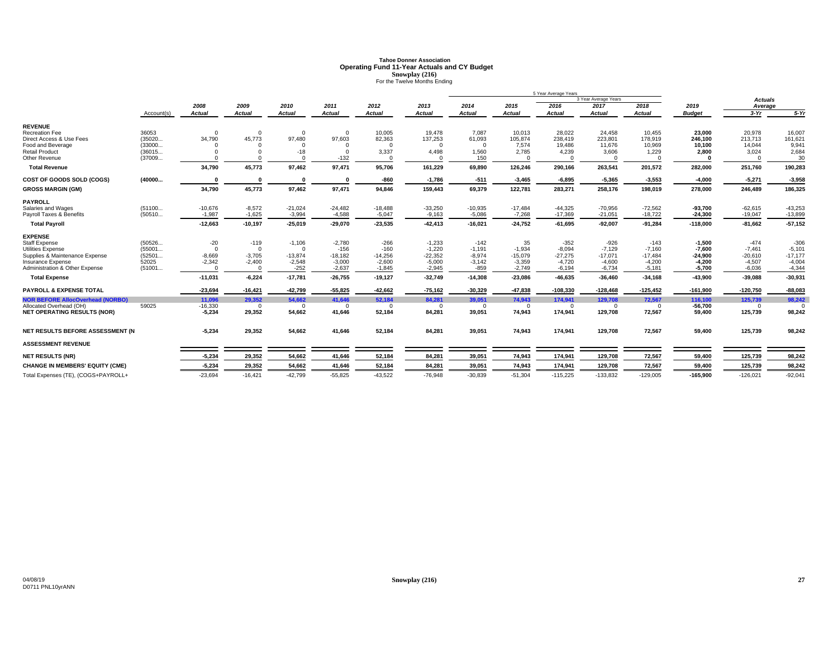# **Tahoe Donner AssociationOperating Fund 11-Year Actuals and CY Budget<br>
<b>Snowplay (216)**<br>
For the Twelve Months Ending

|                                                                                                                                                                                         |                                                         | 5 Year Average Years                                               |                                                                                    |                                                                      |                                                                      |                                                                     |                                                                        |                                                                       |                                                                      |                                                                         |                                                                         |                                                                      |                                                                        |                                                                      |                                                                      |
|-----------------------------------------------------------------------------------------------------------------------------------------------------------------------------------------|---------------------------------------------------------|--------------------------------------------------------------------|------------------------------------------------------------------------------------|----------------------------------------------------------------------|----------------------------------------------------------------------|---------------------------------------------------------------------|------------------------------------------------------------------------|-----------------------------------------------------------------------|----------------------------------------------------------------------|-------------------------------------------------------------------------|-------------------------------------------------------------------------|----------------------------------------------------------------------|------------------------------------------------------------------------|----------------------------------------------------------------------|----------------------------------------------------------------------|
|                                                                                                                                                                                         |                                                         | 2008                                                               | 2009                                                                               | 2010                                                                 | 2011                                                                 | 2012                                                                | 2013                                                                   | 2014                                                                  | 2015                                                                 | 2016                                                                    | 3 Year Average Years<br>2017                                            | 2018                                                                 | 2019                                                                   | <b>Actuals</b><br>Average                                            |                                                                      |
|                                                                                                                                                                                         | Account(s)                                              | <b>Actual</b>                                                      | <b>Actual</b>                                                                      | <b>Actual</b>                                                        | <b>Actual</b>                                                        | <b>Actual</b>                                                       | <b>Actual</b>                                                          | <b>Actual</b>                                                         | <b>Actual</b>                                                        | Actual                                                                  | <b>Actual</b>                                                           | <b>Actual</b>                                                        | <b>Budget</b>                                                          | $3-Yr$                                                               | $5-Yr$                                                               |
| <b>REVENUE</b><br><b>Recreation Fee</b><br>Direct Access & Use Fees<br>Food and Beverage<br><b>Retail Product</b><br>Other Revenue<br><b>Total Revenue</b><br>COST OF GOODS SOLD (COGS) | 36053<br>(35020<br>(33000<br>(36015<br>(37009<br>(40000 | $\Omega$<br>34.790<br>34,790                                       | $\Omega$<br>45.773<br>$\Omega$<br>$^{\circ}$<br>$\Omega$<br>45,773<br>$\mathbf{0}$ | $\Omega$<br>97.480<br>$\Omega$<br>$-18$<br>97,462                    | $\Omega$<br>97,603<br>$\Omega$<br>$\Omega$<br>$-132$<br>97,471       | 10,005<br>82.363<br>$\Omega$<br>3,337<br>$\Omega$<br>95,706<br>-860 | 19,478<br>137.253<br>$\Omega$<br>4,498<br>161,229<br>$-1,786$          | 7,087<br>61.093<br>$\overline{0}$<br>1,560<br>150<br>69,890<br>$-511$ | 10,013<br>105,874<br>7,574<br>2,785<br>$\cap$<br>126,246<br>$-3,465$ | 28,022<br>238.419<br>19,486<br>4,239<br>$\Omega$<br>290,166<br>$-6,895$ | 24,458<br>223,801<br>11,676<br>3,606<br>$\Omega$<br>263,541<br>$-5,365$ | 10,455<br>178.919<br>10,969<br>1,229<br>201,572<br>$-3,553$          | 23.000<br>246.100<br>10.100<br>2.800<br>282,000<br>$-4,000$            | 20,978<br>213.713<br>14,044<br>3,024<br>251,760<br>$-5,271$          | 16,007<br>161,621<br>9,941<br>2,684<br>30<br>190,283<br>$-3,958$     |
| <b>GROSS MARGIN (GM)</b>                                                                                                                                                                |                                                         | 34,790                                                             | 45,773                                                                             | 97,462                                                               | 97,471                                                               | 94,846                                                              | 159,443                                                                | 69,379                                                                | 122,781                                                              | 283,271                                                                 | 258,176                                                                 | 198,019                                                              | 278,000                                                                | 246,489                                                              | 186,325                                                              |
| <b>PAYROLL</b><br>Salaries and Wages<br>Payroll Taxes & Benefits<br><b>Total Payroll</b>                                                                                                | (51100<br>(50510                                        | $-10,676$<br>$-1,987$<br>$-12,663$                                 | $-8,572$<br>$-1,625$<br>$-10,197$                                                  | $-21,024$<br>$-3,994$<br>$-25,019$                                   | $-24,482$<br>$-4,588$<br>$-29,070$                                   | $-18,488$<br>$-5,047$<br>$-23,535$                                  | $-33,250$<br>$-9,163$<br>$-42,413$                                     | $-10,935$<br>$-5,086$<br>$-16,021$                                    | $-17,484$<br>$-7,268$<br>$-24,752$                                   | $-44,325$<br>$-17,369$<br>-61,695                                       | $-70,956$<br>$-21,051$<br>$-92,007$                                     | $-72,562$<br>$-18,722$<br>$-91,284$                                  | $-93,700$<br>$-24,300$<br>$-118,000$                                   | $-62,615$<br>$-19,047$<br>$-81,662$                                  | $-43,253$<br>$-13,899$<br>$-57,152$                                  |
| <b>EXPENSE</b><br><b>Staff Expense</b><br>Utilities Expense<br>Supplies & Maintenance Expense<br>Insurance Expense<br>Administration & Other Expense<br><b>Total Expense</b>            | (50526<br>(55001<br>(52501<br>52025<br>(51001           | $-20$<br>$\Omega$<br>$-8,669$<br>$-2.342$<br>$\Omega$<br>$-11,031$ | $-119$<br>$\Omega$<br>$-3,705$<br>$-2,400$<br>$\Omega$<br>$-6,224$                 | $-1,106$<br>$\Omega$<br>$-13,874$<br>$-2,548$<br>$-252$<br>$-17,781$ | $-2,780$<br>$-156$<br>$-18,182$<br>$-3,000$<br>$-2,637$<br>$-26,755$ | $-266$<br>$-160$<br>$-14,256$<br>$-2,600$<br>$-1,845$<br>$-19,127$  | $-1,233$<br>$-1,220$<br>$-22,352$<br>$-5,000$<br>$-2,945$<br>$-32,749$ | $-142$<br>$-1,191$<br>$-8,974$<br>$-3,142$<br>$-859$<br>$-14,308$     | 35<br>$-1,934$<br>$-15,079$<br>$-3,359$<br>$-2,749$<br>$-23,086$     | $-352$<br>$-8,094$<br>$-27,275$<br>$-4,720$<br>$-6,194$<br>$-46,635$    | $-926$<br>$-7,129$<br>$-17,071$<br>$-4,600$<br>$-6,734$<br>$-36,460$    | $-143$<br>$-7,160$<br>$-17,484$<br>$-4,200$<br>$-5,181$<br>$-34,168$ | $-1.500$<br>$-7.600$<br>$-24,900$<br>$-4.200$<br>$-5,700$<br>$-43,900$ | $-474$<br>$-7,461$<br>$-20,610$<br>$-4,507$<br>$-6,036$<br>$-39,088$ | $-306$<br>$-5,101$<br>$-17,177$<br>$-4,004$<br>$-4,344$<br>$-30,931$ |
| <b>PAYROLL &amp; EXPENSE TOTAL</b>                                                                                                                                                      |                                                         | $-23,694$                                                          | $-16,421$                                                                          | $-42,799$                                                            |                                                                      | $-42,662$                                                           | $-75,162$                                                              | $-30,329$                                                             | $-47,838$                                                            | $-108,330$                                                              | $-128,468$                                                              | $-125,452$                                                           | $-161,900$                                                             | $-120,750$                                                           | $-88,083$                                                            |
| <b>NOR BEFORE AllocOverhead (NORBO)</b><br>Allocated Overhead (OH)<br><b>NET OPERATING RESULTS (NOR)</b>                                                                                | 59025                                                   | 11,096<br>$-16,330$<br>$-5,234$                                    | 29,352<br>$\Omega$<br>29,352                                                       | 54,662<br>$\overline{0}$<br>54,662                                   | $-55,825$<br>41,646<br>$\Omega$<br>41,646                            | 52,184<br>$\Omega$<br>52,184                                        | 84,281<br>$\Omega$<br>84,281                                           | 39,051<br>$\Omega$<br>39,051                                          | 74,943<br>$\Omega$<br>74,943                                         | 174,941<br>$\Omega$<br>174,941                                          | 129,708<br>$\Omega$<br>129,708                                          | 72,567<br>$\Omega$<br>72,567                                         | 116.100<br>$-56,700$<br>59,400                                         | 125,739<br>$\Omega$<br>125,739                                       | 98,242<br>98,242                                                     |
| NET RESULTS BEFORE ASSESSMENT (N                                                                                                                                                        |                                                         | $-5,234$                                                           | 29,352                                                                             | 54,662                                                               | 41,646                                                               | 52,184                                                              | 84,281                                                                 | 39,051                                                                | 74,943                                                               | 174,941                                                                 | 129,708                                                                 | 72,567                                                               | 59,400                                                                 | 125,739                                                              | 98,242                                                               |
| <b>ASSESSMENT REVENUE</b>                                                                                                                                                               |                                                         |                                                                    |                                                                                    |                                                                      |                                                                      |                                                                     |                                                                        |                                                                       |                                                                      |                                                                         |                                                                         |                                                                      |                                                                        |                                                                      |                                                                      |
| <b>NET RESULTS (NR)</b>                                                                                                                                                                 |                                                         | $-5,234$                                                           | 29,352                                                                             | 54,662                                                               | 41,646                                                               | 52,184                                                              | 84,281                                                                 | 39,051                                                                | 74,943                                                               | 174,941                                                                 | 129,708                                                                 | 72,567                                                               | 59,400                                                                 | 125,739                                                              | 98,242                                                               |
| <b>CHANGE IN MEMBERS' EQUITY (CME)</b>                                                                                                                                                  |                                                         | $-5,234$                                                           | 29,352                                                                             | 54,662                                                               | 41,646                                                               | 52,184                                                              | 84,281                                                                 | 39,051                                                                | 74,943                                                               | 174,941                                                                 | 129,708                                                                 | 72,567                                                               | 59,400                                                                 | 125,739                                                              | 98,242                                                               |
| Total Expenses (TE), (COGS+PAYROLL+                                                                                                                                                     |                                                         | $-23,694$                                                          | $-16,421$                                                                          | $-42,799$                                                            | $-55,825$                                                            | $-43,522$                                                           | $-76,948$                                                              | $-30,839$                                                             | $-51,304$                                                            | $-115,225$                                                              | $-133,832$                                                              | $-129,005$                                                           | $-165.900$                                                             | $-126,021$                                                           | $-92,041$                                                            |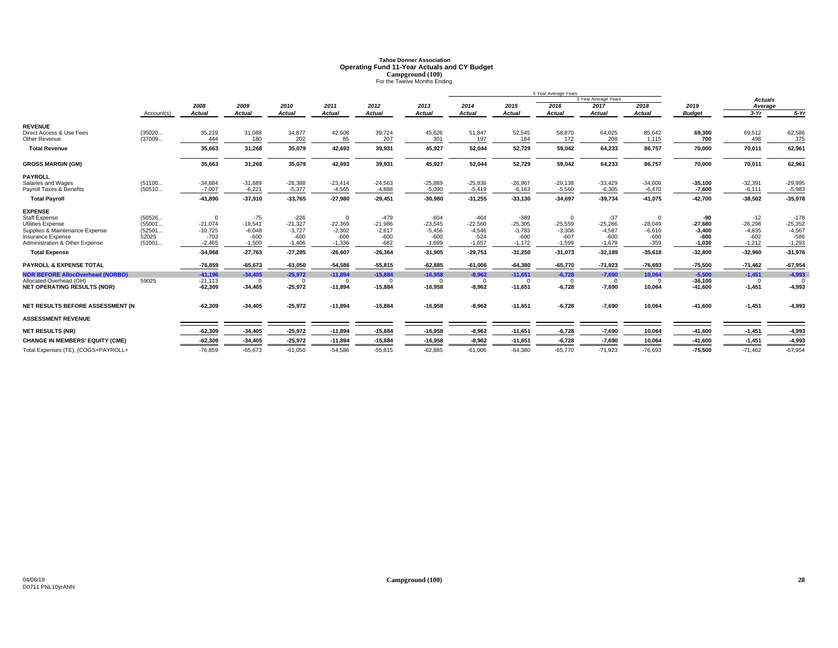# **Tahoe Donner AssociationOperating Fund 11-Year Actuals and CY Budget<br>
Campground (100)<br>
For the Twelve Months Ending**

|                                         |            |               |               |               |               |               |               |               |           | 5 Year Average Years |                      |               |               |                |           |
|-----------------------------------------|------------|---------------|---------------|---------------|---------------|---------------|---------------|---------------|-----------|----------------------|----------------------|---------------|---------------|----------------|-----------|
|                                         |            |               |               |               |               |               |               |               |           |                      | 3 Year Average Years |               |               | <b>Actuals</b> |           |
|                                         |            | 2008          | 2009          | 2010          | 2011          | 2012          | 2013          | 2014          | 2015      | 2016                 | 2017                 | 2018          | 2019          | Average        |           |
|                                         | Account(s) | <b>Actual</b> | <b>Actual</b> | <b>Actual</b> | <b>Actual</b> | <b>Actual</b> | <b>Actual</b> | <b>Actual</b> | Actual    | <b>Actual</b>        | <b>Actual</b>        | <b>Actual</b> | <b>Budget</b> | $3-Yr$         | $5-Yr$    |
| <b>REVENUE</b>                          |            |               |               |               |               |               |               |               |           |                      |                      |               |               |                |           |
| Direct Access & Use Fees                | (35020     | 35,219        | 31,088        | 34,877        | 42,608        | 39,724        | 45,626        | 51,847        | 52,545    | 58,870               | 64,025               | 85,642        | 69,300        | 69,512         | 62,586    |
| Other Revenue                           | (37009     | 444           | 180           | 202           | 85            | 207           | 301           | 197           | 184       | 172                  | 208                  | 1,115         | 700           | 498            | 375       |
| <b>Total Revenue</b>                    |            | 35,663        | 31,268        | 35,079        | 42,693        | 39,931        | 45,927        | 52,044        | 52,729    | 59,042               | 64,233               | 86,757        | 70,000        | 70,011         | 62,961    |
| <b>GROSS MARGIN (GM)</b>                |            | 35.663        | 31.268        | 35,079        | 42.693        | 39,931        | 45,927        | 52.044        | 52.729    | 59,042               | 64.233               | 86,757        | 70.000        | 70,011         | 62,961    |
| <b>PAYROLL</b>                          |            |               |               |               |               |               |               |               |           |                      |                      |               |               |                |           |
| Salaries and Wages                      | (51100     | $-34,884$     | $-31,689$     | $-28,388$     | $-23,414$     | $-24,563$     | $-25,889$     | $-25,836$     | $-26,967$ | $-29,138$            | $-33,429$            | $-34,606$     | $-35,100$     | $-32,391$      | $-29,995$ |
| Payroll Taxes & Benefits                | (50510     | $-7,007$      | $-6,221$      | $-5,377$      | $-4,565$      | $-4,888$      | $-5.090$      | $-5.419$      | $-6.163$  | $-5,560$             | $-6,305$             | $-6,470$      | $-7,600$      | $-6,111$       | $-5,983$  |
| <b>Total Payroll</b>                    |            | $-41,890$     | $-37,910$     | $-33,765$     | $-27,980$     | $-29,451$     | $-30,980$     | $-31,255$     | $-33,130$ | $-34,697$            | $-39,734$            | $-41,075$     | $-42,700$     | $-38,502$      | $-35,978$ |
| <b>EXPENSE</b>                          |            |               |               |               |               |               |               |               |           |                      |                      |               |               |                |           |
| <b>Staff Expense</b>                    | (50526     | $\Omega$      | $-75$         | $-226$        | $\Omega$      | $-479$        | $-604$        | $-464$        | $-389$    | $\Omega$             | $-37$                | $\Omega$      | -90           | $-12$          | $-178$    |
| Utilities Expense                       | (55001     | $-21.074$     | $-19,541$     | $-21,327$     | $-22,369$     | $-21,986$     | $-23,545$     | $-22,560$     | $-25,305$ | $-25,559$            | $-25,286$            | $-28,049$     | $-27.680$     | $-26,298$      | $-25,352$ |
| Supplies & Maintenance Expense          | (52501     | $-10.725$     | $-6.048$      | $-3,727$      | $-2,302$      | $-2,617$      | $-5.456$      | $-4.546$      | $-3.783$  | $-3,308$             | $-4.587$             | $-6,610$      | $-3.400$      | $-4,835$       | $-4,567$  |
| Insurance Expense                       | 52025      | $-703$        | $-600$        | $-600$        | $-600$        | $-600$        | $-600$        | $-524$        | $-600$    | $-607$               | $-600$               | $-600$        | $-600$        | $-602$         | $-586$    |
| Administration & Other Expense          | (51001     | $-2,465$      | $-1,500$      | $-1,406$      | $-1,336$      | $-682$        | $-1,699$      | $-1,657$      | $-1.172$  | $-1,599$             | $-1,679$             | $-359$        | $-1,030$      | $-1,212$       | $-1,293$  |
| <b>Total Expense</b>                    |            | $-34,968$     | $-27,763$     | $-27,285$     | $-26,607$     | $-26,364$     | $-31,905$     | $-29,751$     | $-31,250$ | $-31,073$            | $-32,189$            | $-35,618$     | $-32,800$     | $-32,960$      | $-31,976$ |
| <b>PAYROLL &amp; EXPENSE TOTAL</b>      |            | $-76,859$     | $-65.673$     | $-61,050$     | $-54,586$     | $-55,815$     | $-62.885$     | $-61.006$     | $-64,380$ | $-65.770$            | $-71,923$            | $-76,693$     | $-75,500$     | $-71.462$      | $-67,954$ |
| <b>NOR BEFORE AllocOverhead (NORBO)</b> |            | $-41,196$     | $-34,405$     | $-25,972$     | $-11,894$     | $-15,884$     | $-16,958$     | $-8,962$      | $-11,651$ | $-6,728$             | $-7,690$             | 10,064        | $-5,500$      | $-1,451$       | $-4,993$  |
| Allocated Overhead (OH)                 | 59025      | $-21,113$     | $\Omega$      | $\Omega$      | $\Omega$      | $\Omega$      |               | $\Omega$      | $\Omega$  | $\Omega$             | $\Omega$             | $\Omega$      | $-36,100$     | $\Omega$       | $\Omega$  |
| <b>NET OPERATING RESULTS (NOR)</b>      |            | $-62,309$     | $-34,405$     | $-25,972$     | $-11,894$     | $-15,884$     | $-16,958$     | $-8,962$      | $-11,651$ | $-6,728$             | $-7,690$             | 10,064        | $-41,600$     | $-1,451$       | $-4,993$  |
| NET RESULTS BEFORE ASSESSMENT (N        |            | $-62,309$     | $-34.405$     | $-25,972$     | $-11,894$     | $-15,884$     | $-16,958$     | $-8.962$      | $-11,651$ | $-6,728$             | $-7,690$             | 10,064        | $-41,600$     | $-1,451$       | $-4,993$  |
| <b>ASSESSMENT REVENUE</b>               |            |               |               |               |               |               |               |               |           |                      |                      |               |               |                |           |
| <b>NET RESULTS (NR)</b>                 |            | $-62,309$     | $-34,405$     | $-25,972$     | $-11,894$     | $-15,884$     | $-16,958$     | $-8,962$      | $-11,651$ | $-6,728$             | $-7,690$             | 10,064        | $-41,600$     | $-1,451$       | $-4,993$  |
| <b>CHANGE IN MEMBERS' EQUITY (CME)</b>  |            | $-62,309$     | $-34,405$     | $-25,972$     | $-11,894$     | $-15,884$     | $-16,958$     | $-8,962$      | $-11,651$ | $-6,728$             | $-7,690$             | 10,064        | $-41,600$     | $-1,451$       | $-4,993$  |
| Total Expenses (TE), (COGS+PAYROLL+     |            | $-76.859$     | $-65.673$     | $-61.050$     | $-54.586$     | $-55.815$     | $-62.885$     | $-61.006$     | $-64.380$ | $-65.770$            | $-71.923$            | $-76.693$     | $-75.500$     | $-71.462$      | $-67,954$ |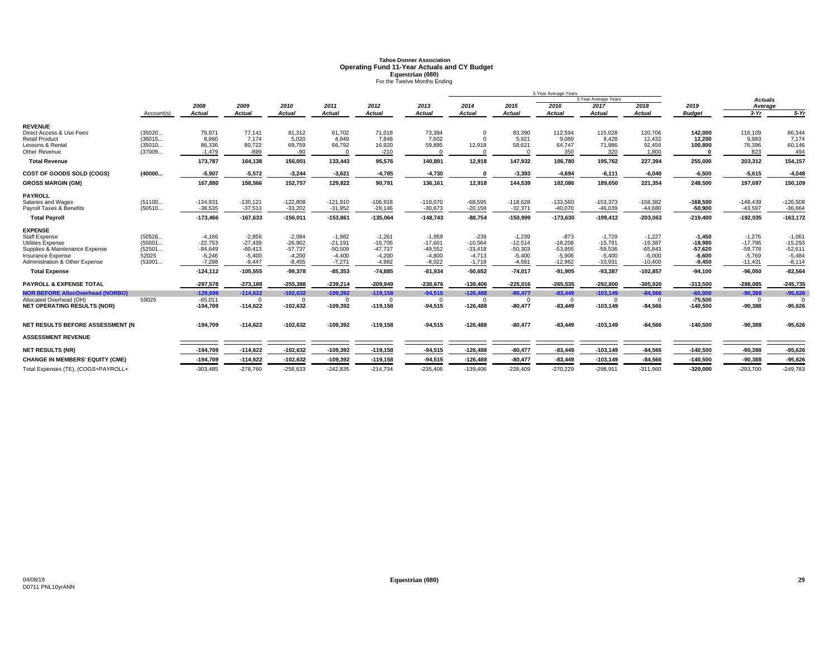# **Tahoe Donner AssociationOperating Fund 11-Year Actuals and CY Budget<br>
<b>Equestrian (080)**<br>
For the Twelve Months Ending

|                                         |            |               |            |               |               |               |                |               |            | 5 Year Average Years |                      |            |               |                |             |
|-----------------------------------------|------------|---------------|------------|---------------|---------------|---------------|----------------|---------------|------------|----------------------|----------------------|------------|---------------|----------------|-------------|
|                                         |            |               |            |               |               |               |                |               |            |                      | 3 Year Average Years |            |               | <b>Actuals</b> |             |
|                                         |            | 2008          | 2009       | 2010          | 2011          | 2012          | 2013           | 2014          | 2015       | 2016                 | 2017                 | 2018       | 2019          | Average        |             |
|                                         | Account(s) | <b>Actual</b> | Actual     | <b>Actual</b> | <b>Actual</b> | <b>Actual</b> | <b>Actual</b>  | <b>Actual</b> | Actual     | <b>Actual</b>        | <b>Actual</b>        | Actual     | <b>Budget</b> | $3-Yr$         | $5-Yr$      |
| <b>REVENUE</b>                          |            |               |            |               |               |               |                |               |            |                      |                      |            |               |                |             |
| Direct Access & Use Fees                | (35020     | 79.971        | 77.141     | 81,312        | 61,702        | 71,018        | 73,394         | $\Omega$      | 83.390     | 112.594              | 115.028              | 120,706    | 142.000       | 116,109        | 86,344      |
| <b>Retail Product</b>                   | (36015     | 8.960         | 7.174      | 5,020         | 4.949         | 7.848         | 7.602          |               | 5.921      | 9.089                | 8.428                | 12,432     | 12.200        | 9.983          | 7,174       |
| Lessons & Rental                        | (35010     | 86,336        | 80,722     | 69,759        | 66,792        | 16,920        | 59,895         | 12,918        | 58,621     | 64,747               | 71,986               | 92,456     | 100,800       | 76,396         | 60,146      |
| Other Revenue                           | (37009     | $-1,479$      | $-899$     | $-90$         | $\Omega$      | $-210$        |                |               | $\Omega$   | 350                  | 320                  | 1,800      |               | 823            | 494         |
| <b>Total Revenue</b>                    |            | 173,787       | 164,138    | 156,001       | 133,443       | 95,576        | 140,891        | 12,918        | 147,932    | 186,780              | 195,762              | 227,394    | 255,000       | 203,312        | 154,157     |
| COST OF GOODS SOLD (COGS)               | (40000     | $-5,907$      | $-5,572$   | $-3,244$      | $-3,621$      | $-4,785$      | $-4,730$       |               | $-3,393$   | $-4,694$             | $-6,111$             | $-6,040$   | $-6,500$      | $-5,615$       | $-4,048$    |
| <b>GROSS MARGIN (GM)</b>                |            | 167,880       | 158,566    | 152,757       | 129,822       | 90,791        | 136,161        | 12,918        | 144,539    | 182,086              | 189,650              | 221,354    | 248,500       | 197,697        | 150,109     |
| <b>PAYROLL</b>                          |            |               |            |               |               |               |                |               |            |                      |                      |            |               |                |             |
| Salaries and Wages                      | (51100     | $-134,931$    | $-130,121$ | $-122,808$    | $-121,910$    | $-106,918$    | $-118,070$     | $-68,595$     | $-118,628$ | $-133,560$           | $-153,373$           | $-158,382$ | $-168,500$    | $-148,439$     | $-126,508$  |
| Payroll Taxes & Benefits                | (50510     | $-38,535$     | $-37,513$  | $-33,202$     | $-31,952$     | $-28,146$     | $-30,673$      | $-20,159$     | $-32,371$  | $-40,070$            | $-46,039$            | $-44,680$  | -50,900       | $-43,597$      | $-36,664$   |
| <b>Total Payroll</b>                    |            | $-173,466$    | $-167,633$ | $-156,011$    | $-153,861$    | $-135,064$    | $-148,743$     | $-88,754$     | $-150,999$ | $-173,630$           | $-199,412$           | $-203,063$ | $-219,400$    | $-192,035$     | $-163, 172$ |
| <b>EXPENSE</b>                          |            |               |            |               |               |               |                |               |            |                      |                      |            |               |                |             |
| <b>Staff Expense</b>                    | (50526     | $-4.166$      | $-2.856$   | $-2.084$      | $-1.982$      | $-1.261$      | $-1.959$       | $-239$        | $-1.239$   | $-873$               | $-1.729$             | $-1.227$   | $-1.450$      | $-1.276$       | $-1,061$    |
| <b>Utilities Expense</b>                | (55001     | $-22,753$     | $-27.439$  | $-26,902$     | $-21,191$     | $-16,705$     | $-17.601$      | $-10,564$     | $-12,514$  | $-18.208$            | $-15.791$            | $-19,387$  | $-18.980$     | $-17,796$      | $-15,293$   |
| Supplies & Maintenance Expense          | (52501     | $-84.649$     | $-60.413$  | $-57,737$     | $-50,509$     | $-47,737$     | $-49,552$      | $-33.418$     | $-50,303$  | $-53.955$            | $-59,536$            | $-65,843$  | $-57.620$     | $-59.778$      | $-52,611$   |
| Insurance Expense                       | 52025      | $-5,246$      | $-5,400$   | $-4,200$      | $-4,400$      | $-4,200$      | $-4,800$       | $-4.713$      | $-5,400$   | $-5,906$             | $-5,400$             | $-6,000$   | $-6,600$      | $-5,769$       | $-5,484$    |
| Administration & Other Expense          | (51001     | $-7.298$      | $-9.447$   | $-8,455$      | $-7,271$      | $-4,982$      | $-8.022$       | $-1.718$      | $-4.561$   | $-12.962$            | $-10,931$            | $-10,400$  | $-9.450$      | $-11,431$      | $-8,114$    |
| <b>Total Expense</b>                    |            | $-124, 112$   | $-105,555$ | $-99,378$     | $-85,353$     | $-74,885$     | $-81,934$      | $-50,652$     | $-74,017$  | $-91,905$            | $-93,387$            | $-102,857$ | $-94,100$     | $-96,050$      | $-82,564$   |
| <b>PAYROLL &amp; EXPENSE TOTAL</b>      |            | $-297,578$    | $-273.188$ | $-255.388$    | $-239,214$    | $-209.949$    | $-230,676$     | $-139.406$    | $-225,016$ | $-265,535$           | $-292.800$           | $-305,920$ | $-313,500$    | $-288.085$     | $-245,735$  |
| <b>NOR BEFORE AllocOverhead (NORBO)</b> |            | $-129.698$    | $-114.622$ | $-102.632$    | $-109,392$    | $-119,158$    | $-94.515$      | $-126.488$    | $-80,477$  | $-83,449$            | $-103.149$           | $-84,566$  | $-65,000$     | $-90,388$      | $-95,626$   |
| Allocated Overhead (OH)                 | 59025      | $-65,011$     | $\Omega$   | $\Omega$      | $\Omega$      | $\mathbf{0}$  | $\overline{0}$ | $\Omega$      | $\Omega$   | $\overline{0}$       | $\Omega$             | $\Omega$   | $-75,500$     | $\mathbf{0}$   |             |
| <b>NET OPERATING RESULTS (NOR)</b>      |            | $-194,709$    | $-114,622$ | $-102,632$    | $-109,392$    | $-119,158$    | $-94,515$      | $-126,488$    | $-80,477$  | $-83,449$            | $-103,149$           | $-84,566$  | $-140,500$    | $-90,388$      | $-95,626$   |
| NET RESULTS BEFORE ASSESSMENT (N        |            | $-194,709$    | $-114,622$ | $-102,632$    | $-109,392$    | $-119,158$    | $-94,515$      | $-126,488$    | $-80,477$  | $-83.449$            | $-103,149$           | $-84,566$  | $-140,500$    | $-90,388$      | $-95,626$   |
| <b>ASSESSMENT REVENUE</b>               |            |               |            |               |               |               |                |               |            |                      |                      |            |               |                |             |
|                                         |            |               |            |               |               |               |                |               |            |                      |                      |            |               |                |             |
| <b>NET RESULTS (NR)</b>                 |            | $-194,709$    | $-114,622$ | $-102,632$    | $-109,392$    | $-119,158$    | $-94,515$      | $-126,488$    | $-80,477$  | $-83,449$            | $-103,149$           | $-84,566$  | $-140,500$    | $-90,388$      | $-95,626$   |
| <b>CHANGE IN MEMBERS' EQUITY (CME)</b>  |            | $-194,709$    | $-114,622$ | $-102,632$    | $-109,392$    | $-119,158$    | $-94,515$      | $-126,488$    | $-80,477$  | $-83,449$            | $-103,149$           | $-84,566$  | $-140,500$    | $-90,388$      | $-95,626$   |
| Total Expenses (TE), (COGS+PAYROLL+     |            | $-303,485$    | $-278,760$ | $-258,633$    | $-242,835$    | $-214,734$    | $-235,406$     | $-139,406$    | $-228,409$ | $-270,229$           | $-298,911$           | $-311,960$ | $-320,000$    | $-293,700$     | $-249,783$  |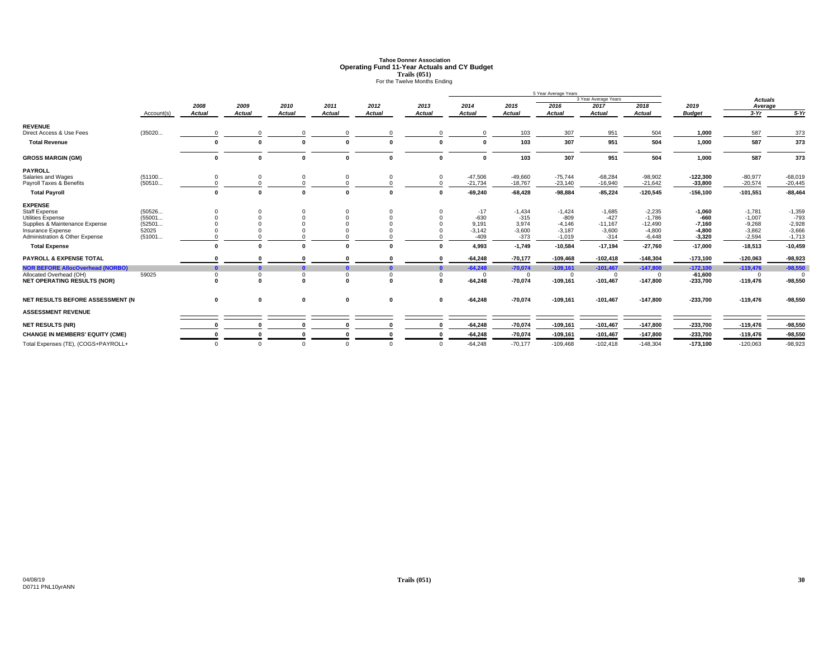# **Tahoe Donner AssociationOperating Fund 11-Year Actuals and CY Budget<br>
Trails (051)<br>
For the Twelve Months Ending**

|                                         |            |               |               |               |               |               |               |               |           | 5 Year Average Years |                      |               |               |                |           |
|-----------------------------------------|------------|---------------|---------------|---------------|---------------|---------------|---------------|---------------|-----------|----------------------|----------------------|---------------|---------------|----------------|-----------|
|                                         |            |               |               |               |               |               |               |               |           |                      | 3 Year Average Years |               |               | <b>Actuals</b> |           |
|                                         |            | 2008          | 2009          | 2010          | 2011          | 2012          | 2013          | 2014          | 2015      | 2016                 | 2017                 | 2018          | 2019          | Average        |           |
|                                         | Account(s) | <b>Actual</b> | <b>Actual</b> | <b>Actual</b> | <b>Actual</b> | <b>Actual</b> | <b>Actual</b> | <b>Actual</b> | Actual    | <b>Actual</b>        | <b>Actual</b>        | <b>Actual</b> | <b>Budget</b> | $3-Yr$         | $5-Yr$    |
| <b>REVENUE</b>                          |            |               |               |               |               |               |               |               |           |                      |                      |               |               |                |           |
| Direct Access & Use Fees                | (35020     |               | $\Omega$      |               |               | $\Omega$      | $\Omega$      | $\Omega$      | 103       | 307                  | 951                  | 504           | 1,000         | 587            | 373       |
| <b>Total Revenue</b>                    |            | $\Omega$      | $\mathbf{0}$  |               |               | n             |               | $\mathbf 0$   | 103       | 307                  | 951                  | 504           | 1,000         | 587            | 373       |
| <b>GROSS MARGIN (GM)</b>                |            | $\mathbf{0}$  | $\bf{0}$      |               |               | $\Omega$      | 0             | $\mathbf{0}$  | 103       | 307                  | 951                  | 504           | 1,000         | 587            | 373       |
| <b>PAYROLL</b>                          |            |               |               |               |               |               |               |               |           |                      |                      |               |               |                |           |
| Salaries and Wages                      | (51100     |               | $\mathbf 0$   |               |               |               | 0             | $-47,506$     | $-49,660$ | $-75,744$            | $-68,284$            | $-98,902$     | $-122,300$    | $-80,977$      | $-68,019$ |
| Payroll Taxes & Benefits                | (50510     |               |               |               |               |               |               | $-21,734$     | $-18,767$ | $-23,140$            | $-16,940$            | $-21,642$     | $-33,800$     | $-20,574$      | $-20,445$ |
| <b>Total Payroll</b>                    |            | $\Omega$      | $\Omega$      |               |               |               | $\Omega$      | $-69,240$     | $-68,428$ | $-98,884$            | $-85,224$            | $-120,545$    | $-156, 100$   | $-101,551$     | $-88,464$ |
| <b>EXPENSE</b>                          |            |               |               |               |               |               |               |               |           |                      |                      |               |               |                |           |
| <b>Staff Expense</b>                    | (50526     |               |               |               |               |               |               | $-17$         | $-1,434$  | $-1,424$             | $-1,685$             | $-2,235$      | $-1,060$      | $-1,781$       | $-1,359$  |
| <b>Utilities Expense</b>                | (55001     |               |               |               |               |               |               | $-630$        | $-315$    | $-809$               | $-427$               | $-1,786$      | $-660$        | $-1,007$       | $-793$    |
| Supplies & Maintenance Expense          | (52501     |               |               |               |               |               |               | 9,191         | 3,974     | $-4,146$             | $-11,167$            | $-12,490$     | $-7,160$      | $-9,268$       | $-2,928$  |
| Insurance Expense                       | 52025      |               |               |               |               |               |               | $-3,142$      | $-3,600$  | $-3.187$             | $-3,600$             | $-4,800$      | $-4.800$      | $-3,862$       | $-3,666$  |
| Administration & Other Expense          | (51001     |               |               |               |               |               |               | $-409$        | $-373$    | $-1,019$             | $-314$               | $-6,448$      | $-3,320$      | $-2,594$       | $-1,713$  |
| <b>Total Expense</b>                    |            | $\mathbf{r}$  | $\Omega$      |               |               |               |               | 4,993         | $-1,749$  | $-10,584$            | $-17,194$            | $-27,760$     | $-17,000$     | $-18,513$      | $-10,459$ |
| <b>PAYROLL &amp; EXPENSE TOTAL</b>      |            |               | $\mathbf{0}$  |               |               |               | $\sqrt{2}$    | $-64.248$     | $-70,177$ | $-109,468$           | $-102,418$           | $-148,304$    | $-173,100$    | $-120,063$     | $-98,923$ |
| <b>NOR BEFORE AllocOverhead (NORBO)</b> |            | $\sqrt{2}$    |               |               |               |               | $\mathbf{r}$  | $-64,248$     | $-70,074$ | $-109,161$           | $-101,467$           | $-147,800$    | $-172,100$    | $-119,476$     | $-98,550$ |
| Allocated Overhead (OH)                 | 59025      | $\Omega$      | $\mathbf 0$   | $\Omega$      |               | $\Omega$      | $\Omega$      | $\Omega$      | $\Omega$  | $\Omega$             | $\Omega$             | $\Omega$      | $-61.600$     | $\Omega$       | $\Omega$  |
| <b>NET OPERATING RESULTS (NOR)</b>      |            | $\Omega$      | $\Omega$      |               |               | n             | <sup>0</sup>  | $-64,248$     | $-70,074$ | $-109,161$           | $-101,467$           | $-147,800$    | $-233.700$    | $-119,476$     | $-98,550$ |
| NET RESULTS BEFORE ASSESSMENT (N        |            | 0             | 0             | $\mathbf{0}$  | $\mathbf{0}$  | $\mathbf 0$   | 0             | $-64,248$     | $-70,074$ | $-109,161$           | $-101,467$           | $-147,800$    | $-233,700$    | $-119,476$     | $-98,550$ |
| <b>ASSESSMENT REVENUE</b>               |            |               |               |               |               |               |               |               |           |                      |                      |               |               |                |           |
|                                         |            |               |               |               |               |               | $\Omega$      |               |           |                      |                      |               |               |                |           |
| <b>NET RESULTS (NR)</b>                 |            |               | O             |               |               |               |               | $-64,248$     | $-70,074$ | $-109,161$           | $-101,467$           | $-147,800$    | $-233,700$    | $-119,476$     | $-98,550$ |
| <b>CHANGE IN MEMBERS' EQUITY (CME)</b>  |            |               | O             |               |               |               |               | $-64,248$     | $-70,074$ | $-109,161$           | $-101,467$           | $-147,800$    | $-233,700$    | $-119,476$     | $-98,550$ |
| Total Expenses (TE), (COGS+PAYROLL+     |            | $\Omega$      | $\Omega$      | $\Omega$      |               | $\Omega$      | $\Omega$      | $-64.248$     | $-70.177$ | $-109.468$           | $-102.418$           | $-148.304$    | $-173.100$    | $-120.063$     | $-98,923$ |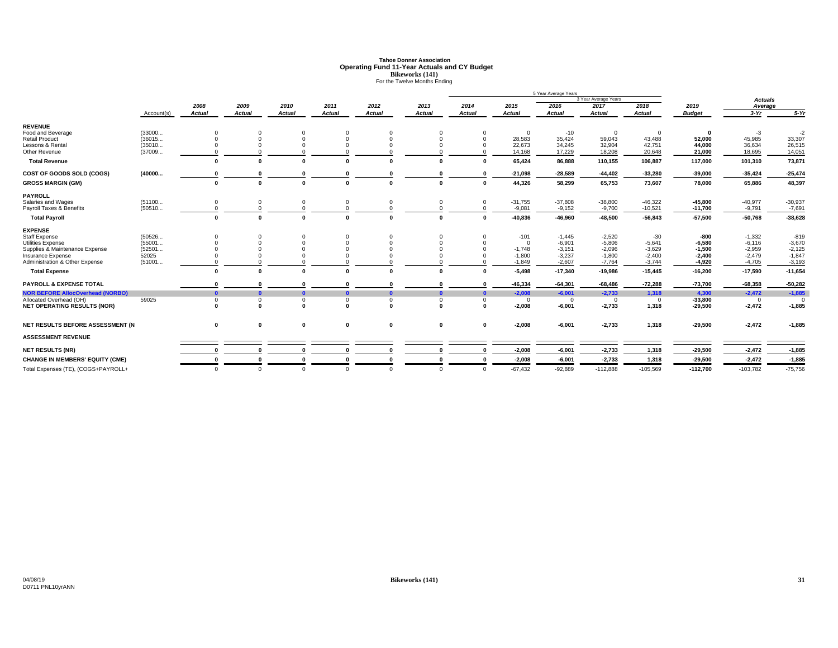# **Tahoe Donner AssociationOperating Fund 11-Year Actuals and CY Budget<br>Bikeworks (141)<br>For the Twelve Months Ending**

|                                         |            |               |               |               |               |               |               |               |               | 5 Year Average Years |                      |                |               |                |           |
|-----------------------------------------|------------|---------------|---------------|---------------|---------------|---------------|---------------|---------------|---------------|----------------------|----------------------|----------------|---------------|----------------|-----------|
|                                         |            |               |               |               |               |               |               |               |               |                      | 3 Year Average Years |                |               | <b>Actuals</b> |           |
|                                         |            | 2008          | 2009          | 2010          | 2011          | 2012          | 2013          | 2014          | 2015          | 2016                 | 2017                 | 2018           | 2019          | Average        |           |
|                                         | Account(s) | <b>Actual</b> | <b>Actual</b> | <b>Actual</b> | <b>Actual</b> | <b>Actual</b> | <b>Actual</b> | <b>Actual</b> | <b>Actual</b> | <b>Actual</b>        | <b>Actual</b>        | <b>Actual</b>  | <b>Budget</b> | $3-Yr$         | $5-Yr$    |
| <b>REVENUE</b>                          |            |               |               |               |               |               |               |               |               |                      |                      |                |               |                |           |
| Food and Beverage                       | (33000     | $\Omega$      | $\Omega$      | $\Omega$      | $\Omega$      |               |               | $\Omega$      | $^{\circ}$    | $-10$                | $\overline{0}$       | $\overline{0}$ | $\mathbf{0}$  | $-3$           | $-2$      |
| <b>Retail Product</b>                   | (36015     | $\Omega$      |               |               | $\Omega$      |               | $\Omega$      | $\Omega$      | 28,583        | 35,424               | 59,043               | 43,488         | 52,000        | 45,985         | 33,307    |
| Lessons & Rental                        | (35010     |               |               |               |               |               | $\Omega$      | $\Omega$      | 22,673        | 34,245               | 32,904               | 42,751         | 44.000        | 36,634         | 26,515    |
| Other Revenue                           | (37009     |               |               |               |               |               |               |               | 14,168        | 17,229               | 18,208               | 20,648         | 21.000        | 18,695         | 14,051    |
| <b>Total Revenue</b>                    |            | $\Omega$      | $\Omega$      |               |               |               |               | $\Omega$      | 65,424        | 86,888               | 110,155              | 106,887        | 117.000       | 101,310        | 73,871    |
| COST OF GOODS SOLD (COGS)               | (40000     |               |               |               |               |               |               | $\Omega$      | $-21,098$     | $-28,589$            | $-44,402$            | $-33,280$      | $-39,000$     | $-35,424$      | $-25,474$ |
| <b>GROSS MARGIN (GM)</b>                |            | $\mathbf{0}$  | $\Omega$      |               |               |               |               | $\mathbf{0}$  | 44,326        | 58,299               | 65,753               | 73,607         | 78,000        | 65,886         | 48,397    |
| <b>PAYROLL</b>                          |            |               |               |               |               |               |               |               |               |                      |                      |                |               |                |           |
| Salaries and Wages                      | (51100     | $\mathbf 0$   |               |               | $\Omega$      |               |               | $\mathbf 0$   | $-31,755$     | $-37,808$            | $-38,800$            | $-46,322$      | $-45,800$     | $-40,977$      | $-30,937$ |
| Payroll Taxes & Benefits                | (50510     | $\Omega$      |               |               |               |               |               | $\Omega$      | $-9,081$      | $-9,152$             | $-9,700$             | $-10,521$      | $-11,700$     | $-9,791$       | $-7,691$  |
| <b>Total Payroll</b>                    |            | $\mathbf{0}$  | $\sqrt{2}$    |               |               |               |               | $\sqrt{2}$    | $-40,836$     | $-46,960$            | $-48,500$            | $-56,843$      | $-57,500$     | $-50,768$      | $-38,628$ |
| <b>EXPENSE</b>                          |            |               |               |               |               |               |               |               |               |                      |                      |                |               |                |           |
| <b>Staff Expense</b>                    | (50526     | $\Omega$      |               |               | $\Omega$      |               |               | $\Omega$      | $-101$        | $-1,445$             | $-2,520$             | $-30$          | -800          | $-1,332$       | $-819$    |
| <b>Utilities Expense</b>                | (55001     |               |               |               |               |               |               |               | $\Omega$      | $-6,901$             | $-5,806$             | $-5,641$       | $-6,580$      | $-6,116$       | $-3,670$  |
| Supplies & Maintenance Expense          | (52501     |               |               |               |               |               |               |               | $-1.748$      | $-3,151$             | $-2,096$             | $-3,629$       | $-1,500$      | $-2,959$       | $-2,125$  |
| Insurance Expense                       | 52025      |               |               |               |               |               |               |               | $-1.800$      | $-3,237$             | $-1.800$             | $-2,400$       | $-2.400$      | $-2,479$       | $-1,847$  |
| Administration & Other Expense          | (51001     |               |               |               |               |               |               |               | $-1,849$      | $-2,607$             | $-7,764$             | $-3,744$       | $-4,920$      | $-4,705$       | $-3,193$  |
| <b>Total Expense</b>                    |            | $\Omega$      | $\mathbf{r}$  |               |               |               |               | $\Omega$      | $-5,498$      | $-17,340$            | $-19,986$            | $-15,445$      | $-16,200$     | $-17,590$      | $-11,654$ |
| <b>PAYROLL &amp; EXPENSE TOTAL</b>      |            |               |               |               |               |               |               |               | $-46,334$     | $-64,301$            | $-68,486$            | $-72,288$      | $-73,700$     | $-68,358$      | $-50,282$ |
| <b>NOR BEFORE AllocOverhead (NORBO)</b> |            | $\mathbf{a}$  |               |               |               |               |               | $\mathbf{a}$  | $-2,008$      | $-6,001$             | $-2,733$             | 1,318          | 4.300         | $-2,472$       | $-1,885$  |
| Allocated Overhead (OH)                 | 59025      | $\mathbf 0$   |               | U             | $\Omega$      |               | $\Omega$      | $\Omega$      | $^{\circ}$    | $\Omega$             | $\overline{0}$       | $\overline{0}$ | $-33,800$     | $^{\circ}$     |           |
| <b>NET OPERATING RESULTS (NOR)</b>      |            | $\sqrt{2}$    | $\Omega$      | $\sqrt{2}$    | $\sqrt{2}$    | $\sqrt{2}$    | n             | $\mathbf{0}$  | $-2.008$      | $-6,001$             | $-2,733$             | 1,318          | $-29.500$     | $-2,472$       | $-1,885$  |
| NET RESULTS BEFORE ASSESSMENT (N        |            | $\mathbf 0$   | 0             | $\mathbf 0$   | $\mathbf 0$   | $\mathbf 0$   | 0             | $\mathbf 0$   | $-2,008$      | $-6,001$             | $-2,733$             | 1,318          | $-29,500$     | $-2,472$       | $-1,885$  |
|                                         |            |               |               |               |               |               |               |               |               |                      |                      |                |               |                |           |
| <b>ASSESSMENT REVENUE</b>               |            |               |               |               |               |               |               |               |               |                      |                      |                |               |                |           |
| <b>NET RESULTS (NR)</b>                 |            |               |               |               |               |               |               | $\mathbf{0}$  | $-2,008$      | $-6,001$             | $-2,733$             | 1,318          | $-29,500$     | $-2,472$       | $-1,885$  |
| <b>CHANGE IN MEMBERS' EQUITY (CME)</b>  |            |               |               |               |               |               |               | $\Omega$      | $-2,008$      | $-6,001$             | $-2,733$             | 1,318          | $-29,500$     | $-2,472$       | $-1,885$  |
| Total Expenses (TE), (COGS+PAYROLL+     |            | $\Omega$      | $\Omega$      | $\Omega$      | $\Omega$      | $\Omega$      | $\Omega$      | $\Omega$      | $-67,432$     | $-92,889$            | $-112,888$           | $-105,569$     | $-112,700$    | $-103,782$     | $-75,756$ |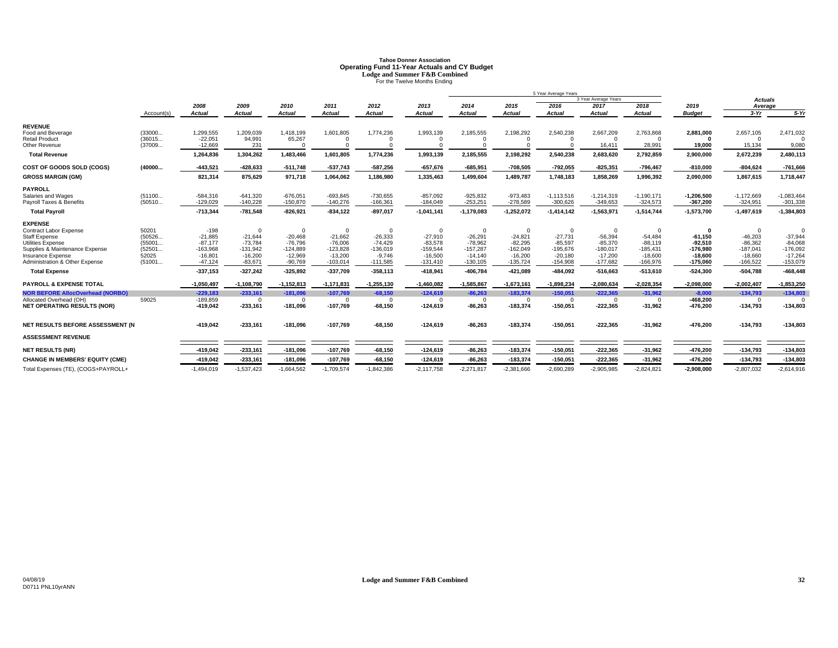# **Tahoe Donner AssociationOperating Fund 11-Year Actuals and CY Budget Lodge and Summer F&B Combined** For the Twelve Months Ending

|                                                            |                  |                         |                         |                         |                         |                         |                         |                         |                         | 5 Year Average Years    |                         |                         |                         |                         |                         |
|------------------------------------------------------------|------------------|-------------------------|-------------------------|-------------------------|-------------------------|-------------------------|-------------------------|-------------------------|-------------------------|-------------------------|-------------------------|-------------------------|-------------------------|-------------------------|-------------------------|
|                                                            |                  |                         |                         |                         |                         |                         |                         |                         |                         |                         | 3 Year Average Years    |                         |                         | <b>Actuals</b>          |                         |
|                                                            |                  | 2008                    | 2009                    | 2010                    | 2011                    | 2012                    | 2013                    | 2014                    | 2015                    | 2016                    | 2017                    | 2018                    | 2019                    | Average                 |                         |
|                                                            | Account(s)       | Actual                  | Actual                  | <b>Actual</b>           | <b>Actual</b>           | <b>Actual</b>           | <b>Actual</b>           | <b>Actual</b>           | Actual                  | <b>Actual</b>           | <b>Actual</b>           | Actual                  | <b>Budget</b>           | $3-Yr$                  | $5-Yr$                  |
| <b>REVENUE</b>                                             |                  |                         |                         |                         |                         |                         |                         |                         |                         |                         |                         |                         |                         |                         |                         |
| Food and Beverage                                          | (33000           | 1,299,555               | 1,209,039               | 1,418,199               | 1,601,805               | 1,774,236               | 1,993,139               | 2,185,555               | 2,198,292               | 2,540,238               | 2,667,209               | 2,763,868               | 2,881,000               | 2,657,105               | 2,471,032               |
| <b>Retail Product</b>                                      | (36015           | $-22,051$               | 94,991                  | 65,267                  |                         |                         | $\Omega$                |                         | $\Omega$                |                         | $\Omega$                | $\Omega$                | $\Omega$                | $\Omega$                |                         |
| Other Revenue                                              | (37009           | $-12,669$               | 231                     |                         |                         |                         |                         |                         |                         |                         | 16,411                  | 28,991                  | 19,000                  | 15,134                  | 9,080                   |
| <b>Total Revenue</b>                                       |                  | 1,264,836               | 1.304.262               | 1,483,466               | 1.601.805               | 1,774,236               | 1.993.139               | 2,185,555               | 2,198,292               | 2,540,238               | 2,683,620               | 2.792.859               | 2,900,000               | 2,672,239               | 2,480,113               |
| COST OF GOODS SOLD (COGS)                                  | (40000           | $-443,521$              | $-428,633$              | $-511,748$              | $-537,743$              | $-587,256$              | $-657,676$              | $-685,951$              | $-708,505$              | $-792,055$              | $-825,351$              | $-796,467$              | $-810,000$              | $-804,624$              | $-761,666$              |
| <b>GROSS MARGIN (GM)</b>                                   |                  | 821,314                 | 875,629                 | 971,718                 | 1,064,062               | 1,186,980               | 1,335,463               | 1,499,604               | 1,489,787               | 1,748,183               | 1,858,269               | 1,996,392               | 2,090,000               | 1,867,615               | 1,718,447               |
| <b>PAYROLL</b>                                             |                  |                         |                         |                         |                         |                         |                         |                         |                         |                         |                         |                         |                         |                         |                         |
| Salaries and Wages                                         | (51100           | $-584,316$              | $-641,320$              | $-676,051$              | $-693,845$              | $-730,655$              | $-857,092$              | $-925,832$              | $-973,483$              | $-1,113,516$            | $-1,214,319$            | $-1,190,171$            | $-1,206,500$            | $-1,172,669$            | $-1,083,464$            |
| Payroll Taxes & Benefits                                   | (50510           | $-129,029$              | $-140,228$              | $-150,870$              | $-140,276$              | $-166,361$              | $-184,049$              | $-253,251$              | $-278,589$              | $-300,626$              | $-349,653$              | $-324,573$              | $-367,200$              | $-324,951$              | $-301,338$              |
| <b>Total Pavroll</b>                                       |                  | $-713,344$              | $-781,548$              | $-826,921$              | $-834,122$              | $-897,017$              | $-1,041,141$            | $-1,179,083$            | $-1,252,072$            | $-1,414,142$            | $-1,563,971$            | $-1,514,744$            | $-1,573,700$            | $-1,497,619$            | $-1,384,803$            |
| <b>EXPENSE</b>                                             |                  |                         |                         |                         |                         |                         |                         |                         |                         |                         |                         |                         |                         |                         |                         |
| Contract Labor Expense                                     | 50201            | $-198$                  | $\Omega$                | $\Omega$                | $\Omega$                | $\Omega$                | $\Omega$                | $\Omega$                | $\Omega$                | $\Omega$                | $\Omega$                | $\Omega$                | 0                       | $\Omega$                | $\Omega$                |
| <b>Staff Expense</b>                                       | (50526           | $-21.885$               | $-21.644$               | $-20.468$               | $-21,662$               | $-26,333$               | $-27.910$               | $-26.291$               | $-24.821$               | $-27.731$               | $-56.394$               | $-54,484$               | $-61.150$               | $-46.203$               | $-37,944$               |
| <b>Utilities Expense</b><br>Supplies & Maintenance Expense | (55001<br>(52501 | $-87.177$<br>$-163.968$ | $-73.784$<br>$-131.942$ | $-76.796$<br>$-124.889$ | $-76.006$<br>$-123,828$ | $-74.429$<br>$-136,019$ | $-83,578$<br>$-159,544$ | $-78.962$<br>$-157,287$ | $-82,295$<br>$-162,049$ | $-85.597$<br>$-195.676$ | $-85.370$<br>$-180.017$ | $-88.119$<br>$-185,431$ | $-92.510$               | $-86,362$<br>$-187.041$ | $-84,068$<br>$-176,092$ |
| Insurance Expense                                          | 52025            | $-16,801$               | $-16,200$               | $-12,969$               | $-13,200$               | $-9,746$                | $-16,500$               | $-14,140$               | $-16,200$               | $-20.180$               | $-17.200$               | $-18,600$               | $-176,980$<br>$-18.600$ | $-18.660$               | $-17,264$               |
| <b>Administration &amp; Other Expense</b>                  | (51001           | $-47,124$               | $-83.671$               | $-90.769$               | $-103,014$              | $-111,585$              | $-131.410$              | $-130,105$              | $-135.724$              | $-154.908$              | $-177,682$              | $-166,976$              | $-175,060$              | $-166,522$              | $-153,079$              |
| <b>Total Expense</b>                                       |                  | $-337,153$              | $-327,242$              | $-325,892$              | $-337,709$              | $-358,113$              | $-418,941$              | $-406,784$              | $-421,089$              | $-484,092$              | $-516,663$              | $-513,610$              | $-524,300$              | $-504,788$              | $-468, 448$             |
| <b>PAYROLL &amp; EXPENSE TOTAL</b>                         |                  | $-1,050,497$            | $-1.108.790$            | $-1,152,813$            | $-1, 171, 831$          | $-1,255,130$            | $-1.460.082$            | $-1,585,867$            | $-1,673,161$            | $-1,898,234$            | $-2,080,634$            | $-2,028,354$            | $-2.098.000$            | $-2,002,407$            | $-1,853,250$            |
| <b>NOR BEFORE AllocOverhead (NORBO)</b>                    |                  | $-229.183$              | $-233.161$              | $-181,096$              | $-107,769$              | $-68,150$               | $-124.619$              | $-86,263$               | $-183.374$              | $-150.051$              | $-222.365$              | $-31,962$               | $-8.000$                | $-134,793$              | $-134,803$              |
| Allocated Overhead (OH)                                    | 59025            | $-189,859$              | $\Omega$                | $\Omega$                | $\Omega$                | $\Omega$                | $\overline{0}$          | $\Omega$                | $\Omega$                | $\Omega$                | $\Omega$                | $\Omega$                | -468,200                | $^{\circ}$              |                         |
| <b>NET OPERATING RESULTS (NOR)</b>                         |                  | $-419,042$              | $-233,161$              | $-181,096$              | $-107,769$              | $-68,150$               | $-124,619$              | $-86,263$               | $-183,374$              | $-150,051$              | $-222,365$              | $-31,962$               | $-476,200$              | $-134,793$              | $-134,803$              |
| NET RESULTS BEFORE ASSESSMENT (N                           |                  |                         |                         |                         |                         |                         |                         |                         |                         |                         |                         |                         |                         |                         |                         |
|                                                            |                  | $-419,042$              | $-233,161$              | $-181,096$              | $-107,769$              | $-68,150$               | $-124,619$              | $-86,263$               | $-183,374$              | $-150,051$              | $-222,365$              | $-31,962$               | $-476,200$              | $-134,793$              | $-134,803$              |
| <b>ASSESSMENT REVENUE</b>                                  |                  |                         |                         |                         |                         |                         |                         |                         |                         |                         |                         |                         |                         |                         |                         |
| <b>NET RESULTS (NR)</b>                                    |                  | $-419.042$              | $-233,161$              | -181,096                | $-107,769$              | $-68,150$               | $-124,619$              | $-86,263$               | $-183,374$              | $-150,051$              | $-222,365$              | $-31,962$               | $-476,200$              | $-134,793$              | $-134,803$              |
| <b>CHANGE IN MEMBERS' EQUITY (CME)</b>                     |                  | $-419,042$              | $-233,161$              | $-181,096$              | $-107,769$              | $-68,150$               | $-124,619$              | $-86,263$               | $-183,374$              | $-150,051$              | $-222,365$              | $-31,962$               | $-476,200$              | $-134,793$              | $-134,803$              |
| Total Expenses (TE), (COGS+PAYROLL+                        |                  | $-1,494,019$            | $-1,537,423$            | $-1,664,562$            | $-1,709,574$            | $-1,842,386$            | $-2,117,758$            | $-2,271,817$            | $-2,381,666$            | $-2,690,289$            | $-2,905,985$            | $-2,824,821$            | $-2.908.000$            | $-2,807,032$            | $-2,614,916$            |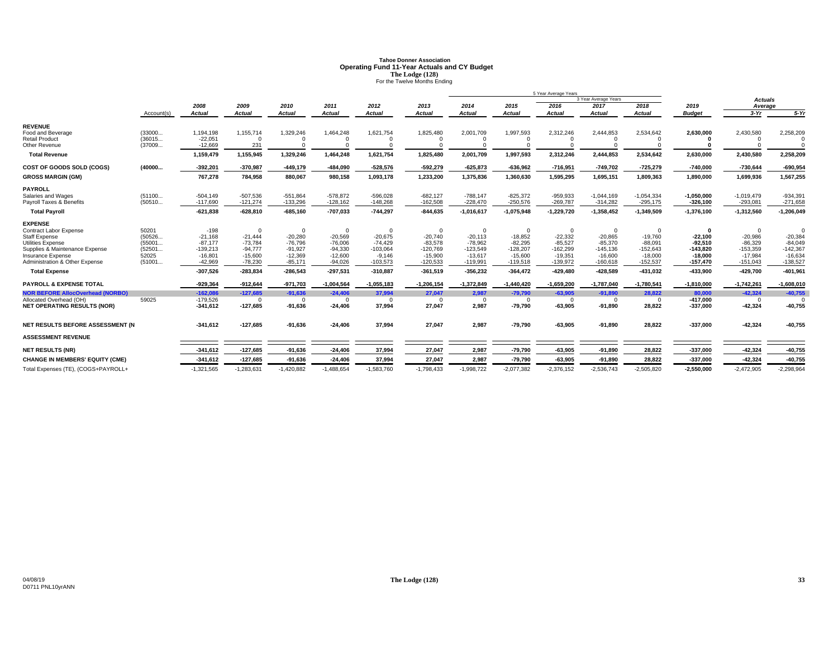# **Tahoe Donner AssociationOperating Fund 11-Year Actuals and CY Budget<br>
The Lodge (128)<br>
For the Twelve Months Ending**

|                                                     |                  |                        |                        |                        |                        |                         |                         |                         |                         | 5 Year Average Years   |                        |                         |                         |                         |                         |
|-----------------------------------------------------|------------------|------------------------|------------------------|------------------------|------------------------|-------------------------|-------------------------|-------------------------|-------------------------|------------------------|------------------------|-------------------------|-------------------------|-------------------------|-------------------------|
|                                                     |                  |                        |                        |                        |                        |                         |                         |                         |                         |                        | 3 Year Average Years   |                         |                         | <b>Actuals</b>          |                         |
|                                                     |                  | 2008                   | 2009                   | 2010                   | 2011                   | 2012                    | 2013                    | 2014                    | 2015                    | 2016                   | 2017                   | 2018                    | 2019                    | Average                 |                         |
|                                                     | Account(s)       | <b>Actual</b>          | <b>Actual</b>          | Actual                 | <b>Actual</b>          | <b>Actual</b>           | <b>Actual</b>           | <b>Actual</b>           | Actual                  | <b>Actual</b>          | <b>Actual</b>          | <b>Actual</b>           | <b>Budget</b>           | $3-Yr$                  | $5-Yr$                  |
| <b>REVENUE</b>                                      |                  |                        |                        |                        |                        |                         |                         |                         |                         |                        |                        |                         |                         |                         |                         |
| Food and Beverage<br><b>Retail Product</b>          | (33000<br>(36015 | 1.194.198<br>$-22,051$ | 1,155,714<br>$\Omega$  | 1,329,246              | 1,464,248              | 1,621,754               | 1,825,480               | 2,001,709               | 1,997,593               | 2,312,246              | 2,444,853              | 2,534,642               | 2,630,000               | 2,430,580               | 2,258,209               |
| Other Revenue                                       | (37009           | $-12.669$              | 231                    |                        |                        |                         |                         |                         |                         |                        |                        |                         |                         |                         |                         |
| <b>Total Revenue</b>                                |                  | 1,159,479              | 1,155,945              | 1,329,246              | 1,464,248              | 1,621,754               | 1,825,480               | 2.001.709               | 1,997,593               | 2,312,246              | 2.444.853              | 2,534,642               | 2,630,000               | 2,430,580               | 2,258,209               |
| COST OF GOODS SOLD (COGS)                           | (40000           | $-392,201$             | $-370,987$             | $-449,179$             | $-484,090$             | $-528,576$              | $-592,279$              | $-625,873$              | $-636,962$              | $-716,951$             | $-749,702$             | $-725,279$              | $-740,000$              | $-730,644$              | $-690,954$              |
| <b>GROSS MARGIN (GM)</b>                            |                  | 767,278                | 784,958                | 880,067                | 980,158                | 1,093,178               | 1,233,200               | 1,375,836               | 1,360,630               | 1,595,295              | 1,695,151              | 1,809,363               | 1,890,000               | 1,699,936               | 1,567,255               |
| <b>PAYROLL</b>                                      |                  |                        |                        |                        |                        |                         |                         |                         |                         |                        |                        |                         |                         |                         |                         |
| Salaries and Wages                                  | (51100           | $-504,149$             | $-507,536$             | $-551,864$             | $-578,872$             | $-596,028$              | $-682, 127$             | $-788,147$              | $-825,372$              | $-959,933$             | $-1,044,169$           | $-1,054,334$            | $-1,050,000$            | $-1,019,479$            | $-934,391$              |
| Payroll Taxes & Benefits                            | (50510           | $-117,690$             | $-121,274$             | $-133,296$             | $-128,162$             | $-148,268$              | $-162,508$              | $-228,470$              | $-250,576$              | $-269,787$             | $-314,282$             | $-295,175$              | $-326,100$              | $-293,081$              | $-271,658$              |
| <b>Total Pavroll</b>                                |                  | $-621,838$             | $-628,810$             | $-685.160$             | $-707,033$             | $-744,297$              | $-844,635$              | $-1,016,617$            | $-1,075,948$            | $-1,229,720$           | $-1,358,452$           | $-1,349,509$            | $-1,376,100$            | $-1,312,560$            | $-1,206,049$            |
| <b>EXPENSE</b>                                      |                  |                        |                        |                        |                        |                         |                         |                         |                         |                        |                        |                         |                         |                         |                         |
| <b>Contract Labor Expense</b>                       | 50201            | $-198$                 | $\Omega$               | $\Omega$               | $\Omega$               | $\Omega$                |                         | $\Omega$                | $\Omega$                | $\Omega$               | $\overline{0}$         | $\Omega$                | $\Omega$                | $\Omega$                | $\Omega$                |
| <b>Staff Expense</b>                                | (50526           | $-21.168$<br>$-87.177$ | $-21.444$              | $-20.280$<br>$-76.796$ | $-20,569$              | $-20,675$               | $-20,740$               | $-20,113$               | $-18.852$               | $-22.332$<br>$-85.527$ | $-20.865$<br>$-85.370$ | $-19.760$               | $-22.100$               | $-20.986$               | $-20.384$               |
| Utilities Expense<br>Supplies & Maintenance Expense | (55001<br>(52501 | $-139.213$             | $-73,784$<br>$-94.777$ | $-91,927$              | $-76,006$<br>$-94,330$ | $-74.429$<br>$-103,064$ | $-83,578$<br>$-120,769$ | $-78,962$<br>$-123,549$ | $-82,295$<br>$-128,207$ | $-162.299$             | $-145.136$             | $-88,091$<br>$-152,643$ | $-92.510$<br>$-143,820$ | $-86.329$<br>$-153,359$ | $-84,049$<br>$-142,367$ |
| <b>Insurance Expense</b>                            | 52025            | $-16,801$              | $-15.600$              | $-12,369$              | $-12,600$              | $-9,146$                | $-15,900$               | $-13,617$               | $-15,600$               | $-19,351$              | $-16,600$              | $-18,000$               | $-18.000$               | $-17.984$               | $-16,634$               |
| Administration & Other Expense                      | (51001           | $-42.969$              | $-78.230$              | $-85,171$              | $-94,026$              | $-103,573$              | $-120.533$              | $-119,991$              | $-119,518$              | $-139,972$             | $-160,618$             | $-152,537$              | $-157,470$              | $-151,043$              | $-138,527$              |
| <b>Total Expense</b>                                |                  | $-307,526$             | $-283,834$             | $-286,543$             | $-297,531$             | $-310,887$              | $-361,519$              | $-356,232$              | $-364,472$              | $-429,480$             | $-428,589$             | -431,032                | $-433,900$              | $-429,700$              | $-401,96$               |
| <b>PAYROLL &amp; EXPENSE TOTAL</b>                  |                  | $-929.364$             | $-912.644$             | $-971.703$             | $-1,004,564$           | $-1,055,183$            | $-1.206.154$            | $-1,372,849$            | $-1,440,420$            | $-1,659,200$           | $-1,787,040$           | $-1,780,541$            | $-1,810,000$            | $-1,742,261$            | $-1,608,010$            |
| <b>NOR BEFORE AllocOverhead (NORBO)</b>             |                  | $-162.086$             | $-127.685$             | $-91,636$              | $-24,406$              | 37,994                  | 27,047                  | 2.987                   | $-79,790$               | $-63,905$              | $-91,890$              | 28,822                  | 80,000                  | $-42.324$               | $-40,755$               |
| Allocated Overhead (OH)                             | 59025            | $-179,526$             | $\Omega$               | $\Omega$               | $\Omega$               | $\Omega$                | $\Omega$                | $\Omega$                | $\Omega$                | $\Omega$               | $\Omega$               | $\Omega$                | $-417,000$              | $\Omega$                |                         |
| <b>NET OPERATING RESULTS (NOR)</b>                  |                  | $-341,612$             | $-127,685$             | $-91,636$              | $-24,406$              | 37,994                  | 27,047                  | 2,987                   | $-79,790$               | $-63,905$              | $-91,890$              | 28,822                  | $-337,000$              | $-42,324$               | $-40,755$               |
| NET RESULTS BEFORE ASSESSMENT (N                    |                  | $-341,612$             | $-127,685$             | $-91,636$              | $-24,406$              | 37,994                  | 27,047                  | 2,987                   | $-79,790$               | $-63,905$              | $-91,890$              | 28,822                  | $-337,000$              | $-42,324$               | $-40,755$               |
| <b>ASSESSMENT REVENUE</b>                           |                  |                        |                        |                        |                        |                         |                         |                         |                         |                        |                        |                         |                         |                         |                         |
|                                                     |                  |                        |                        |                        |                        |                         |                         |                         |                         |                        |                        |                         |                         |                         |                         |
| <b>NET RESULTS (NR)</b>                             |                  | $-341,612$             | $-127,685$             | $-91,636$              | $-24,406$              | 37,994                  | 27,047                  | 2,987                   | $-79,790$               | $-63,905$              | $-91,890$              | 28,822                  | $-337,000$              | $-42,324$               | $-40,755$               |
| <b>CHANGE IN MEMBERS' EQUITY (CME)</b>              |                  | $-341,612$             | $-127,685$             | $-91,636$              | $-24,406$              | 37,994                  | 27,047                  | 2,987                   | $-79,790$               | $-63,905$              | $-91,890$              | 28,822                  | $-337,000$              | $-42,324$               | $-40,755$               |
| Total Expenses (TE), (COGS+PAYROLL+                 |                  | $-1,321,565$           | $-1,283,631$           | $-1,420,882$           | $-1,488,654$           | $-1,583,760$            | $-1,798,433$            | $-1,998,722$            | $-2,077,382$            | $-2,376,152$           | $-2,536,743$           | $-2,505,820$            | $-2,550,000$            | $-2,472,905$            | $-2,298,964$            |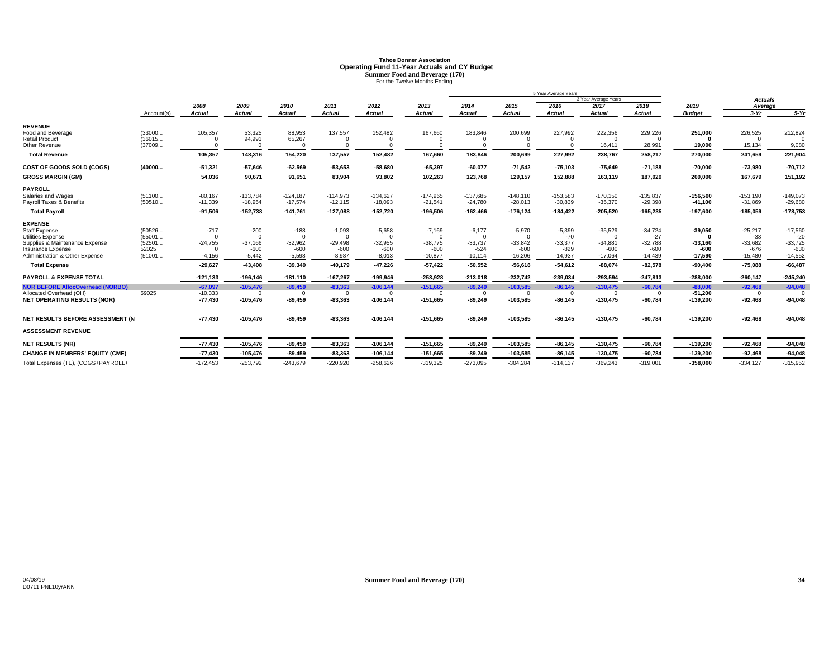# **Tahoe Donner AssociationOperating Fund 11-Year Actuals and CY Budget**<br>
Summer Food and Beverage (170)<br>
For the Twelve Months Ending

|                                                                                                                                                             |                                               |                                                         |                                                       |                                           |                                                         |                                                         |                                                          |                                                          |                                                          | 5 Year Average Years                                  |                                                           |                                                        |                                             |                                                        |                                                        |
|-------------------------------------------------------------------------------------------------------------------------------------------------------------|-----------------------------------------------|---------------------------------------------------------|-------------------------------------------------------|-------------------------------------------|---------------------------------------------------------|---------------------------------------------------------|----------------------------------------------------------|----------------------------------------------------------|----------------------------------------------------------|-------------------------------------------------------|-----------------------------------------------------------|--------------------------------------------------------|---------------------------------------------|--------------------------------------------------------|--------------------------------------------------------|
|                                                                                                                                                             |                                               |                                                         |                                                       |                                           |                                                         |                                                         |                                                          |                                                          |                                                          |                                                       | 3 Year Average Years                                      |                                                        |                                             | <b>Actuals</b>                                         |                                                        |
|                                                                                                                                                             |                                               | 2008                                                    | 2009                                                  | 2010                                      | 2011                                                    | 2012                                                    | 2013                                                     | 2014                                                     | 2015                                                     | 2016                                                  | 2017                                                      | 2018                                                   | 2019                                        | Average                                                |                                                        |
|                                                                                                                                                             | Account(s)                                    | <b>Actual</b>                                           | <b>Actual</b>                                         | Actual                                    | <b>Actual</b>                                           | <b>Actual</b>                                           | <b>Actual</b>                                            | <b>Actual</b>                                            | <b>Actual</b>                                            | <b>Actual</b>                                         | <b>Actual</b>                                             | <b>Actual</b>                                          | <b>Budget</b>                               | $3-Yr$                                                 | $5-Yr$                                                 |
| <b>REVENUE</b><br>Food and Beverage                                                                                                                         | (33000                                        | 105,357                                                 | 53,325                                                | 88,953                                    | 137,557                                                 | 152,482                                                 | 167,660                                                  | 183,846                                                  | 200,699                                                  | 227,992                                               | 222,356                                                   | 229,226                                                | 251,000                                     | 226,525                                                | 212,824                                                |
| <b>Retail Product</b><br>Other Revenue                                                                                                                      | (36015<br>(37009                              | $\Omega$<br>$\Omega$                                    | 94,991<br>$\Omega$                                    | 65,267                                    | $\Omega$<br>$\Omega$                                    |                                                         |                                                          | $\Omega$                                                 | $\Omega$<br>$\Omega$                                     | $\Omega$                                              | $\Omega$<br>16,411                                        | $\Omega$<br>28,991                                     | $\Omega$<br>19,000                          | $\Omega$<br>15,134                                     | 9,080                                                  |
| <b>Total Revenue</b>                                                                                                                                        |                                               | 105,357                                                 | 148,316                                               | 154,220                                   | 137,557                                                 | 152,482                                                 | 167,660                                                  | 183,846                                                  | 200,699                                                  | 227,992                                               | 238,767                                                   | 258,217                                                | 270,000                                     | 241,659                                                | 221,904                                                |
| COST OF GOODS SOLD (COGS)                                                                                                                                   | (40000                                        | $-51,321$                                               | $-57,646$                                             | $-62,569$                                 | $-53,653$                                               | $-58,680$                                               | $-65,397$                                                | $-60,077$                                                | $-71,542$                                                | $-75,103$                                             | $-75,649$                                                 | $-71,188$                                              | $-70,000$                                   | $-73,980$                                              | $-70,712$                                              |
| <b>GROSS MARGIN (GM)</b>                                                                                                                                    |                                               | 54,036                                                  | 90,671                                                | 91,651                                    | 83,904                                                  | 93,802                                                  | 102,263                                                  | 123,768                                                  | 129,157                                                  | 152,888                                               | 163,119                                                   | 187,029                                                | 200,000                                     | 167,679                                                | 151,192                                                |
| <b>PAYROLL</b><br>Salaries and Wages<br>Payroll Taxes & Benefits                                                                                            | (51100<br>(50510                              | $-80,167$<br>$-11,339$                                  | $-133.784$<br>$-18,954$                               | $-124,187$<br>$-17,574$                   | $-114,973$<br>$-12,115$                                 | $-134,627$<br>$-18,093$                                 | $-174,965$<br>$-21,541$                                  | $-137,685$<br>$-24,780$                                  | $-148.110$<br>$-28,013$                                  | $-153,583$<br>$-30,839$                               | $-170,150$<br>$-35,370$                                   | $-135,837$<br>$-29,398$                                | $-156.500$<br>$-41,100$                     | $-153,190$<br>$-31,869$                                | $-149,073$<br>$-29,680$                                |
| <b>Total Pavroll</b>                                                                                                                                        |                                               | $-91.506$                                               | $-152,738$                                            | $-141,761$                                | $-127,088$                                              | $-152,720$                                              | $-196,506$                                               | $-162,466$                                               | $-176, 124$                                              | $-184,422$                                            | $-205,520$                                                | $-165,235$                                             | $-197.600$                                  | $-185,059$                                             | $-178,753$                                             |
| <b>EXPENSE</b><br><b>Staff Expense</b><br><b>Utilities Expense</b><br>Supplies & Maintenance Expense<br>Insurance Expense<br>Administration & Other Expense | (50526<br>(55001<br>(52501<br>52025<br>(51001 | $-717$<br>$\Omega$<br>$-24,755$<br>$\Omega$<br>$-4,156$ | $-200$<br>$\Omega$<br>$-37,166$<br>$-600$<br>$-5,442$ | $-188$<br>$-32,962$<br>$-600$<br>$-5,598$ | $-1,093$<br>$\Omega$<br>$-29,498$<br>$-600$<br>$-8,987$ | $-5,658$<br>$\Omega$<br>$-32,955$<br>$-600$<br>$-8,013$ | $-7,169$<br>$\Omega$<br>$-38.775$<br>$-600$<br>$-10,877$ | $-6,177$<br>$\Omega$<br>$-33,737$<br>$-524$<br>$-10,114$ | $-5,970$<br>$\Omega$<br>$-33,842$<br>$-600$<br>$-16,206$ | $-5,399$<br>$-70$<br>$-33,377$<br>$-829$<br>$-14,937$ | $-35,529$<br>$\Omega$<br>$-34,881$<br>$-600$<br>$-17,064$ | $-34,724$<br>$-27$<br>$-32,788$<br>$-600$<br>$-14,439$ | $-39,050$<br>$-33,160$<br>-600<br>$-17,590$ | $-25,217$<br>$-33$<br>$-33,682$<br>$-676$<br>$-15,480$ | $-17,560$<br>$-20$<br>$-33,725$<br>$-630$<br>$-14,552$ |
| <b>Total Expense</b>                                                                                                                                        |                                               | $-29,627$                                               | $-43,408$                                             | $-39,349$                                 | $-40,179$                                               | $-47,226$                                               | $-57,422$                                                | $-50,552$                                                | $-56,618$                                                | $-54,612$                                             | $-88,074$                                                 | $-82,578$                                              | $-90,400$                                   | $-75,088$                                              | $-66,487$                                              |
| PAYROLL & EXPENSE TOTAL                                                                                                                                     |                                               | $-121,133$                                              | $-196, 146$                                           | $-181,110$                                | $-167,267$                                              | $-199,946$                                              | $-253,928$                                               | $-213,018$                                               | $-232,742$                                               | $-239,034$                                            | $-293,594$                                                | $-247,813$                                             | $-288,000$                                  | $-260,147$                                             | $-245,240$                                             |
| <b>NOR BEFORE AllocOverhead (NORBO)</b><br>Allocated Overhead (OH)<br><b>NET OPERATING RESULTS (NOR)</b>                                                    | 59025                                         | $-67.097$<br>$-10,333$<br>$-77,430$                     | $-105.476$<br>$\Omega$<br>$-105,476$                  | $-89,459$<br>$\Omega$<br>$-89.459$        | $-83.363$<br>$\Omega$<br>$-83,363$                      | $-106.144$<br>$\Omega$<br>$-106, 144$                   | $-151.665$<br>$\Omega$<br>$-151,665$                     | $-89.249$<br>$\Omega$<br>$-89.249$                       | $-103.585$<br>$\Omega$<br>$-103,585$                     | $-86,145$<br>$\Omega$<br>$-86.145$                    | $-130.475$<br>$\Omega$<br>$-130,475$                      | $-60.784$<br>$\Omega$<br>$-60,784$                     | $-88.000$<br>$-51.200$<br>$-139.200$        | $-92,468$<br>$^{\circ}$<br>$-92,468$                   | $-94,048$<br>$\Omega$<br>$-94,048$                     |
| NET RESULTS BEFORE ASSESSMENT (N                                                                                                                            |                                               | $-77,430$                                               | $-105,476$                                            | $-89,459$                                 | $-83,363$                                               | $-106, 144$                                             | $-151,665$                                               | $-89.249$                                                | $-103,585$                                               | $-86.145$                                             | $-130,475$                                                | $-60,784$                                              | $-139,200$                                  | $-92,468$                                              | $-94,048$                                              |
| <b>ASSESSMENT REVENUE</b>                                                                                                                                   |                                               |                                                         |                                                       |                                           |                                                         |                                                         |                                                          |                                                          |                                                          |                                                       |                                                           |                                                        |                                             |                                                        |                                                        |
| <b>NET RESULTS (NR)</b>                                                                                                                                     |                                               | $-77,430$                                               | $-105,476$                                            | $-89,459$                                 | $-83,363$                                               | $-106, 144$                                             | $-151,665$                                               | $-89,249$                                                | $-103,585$                                               | $-86, 145$                                            | $-130,475$                                                | $-60,784$                                              | $-139,200$                                  | $-92,468$                                              | $-94,048$                                              |
| <b>CHANGE IN MEMBERS' EQUITY (CME)</b>                                                                                                                      |                                               | $-77.430$                                               | $-105,476$                                            | $-89,459$                                 | $-83,363$                                               | $-106, 144$                                             | $-151,665$                                               | $-89,249$                                                | $-103,585$                                               | $-86, 145$                                            | $-130,475$                                                | $-60,784$                                              | $-139,200$                                  | $-92,468$                                              | $-94,048$                                              |
| Total Expenses (TE), (COGS+PAYROLL+                                                                                                                         |                                               | $-172,453$                                              | $-253,792$                                            | $-243,679$                                | $-220,920$                                              | $-258,626$                                              | $-319,325$                                               | $-273,095$                                               | $-304,284$                                               | $-314,137$                                            | $-369,243$                                                | $-319,001$                                             | $-358,000$                                  | $-334,127$                                             | $-315,952$                                             |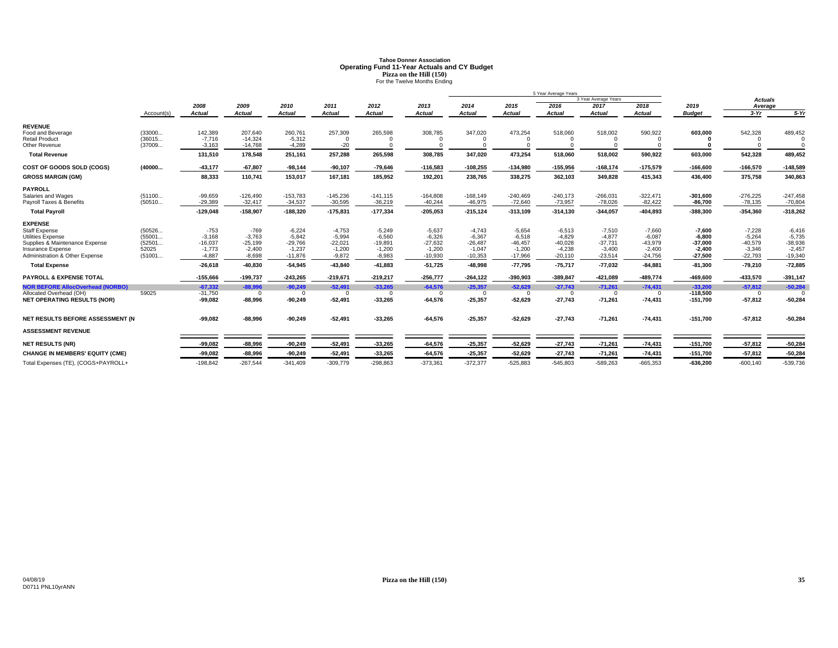# **Tahoe Donner AssociationOperating Fund 11-Year Actuals and CY Budget<br>Pizza on the Hill (150)<br>For the Twelve Months Ending**

|                                                                                                                                                                    |                                               |                                                         |                                                         |                                                            |                                                           |                                                           |                                                            |                                                            |                                                            | 5 Year Average Years                                       |                                                            |                                                            |                                                            |                                                            |                                                            |
|--------------------------------------------------------------------------------------------------------------------------------------------------------------------|-----------------------------------------------|---------------------------------------------------------|---------------------------------------------------------|------------------------------------------------------------|-----------------------------------------------------------|-----------------------------------------------------------|------------------------------------------------------------|------------------------------------------------------------|------------------------------------------------------------|------------------------------------------------------------|------------------------------------------------------------|------------------------------------------------------------|------------------------------------------------------------|------------------------------------------------------------|------------------------------------------------------------|
|                                                                                                                                                                    |                                               |                                                         |                                                         |                                                            |                                                           |                                                           |                                                            |                                                            |                                                            |                                                            | 3 Year Average Years                                       |                                                            |                                                            | <b>Actuals</b>                                             |                                                            |
|                                                                                                                                                                    |                                               | 2008                                                    | 2009                                                    | 2010                                                       | 2011                                                      | 2012                                                      | 2013                                                       | 2014                                                       | 2015                                                       | 2016                                                       | 2017                                                       | 2018                                                       | 2019                                                       | Average                                                    |                                                            |
|                                                                                                                                                                    | Account(s)                                    | Actual                                                  | <b>Actual</b>                                           | <b>Actual</b>                                              | <b>Actual</b>                                             | <b>Actual</b>                                             | <b>Actual</b>                                              | <b>Actual</b>                                              | <b>Actual</b>                                              | <b>Actual</b>                                              | <b>Actual</b>                                              | <b>Actual</b>                                              | <b>Budget</b>                                              | $3-Yr$                                                     | $5-Yr$                                                     |
| <b>REVENUE</b><br>Food and Beverage                                                                                                                                | (33000                                        | 142,389                                                 | 207.640                                                 | 260,761                                                    | 257,309                                                   | 265,598                                                   | 308,785                                                    | 347,020                                                    | 473,254                                                    | 518,060                                                    | 518,002                                                    | 590,922                                                    | 603.000                                                    | 542,328                                                    | 489,452                                                    |
| <b>Retail Product</b><br>Other Revenue                                                                                                                             | (36015<br>(37009                              | $-7,716$<br>$-3,163$                                    | $-14,324$<br>$-14,768$                                  | $-5,312$<br>$-4.289$                                       | $\Omega$<br>$-20$                                         | $\Omega$<br>$\Omega$                                      |                                                            | $\Omega$                                                   | $\Omega$<br>$\Omega$                                       |                                                            |                                                            |                                                            |                                                            | $\Omega$                                                   |                                                            |
| <b>Total Revenue</b>                                                                                                                                               |                                               | 131,510                                                 | 178,548                                                 | 251,161                                                    | 257,288                                                   | 265,598                                                   | 308,785                                                    | 347.020                                                    | 473,254                                                    | 518,060                                                    | 518,002                                                    | 590,922                                                    | 603.000                                                    | 542,328                                                    | 489,452                                                    |
| COST OF GOODS SOLD (COGS)                                                                                                                                          | (40000                                        | $-43,177$                                               | $-67,807$                                               | $-98,144$                                                  | $-90,107$                                                 | $-79,646$                                                 | $-116,583$                                                 | $-108,255$                                                 | $-134,980$                                                 | $-155,956$                                                 | $-168,174$                                                 | $-175,579$                                                 | $-166,600$                                                 | $-166,570$                                                 | $-148,589$                                                 |
| <b>GROSS MARGIN (GM)</b>                                                                                                                                           |                                               | 88,333                                                  | 110,741                                                 | 153,017                                                    | 167,181                                                   | 185,952                                                   | 192,201                                                    | 238,765                                                    | 338,275                                                    | 362,103                                                    | 349,828                                                    | 415,343                                                    | 436,400                                                    | 375,758                                                    | 340,863                                                    |
| <b>PAYROLL</b><br>Salaries and Wages                                                                                                                               | (51100                                        | $-99,659$                                               | $-126,490$                                              | $-153,783$                                                 | $-145,236$                                                | $-141, 115$                                               | $-164,808$                                                 | $-168,149$                                                 | $-240,469$                                                 | $-240,173$                                                 | $-266,031$                                                 | $-322,471$                                                 | $-301,600$                                                 | $-276,225$                                                 | $-247,458$                                                 |
| Payroll Taxes & Benefits                                                                                                                                           | (50510                                        | $-29,389$                                               | $-32,417$                                               | $-34,537$                                                  | $-30,595$                                                 | $-36,219$                                                 | $-40,244$                                                  | $-46,975$                                                  | $-72,640$                                                  | $-73,957$                                                  | $-78,026$                                                  | $-82,422$                                                  | $-86,700$                                                  | $-78,135$                                                  | $-70,804$                                                  |
| <b>Total Payroll</b>                                                                                                                                               |                                               | $-129,048$                                              | $-158,907$                                              | $-188,320$                                                 | $-175,831$                                                | $-177,334$                                                | $-205,053$                                                 | $-215, 124$                                                | $-313,109$                                                 | $-314,130$                                                 | $-344,057$                                                 | $-404,893$                                                 | $-388,300$                                                 | $-354,360$                                                 | $-318,262$                                                 |
| <b>EXPENSE</b><br><b>Staff Expense</b><br><b>Utilities Expense</b><br>Supplies & Maintenance Expense<br><b>Insurance Expense</b><br>Administration & Other Expense | (50526<br>(55001<br>(52501<br>52025<br>(51001 | $-753$<br>$-3,168$<br>$-16,037$<br>$-1,773$<br>$-4,887$ | $-769$<br>$-3.763$<br>$-25,199$<br>$-2,400$<br>$-8,698$ | $-6,224$<br>$-5,842$<br>$-29,766$<br>$-1,237$<br>$-11,876$ | $-4,753$<br>$-5,994$<br>$-22,021$<br>$-1,200$<br>$-9,872$ | $-5.249$<br>$-6,560$<br>$-19,891$<br>$-1,200$<br>$-8,983$ | $-5,637$<br>$-6,326$<br>$-27,632$<br>$-1,200$<br>$-10,930$ | $-4.743$<br>$-6,367$<br>$-26,487$<br>$-1,047$<br>$-10,353$ | $-5.654$<br>$-6.518$<br>$-46.457$<br>$-1,200$<br>$-17,966$ | $-6,513$<br>$-4.829$<br>$-40.028$<br>$-4,238$<br>$-20,110$ | $-7,510$<br>$-4.877$<br>$-37.731$<br>$-3,400$<br>$-23,514$ | $-7,660$<br>$-6,087$<br>$-43,979$<br>$-2,400$<br>$-24,756$ | $-7,600$<br>$-6.800$<br>$-37.000$<br>$-2.400$<br>$-27,500$ | $-7,228$<br>$-5,264$<br>$-40,579$<br>$-3,346$<br>$-22,793$ | $-6,416$<br>$-5,735$<br>$-38,936$<br>$-2,457$<br>$-19,340$ |
| <b>Total Expense</b>                                                                                                                                               |                                               | $-26,618$                                               | $-40,830$                                               | $-54,945$                                                  | $-43,840$                                                 | $-41,883$                                                 | $-51,725$                                                  | $-48.998$                                                  | $-77,795$                                                  | $-75,717$                                                  | $-77,032$                                                  | $-84,881$                                                  | $-81,300$                                                  | $-79,210$                                                  | $-72,885$                                                  |
| PAYROLL & EXPENSE TOTAL                                                                                                                                            |                                               | $-155,666$                                              | $-199,737$                                              | $-243,265$                                                 | $-219,671$                                                | $-219,217$                                                | $-256,777$                                                 | $-264, 122$                                                | $-390,903$                                                 | $-389,847$                                                 | $-421,089$                                                 | $-489,774$                                                 | $-469,600$                                                 | $-433,570$                                                 | $-391,147$                                                 |
| <b>NOR BEFORE AllocOverhead (NORBO)</b><br>Allocated Overhead (OH)<br><b>NET OPERATING RESULTS (NOR)</b>                                                           | 59025                                         | $-67,332$<br>$-31,750$<br>$-99,082$                     | $-88.996$<br>$\Omega$<br>$-88,996$                      | $-90,249$<br>$-90,249$                                     | $-52,491$<br>$\Omega$<br>$-52,491$                        | $-33,265$<br>$\Omega$<br>$-33,265$                        | $-64,576$<br>$-64,576$                                     | $-25,357$<br>$\Omega$<br>$-25,357$                         | $-52,629$<br>$^{\circ}$<br>$-52,629$                       | $-27,743$<br>$\Omega$<br>$-27,743$                         | $-71,261$<br>$\Omega$<br>$-71,261$                         | $-74,431$<br>$\Omega$<br>$-74,431$                         | $-33,200$<br>$-118,500$<br>$-151,700$                      | $-57,812$<br>$^{\circ}$<br>$-57,812$                       | $-50,284$<br>$\Omega$<br>$-50,284$                         |
| NET RESULTS BEFORE ASSESSMENT (N                                                                                                                                   |                                               | $-99,082$                                               | $-88,996$                                               | $-90,249$                                                  | $-52,491$                                                 | $-33,265$                                                 | $-64,576$                                                  | $-25,357$                                                  | $-52,629$                                                  | $-27,743$                                                  | $-71,261$                                                  | $-74,431$                                                  | $-151,700$                                                 | $-57,812$                                                  | $-50,284$                                                  |
| <b>ASSESSMENT REVENUE</b>                                                                                                                                          |                                               |                                                         |                                                         |                                                            |                                                           |                                                           |                                                            |                                                            |                                                            |                                                            |                                                            |                                                            |                                                            |                                                            |                                                            |
| <b>NET RESULTS (NR)</b>                                                                                                                                            |                                               | $-99,082$                                               | $-88,996$                                               | $-90,249$                                                  | $-52,491$                                                 | $-33,265$                                                 | $-64,576$                                                  | $-25,357$                                                  | $-52,629$                                                  | $-27,743$                                                  | $-71,261$                                                  | $-74,431$                                                  | $-151,700$                                                 | $-57,812$                                                  | $-50,284$                                                  |
| <b>CHANGE IN MEMBERS' EQUITY (CME)</b>                                                                                                                             |                                               | $-99,082$                                               | $-88,996$                                               | $-90,249$                                                  | $-52,491$                                                 | $-33,265$                                                 | $-64,576$                                                  | $-25,357$                                                  | $-52,629$                                                  | $-27,743$                                                  | $-71,261$                                                  | $-74,431$                                                  | $-151,700$                                                 | $-57,812$                                                  | $-50,284$                                                  |
| Total Expenses (TE), (COGS+PAYROLL+                                                                                                                                |                                               | $-198,842$                                              | $-267,544$                                              | $-341,409$                                                 | $-309,779$                                                | $-298,863$                                                | $-373,361$                                                 | $-372,377$                                                 | $-525,883$                                                 | $-545,803$                                                 | $-589,263$                                                 | $-665,353$                                                 | $-636,200$                                                 | $-600, 140$                                                | $-539,736$                                                 |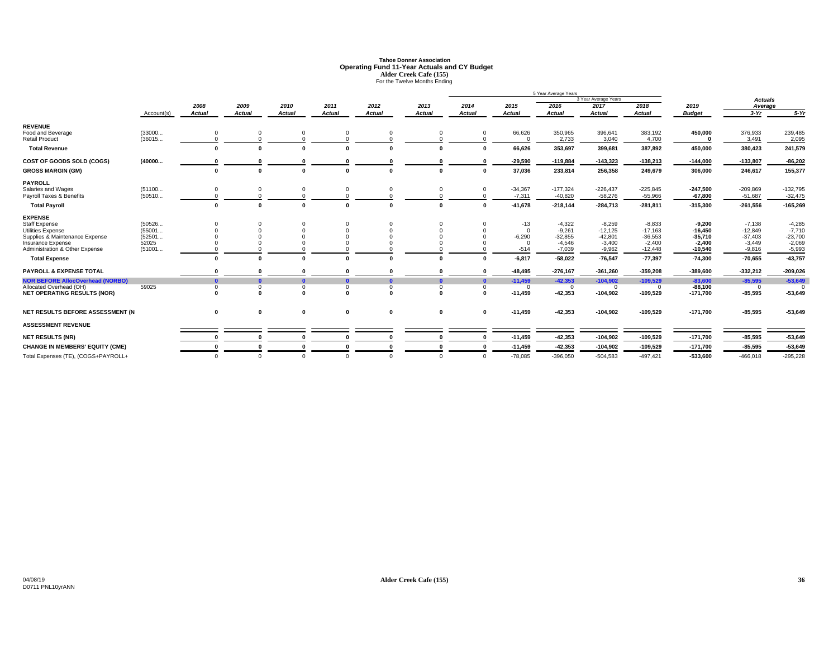# **Tahoe Donner AssociationOperating Fund 11-Year Actuals and CY Budget<br>Alder Creek Cafe (155)<br>For the Twelve Months Ending**

|                                         |            |              |               |               |               |               |               |               |               | 5 Year Average Years |                      |               |               |                |            |
|-----------------------------------------|------------|--------------|---------------|---------------|---------------|---------------|---------------|---------------|---------------|----------------------|----------------------|---------------|---------------|----------------|------------|
|                                         |            |              |               |               |               |               |               |               |               |                      | 3 Year Average Years |               |               | <b>Actuals</b> |            |
|                                         |            | 2008         | 2009          | 2010          | 2011          | 2012          | 2013          | 2014          | 2015          | 2016                 | 2017                 | 2018          | 2019          | Average        |            |
|                                         | Account(s) | Actual       | <b>Actual</b> | <b>Actual</b> | <b>Actual</b> | <b>Actual</b> | <b>Actual</b> | <b>Actual</b> | <b>Actual</b> | <b>Actual</b>        | <b>Actual</b>        | <b>Actual</b> | <b>Budget</b> | $3-Yr$         | $5-Yr$     |
| <b>REVENUE</b>                          |            |              |               |               |               |               |               |               |               |                      |                      |               |               |                |            |
| Food and Beverage                       | (33000     | $\mathbf 0$  |               |               | 0             |               |               | $\Omega$      | 66,626        | 350,965              | 396,641              | 383,192       | 450,000       | 376,933        | 239,485    |
| <b>Retail Product</b>                   | (36015     |              |               |               |               |               |               | $\Omega$      | $\Omega$      | 2,733                | 3,040                | 4,700         |               | 3,491          | 2,095      |
| <b>Total Revenue</b>                    |            | $\Omega$     | $\mathbf{r}$  |               |               |               |               | $\Omega$      | 66,626        | 353,697              | 399,681              | 387,892       | 450.000       | 380,423        | 241,579    |
| COST OF GOODS SOLD (COGS)               | (40000     |              |               |               |               |               |               | 0             | $-29,590$     | $-119,884$           | $-143,323$           | $-138,213$    | $-144,000$    | $-133,807$     | $-86,202$  |
| <b>GROSS MARGIN (GM)</b>                |            | 0            |               |               |               |               |               | $\mathbf{0}$  | 37,036        | 233,814              | 256,358              | 249,679       | 306,000       | 246,617        | 155,377    |
| <b>PAYROLL</b>                          |            |              |               |               |               |               |               |               |               |                      |                      |               |               |                |            |
| Salaries and Wages                      | (51100     | 0            |               |               | $\Omega$      |               |               | $\mathbf 0$   | $-34,367$     | $-177,324$           | $-226,437$           | $-225,845$    | $-247,500$    | $-209,869$     | $-132,795$ |
| Payroll Taxes & Benefits                | (50510     | $\Omega$     |               |               | $\Omega$      |               |               | $\Omega$      | $-7,311$      | $-40,820$            | $-58,276$            | $-55,966$     | $-67,800$     | $-51,687$      | $-32,475$  |
| <b>Total Payroll</b>                    |            | $\mathbf{0}$ | $\Omega$      |               |               |               |               | $\mathbf{0}$  | $-41,678$     | $-218,144$           | $-284,713$           | $-281,811$    | $-315,300$    | $-261,556$     | $-165,269$ |
| <b>EXPENSE</b>                          |            |              |               |               |               |               |               |               |               |                      |                      |               |               |                |            |
| <b>Staff Expense</b>                    | (50526     |              |               |               | $\Omega$      |               |               |               | $-13$         | $-4,322$             | $-8,259$             | $-8,833$      | $-9.200$      | $-7,138$       | $-4,285$   |
| <b>Utilities Expense</b>                | (55001     |              |               |               |               |               |               |               | $\Omega$      | $-9,261$             | $-12,125$            | $-17,163$     | $-16,450$     | $-12,849$      | $-7,710$   |
| Supplies & Maintenance Expense          | (52501     |              |               |               |               |               |               |               | $-6,290$      | $-32,855$            | $-42,801$            | $-36,553$     | $-35,710$     | $-37,403$      | $-23,700$  |
| Insurance Expense                       | 52025      |              |               |               |               |               |               |               | $\Omega$      | $-4,546$             | $-3,400$             | $-2,400$      | $-2,400$      | $-3,449$       | $-2,069$   |
| Administration & Other Expense          | (51001     |              |               |               |               |               |               |               | $-514$        | $-7,039$             | $-9,962$             | $-12,448$     | $-10,540$     | $-9,816$       | $-5,993$   |
| <b>Total Expense</b>                    |            | $\Omega$     | $\sqrt{2}$    |               |               |               |               | $\Omega$      | $-6,817$      | $-58,022$            | $-76,547$            | $-77,397$     | $-74,300$     | $-70,655$      | $-43,757$  |
| <b>PAYROLL &amp; EXPENSE TOTAL</b>      |            |              |               |               |               |               |               | $\Omega$      | $-48,495$     | $-276,167$           | $-361,260$           | $-359,208$    | $-389,600$    | $-332,212$     | $-209,026$ |
| <b>NOR BEFORE AllocOverhead (NORBO)</b> |            | $\mathbf{0}$ | n             |               |               |               |               | $\bullet$     | $-11,459$     | $-42,353$            | $-104,902$           | $-109,529$    | $-83,600$     | $-85,595$      | $-53,649$  |
| Allocated Overhead (OH)                 | 59025      | $\mathbf 0$  | $\Omega$      | $\Omega$      | $\Omega$      | $\Omega$      | $\Omega$      | $\Omega$      | $\Omega$      | $\Omega$             | $\Omega$             |               | $-88,100$     | $\Omega$       | $\Omega$   |
| <b>NET OPERATING RESULTS (NOR)</b>      |            | $\sqrt{2}$   | - 0           |               | $\sqrt{2}$    | $\sqrt{2}$    | n             | $\Omega$      | $-11.459$     | $-42,353$            | $-104,902$           | $-109,529$    | $-171,700$    | $-85,595$      | $-53,649$  |
| NET RESULTS BEFORE ASSESSMENT (N        |            | 0            | 0             | 0             | 0             | $\mathbf 0$   | 0             | $\mathbf{0}$  | $-11,459$     | $-42,353$            | $-104,902$           | $-109,529$    | $-171,700$    | $-85,595$      | $-53,649$  |
|                                         |            |              |               |               |               |               |               |               |               |                      |                      |               |               |                |            |
| <b>ASSESSMENT REVENUE</b>               |            |              |               |               |               |               |               |               |               |                      |                      |               |               |                |            |
| <b>NET RESULTS (NR)</b>                 |            |              |               |               |               |               |               | $\sqrt{2}$    | $-11,459$     | $-42,353$            | $-104,902$           | $-109,529$    | $-171,700$    | $-85,595$      | $-53,649$  |
| <b>CHANGE IN MEMBERS' EQUITY (CME)</b>  |            |              |               |               |               |               |               |               | $-11,459$     | $-42,353$            | $-104,902$           | $-109,529$    | $-171,700$    | $-85,595$      | $-53,649$  |
| Total Expenses (TE), (COGS+PAYROLL+     |            | $\Omega$     | $\Omega$      | $\Omega$      | $\Omega$      | $\Omega$      | $\Omega$      | $\Omega$      | $-78.085$     | $-396.050$           | $-504.583$           | $-497.421$    | -533.600      | $-466.018$     | $-295,228$ |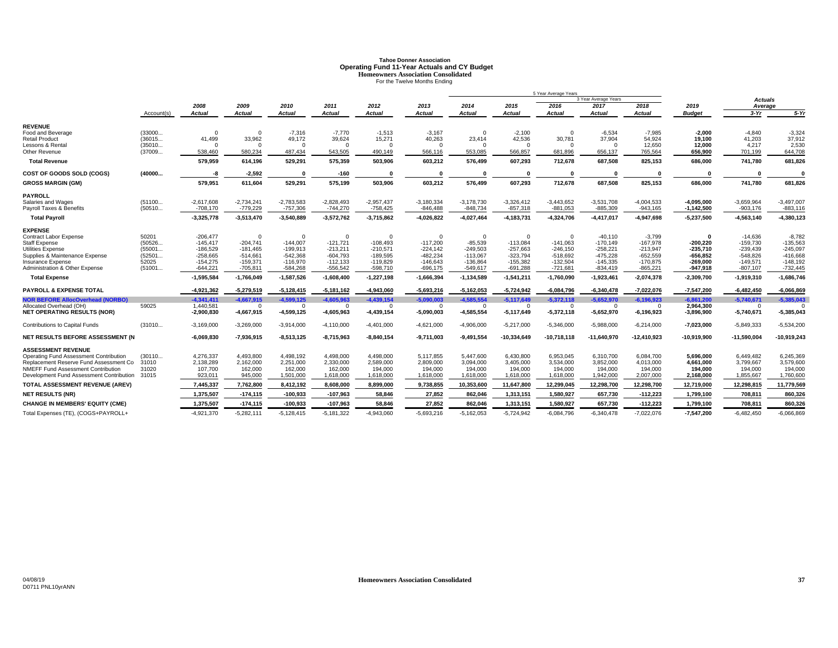# **Tahoe Donner AssociationOperating Fund 11-Year Actuals and CY Budget**<br> **Homeowners Association Consolidated**<br>
For the Twelve Months Ending

|                                                |                  |                            |                            |                            |                            |                            |                            |                            |                            | 5 Year Average Years       |                            |                            |                            |                            |                            |
|------------------------------------------------|------------------|----------------------------|----------------------------|----------------------------|----------------------------|----------------------------|----------------------------|----------------------------|----------------------------|----------------------------|----------------------------|----------------------------|----------------------------|----------------------------|----------------------------|
|                                                |                  |                            |                            |                            |                            |                            |                            |                            |                            |                            | 3 Year Average Years       |                            |                            | <b>Actuals</b>             |                            |
|                                                | Account(s)       | 2008<br>Actual             | 2009<br>Actual             | 2010<br>Actual             | 2011<br><b>Actual</b>      | 2012<br>Actual             | 2013<br><b>Actual</b>      | 2014<br>Actual             | 2015<br><b>Actual</b>      | 2016<br>Actual             | 2017<br>Actual             | 2018<br>Actual             | 2019<br><b>Budget</b>      | Average<br>$3-Yr$          | $5-Yr$                     |
|                                                |                  |                            |                            |                            |                            |                            |                            |                            |                            |                            |                            |                            |                            |                            |                            |
| <b>REVENUE</b>                                 |                  |                            |                            |                            |                            |                            |                            |                            |                            |                            |                            |                            |                            |                            |                            |
| Food and Beverage                              | (33000           | $\Omega$                   | $\Omega$                   | $-7,316$                   | $-7.770$                   | $-1.513$                   | $-3.167$                   | $\Omega$                   | $-2.100$                   | $\Omega$                   | $-6.534$                   | $-7.985$                   | $-2.000$                   | $-4.840$                   | $-3,324$                   |
| <b>Retail Product</b>                          | (36015           | 41,499                     | 33,962                     | 49,172                     | 39,624                     | 15,271                     | 40,263<br>$\Omega$         | 23,414                     | 42,536                     | 30,781                     | 37,904                     | 54,924                     | 19,100                     | 41,203                     | 37,912                     |
| Lessons & Rental<br><b>Other Revenue</b>       | (35010<br>(37009 | $\Omega$<br>538.460        | $\Omega$<br>580,234        | 487,434                    | $\Omega$<br>543,505        | $\Omega$<br>490,149        | 566,116                    | 553,085                    | $\Omega$<br>566.857        | $\Omega$<br>681,896        | $\Omega$<br>656,137        | 12,650<br>765,564          | 12,000<br>656,900          | 4,217<br>701,199           | 2,530<br>644,708           |
| <b>Total Revenue</b>                           |                  | 579,959                    | 614,196                    | 529,291                    | 575,359                    | 503,906                    | 603,212                    | 576,499                    | 607,293                    | 712,678                    | 687,508                    | 825,153                    | 686,000                    | 741,780                    | 681,826                    |
|                                                |                  | -8                         |                            |                            |                            |                            |                            | $\sqrt{2}$                 | $\mathbf{r}$               |                            | $\mathbf{r}$               |                            | $\sqrt{ }$                 | $\sqrt{2}$                 | O                          |
| COST OF GOODS SOLD (COGS)                      | (40000           |                            | $-2,592$                   |                            | $-160$                     |                            |                            |                            |                            |                            |                            |                            |                            |                            |                            |
| <b>GROSS MARGIN (GM)</b>                       |                  | 579,951                    | 611,604                    | 529,291                    | 575,199                    | 503,906                    | 603,212                    | 576,499                    | 607,293                    | 712,678                    | 687,508                    | 825,153                    | 686,000                    | 741,780                    | 681,826                    |
| <b>PAYROLL</b>                                 |                  |                            |                            |                            |                            |                            |                            |                            |                            |                            |                            |                            |                            |                            |                            |
| Salaries and Wages<br>Payroll Taxes & Benefits | (51100<br>(50510 | $-2,617,608$<br>$-708,170$ | $-2,734,241$<br>$-779,229$ | $-2,783,583$<br>$-757,306$ | $-2,828,493$<br>$-744,270$ | $-2,957,437$<br>$-758,425$ | $-3,180,334$<br>$-846,488$ | $-3,178,730$<br>$-848,734$ | $-3,326,412$<br>$-857,318$ | $-3,443,652$<br>$-881,053$ | $-3,531,708$<br>$-885,309$ | $-4,004,533$<br>$-943,165$ | -4.095.000<br>$-1,142,500$ | $-3,659,964$<br>$-903,176$ | $-3,497,007$<br>$-883.116$ |
| <b>Total Payroll</b>                           |                  | $-3,325,778$               | $-3,513,470$               | $-3,540,889$               | $-3,572,762$               | $-3,715,862$               | $-4,026,822$               | $-4,027,464$               | $-4, 183, 731$             | $-4,324,706$               | $-4,417,017$               | -4,947,698                 | $-5,237,500$               | $-4,563,140$               | $-4,380,123$               |
| <b>EXPENSE</b>                                 |                  |                            |                            |                            |                            |                            |                            |                            |                            |                            |                            |                            |                            |                            |                            |
| Contract Labor Expense                         | 50201            | $-206,477$                 | $\Omega$                   |                            | $\Omega$                   | $\Omega$                   |                            | $\Omega$                   | $\Omega$                   | $\Omega$                   | $-40,110$                  | $-3,799$                   | 0                          | $-14,636$                  | $-8,782$                   |
| <b>Staff Expense</b>                           | (50526           | $-145.417$                 | $-204.741$                 | $-144,007$                 | $-121,721$                 | $-108,493$                 | $-117,200$                 | $-85,539$                  | $-113,084$                 | $-141.063$                 | $-170.149$                 | $-167.978$                 | $-200.220$                 | $-159,730$                 | $-135.563$                 |
| Utilities Expense                              | (55001           | $-186.529$                 | $-181,465$                 | $-199.913$                 | $-213,211$                 | $-210,571$                 | $-224, 142$                | $-249,503$                 | $-257,663$                 | $-246,150$                 | $-258,221$                 | $-213.947$                 | $-235,710$                 | $-239,439$                 | $-245,097$                 |
| Supplies & Maintenance Expense                 | (52501           | $-258,665$                 | $-514.661$                 | $-542,368$                 | $-604,793$                 | $-189,595$                 | $-482,234$                 | $-113,067$                 | $-323,794$                 | $-518,692$                 | -475,228                   | $-652,559$                 | -656.852                   | $-548,826$                 | $-416,668$                 |
| Insurance Expense                              | 52025            | $-154.275$                 | $-159.371$                 | $-116.970$                 | $-112,133$                 | $-119.829$                 | $-146,643$                 | $-136,864$                 | $-155,382$                 | $-132.504$                 | $-145.335$                 | $-170.875$                 | $-269.000$                 | $-149.571$                 | $-148,192$                 |
| Administration & Other Expense                 | (51001           | $-644,221$                 | $-705,811$                 | $-584,268$                 | $-556,542$                 | $-598,710$                 | $-696, 175$                | $-549,617$                 | $-691,288$                 | -721,681                   | $-834,419$                 | $-865,221$                 | -947,918                   | $-807, 107$                | $-732,445$                 |
| <b>Total Expense</b>                           |                  | $-1,595,584$               | $-1,766,049$               | $-1,587,526$               | $-1,608,400$               | $-1,227,198$               | $-1,666,394$               | $-1, 134, 589$             | $-1,541,211$               | $-1,760,090$               | $-1,923,461$               | $-2,074,378$               | $-2,309,700$               | $-1,919,310$               | $-1,686,746$               |
| <b>PAYROLL &amp; EXPENSE TOTAL</b>             |                  | -4,921,362                 | $-5,279,519$               | $-5,128,415$               | $-5,181,162$               | $-4,943,060$               | $-5,693,216$               | $-5,162,053$               | $-5,724,942$               | $-6,084,796$               | $-6,340,478$               | $-7,022,076$               | $-7,547,200$               | $-6,482,450$               | $-6,066,869$               |
| <b>NOR BEFORE AllocOverhead (NORBO)</b>        |                  | $-4,341,411$               | $-4,667,915$               | $-4,599,125$               | $-4,605,963$               | $-4,439,154$               | $-5,090,003$               | $-4.585.554$               | $-5,117,649$               | $-5,372,118$               | $-5.652.970$               | $-6,196,923$               | $-6,861,200$               | $-5,740,671$               | $-5,385,043$               |
| Allocated Overhead (OH)                        | 59025            | 1,440,581                  | $\Omega$                   |                            | $\Omega$                   | $\Omega$                   |                            | $\Omega$                   | $\Omega$                   | $\Omega$                   | $\Omega$                   | $\Omega$                   | 2,964,300                  | $\Omega$                   |                            |
| <b>NET OPERATING RESULTS (NOR)</b>             |                  | $-2,900,830$               | $-4,667,915$               | $-4,599,125$               | $-4,605,963$               | $-4,439,154$               | $-5,090,003$               | $-4,585,554$               | $-5,117,649$               | $-5,372,118$               | $-5,652,970$               | $-6,196,923$               | $-3,896,900$               | $-5,740,671$               | $-5,385,043$               |
| Contributions to Capital Funds                 | (31010           | $-3,169,000$               | $-3,269,000$               | $-3,914,000$               | $-4,110,000$               | $-4,401,000$               | $-4,621,000$               | $-4,906,000$               | $-5,217,000$               | $-5,346,000$               | $-5,988,000$               | $-6,214,000$               | $-7,023,000$               | $-5,849,333$               | $-5,534,200$               |
| <b>NET RESULTS BEFORE ASSESSMENT (N)</b>       |                  | $-6,069,830$               | $-7,936,915$               | $-8,513,125$               | $-8,715,963$               | $-8.840.154$               | $-9.711.003$               | $-9.491.554$               | $-10.334.649$              | $-10.718.118$              | $-11.640.970$              | $-12.410.923$              | $-10.919.900$              | $-11.590.004$              | $-10,919,243$              |
| <b>ASSESSMENT REVENUE</b>                      |                  |                            |                            |                            |                            |                            |                            |                            |                            |                            |                            |                            |                            |                            |                            |
| Operating Fund Assessment Contribution         | (30110           | 4,276,337                  | 4,493,800                  | 4,498,192                  | 4,498,000                  | 4,498,000                  | 5,117,855                  | 5,447,600                  | 6,430,800                  | 6,953,045                  | 6,310,700                  | 6,084,700                  | 5.696.000                  | 6,449,482                  | 6,245,369                  |
| Replacement Reserve Fund Assessment Co         | 31010            | 2,138,289                  | 2,162,000                  | 2,251,000                  | 2,330,000                  | 2,589,000                  | 2,809,000                  | 3,094,000                  | 3,405,000                  | 3,534,000                  | 3,852,000                  | 4,013,000                  | 4.661.000                  | 3,799,667                  | 3,579,600                  |
| NMEFF Fund Assessment Contribution             | 31020            | 107.700                    | 162,000                    | 162.000                    | 162,000                    | 194.000                    | 194.000                    | 194.000                    | 194,000                    | 194.000                    | 194.000                    | 194.000                    | 194.000                    | 194.000                    | 194.000                    |
| Development Fund Assessment Contribution       | 31015            | 923,011                    | 945,000                    | 1,501,000                  | 1,618,000                  | 1,618,000                  | 1,618,000                  | 1,618,000                  | 1,618,000                  | 1,618,000                  | 1,942,000                  | 2,007,000                  | 2,168,000                  | 1,855,667                  | 1,760,600                  |
| TOTAL ASSESSMENT REVENUE (AREV)                |                  | 7,445,337                  | 7,762,800                  | 8,412,192                  | 8,608,000                  | 8,899,000                  | 9,738,855                  | 10,353,600                 | 11,647,800                 | 12,299,045                 | 12,298,700                 | 12,298,700                 | 12,719,000                 | 12,298,815                 | 11,779,569                 |
| <b>NET RESULTS (NR)</b>                        |                  | 1,375,507                  | $-174, 115$                | $-100,933$                 | $-107,963$                 | 58,846                     | 27,852                     | 862,046                    | 1,313,151                  | 1,580,927                  | 657,730                    | $-112,223$                 | 1,799,100                  | 708,811                    | 860,326                    |
| <b>CHANGE IN MEMBERS' EQUITY (CME)</b>         |                  | 1,375,507                  | $-174, 115$                | $-100,933$                 | $-107,963$                 | 58,846                     | 27,852                     | 862,046                    | 1,313,151                  | 1,580,927                  | 657,730                    | $-112,223$                 | 1,799,100                  | 708,81                     | 860,326                    |
| Total Expenses (TE), (COGS+PAYROLL+            |                  | $-4.921.370$               | $-5.282.111$               | $-5.128.415$               | $-5.181.322$               | $-4.943.060$               | $-5.693.216$               | $-5.162.053$               | $-5.724.942$               | $-6.084.796$               | $-6.340.478$               | $-7.022.076$               | $-7.547.200$               | $-6.482.450$               | $-6.066.869$               |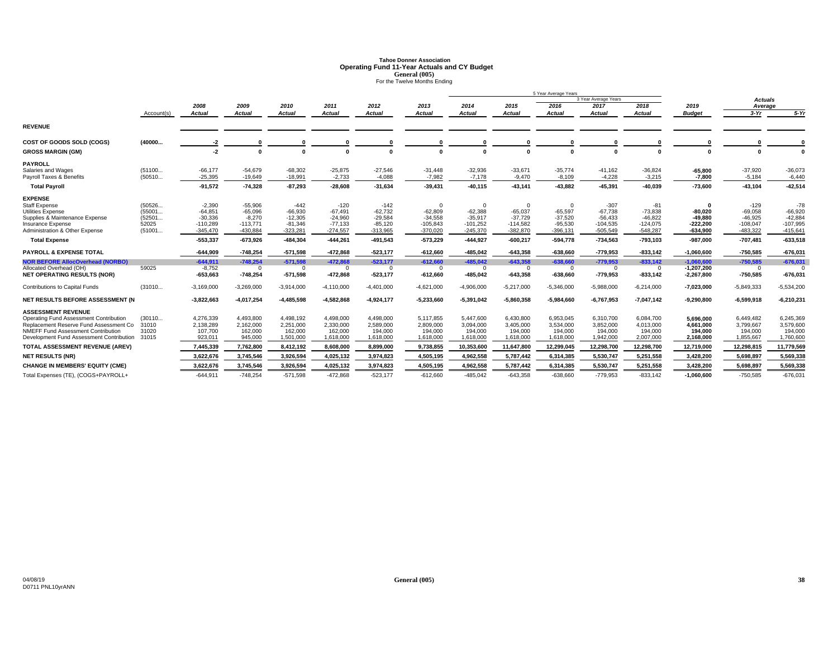# **Tahoe Donner AssociationOperating Fund 11-Year Actuals and CY Budget<br>
<b>General (005)**<br>For the Twelve Months Ending

|                                                                    |                 |                         |                        |                        |                        |                        |                         |                         |                         | 5 Year Average Years   |                         |                         |                         |                            |                         |
|--------------------------------------------------------------------|-----------------|-------------------------|------------------------|------------------------|------------------------|------------------------|-------------------------|-------------------------|-------------------------|------------------------|-------------------------|-------------------------|-------------------------|----------------------------|-------------------------|
|                                                                    |                 |                         |                        |                        |                        |                        |                         |                         |                         |                        | 3 Year Average Years    |                         |                         | <b>Actuals</b>             |                         |
|                                                                    |                 | 2008                    | 2009                   | 2010                   | 2011                   | 2012                   | 2013                    | 2014                    | 2015                    | 2016                   | 2017                    | 2018                    | 2019                    | Average                    |                         |
|                                                                    | Account(s)      | Actual                  | Actual                 | Actual                 | <b>Actual</b>          | <b>Actual</b>          | <b>Actual</b>           | <b>Actual</b>           | <b>Actual</b>           | Actual                 | Actual                  | Actual                  | <b>Budget</b>           | $3-Yr$                     | $5-Yr$                  |
| <b>REVENUE</b>                                                     |                 |                         |                        |                        |                        |                        |                         |                         |                         |                        |                         |                         |                         |                            |                         |
| COST OF GOODS SOLD (COGS)                                          | (40000          | -2                      | $\Omega$               |                        |                        |                        |                         |                         |                         |                        |                         |                         |                         |                            |                         |
| <b>GROSS MARGIN (GM)</b>                                           |                 | $-2$                    | $\Omega$               |                        |                        | $\sqrt{2}$             | $\Omega$                | $\Omega$                | $\Omega$                | $\Omega$               | $\sqrt{2}$              |                         | $\mathbf{a}$            | $\Omega$                   |                         |
| <b>PAYROLL</b>                                                     |                 |                         |                        |                        |                        |                        |                         |                         |                         |                        |                         |                         |                         |                            |                         |
| Salaries and Wages                                                 | (51100          | $-66,177$               | $-54,679$              | $-68,302$              | $-25,875$              | $-27,546$              | $-31,448$               | $-32,936$               | $-33,671$               | $-35,774$              | $-41,162$               | $-36,824$               | $-65,800$               | $-37,920$                  | $-36,073$               |
| Payroll Taxes & Benefits                                           | (50510          | $-25,395$               | $-19,649$              | $-18,991$              | $-2,733$               | $-4,088$               | $-7,982$                | $-7,178$                | $-9,470$                | $-8,109$               | $-4,228$                | $-3,215$                | $-7,800$                | $-5,184$                   | $-6,440$                |
| <b>Total Pavroll</b>                                               |                 | $-91,572$               | $-74.328$              | $-87,293$              | $-28,608$              | $-31,634$              | $-39,431$               | $-40,115$               | $-43,141$               | $-43.882$              | $-45,391$               | $-40.039$               | $-73.600$               | $-43,104$                  | $-42,514$               |
| <b>EXPENSE</b>                                                     |                 |                         |                        |                        |                        |                        |                         |                         |                         |                        |                         |                         |                         |                            |                         |
| <b>Staff Expense</b>                                               | (50526          | $-2,390$                | $-55,906$              | $-442$                 | $-120$                 | $-142$                 | $\Omega$                | $\Omega$                | $\Omega$                | $\Omega$               | $-307$                  | -81                     |                         | $-129$                     | $-78$                   |
| Utilities Expense                                                  | (55001          | $-64.851$               | $-65.096$              | $-66,930$              | $-67,491$              | $-62.732$              | $-62,809$               | $-62,388$               | $-65,037$               | $-65.597$              | $-67.738$               | $-73,838$               | $-80.020$               | $-69,058$                  | $-66,920$               |
| Supplies & Maintenance Expense<br>Insurance Expense                | (52501<br>52025 | $-30,336$<br>$-110.289$ | $-8,270$<br>$-113.771$ | $-12,305$<br>$-81.346$ | $-24,960$<br>$-77,133$ | $-29,584$<br>$-85.120$ | $-34,558$<br>$-105,843$ | $-35,917$<br>$-101.252$ | $-37,729$<br>$-114.582$ | $-37,520$<br>$-95.530$ | $-56,433$<br>$-104.535$ | $-46,822$<br>$-124,075$ | $-49,880$<br>$-222.200$ | $-46,925$<br>$-108,047$    | $-42,884$<br>$-107,995$ |
| Administration & Other Expense                                     | (51001          | $-345,470$              | $-430.884$             | $-323,281$             | $-274,557$             | $-313,965$             | $-370,020$              | $-245,370$              | $-382,870$              | $-396,131$             | $-505,549$              | $-548,287$              | $-634,900$              | $-483,322$                 | $-415,64'$              |
| <b>Total Expense</b>                                               |                 | $-553,337$              | $-673,926$             | $-484,304$             | $-444,261$             | $-491,543$             | $-573,229$              | $-444,927$              | $-600,217$              | $-594,778$             | $-734,563$              | $-793,103$              | $-987,000$              | $-707,481$                 | $-633,518$              |
| <b>PAYROLL &amp; EXPENSE TOTAL</b>                                 |                 | $-644,909$              | $-748,254$             | $-571,598$             | $-472,868$             | $-523,177$             | $-612,660$              | $-485,042$              | $-643,358$              | $-638,660$             | $-779,953$              | $-833,142$              | $-1,060,600$            | $-750,585$                 | $-676,031$              |
|                                                                    |                 | $-644.911$              |                        |                        | $-472.868$             |                        | $-612.660$              | $-485.042$              |                         | $-638.660$             | $-779.953$              |                         | $-1.060.600$            |                            |                         |
| <b>NOR BEFORE AllocOverhead (NORBO)</b><br>Allocated Overhead (OH) | 59025           | $-8,752$                | $-748,254$<br>$\Omega$ | $-571,598$<br>$\Omega$ | $\Omega$               | $-523,177$<br>$\Omega$ | $\Omega$                | $\overline{0}$          | $-643,358$<br>$\Omega$  | $\mathbf{0}$           | $\overline{0}$          | $-833,142$<br>$\Omega$  | $-1,207,200$            | $-750,585$<br>$\mathbf{0}$ | $-676,031$<br>$\Omega$  |
| <b>NET OPERATING RESULTS (NOR)</b>                                 |                 | $-653,663$              | $-748,254$             | $-571,598$             | $-472,868$             | $-523,177$             | $-612,660$              | $-485,042$              | $-643,358$              | $-638,660$             | $-779,953$              | $-833,142$              | $-2,267,800$            | $-750,585$                 | $-676,031$              |
| <b>Contributions to Capital Funds</b>                              | (31010          | $-3,169,000$            | $-3,269,000$           | $-3,914,000$           | $-4,110,000$           | $-4,401,000$           | $-4,621,000$            | $-4,906,000$            | $-5,217,000$            | $-5,346,000$           | $-5,988,000$            | $-6,214,000$            | $-7,023,000$            | $-5,849,333$               | $-5,534,200$            |
| NET RESULTS BEFORE ASSESSMENT (N                                   |                 | $-3,822,663$            | $-4,017,254$           | $-4,485,598$           | $-4,582,868$           | $-4,924,177$           | $-5,233,660$            | $-5,391,042$            | $-5,860,358$            | $-5,984,660$           | $-6,767,953$            | $-7,047,142$            | $-9,290,800$            | $-6,599,918$               | $-6,210,231$            |
| <b>ASSESSMENT REVENUE</b>                                          |                 |                         |                        |                        |                        |                        |                         |                         |                         |                        |                         |                         |                         |                            |                         |
| Operating Fund Assessment Contribution                             | (30110          | 4,276,339               | 4,493,800              | 4,498,192              | 4,498,000              | 4,498,000              | 5,117,855               | 5,447,600               | 6,430,800               | 6,953,045              | 6,310,700               | 6,084,700               | 5,696,000               | 6,449,482                  | 6,245,369               |
| Replacement Reserve Fund Assessment Co                             | 31010           | 2,138,289               | 2.162.000              | 2.251.000              | 2,330,000              | 2,589,000              | 2,809,000               | 3.094.000               | 3,405,000               | 3,534,000              | 3.852.000               | 4,013,000               | 4.661.000               | 3,799,667                  | 3,579,600               |
| NMEFF Fund Assessment Contribution                                 | 31020           | 107.700                 | 162.000                | 162,000                | 162,000                | 194.000                | 194,000                 | 194.000                 | 194.000                 | 194,000                | 194,000                 | 194,000                 | 194.000                 | 194.000                    | 194.000                 |
| Development Fund Assessment Contribution                           | 31015           | 923,011                 | 945,000                | 1,501,000              | 1,618,000              | 1,618,000              | 1,618,000               | 1,618,000               | 1,618,000               | 1,618,000              | 1,942,000               | 2,007,000               | 2,168,000               | 1,855,667                  | 1,760,600               |
| TOTAL ASSESSMENT REVENUE (AREV)                                    |                 | 7,445,339               | 7,762,800              | 8,412,192              | 8,608,000              | 8,899,000              | 9,738,855               | 10,353,600              | 11,647,800              | 12,299,045             | 12,298,700              | 12,298,700              | 12,719,000              | 12,298,815                 | 11,779,569              |
| <b>NET RESULTS (NR)</b>                                            |                 | 3,622,676               | 3,745,546              | 3,926,594              | 4,025,132              | 3,974,823              | 4,505,195               | 4,962,558               | 5,787,442               | 6,314,385              | 5,530,747               | 5,251,558               | 3,428,200               | 5,698,897                  | 5,569,338               |
| <b>CHANGE IN MEMBERS' EQUITY (CME)</b>                             |                 | 3,622,676               | 3,745,546              | 3,926,594              | 4,025,132              | 3,974,823              | 4,505,195               | 4,962,558               | 5,787,442               | 6,314,385              | 5,530,747               | 5,251,558               | 3,428,200               | 5,698,897                  | 5,569,338               |
| Total Expenses (TE), (COGS+PAYROLL+                                |                 | $-644,911$              | $-748,254$             | $-571.598$             | $-472,868$             | $-523,177$             | $-612,660$              | $-485,042$              | $-643,358$              | $-638,660$             | $-779.953$              | $-833,142$              | $-1.060.600$            | $-750,585$                 | $-676,031$              |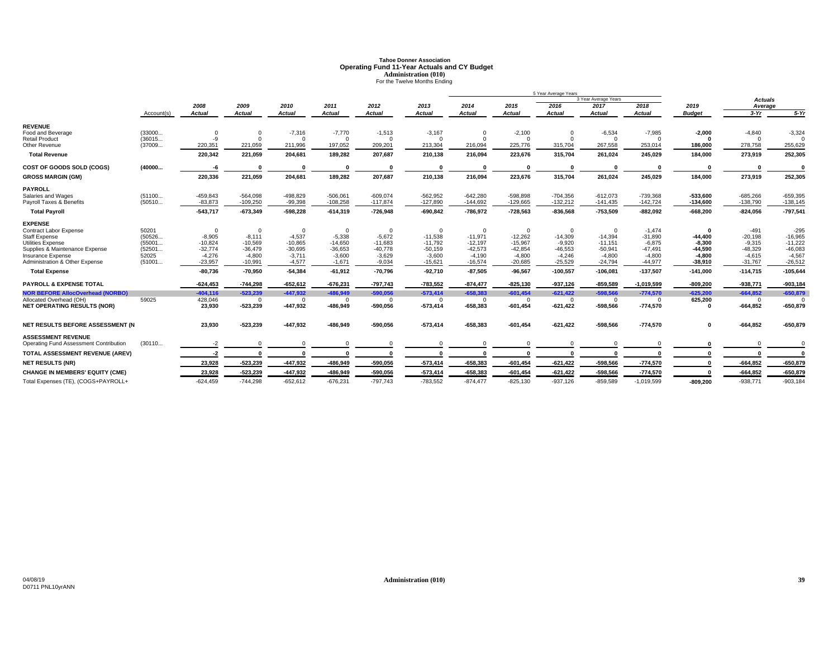# **Tahoe Donner AssociationOperating Fund 11-Year Actuals and CY Budget<br>
<b>Administration (010)**<br>
For the Twelve Months Ending

|                                         |            |                |                |               |               |                |                       |                       |                       | 5 Year Average Years |                      |              |                       |                   |             |
|-----------------------------------------|------------|----------------|----------------|---------------|---------------|----------------|-----------------------|-----------------------|-----------------------|----------------------|----------------------|--------------|-----------------------|-------------------|-------------|
|                                         |            |                |                |               |               |                |                       |                       |                       |                      | 3 Year Average Years |              |                       | Actuals           |             |
|                                         |            | 2008           | 2009           | 2010          | 2011          | 2012           | 2013<br><b>Actual</b> | 2014<br><b>Actual</b> | 2015<br><b>Actual</b> | 2016                 | 2017                 | 2018         | 2019<br><b>Budget</b> | Average<br>$3-Yr$ | $5-Yr$      |
|                                         | Account(s) | <b>Actual</b>  | <b>Actual</b>  | <b>Actual</b> | <b>Actual</b> | <b>Actual</b>  |                       |                       |                       | <b>Actual</b>        | <b>Actual</b>        | Actual       |                       |                   |             |
| <b>REVENUE</b>                          |            |                |                |               |               |                |                       |                       |                       |                      |                      |              |                       |                   |             |
| Food and Beverage                       | (33000     | 0              | $\overline{0}$ | $-7,316$      | $-7,770$      | $-1,513$       | $-3,167$              | $\Omega$              | $-2,100$              | $\overline{0}$       | $-6,534$             | $-7,985$     | $-2,000$              | $-4,840$          | $-3,324$    |
| <b>Retail Product</b>                   | (36015     | $-9$           | $\Omega$       |               | $\Omega$      | $\overline{0}$ | $\Omega$              | $\Omega$              | $\Omega$              | $\Omega$             | $\Omega$             | $\Omega$     | $\Omega$              | $\Omega$          |             |
| Other Revenue                           | (37009     | 220,351        | 221,059        | 211,996       | 197,052       | 209,201        | 213,304               | 216,094               | 225,776               | 315,704              | 267,558              | 253,014      | 186.000               | 278,758           | 255,629     |
| <b>Total Revenue</b>                    |            | 220,342        | 221,059        | 204,681       | 189,282       | 207,687        | 210,138               | 216,094               | 223,676               | 315,704              | 261,024              | 245,029      | 184,000               | 273,919           | 252,305     |
| COST OF GOODS SOLD (COGS)               | (40000     | -6             |                |               | O             |                |                       |                       | $\mathbf{0}$          |                      | $\Omega$             |              | 0                     | $\mathbf{0}$      |             |
| <b>GROSS MARGIN (GM)</b>                |            | 220,336        | 221,059        | 204,681       | 189,282       | 207,687        | 210,138               | 216,094               | 223,676               | 315,704              | 261,024              | 245,029      | 184,000               | 273,919           | 252,305     |
| <b>PAYROLL</b>                          |            |                |                |               |               |                |                       |                       |                       |                      |                      |              |                       |                   |             |
| Salaries and Wages                      | (51100     | $-459,843$     | $-564,098$     | $-498,829$    | $-506,061$    | $-609,074$     | $-562,952$            | $-642,280$            | $-598,898$            | $-704,356$           | $-612,073$           | $-739,368$   | $-533,600$            | $-685,266$        | $-659,395$  |
| Payroll Taxes & Benefits                | (50510     | $-83,873$      | $-109,250$     | $-99,398$     | $-108,258$    | $-117,874$     | $-127,890$            | $-144,692$            | $-129,665$            | $-132,212$           | $-141,435$           | $-142,724$   | $-134,600$            | $-138,790$        | $-138,145$  |
| <b>Total Payroll</b>                    |            | $-543,717$     | $-673,349$     | $-598,228$    | $-614,319$    | $-726,948$     | $-690,842$            | $-786,972$            | $-728,563$            | $-836,568$           | $-753,509$           | $-882,092$   | $-668,200$            | $-824,056$        | $-797,54'$  |
| <b>EXPENSE</b>                          |            |                |                |               |               |                |                       |                       |                       |                      |                      |              |                       |                   |             |
| Contract Labor Expense                  | 50201      | $\overline{0}$ | $\overline{0}$ | $\Omega$      | $\Omega$      | $\overline{0}$ | $\mathbf 0$           | $\Omega$              | $\mathbf 0$           | $\overline{0}$       | $\Omega$             | $-1,474$     | $\mathbf{0}$          | $-491$            | $-295$      |
| <b>Staff Expense</b>                    | (50526     | $-8,905$       | $-8,111$       | $-4,537$      | $-5,338$      | $-5,672$       | $-11,538$             | $-11,971$             | $-12,262$             | $-14,309$            | $-14,394$            | $-31,890$    | $-44,400$             | $-20,198$         | $-16,965$   |
| Utilities Expense                       | (55001     | $-10,824$      | $-10,569$      | $-10,865$     | $-14,650$     | $-11,683$      | $-11,792$             | $-12,197$             | $-15,967$             | $-9,920$             | $-11,151$            | $-6,875$     | $-8,300$              | $-9,315$          | $-11,222$   |
| Supplies & Maintenance Expense          | (52501     | $-32,774$      | $-36,479$      | $-30,695$     | $-36,653$     | $-40,778$      | $-50,159$             | $-42,573$             | $-42,854$             | $-46,553$            | $-50,941$            | $-47,491$    | $-44,590$             | $-48,329$         | $-46,083$   |
| Insurance Expense                       | 52025      | $-4,276$       | $-4,800$       | $-3,711$      | $-3,600$      | $-3,629$       | $-3,600$              | $-4,190$              | $-4,800$              | $-4,246$             | $-4,800$             | $-4,800$     | $-4,800$              | $-4,615$          | $-4,567$    |
| Administration & Other Expense          | (51001     | $-23,957$      | $-10,991$      | $-4,577$      | $-1,671$      | $-9,034$       | $-15,621$             | $-16,574$             | $-20,685$             | $-25,529$            | $-24,794$            | $-44,977$    | $-38,910$             | $-31,767$         | $-26,512$   |
| <b>Total Expense</b>                    |            | $-80.736$      | $-70.950$      | $-54,384$     | $-61,912$     | $-70,796$      | $-92,710$             | $-87.505$             | $-96.567$             | $-100,557$           | $-106,081$           | $-137,507$   | $-141.000$            | $-114.715$        | $-105,644$  |
| <b>PAYROLL &amp; EXPENSE TOTAL</b>      |            | $-624,453$     | $-744,298$     | $-652,612$    | $-676,231$    | $-797,743$     | $-783,552$            | $-874,477$            | $-825,130$            | $-937,126$           | $-859,589$           | $-1,019,599$ | $-809,200$            | $-938,771$        | $-903,184$  |
| <b>NOR BEFORE AllocOverhead (NORBO)</b> |            | $-404, 116$    | $-523.239$     | $-447,932$    | $-486,949$    | $-590,056$     | $-573,414$            | $-658,383$            | $-601,454$            | $-621,422$           | $-598,566$           | $-774,570$   | $-625,200$            | $-664,852$        | $-650,879$  |
| Allocated Overhead (OH)                 | 59025      | 428,046        | - 0            | $\Omega$      | $\Omega$      | $\Omega$       | $\overline{0}$        | $\Omega$              | $\mathbf{0}$          | $\overline{0}$       | $\Omega$             | $\Omega$     | 625,200               | $\mathbf{0}$      | $\Omega$    |
| <b>NET OPERATING RESULTS (NOR)</b>      |            | 23,930         | $-523,239$     | -447,932      | -486,949      | $-590,056$     | $-573,414$            | $-658,383$            | $-601,454$            | $-621,422$           | $-598,566$           | $-774,570$   |                       | $-664,852$        | $-650,879$  |
| NET RESULTS BEFORE ASSESSMENT (N        |            | 23,930         | $-523,239$     | $-447,932$    | $-486,949$    | $-590,056$     | $-573,414$            | $-658,383$            | $-601,454$            | $-621,422$           | $-598,566$           | $-774,570$   | 0                     | $-664,852$        | $-650,879$  |
|                                         |            |                |                |               |               |                |                       |                       |                       |                      |                      |              |                       |                   |             |
| <b>ASSESSMENT REVENUE</b>               |            |                |                |               |               |                |                       |                       |                       |                      |                      |              |                       |                   |             |
| Operating Fund Assessment Contribution  | (30110     | $-2$           | $\Omega$       |               |               |                |                       |                       | $\Omega$              |                      |                      | $\Omega$     |                       | $\Omega$          |             |
| TOTAL ASSESSMENT REVENUE (AREV)         |            | -2             | $\Omega$       |               |               |                |                       |                       | $\mathbf{0}$          |                      |                      |              |                       | $\mathbf{r}$      |             |
| <b>NET RESULTS (NR)</b>                 |            | 23,928         | $-523,239$     | $-447,932$    | -486,949      | $-590,056$     | $-573,414$            | $-658,383$            | $-601,454$            | $-621,422$           | $-598,566$           | $-774,570$   |                       | $-664,852$        | $-650,879$  |
| <b>CHANGE IN MEMBERS' EQUITY (CME)</b>  |            | 23,928         | $-523,239$     | $-447,932$    | $-486,949$    | $-590,056$     | $-573,414$            | $-658,383$            | $-601,454$            | $-621,422$           | $-598,566$           | $-774,570$   |                       | $-664,852$        | $-650,879$  |
| Total Expenses (TE), (COGS+PAYROLL+     |            | $-624,459$     | $-744,298$     | $-652,612$    | $-676,231$    | $-797,743$     | $-783,552$            | $-874,477$            | $-825,130$            | $-937,126$           | $-859,589$           | $-1,019,599$ | $-809,200$            | $-938,771$        | $-903, 184$ |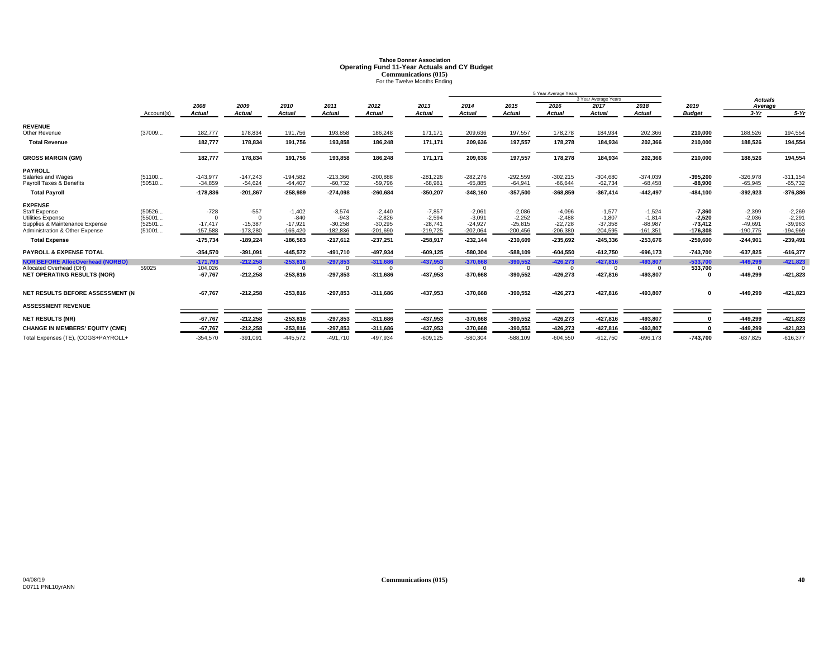# **Tahoe Donner AssociationOperating Fund 11-Year Actuals and CY Budget<br>
Communications (015)<br>
For the Twelve Months Ending**

|                                                                  |                  |                         |                         |                         |                         |                         |                         |                         |                         | 5 Year Average Years    |                         |                         |                         |                         |                         |
|------------------------------------------------------------------|------------------|-------------------------|-------------------------|-------------------------|-------------------------|-------------------------|-------------------------|-------------------------|-------------------------|-------------------------|-------------------------|-------------------------|-------------------------|-------------------------|-------------------------|
|                                                                  |                  |                         |                         |                         |                         |                         |                         |                         |                         |                         | 3 Year Average Years    |                         |                         | <b>Actuals</b>          |                         |
|                                                                  |                  | 2008                    | 2009                    | 2010                    | 2011                    | 2012                    | 2013                    | 2014                    | 2015                    | 2016                    | 2017                    | 2018                    | 2019                    | Average                 |                         |
|                                                                  | Account(s)       | <b>Actual</b>           | <b>Actual</b>           | <b>Actual</b>           | <b>Actual</b>           | <b>Actual</b>           | <b>Actual</b>           | <b>Actual</b>           | Actual                  | <b>Actual</b>           | <b>Actual</b>           | <b>Actual</b>           | <b>Budget</b>           | $3-Yr$                  | $5-Yr$                  |
| <b>REVENUE</b>                                                   |                  |                         |                         |                         |                         |                         |                         |                         |                         |                         |                         |                         |                         |                         |                         |
| Other Revenue                                                    | (37009           | 182,777                 | 178,834                 | 191,756                 | 193,858                 | 186,248                 | 171,171                 | 209,636                 | 197,557                 | 178,278                 | 184,934                 | 202,366                 | 210,000                 | 188,526                 | 194,554                 |
| <b>Total Revenue</b>                                             |                  | 182,777                 | 178,834                 | 191,756                 | 193,858                 | 186,248                 | 171,171                 | 209,636                 | 197,557                 | 178,278                 | 184,934                 | 202,366                 | 210,000                 | 188,526                 | 194,554                 |
| <b>GROSS MARGIN (GM)</b>                                         |                  | 182,777                 | 178,834                 | 191,756                 | 193,858                 | 186,248                 | 171,171                 | 209,636                 | 197,557                 | 178,278                 | 184,934                 | 202,366                 | 210,000                 | 188,526                 | 194,554                 |
| <b>PAYROLL</b>                                                   |                  |                         |                         |                         |                         |                         |                         |                         |                         |                         |                         |                         |                         |                         |                         |
| Salaries and Wages                                               | (51100           | $-143,977$              | $-147.243$              | $-194,582$              | $-213,366$              | $-200,888$              | $-281,226$              | $-282,276$              | $-292,559$              | $-302,215$              | $-304,680$              | $-374,039$              | $-395,200$              | $-326,978$              | $-311,154$              |
| Pavroll Taxes & Benefits                                         | (50510           | $-34.859$               | $-54.624$               | $-64,407$               | $-60,732$               | $-59,796$               | $-68.981$               | $-65.885$               | $-64.941$               | $-66.644$               | $-62.734$               | $-68,458$               | $-88,900$               | $-65.945$               | $-65,732$               |
| <b>Total Payroll</b>                                             |                  | $-178,836$              | $-201,867$              | $-258,989$              | $-274,098$              | $-260,684$              | $-350,207$              | $-348,160$              | $-357,500$              | $-368,859$              | $-367,414$              | $-442,497$              | $-484,100$              | $-392,923$              | $-376,886$              |
| <b>EXPENSE</b>                                                   |                  |                         |                         |                         |                         |                         |                         |                         |                         |                         |                         |                         |                         |                         |                         |
| <b>Staff Expense</b>                                             | (50526           | $-728$                  | $-557$                  | $-1,402$                | $-3,574$                | $-2,440$                | $-7,857$                | $-2,061$                | $-2,086$                | $-4,096$                | $-1,577$                | $-1,524$                | $-7,360$                | $-2,399$                | $-2,269$                |
| Utilities Expense                                                | (55001           |                         | $\Omega$                | $-840$                  | $-943$                  | $-2.826$                | $-2,594$                | $-3.091$                | $-2.252$                | $-2.488$                | $-1.807$                | $-1.814$                | $-2.520$                | $-2.036$                | $-2.29'$                |
| Supplies & Maintenance Expense<br>Administration & Other Expense | (52501<br>(51001 | $-17,417$<br>$-157,588$ | $-15,387$<br>$-173.280$ | $-17,921$<br>$-166.420$ | $-30,258$<br>$-182,836$ | $-30,295$<br>$-201,690$ | $-28,741$<br>$-219.725$ | $-24,927$<br>$-202,064$ | $-25,815$<br>$-200,456$ | $-22,728$<br>$-206,380$ | $-37,358$<br>$-204,595$ | $-88,987$<br>$-161,351$ | $-73,412$<br>$-176,308$ | $-49,691$<br>$-190,775$ | $-39,963$<br>$-194,969$ |
| <b>Total Expense</b>                                             |                  | $-175,734$              | $-189,224$              | $-186,583$              | $-217,612$              | $-237,251$              | $-258,917$              | $-232,144$              | $-230,609$              | $-235,692$              | $-245,336$              | $-253,676$              | $-259,600$              | $-244,901$              | $-239,491$              |
|                                                                  |                  |                         |                         |                         |                         |                         |                         |                         |                         |                         |                         |                         |                         |                         |                         |
| <b>PAYROLL &amp; EXPENSE TOTAL</b>                               |                  | $-354,570$              | $-391,091$              | $-445.572$              | $-491,710$              | $-497,934$              | $-609, 125$             | $-580,304$              | $-588,109$              | $-604,550$              | $-612,750$              | $-696, 173$             | $-743.700$              | $-637,825$              | $-616,377$              |
| <b>NOR BEFORE AllocOverhead (NORBO)</b>                          |                  | $-171,793$              | $-212,258$              | $-253,816$              | $-297,853$              | $-311,686$              | $-437,953$              | $-370,668$              | $-390,552$              | $-426,273$              | $-427,816$              | $-493.807$              | $-533,700$              | $-449,299$              | $-421,823$              |
| Allocated Overhead (OH)                                          | 59025            | 104,026                 | $\Omega$                | $\Omega$                | $\Omega$                | $\Omega$                | $\Omega$                | $\Omega$                | $\mathbf{0}$            | $\Omega$                | $\Omega$                | $\Omega$                | 533,700                 | $^{\circ}$              |                         |
| <b>NET OPERATING RESULTS (NOR)</b>                               |                  | $-67,767$               | $-212,258$              | $-253,816$              | $-297,853$              | $-311,686$              | $-437,953$              | $-370,668$              | $-390,552$              | $-426,273$              | $-427,816$              | $-493,807$              |                         | $-449,299$              | $-421,823$              |
| NET RESULTS BEFORE ASSESSMENT (N                                 |                  | $-67,767$               | $-212,258$              | $-253,816$              | $-297,853$              | $-311,686$              | $-437,953$              | $-370,668$              | $-390,552$              | $-426,273$              | $-427,816$              | $-493,807$              | $\mathbf{0}$            | $-449,299$              | $-421,823$              |
| <b>ASSESSMENT REVENUE</b>                                        |                  |                         |                         |                         |                         |                         |                         |                         |                         |                         |                         |                         |                         |                         |                         |
| <b>NET RESULTS (NR)</b>                                          |                  | $-67,767$               | $-212,258$              | $-253,816$              | $-297,853$              | $-311,686$              | -437,953                | $-370,668$              | $-390,552$              | $-426,273$              | $-427,816$              | $-493,807$              |                         | $-449,299$              | $-421,823$              |
| <b>CHANGE IN MEMBERS' EQUITY (CME)</b>                           |                  | $-67.767$               | $-212,258$              | $-253.816$              | $-297,853$              | $-311,686$              | $-437,953$              | $-370,668$              | $-390,552$              | $-426,273$              | $-427,816$              | $-493,807$              |                         | $-449,299$              | $-421,823$              |
| Total Expenses (TE), (COGS+PAYROLL+                              |                  | $-354.570$              | $-391.091$              | $-445.572$              | $-491.710$              | -497.934                | $-609.125$              | $-580.304$              | $-588.109$              | $-604.550$              | $-612.750$              | $-696.173$              | $-743.700$              | $-637.825$              | $-616,377$              |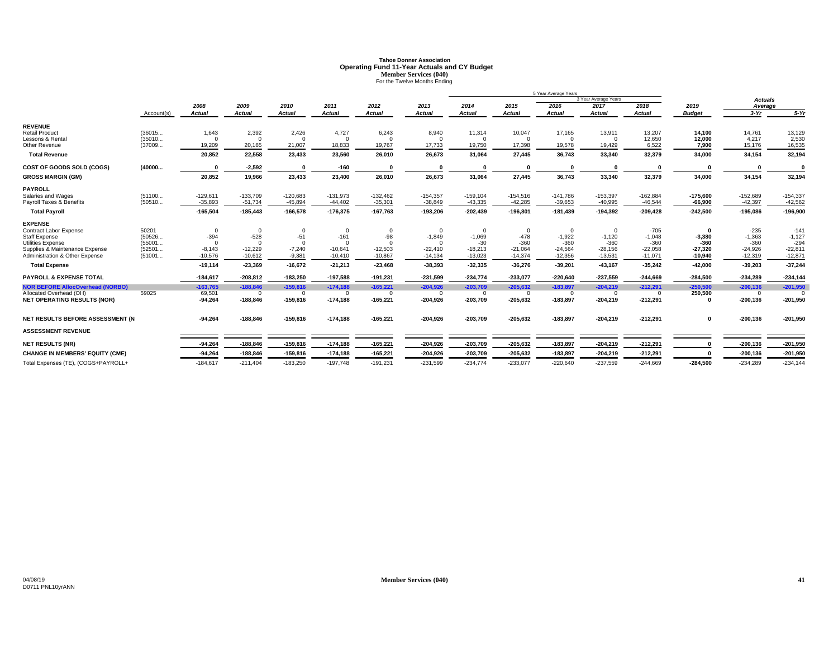# **Tahoe Donner AssociationOperating Fund 11-Year Actuals and CY Budget<br>Member Services (040)<br>For the Twelve Months Ending**

|                                                            |                  |                      |                       |                      |                       |                       |                       | 5 Year Average Years |                     |                     |                      |                     |                        |                     |                     |
|------------------------------------------------------------|------------------|----------------------|-----------------------|----------------------|-----------------------|-----------------------|-----------------------|----------------------|---------------------|---------------------|----------------------|---------------------|------------------------|---------------------|---------------------|
|                                                            |                  |                      |                       |                      |                       |                       |                       |                      |                     |                     | 3 Year Average Years |                     |                        | <b>Actuals</b>      |                     |
|                                                            |                  | 2008                 | 2009                  | 2010                 | 2011                  | 2012                  | 2013                  | 2014                 | 2015                | 2016                | 2017                 | 2018                | 2019                   | Average             |                     |
|                                                            | Account(s)       | Actual               | <b>Actual</b>         | <b>Actual</b>        | <b>Actual</b>         | <b>Actual</b>         | <b>Actual</b>         | Actual               | <b>Actual</b>       | <b>Actual</b>       | <b>Actual</b>        | <b>Actual</b>       | <b>Budget</b>          | $3-Yr$              | $5-Yr$              |
| <b>REVENUE</b>                                             |                  |                      |                       |                      |                       |                       |                       |                      |                     |                     |                      |                     |                        |                     |                     |
| <b>Retail Product</b>                                      | (36015           | 1,643                | 2,392                 | 2,426                | 4,727                 | 6,243                 | 8,940                 | 11,314               | 10,047              | 17,165              | 13,911               | 13,207              | 14.100                 | 14,761              | 13,129              |
| Lessons & Rental<br>Other Revenue                          | (35010<br>(37009 | $\Omega$<br>19,209   | $\Omega$<br>20,165    | $\Omega$<br>21,007   | $\Omega$<br>18,833    | $\Omega$<br>19,767    | $\Omega$<br>17.733    | $\Omega$<br>19,750   | $\Omega$<br>17,398  | $\Omega$<br>19,578  | $\Omega$<br>19,429   | 12,650<br>6,522     | 12,000<br>7,900        | 4,217<br>15,176     | 2,530<br>16,535     |
| <b>Total Revenue</b>                                       |                  | 20,852               | 22,558                | 23,433               | 23,560                | 26,010                | 26,673                | 31,064               | 27,445              | 36,743              | 33,340               | 32,379              | 34.000                 | 34,154              | 32,194              |
| COST OF GOODS SOLD (COGS)                                  | (40000           | $\sqrt{ }$           | $-2,592$              | $\sqrt{ }$           | $-160$                | $\Omega$              | O                     | - 0                  | $\Omega$            | $\Omega$            | - 0                  |                     | $\Omega$               | $\sqrt{2}$          | $\Omega$            |
|                                                            |                  |                      |                       |                      |                       |                       |                       |                      |                     |                     |                      |                     |                        |                     |                     |
| <b>GROSS MARGIN (GM)</b>                                   |                  | 20,852               | 19,966                | 23,433               | 23,400                | 26,010                | 26,673                | 31,064               | 27,445              | 36,743              | 33,340               | 32,379              | 34,000                 | 34,154              | 32,194              |
| <b>PAYROLL</b>                                             |                  |                      |                       |                      |                       |                       |                       |                      |                     |                     |                      |                     |                        |                     |                     |
| Salaries and Wages                                         | (51100           | $-129,611$           | $-133,709$            | $-120,683$           | $-131,973$            | $-132,462$            | $-154,357$            | $-159, 104$          | $-154,516$          | $-141.786$          | $-153,397$           | $-162,884$          | $-175,600$             | $-152,689$          | $-154,337$          |
| Payroll Taxes & Benefits                                   | (50510           | $-35,893$            | $-51,734$             | $-45,894$            | $-44,402$             | $-35,301$             | $-38,849$             | $-43,335$            | $-42,285$           | $-39,653$           | $-40,995$            | $-46,544$           | $-66,900$              | $-42,397$           | $-42,562$           |
| <b>Total Payroll</b>                                       |                  | $-165,504$           | $-185,443$            | $-166,578$           | $-176,375$            | $-167,763$            | $-193,206$            | $-202,439$           | $-196,801$          | $-181,439$          | $-194,392$           | $-209,428$          | $-242,500$             | $-195,086$          | $-196,900$          |
| <b>EXPENSE</b>                                             |                  |                      |                       |                      |                       |                       |                       |                      |                     |                     |                      |                     |                        |                     |                     |
| <b>Contract Labor Expense</b>                              | 50201            | $\mathbf{0}$         | $\overline{0}$        | $\Omega$             | $\Omega$              | $\Omega$              | $\Omega$              | $\mathbf{0}$         | $\Omega$            | $\Omega$            | $\overline{0}$       | $-705$              | $\mathbf{0}$           | $-235$              | $-141$              |
| <b>Staff Expense</b>                                       | (50526           | $-394$               | $-528$                | $-51$                | $-161$                | -98                   | $-1,849$              | $-1,069$             | $-478$              | $-1,922$            | $-1,120$             | $-1,048$            | $-3,380$               | $-1,363$            | $-1,127$            |
| <b>Utilities Expense</b><br>Supplies & Maintenance Expense | (55001<br>(52501 | $\Omega$<br>$-8,143$ | $\Omega$<br>$-12,229$ | $\Omega$<br>$-7,240$ | $\Omega$<br>$-10,641$ | $\Omega$<br>$-12,503$ | $\Omega$<br>$-22,410$ | $-30$<br>$-18,213$   | $-360$<br>$-21,064$ | $-360$<br>$-24,564$ | $-360$<br>$-28,156$  | $-360$<br>$-22,058$ | $-360$                 | $-360$<br>$-24,926$ | $-294$<br>$-22,811$ |
| Administration & Other Expense                             | (51001           | $-10,576$            | $-10,612$             | $-9,381$             | $-10,410$             | $-10,867$             | $-14,134$             | $-13,023$            | $-14,374$           | $-12,356$           | $-13,531$            | $-11,071$           | $-27.320$<br>$-10,940$ | $-12,319$           | $-12,871$           |
| <b>Total Expense</b>                                       |                  | $-19,114$            | $-23,369$             | $-16,672$            | $-21,213$             | $-23,468$             | $-38,393$             | $-32,335$            | $-36,276$           | $-39,201$           | $-43,167$            | $-35,242$           | $-42.000$              | $-39,203$           | $-37,244$           |
|                                                            |                  |                      |                       |                      |                       |                       |                       |                      |                     |                     |                      |                     |                        |                     |                     |
| <b>PAYROLL &amp; EXPENSE TOTAL</b>                         |                  | $-184,617$           | $-208,812$            | $-183,250$           | $-197,588$            | $-191,231$            | $-231,599$            | $-234,774$           | $-233,077$          | $-220,640$          | $-237,559$           | $-244,669$          | $-284,500$             | $-234,289$          | $-234,144$          |
| <b>NOR BEFORE AllocOverhead (NORBO)</b>                    |                  | $-163,765$           | $-188,846$            | $-159,816$           | $-174,188$            | $-165,221$            | $-204,926$            | $-203,709$           | $-205,632$          | $-183,897$          | $-204,219$           | $-212,291$          | $-250,500$             | $-200,136$          | $-201,950$          |
| Allocated Overhead (OH)                                    | 59025            | 69,501               | $\Omega$              | $\Omega$             | $\Omega$              | $\Omega$              | $\Omega$              | $\Omega$             | $\Omega$            | $\Omega$            | $\Omega$             |                     | 250,500                | $\Omega$            | $\Omega$            |
| <b>NET OPERATING RESULTS (NOR)</b>                         |                  | $-94,264$            | $-188,846$            | $-159,816$           | $-174,188$            | $-165,221$            | $-204,926$            | $-203,709$           | $-205,632$          | $-183,897$          | $-204,219$           | $-212,291$          | $\Omega$               | $-200, 136$         | $-201,950$          |
| NET RESULTS BEFORE ASSESSMENT (N                           |                  | $-94,264$            | $-188,846$            | $-159,816$           | $-174,188$            | $-165,221$            | $-204,926$            | $-203,709$           | $-205,632$          | $-183,897$          | $-204,219$           | $-212,291$          | $\mathbf 0$            | $-200, 136$         | $-201,950$          |
| <b>ASSESSMENT REVENUE</b>                                  |                  |                      |                       |                      |                       |                       |                       |                      |                     |                     |                      |                     |                        |                     |                     |
| <b>NET RESULTS (NR)</b>                                    |                  | $-94,264$            | $-188,846$            | $-159,816$           | $-174,188$            | $-165,221$            | $-204,926$            | $-203,709$           | $-205,632$          | $-183,897$          | $-204,219$           | $-212,291$          |                        | $-200, 136$         | $-201,950$          |
| <b>CHANGE IN MEMBERS' EQUITY (CME)</b>                     |                  | $-94,264$            | $-188,846$            | $-159,816$           | $-174,188$            | $-165,221$            | $-204,926$            | $-203,709$           | $-205,632$          | $-183,897$          | $-204,219$           | $-212,291$          |                        | $-200, 136$         | $-201,950$          |
| Total Expenses (TE), (COGS+PAYROLL+                        |                  | $-184,617$           | $-211,404$            | $-183,250$           | $-197,748$            | $-191,231$            | $-231,599$            | $-234,774$           | $-233,077$          | $-220,640$          | $-237,559$           | $-244,669$          | $-284,500$             | $-234,289$          | $-234,144$          |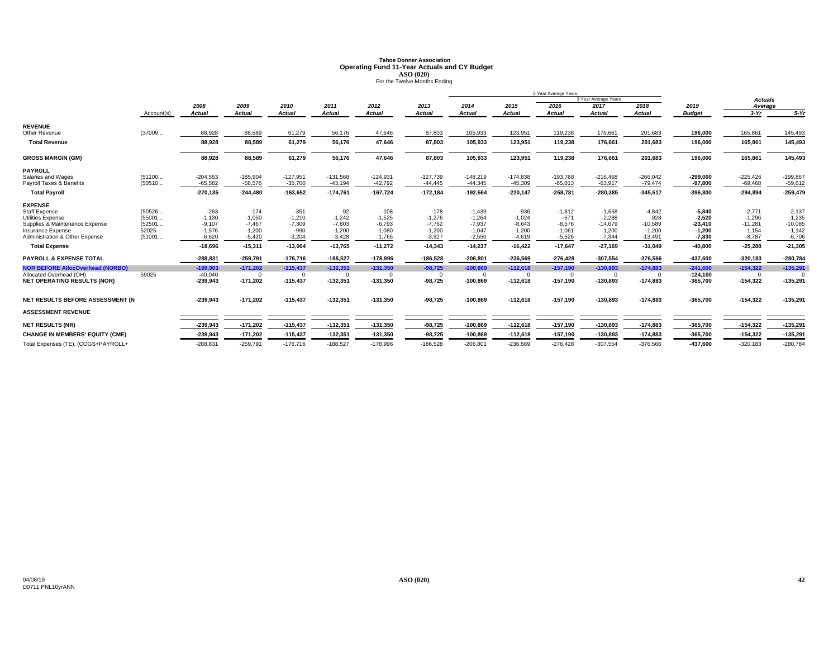# **Tahoe Donner AssociationOperating Fund 11-Year Actuals and CY Budget<br>ASO (020)<br>For the Twelve Months Ending**

|                                         |            |               |               |            |               |            |               |            | 5 Year Average Years |            |                      |               |               |                |            |
|-----------------------------------------|------------|---------------|---------------|------------|---------------|------------|---------------|------------|----------------------|------------|----------------------|---------------|---------------|----------------|------------|
|                                         |            |               |               |            |               |            |               |            |                      |            | 3 Year Average Years |               |               | <b>Actuals</b> |            |
|                                         |            | 2008          | 2009          | 2010       | 2011          | 2012       | 2013          | 2014       | 2015                 | 2016       | 2017                 | 2018          | 2019          | Average        |            |
|                                         | Account(s) | <b>Actual</b> | <b>Actual</b> | Actual     | <b>Actual</b> | Actual     | <b>Actual</b> | Actual     | <b>Actual</b>        | Actual     | <b>Actual</b>        | <b>Actual</b> | <b>Budget</b> | $3-Yr$         | $5-Yr$     |
| <b>REVENUE</b>                          |            |               |               |            |               |            |               |            |                      |            |                      |               |               |                |            |
| Other Revenue                           | (37009     | 88,928        | 88,589        | 61,279     | 56,176        | 47,646     | 87,803        | 105,933    | 123,951              | 119,238    | 176,661              | 201,683       | 196,000       | 165,861        | 145,493    |
| <b>Total Revenue</b>                    |            | 88.928        | 88,589        | 61,279     | 56,176        | 47,646     | 87,803        | 105,933    | 123,951              | 119,238    | 176,661              | 201,683       | 196,000       | 165,861        | 145,493    |
| <b>GROSS MARGIN (GM)</b>                |            | 88,928        | 88,589        | 61,279     | 56,176        | 47,646     | 87,803        | 105,933    | 123,951              | 119,238    | 176,661              | 201,683       | 196,000       | 165,861        | 145,493    |
| <b>PAYROLL</b>                          |            |               |               |            |               |            |               |            |                      |            |                      |               |               |                |            |
| Salaries and Wages                      | (51100     | $-204,553$    | $-185,904$    | $-127,951$ | $-131,568$    | $-124,931$ | $-127,739$    | $-148,219$ | $-174,838$           | $-193,768$ | $-216,468$           | $-266,042$    | $-299.000$    | $-225,426$     | $-199,867$ |
| Payroll Taxes & Benefits                | (50510     | $-65.582$     | $-58.576$     | $-35.700$  | $-43,194$     | $-42,792$  | $-44.445$     | $-44.345$  | $-45.309$            | $-65.013$  | $-63,917$            | $-79,474$     | $-97.800$     | $-69,468$      | $-59,612$  |
| <b>Total Payroll</b>                    |            | $-270,135$    | $-244,480$    | $-163,652$ | $-174,761$    | $-167,724$ | $-172,184$    | $-192,564$ | $-220,147$           | $-258,781$ | $-280,385$           | $-345,517$    | $-396,800$    | $-294,894$     | $-259,479$ |
| <b>EXPENSE</b>                          |            |               |               |            |               |            |               |            |                      |            |                      |               |               |                |            |
| <b>Staff Expense</b>                    | (50526     | $-263$        | $-174$        | $-351$     | $-92$         | $-108$     | $-178$        | $-1,439$   | $-936$               | $-1,812$   | $-1,658$             | $-4,842$      | $-5,840$      | $-2,771$       | $-2,137$   |
| Utilities Expense                       | (55001     | $-1,130$      | $-1,050$      | $-1.210$   | $-1.242$      | $-1,525$   | $-1.276$      | $-1.264$   | $-1,024$             | $-671$     | $-2,288$             | $-928$        | $-2.520$      | $-1,296$       | $-1,235$   |
| Supplies & Maintenance Expense          | (52501     | $-9.107$      | $-7.467$      | $-7,309$   | $-7,803$      | $-6,793$   | $-7,762$      | $-7.937$   | $-8.643$             | $-8,576$   | $-14,679$            | $-10,589$     | $-23.410$     | $-11,281$      | $-10,085$  |
| Insurance Expense                       | 52025      | $-1,576$      | $-1,200$      | -990       | $-1,200$      | $-1,080$   | $-1,200$      | $-1,047$   | $-1,200$             | $-1,061$   | $-1,200$             | $-1,200$      | $-1,200$      | $-1,154$       | $-1,142$   |
| Administration & Other Expense          | (51001     | $-6,620$      | $-5,420$      | $-3,204$   | $-3,428$      | $-1,765$   | $-3,927$      | $-2,550$   | $-4,619$             | $-5,526$   | $-7,344$             | $-13,491$     | $-7,830$      | $-8,787$       | $-6,706$   |
| <b>Total Expense</b>                    |            | $-18.696$     | $-15,311$     | $-13.064$  | $-13,765$     | $-11.272$  | $-14.343$     | $-14.237$  | $-16.422$            | $-17.647$  | $-27,169$            | $-31,049$     | $-40.800$     | $-25,288$      | $-21,305$  |
| <b>PAYROLL &amp; EXPENSE TOTAL</b>      |            | $-288,831$    | $-259.791$    | $-176,716$ | $-188,527$    | $-178,996$ | $-186.528$    | $-206.801$ | $-236.569$           | $-276,428$ | $-307,554$           | $-376,566$    | $-437.600$    | $-320.183$     | $-280,784$ |
| <b>NOR BEFORE AllocOverhead (NORBO)</b> |            | $-199.903$    | $-171.202$    | $-115.437$ | $-132.351$    | $-131,350$ | $-98.725$     | $-100.869$ | $-112.618$           | $-157,190$ | $-130.893$           | $-174.883$    | $-241.600$    | $-154.322$     | $-135,291$ |
| Allocated Overhead (OH)                 | 59025      | $-40,040$     |               |            | $\Omega$      | $\Omega$   |               | $\Omega$   |                      | $\Omega$   |                      |               | $-124.100$    | $\Omega$       |            |
| <b>NET OPERATING RESULTS (NOR)</b>      |            | $-239,943$    | $-171,202$    | $-115,437$ | $-132,351$    | $-131,350$ | $-98,725$     | $-100,869$ | $-112,618$           | $-157,190$ | $-130,893$           | $-174,883$    | $-365,700$    | $-154,322$     | $-135,291$ |
| NET RESULTS BEFORE ASSESSMENT (N        |            | $-239,943$    | $-171,202$    | $-115,437$ | $-132,351$    | $-131,350$ | -98,725       | $-100,869$ | $-112,618$           | $-157,190$ | $-130,893$           | $-174,883$    | $-365,700$    | $-154,322$     | $-135,291$ |
| <b>ASSESSMENT REVENUE</b>               |            |               |               |            |               |            |               |            |                      |            |                      |               |               |                |            |
| <b>NET RESULTS (NR)</b>                 |            | $-239,943$    | $-171,202$    | $-115,437$ | $-132,351$    | $-131,350$ | $-98,725$     | $-100,869$ | $-112,618$           | $-157,190$ | $-130,893$           | $-174,883$    | $-365,700$    | $-154,322$     | $-135,291$ |
| <b>CHANGE IN MEMBERS' EQUITY (CME)</b>  |            | $-239,943$    | $-171,202$    | $-115,437$ | $-132,351$    | $-131,350$ | $-98,725$     | $-100,869$ | $-112,618$           | $-157,190$ | $-130,893$           | $-174,883$    | $-365,700$    | $-154,322$     | $-135,291$ |
| Total Expenses (TE), (COGS+PAYROLL+     |            | $-288,831$    | $-259.791$    | $-176.716$ | $-188.527$    | $-178.996$ | $-186.528$    | $-206.801$ | $-236.569$           | $-276.428$ | $-307.554$           | $-376.566$    | $-437.600$    | $-320.183$     | $-280.784$ |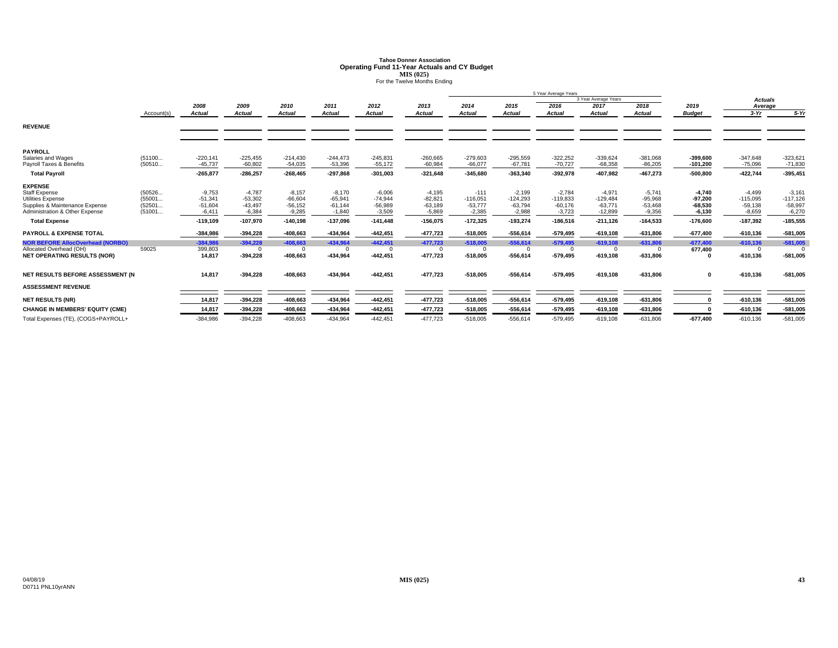# **Tahoe Donner AssociationOperating Fund 11-Year Actuals and CY Budget<br>MIS (025)<br>For the Twelve Months Ending**

|                                                                  |            |               |                       |                        |               |               | 5 Year Average Years  |                       |               |                       |                        |               |                       |                |            |
|------------------------------------------------------------------|------------|---------------|-----------------------|------------------------|---------------|---------------|-----------------------|-----------------------|---------------|-----------------------|------------------------|---------------|-----------------------|----------------|------------|
|                                                                  |            |               |                       |                        |               |               |                       |                       |               |                       | 3 Year Average Years   |               |                       | <b>Actuals</b> |            |
|                                                                  |            | 2008          | 2009                  | 2010                   | 2011          | 2012          | 2013                  | 2014                  | 2015          | 2016                  | 2017                   | 2018          | 2019                  | Average        |            |
|                                                                  | Account(s) | <b>Actual</b> | Actual                | <b>Actual</b>          | <b>Actual</b> | <b>Actual</b> | <b>Actual</b>         | Actual                | <b>Actual</b> | <b>Actual</b>         | <b>Actual</b>          | <b>Actual</b> | <b>Budget</b>         | $3-Yr$         | $5-Yr$     |
| <b>REVENUE</b>                                                   |            |               |                       |                        |               |               |                       |                       |               |                       |                        |               |                       |                |            |
|                                                                  |            |               |                       |                        |               |               |                       |                       |               |                       |                        |               |                       |                |            |
|                                                                  |            |               |                       |                        |               |               |                       |                       |               |                       |                        |               |                       |                |            |
| <b>PAYROLL</b>                                                   |            |               |                       |                        |               |               |                       |                       |               |                       |                        |               |                       |                |            |
| Salaries and Wages                                               | (51100     | $-220,141$    | $-225,455$            | $-214.430$             | $-244,473$    | $-245,831$    | $-260,665$            | $-279,603$            | $-295.559$    | $-322.252$            | $-339.624$             | $-381,068$    | $-399.600$            | $-347,648$     | $-323,621$ |
| Pavroll Taxes & Benefits                                         | (50510     | $-45,737$     | $-60.802$             | $-54,035$              | $-53,396$     | $-55,172$     | $-60,984$             | $-66.077$             | $-67.781$     | $-70,727$             | $-68,358$              | $-86,205$     | $-101.200$            | $-75,096$      | $-71,830$  |
| <b>Total Payroll</b>                                             |            | $-265,877$    | $-286,257$            | $-268,465$             | -297,868      | $-301,003$    | $-321,648$            | $-345,680$            | $-363,340$    | $-392,978$            | $-407,982$             | $-467,273$    | $-500,800$            | $-422,744$     | $-395,451$ |
| <b>EXPENSE</b>                                                   |            |               |                       |                        |               |               |                       |                       |               |                       |                        |               |                       |                |            |
| <b>Staff Expense</b>                                             | (50526     | $-9.753$      | $-4.787$              | $-8,157$               | $-8,170$      | $-6.006$      | $-4,195$              | $-111$                | $-2.199$      | $-2.784$              | $-4.971$               | $-5,741$      | $-4.740$              | $-4.499$       | $-3,161$   |
| <b>Utilities Expense</b>                                         | (55001     | $-51,341$     | $-53,302$             | $-66,604$              | $-65,941$     | $-74.944$     | $-82,821$             | $-116,051$            | $-124.293$    | $-119,833$            | $-129.484$             | $-95,968$     | $-97.200$             | $-115,095$     | $-117,126$ |
| Supplies & Maintenance Expense<br>Administration & Other Expense | (52501     | $-51.604$     | $-43,497$<br>$-6.384$ | $-56, 152$<br>$-9.285$ | $-61,144$     | $-56,989$     | $-63,189$<br>$-5.869$ | $-53,777$<br>$-2.385$ | $-63,794$     | $-60.176$<br>$-3.723$ | $-63.771$<br>$-12.899$ | $-53,468$     | $-68,530$<br>$-6.130$ | $-59,138$      | $-58,997$  |
|                                                                  | (51001     | $-6,411$      |                       |                        | $-1,840$      | $-3,509$      |                       |                       | $-2,988$      |                       |                        | $-9,356$      |                       | $-8,659$       | $-6,270$   |
| <b>Total Expense</b>                                             |            | $-119,109$    | $-107,970$            | $-140,198$             | $-137,096$    | $-141,448$    | $-156,075$            | $-172,325$            | $-193,274$    | $-186,516$            | $-211,126$             | $-164,533$    | $-176,600$            | $-187,392$     | $-185,555$ |
| <b>PAYROLL &amp; EXPENSE TOTAL</b>                               |            | $-384,986$    | $-394,228$            | $-408,663$             | $-434,964$    | $-442,451$    | $-477,723$            | $-518,005$            | $-556,614$    | $-579,495$            | $-619,108$             | $-631,806$    | $-677,400$            | $-610, 136$    | $-581,005$ |
| <b>NOR BEFORE AllocOverhead (NORBO)</b>                          |            | $-384,986$    | $-394.228$            | $-408.663$             | $-434,964$    | $-442,451$    | $-477,723$            | $-518,005$            | $-556,614$    | $-579,495$            | $-619,108$             | $-631,806$    | $-677,400$            | $-610,136$     | $-581,005$ |
| Allocated Overhead (OH)                                          | 59025      | 399,803       | $\Omega$              | $\Omega$               |               | $\Omega$      | $\Omega$              | $\Omega$              | $\Omega$      | $\Omega$              | $\Omega$               |               | 677,400               | $\Omega$       |            |
| <b>NET OPERATING RESULTS (NOR)</b>                               |            | 14.817        | $-394.228$            | $-408,663$             | $-434,964$    | $-442,451$    | $-477,723$            | $-518,005$            | $-556,614$    | $-579,495$            | $-619,108$             | $-631,806$    |                       | $-610, 136$    | $-581,005$ |
|                                                                  |            |               |                       |                        |               |               |                       |                       |               |                       |                        |               |                       |                |            |
| NET RESULTS BEFORE ASSESSMENT (N                                 |            | 14,817        | $-394,228$            | -408,663               | -434,964      | $-442,451$    | $-477,723$            | $-518,005$            | $-556,614$    | $-579,495$            | $-619,108$             | $-631,806$    | $\mathbf 0$           | $-610, 136$    | $-581,005$ |
| <b>ASSESSMENT REVENUE</b>                                        |            |               |                       |                        |               |               |                       |                       |               |                       |                        |               |                       |                |            |
| <b>NET RESULTS (NR)</b>                                          |            | 14,817        | $-394,228$            | $-408,663$             | -434,964      | $-442,451$    | $-477,723$            | $-518,005$            | $-556,614$    | $-579,495$            | $-619,108$             | $-631,806$    |                       | $-610, 136$    | $-581,005$ |
| <b>CHANGE IN MEMBERS' EQUITY (CME)</b>                           |            | 14,817        | $-394,228$            | $-408,663$             | $-434,964$    | $-442,451$    | $-477,723$            | $-518,005$            | $-556,614$    | $-579,495$            | $-619,108$             | $-631,806$    |                       | $-610, 136$    | $-581,005$ |
| Total Expenses (TE), (COGS+PAYROLL+                              |            | $-384,986$    | $-394,228$            | $-408,663$             | $-434,964$    | $-442,451$    | $-477,723$            | $-518,005$            | $-556,614$    | $-579,495$            | $-619, 108$            | $-631,806$    | $-677,400$            | $-610, 136$    | $-581,005$ |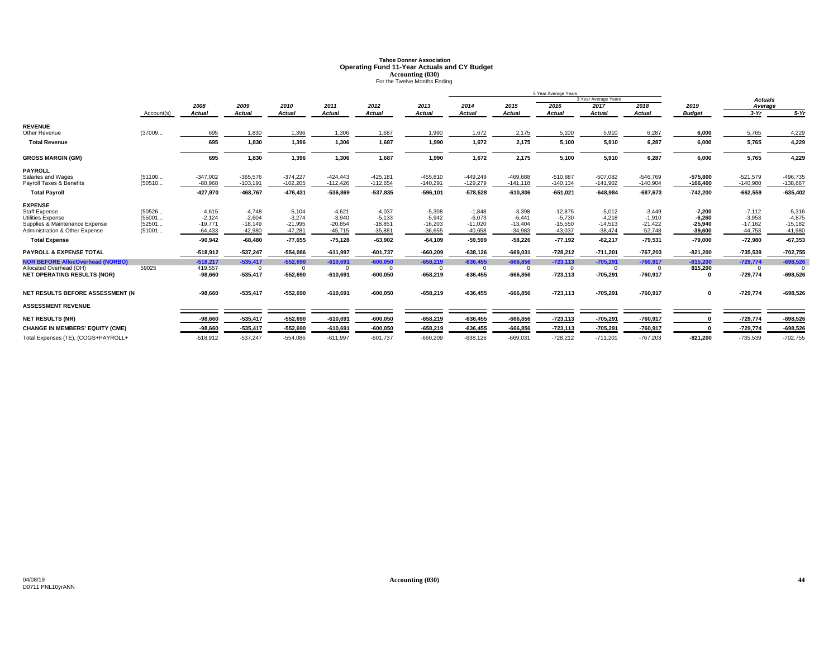# **Tahoe Donner AssociationOperating Fund 11-Year Actuals and CY Budget<br>Accounting (030)<br>For the Twelve Months Ending**

|                                                                  |                  |                        |                        |                        |                        |                        |                        |                        |                        | 5 Year Average Years   |                        |                        |                        |                        |                        |
|------------------------------------------------------------------|------------------|------------------------|------------------------|------------------------|------------------------|------------------------|------------------------|------------------------|------------------------|------------------------|------------------------|------------------------|------------------------|------------------------|------------------------|
|                                                                  |                  |                        |                        |                        |                        |                        |                        |                        |                        |                        | 3 Year Average Years   |                        |                        | <b>Actuals</b>         |                        |
|                                                                  |                  | 2008                   | 2009                   | 2010                   | 2011                   | 2012                   | 2013                   | 2014                   | 2015                   | 2016                   | 2017                   | 2018                   | 2019                   | Average                |                        |
|                                                                  | Account(s)       | <b>Actual</b>          | <b>Actual</b>          | <b>Actual</b>          | <b>Actual</b>          | <b>Actual</b>          | <b>Actual</b>          | Actual                 | <b>Actual</b>          | <b>Actual</b>          | <b>Actual</b>          | <b>Actual</b>          | <b>Budget</b>          | $3-Yr$                 | $5-Yr$                 |
| <b>REVENUE</b>                                                   |                  |                        |                        |                        |                        |                        |                        |                        |                        |                        |                        |                        |                        |                        |                        |
| Other Revenue                                                    | (37009           | 695                    | 1,830                  | 1,396                  | 1,306                  | 1,687                  | 1,990                  | 1,672                  | 2,175                  | 5,100                  | 5,910                  | 6,287                  | 6,000                  | 5,765                  | 4,229                  |
| <b>Total Revenue</b>                                             |                  | 695                    | 1,830                  | 1,396                  | 1,306                  | 1,687                  | 1,990                  | 1,672                  | 2,175                  | 5,100                  | 5,910                  | 6,287                  | 6,000                  | 5,765                  | 4,229                  |
| <b>GROSS MARGIN (GM)</b>                                         |                  | 695                    | 1,830                  | 1,396                  | 1,306                  | 1,687                  | 1,990                  | 1,672                  | 2,175                  | 5,100                  | 5,910                  | 6,287                  | 6,000                  | 5,765                  | 4,229                  |
| <b>PAYROLL</b>                                                   |                  |                        |                        |                        |                        |                        |                        |                        |                        |                        |                        |                        |                        |                        |                        |
| Salaries and Wages                                               | (51100           | $-347,002$             | $-365.576$             | $-374,227$             | $-424.443$             | $-425,181$             | $-455,810$             | $-449.249$             | $-469.688$             | $-510.887$             | $-507.082$             | $-546,769$             | $-575.800$             | $-521,579$             | $-496.735$             |
| Payroll Taxes & Benefits                                         | (50510           | $-80,968$              | $-103,191$             | $-102,205$             | $-112,426$             | $-112,654$             | $-140,291$             | $-129,279$             | $-141,118$             | $-140, 134$            | $-141,902$             | $-140,904$             | $-166,400$             | $-140,980$             | $-138,667$             |
| <b>Total Payroll</b>                                             |                  | $-427,970$             | $-468,767$             | $-476, 431$            | $-536,869$             | $-537,835$             | $-596, 101$            | $-578,528$             | $-610,806$             | $-651,021$             | $-648,984$             | $-687,673$             | $-742,200$             | $-662,559$             | $-635,402$             |
| <b>EXPENSE</b>                                                   |                  |                        |                        |                        |                        |                        |                        |                        |                        |                        |                        |                        |                        |                        |                        |
| <b>Staff Expense</b>                                             | (50526           | $-4,615$               | $-4.748$               | $-5,104$               | $-4,621$               | $-4,037$               | $-5,308$               | $-1.848$               | $-3,398$               | $-12,875$              | $-5,012$               | $-3,449$               | $-7,200$               | $-7,112$               | $-5,316$               |
| Utilities Expense                                                | (55001           | $-2.124$               | $-2.604$               | $-3,274$               | $-3,940$               | $-5,133$               | $-5,942$               | $-6.073$               | $-6.441$               | $-5.730$               | $-4.218$               | $-1,910$               | $-6.260$               | $-3.953$               | $-4.875$               |
| Supplies & Maintenance Expense<br>Administration & Other Expense | (52501<br>(51001 | $-19,771$<br>$-64,433$ | $-18,149$<br>$-42,980$ | $-21,995$<br>$-47,281$ | $-20,854$<br>$-45,715$ | $-18,851$<br>$-35,881$ | $-16,203$<br>$-36,655$ | $-11,020$<br>$-40,658$ | $-13,404$<br>$-34,983$ | $-15,550$<br>$-43,037$ | $-14,513$<br>$-38,474$ | $-21,422$<br>$-52,748$ | $-25,940$<br>$-39,600$ | $-17,162$<br>$-44,753$ | $-15,182$<br>$-41,980$ |
| <b>Total Expense</b>                                             |                  | $-90.942$              | $-68.480$              | $-77.655$              |                        |                        |                        | $-59.599$              | $-58.226$              |                        | $-62.217$              |                        | $-79.000$              |                        |                        |
|                                                                  |                  |                        |                        |                        | $-75,128$              | $-63,902$              | $-64,109$              |                        |                        | $-77,192$              |                        | $-79,531$              |                        | $-72,980$              | $-67,353$              |
| <b>PAYROLL &amp; EXPENSE TOTAL</b>                               |                  | $-518,912$             | $-537,247$             | $-554,086$             | $-611,997$             | $-601,737$             | $-660,209$             | $-638,126$             | $-669,031$             | $-728,212$             | $-711,201$             | $-767,203$             | $-821,200$             | -735,539               | $-702,755$             |
| <b>NOR BEFORE AllocOverhead (NORBO)</b>                          |                  | $-518,217$             | $-535.417$             | $-552.690$             | $-610,691$             | $-600,050$             | $-658.219$             | $-636.455$             | $-666,856$             | $-723,113$             | $-705,291$             | $-760,917$             | $-815,200$             | $-729,774$             | $-698,526$             |
| Allocated Overhead (OH)                                          | 59025            | 419,557                | $\Omega$               | $\Omega$               | $\Omega$               | $\Omega$               | $\Omega$               | $\mathbf{0}$           | $^{\circ}$             | $^{\circ}$             | $\overline{0}$         |                        | 815,200                | $^{\circ}$             |                        |
| <b>NET OPERATING RESULTS (NOR)</b>                               |                  | $-98,660$              | $-535,417$             | $-552,690$             | $-610,691$             | $-600,050$             | $-658,219$             | $-636,455$             | $-666,856$             | $-723, 113$            | $-705,291$             | $-760,917$             | $\Omega$               | $-729,774$             | $-698,526$             |
| NET RESULTS BEFORE ASSESSMENT (N                                 |                  | $-98.660$              | $-535.417$             | $-552,690$             | $-610,691$             | $-600.050$             | $-658.219$             | $-636.455$             | $-666.856$             | $-723,113$             | $-705,291$             | $-760,917$             | $\mathbf{0}$           | $-729,774$             | $-698,526$             |
| <b>ASSESSMENT REVENUE</b>                                        |                  |                        |                        |                        |                        |                        |                        |                        |                        |                        |                        |                        |                        |                        |                        |
| <b>NET RESULTS (NR)</b>                                          |                  | $-98,660$              | $-535,417$             | $-552,690$             | $-610,691$             | $-600,050$             | $-658,219$             | $-636,455$             | $-666,856$             | $-723, 113$            | $-705,291$             | $-760,917$             |                        | $-729,774$             | $-698,526$             |
| <b>CHANGE IN MEMBERS' EQUITY (CME)</b>                           |                  | $-98.660$              | $-535,417$             | $-552.690$             | $-610,691$             | $-600,050$             | $-658.219$             | $-636.455$             | $-666.856$             | $-723, 113$            | $-705,291$             | $-760,917$             |                        | $-729,774$             | $-698,526$             |
| Total Expenses (TE), (COGS+PAYROLL+                              |                  | $-518.912$             | $-537.247$             | $-554.086$             | $-611.997$             | $-601.737$             | $-660.209$             | $-638.126$             | $-669.031$             | $-728.212$             | $-711.201$             | $-767.203$             | $-821.200$             | $-735.539$             | $-702,755$             |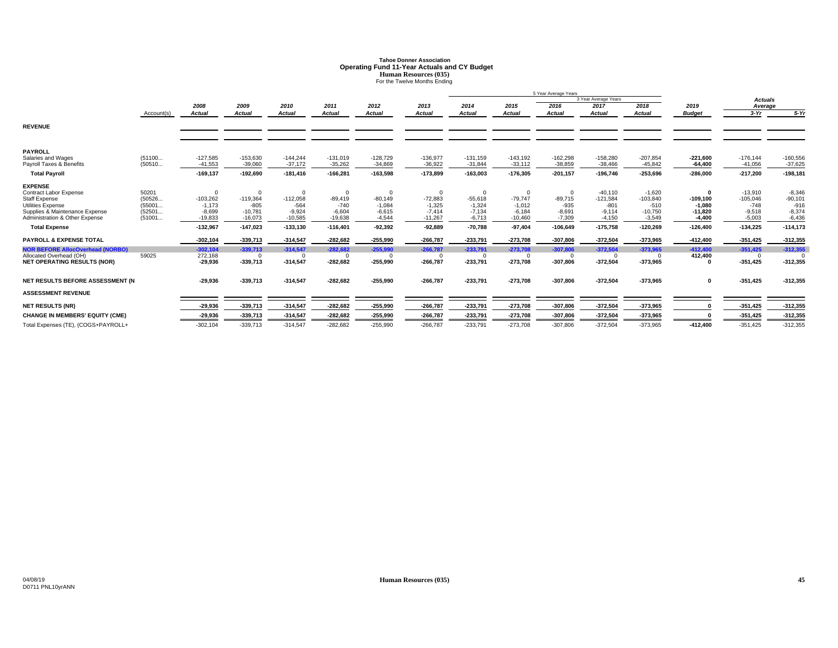# **Tahoe Donner AssociationOperating Fund 11-Year Actuals and CY Budget<br>Human Resources (035)<br>For the Twelve Months Ending**

|                                                                                                                                                                                                                         |                                               |                                                                             |                                                                                        |                                                                           |                                                                                      |                                                                                      |                                                                                       |                                                                                      |                                                                                          | 5 Year Average Years                                                                |                                                                                       |                                                                                       |                                                                              |                                                                                       |                                                                                      |
|-------------------------------------------------------------------------------------------------------------------------------------------------------------------------------------------------------------------------|-----------------------------------------------|-----------------------------------------------------------------------------|----------------------------------------------------------------------------------------|---------------------------------------------------------------------------|--------------------------------------------------------------------------------------|--------------------------------------------------------------------------------------|---------------------------------------------------------------------------------------|--------------------------------------------------------------------------------------|------------------------------------------------------------------------------------------|-------------------------------------------------------------------------------------|---------------------------------------------------------------------------------------|---------------------------------------------------------------------------------------|------------------------------------------------------------------------------|---------------------------------------------------------------------------------------|--------------------------------------------------------------------------------------|
|                                                                                                                                                                                                                         |                                               |                                                                             |                                                                                        |                                                                           |                                                                                      |                                                                                      |                                                                                       |                                                                                      |                                                                                          |                                                                                     | 3 Year Average Years                                                                  |                                                                                       |                                                                              | <b>Actuals</b>                                                                        |                                                                                      |
|                                                                                                                                                                                                                         |                                               | 2008                                                                        | 2009                                                                                   | 2010                                                                      | 2011                                                                                 | 2012                                                                                 | 2013                                                                                  | 2014                                                                                 | 2015                                                                                     | 2016                                                                                | 2017                                                                                  | 2018                                                                                  | 2019                                                                         | Average                                                                               |                                                                                      |
|                                                                                                                                                                                                                         | Account(s)                                    | <b>Actual</b>                                                               | Actual                                                                                 | <b>Actual</b>                                                             | <b>Actual</b>                                                                        | <b>Actual</b>                                                                        | <b>Actual</b>                                                                         | <b>Actual</b>                                                                        | <b>Actual</b>                                                                            | <b>Actual</b>                                                                       | <b>Actual</b>                                                                         | Actual                                                                                | <b>Budget</b>                                                                | $3-Yr$                                                                                | $5-Yr$                                                                               |
| <b>REVENUE</b>                                                                                                                                                                                                          |                                               |                                                                             |                                                                                        |                                                                           |                                                                                      |                                                                                      |                                                                                       |                                                                                      |                                                                                          |                                                                                     |                                                                                       |                                                                                       |                                                                              |                                                                                       |                                                                                      |
| <b>PAYROLL</b><br>Salaries and Wages<br>Payroll Taxes & Benefits                                                                                                                                                        | (51100<br>(50510                              | $-127,585$<br>$-41,553$                                                     | $-153,630$<br>$-39.060$                                                                | $-144.244$<br>$-37,172$                                                   | $-131,019$<br>$-35,262$                                                              | $-128,729$<br>$-34,869$                                                              | $-136,977$<br>$-36.922$                                                               | $-131,159$<br>$-31,844$                                                              | $-143,192$<br>$-33,112$                                                                  | $-162,298$<br>$-38.859$                                                             | $-158,280$<br>$-38,466$                                                               | $-207,854$<br>$-45,842$                                                               | $-221.600$<br>$-64,400$                                                      | $-176, 144$<br>$-41,056$                                                              | $-160,556$<br>$-37,625$                                                              |
| <b>Total Payroll</b>                                                                                                                                                                                                    |                                               | $-169, 137$                                                                 | $-192,690$                                                                             | $-181,416$                                                                | $-166,281$                                                                           | $-163,598$                                                                           | $-173,899$                                                                            | $-163,003$                                                                           | $-176,305$                                                                               | $-201, 157$                                                                         | $-196,746$                                                                            | $-253,696$                                                                            | $-286,000$                                                                   | $-217,200$                                                                            | $-198,181$                                                                           |
| <b>EXPENSE</b><br>Contract Labor Expense<br><b>Staff Expense</b><br>Utilities Expense<br>Supplies & Maintenance Expense<br>Administration & Other Expense<br><b>Total Expense</b><br><b>PAYROLL &amp; EXPENSE TOTAL</b> | 50201<br>(50526<br>(55001<br>(52501<br>(51001 | $-103,262$<br>$-1,173$<br>$-8.699$<br>$-19,833$<br>$-132,967$<br>$-302.104$ | $\Omega$<br>$-119,364$<br>$-805$<br>$-10.781$<br>$-16,073$<br>$-147.023$<br>$-339.713$ | $-112,058$<br>$-564$<br>$-9.924$<br>$-10,585$<br>$-133,130$<br>$-314,547$ | $\Omega$<br>$-89,419$<br>$-740$<br>$-6,604$<br>$-19,638$<br>$-116,401$<br>$-282,682$ | $\Omega$<br>$-80,149$<br>$-1,084$<br>$-6,615$<br>$-4,544$<br>$-92,392$<br>$-255,990$ | $\Omega$<br>$-72,883$<br>$-1,325$<br>$-7.414$<br>$-11.267$<br>$-92.889$<br>$-266.787$ | $\Omega$<br>$-55,618$<br>$-1,324$<br>$-7,134$<br>$-6,713$<br>$-70,788$<br>$-233.791$ | $\mathbf 0$<br>$-79,747$<br>$-1,012$<br>$-6.184$<br>$-10,460$<br>$-97,404$<br>$-273,708$ | $\Omega$<br>$-89,715$<br>$-935$<br>$-8,691$<br>$-7,309$<br>$-106,649$<br>$-307.806$ | $-40,110$<br>$-121,584$<br>$-801$<br>$-9.114$<br>$-4,150$<br>$-175,758$<br>$-372,504$ | $-1,620$<br>$-103,840$<br>$-510$<br>$-10,750$<br>$-3,549$<br>$-120,269$<br>$-373,965$ | $-109, 100$<br>$-1.080$<br>$-11.820$<br>$-4,400$<br>$-126.400$<br>$-412,400$ | $-13,910$<br>$-105,046$<br>$-748$<br>$-9,518$<br>$-5,003$<br>$-134,225$<br>$-351,425$ | $-8,346$<br>$-90,101$<br>$-916$<br>$-8,374$<br>$-6,436$<br>$-114, 173$<br>$-312,355$ |
| <b>NOR BEFORE AllocOverhead (NORBO)</b><br>Allocated Overhead (OH)<br><b>NET OPERATING RESULTS (NOR)</b>                                                                                                                | 59025                                         | $-302.104$<br>272,168<br>$-29,936$                                          | $-339.713$<br>$\Omega$<br>$-339,713$                                                   | $-314.547$<br>$\Omega$<br>$-314,547$                                      | $-282.682$<br>$\Omega$<br>$-282,682$                                                 | $-255.990$<br>$\Omega$<br>$-255,990$                                                 | $-266.787$<br>$\Omega$<br>$-266,787$                                                  | $-233.791$<br>$\Omega$<br>$-233,791$                                                 | $-273,708$<br>$^{\circ}$<br>$-273,708$                                                   | $-307.806$<br>$^{\circ}$<br>$-307,806$                                              | $-372,504$<br>$\Omega$<br>$-372,504$                                                  | $-373.965$<br>$\Omega$<br>$-373,965$                                                  | $-412.400$<br>412,400<br>0                                                   | $-351.425$<br>$^{\circ}$<br>$-351,425$                                                | $-312,355$<br>$-312,355$                                                             |
| NET RESULTS BEFORE ASSESSMENT (N                                                                                                                                                                                        |                                               | $-29.936$                                                                   | $-339,713$                                                                             | $-314,547$                                                                | $-282,682$                                                                           | $-255,990$                                                                           | $-266,787$                                                                            | $-233,791$                                                                           | $-273,708$                                                                               | $-307,806$                                                                          | $-372,504$                                                                            | $-373,965$                                                                            | 0                                                                            | $-351,425$                                                                            | $-312,355$                                                                           |
| <b>ASSESSMENT REVENUE</b>                                                                                                                                                                                               |                                               |                                                                             |                                                                                        |                                                                           |                                                                                      |                                                                                      |                                                                                       |                                                                                      |                                                                                          |                                                                                     |                                                                                       |                                                                                       |                                                                              |                                                                                       |                                                                                      |
| <b>NET RESULTS (NR)</b>                                                                                                                                                                                                 |                                               | $-29.936$                                                                   | $-339,713$                                                                             | $-314,547$                                                                | $-282,682$                                                                           | $-255,990$                                                                           | $-266,787$                                                                            | $-233,791$                                                                           | $-273,708$                                                                               | $-307,806$                                                                          | $-372,504$                                                                            | $-373,965$                                                                            |                                                                              | $-351,425$                                                                            | $-312,355$                                                                           |
| <b>CHANGE IN MEMBERS' EQUITY (CME)</b>                                                                                                                                                                                  |                                               | $-29.936$                                                                   | $-339,713$                                                                             | $-314,547$                                                                | $-282,682$                                                                           | $-255,990$                                                                           | $-266.787$                                                                            | $-233,791$                                                                           | $-273,708$                                                                               | $-307,806$                                                                          | $-372,504$                                                                            | $-373,965$                                                                            |                                                                              | $-351.425$                                                                            | $-312,355$                                                                           |
| Total Expenses (TE), (COGS+PAYROLL+                                                                                                                                                                                     |                                               | $-302, 104$                                                                 | $-339.713$                                                                             | $-314.547$                                                                | $-282.682$                                                                           | $-255.990$                                                                           | $-266.787$                                                                            | $-233.791$                                                                           | $-273.708$                                                                               | $-307.806$                                                                          | $-372.504$                                                                            | $-373.965$                                                                            | $-412.400$                                                                   | $-351.425$                                                                            | $-312,355$                                                                           |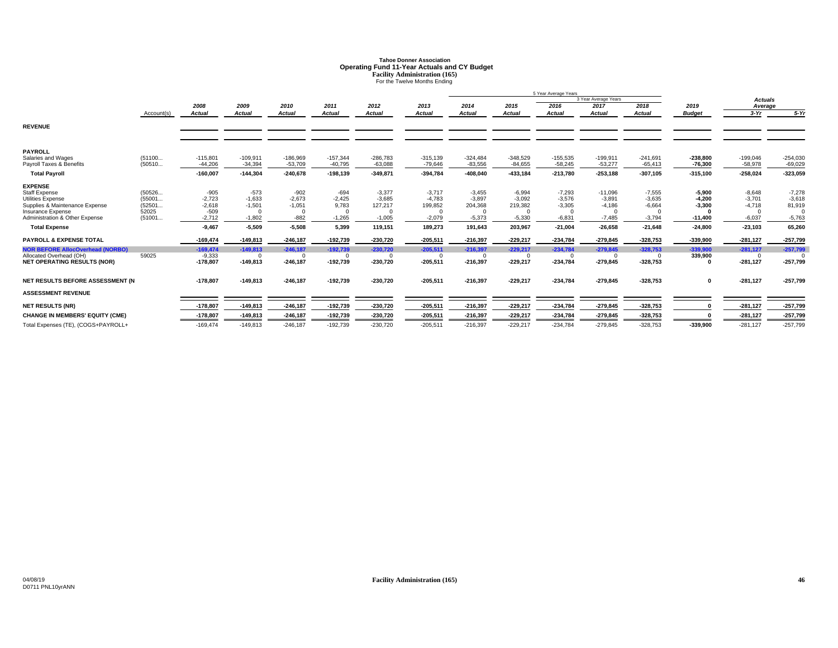# **Tahoe Donner AssociationOperating Fund 11-Year Actuals and CY Budget<br>
Facility Administration (165)<br>
For the Twelve Months Ending**

|                                                                                                                                                                                                                                                                                          |                                                        |                                                                                                          |                                                                                                |                                                                                  |                                                                                          |                                                                                                |                                                                                    |                                                                                                |                                                                                                  | 5 Year Average Years                                                                  |                                                                                        |                                                                                                               |                                                                                                   |                                                                                                     |                                                                                  |
|------------------------------------------------------------------------------------------------------------------------------------------------------------------------------------------------------------------------------------------------------------------------------------------|--------------------------------------------------------|----------------------------------------------------------------------------------------------------------|------------------------------------------------------------------------------------------------|----------------------------------------------------------------------------------|------------------------------------------------------------------------------------------|------------------------------------------------------------------------------------------------|------------------------------------------------------------------------------------|------------------------------------------------------------------------------------------------|--------------------------------------------------------------------------------------------------|---------------------------------------------------------------------------------------|----------------------------------------------------------------------------------------|---------------------------------------------------------------------------------------------------------------|---------------------------------------------------------------------------------------------------|-----------------------------------------------------------------------------------------------------|----------------------------------------------------------------------------------|
|                                                                                                                                                                                                                                                                                          |                                                        |                                                                                                          |                                                                                                |                                                                                  |                                                                                          |                                                                                                |                                                                                    |                                                                                                |                                                                                                  |                                                                                       | 3 Year Average Years                                                                   |                                                                                                               |                                                                                                   | <b>Actuals</b>                                                                                      |                                                                                  |
|                                                                                                                                                                                                                                                                                          |                                                        | 2008                                                                                                     | 2009                                                                                           | 2010                                                                             | 2011                                                                                     | 2012                                                                                           | 2013                                                                               | 2014                                                                                           | 2015                                                                                             | 2016                                                                                  | 2017                                                                                   | 2018                                                                                                          | 2019                                                                                              | Average                                                                                             |                                                                                  |
|                                                                                                                                                                                                                                                                                          | Account(s)                                             | <b>Actual</b>                                                                                            | <b>Actual</b>                                                                                  | <b>Actual</b>                                                                    | <b>Actual</b>                                                                            | Actual                                                                                         | <b>Actual</b>                                                                      | Actual                                                                                         | Actual                                                                                           | <b>Actual</b>                                                                         | <b>Actual</b>                                                                          | <b>Actual</b>                                                                                                 | <b>Budget</b>                                                                                     | $3-Yr$                                                                                              | $5-Yr$                                                                           |
| <b>REVENUE</b>                                                                                                                                                                                                                                                                           |                                                        |                                                                                                          |                                                                                                |                                                                                  |                                                                                          |                                                                                                |                                                                                    |                                                                                                |                                                                                                  |                                                                                       |                                                                                        |                                                                                                               |                                                                                                   |                                                                                                     |                                                                                  |
| <b>PAYROLL</b><br>Salaries and Wages<br>Payroll Taxes & Benefits                                                                                                                                                                                                                         | (51100<br>(50510                                       | $-115,801$<br>$-44.206$                                                                                  | $-109,911$<br>$-34,394$                                                                        | $-186,969$<br>$-53,709$                                                          | $-157,344$<br>$-40,795$                                                                  | $-286,783$<br>$-63,088$                                                                        | $-315,139$<br>$-79.646$                                                            | $-324,484$<br>$-83,556$                                                                        | $-348,529$<br>$-84,655$                                                                          | $-155,535$<br>$-58.245$                                                               | $-199,911$<br>$-53,277$                                                                | $-241,691$<br>$-65,413$                                                                                       | $-238,800$<br>$-76,300$                                                                           | $-199,046$<br>$-58,978$                                                                             | $-254,030$<br>$-69,029$                                                          |
| <b>Total Payroll</b>                                                                                                                                                                                                                                                                     |                                                        | $-160,007$                                                                                               | $-144,304$                                                                                     | $-240,678$                                                                       | $-198,139$                                                                               | $-349,871$                                                                                     | $-394,784$                                                                         | $-408,040$                                                                                     | $-433, 184$                                                                                      | $-213,780$                                                                            | $-253,188$                                                                             | $-307,105$                                                                                                    | $-315,100$                                                                                        | $-258,024$                                                                                          | $-323,059$                                                                       |
| <b>EXPENSE</b><br><b>Staff Expense</b><br>Utilities Expense<br>Supplies & Maintenance Expense<br>Insurance Expense<br>Administration & Other Expense<br><b>Total Expense</b><br><b>PAYROLL &amp; EXPENSE TOTAL</b><br><b>NOR BEFORE AllocOverhead (NORBO)</b><br>Allocated Overhead (OH) | (50526<br>(55001<br>(52501<br>52025<br>(51001<br>59025 | $-905$<br>$-2,723$<br>$-2,618$<br>$-509$<br>$-2.712$<br>$-9.467$<br>$-169,474$<br>$-169.474$<br>$-9,333$ | $-573$<br>$-1,633$<br>$-1,501$<br>$-1.802$<br>$-5,509$<br>$-149,813$<br>$-149.813$<br>$\Omega$ | $-902$<br>$-2,673$<br>$-1,051$<br>$-882$<br>$-5,508$<br>$-246,187$<br>$-246,187$ | $-694$<br>$-2,425$<br>9,783<br>$-1,265$<br>5,399<br>$-192,739$<br>$-192,739$<br>$\Omega$ | $-3,377$<br>$-3,685$<br>127,217<br>$-1,005$<br>119,151<br>$-230,720$<br>$-230,720$<br>$\Omega$ | $-3,717$<br>$-4,783$<br>199,852<br>$-2,079$<br>189,273<br>$-205,511$<br>$-205.511$ | $-3,455$<br>$-3,897$<br>204,368<br>$-5,373$<br>191,643<br>$-216,397$<br>$-216.397$<br>$\Omega$ | $-6,994$<br>$-3,092$<br>219,382<br>$-5.330$<br>203,967<br>$-229,217$<br>$-229.217$<br>$^{\circ}$ | $-7,293$<br>$-3,576$<br>$-3,305$<br>$-6,831$<br>$-21,004$<br>$-234,784$<br>$-234,784$ | $-11,096$<br>$-3,891$<br>$-4,186$<br>$-7,485$<br>$-26,658$<br>$-279,845$<br>$-279.845$ | $-7,555$<br>$-3,635$<br>$-6,664$<br>$\Omega$<br>$-3,794$<br>$-21,648$<br>$-328,753$<br>$-328.753$<br>$\Omega$ | $-5,900$<br>$-4,200$<br>$-3,300$<br>$-11,400$<br>$-24.800$<br>$-339,900$<br>$-339.900$<br>339,900 | $-8,648$<br>$-3,701$<br>$-4,718$<br>$-6,037$<br>$-23,103$<br>$-281,127$<br>$-281.127$<br>$^{\circ}$ | $-7,278$<br>$-3,618$<br>81,919<br>$-5,763$<br>65,260<br>$-257,799$<br>$-257,799$ |
| <b>NET OPERATING RESULTS (NOR)</b>                                                                                                                                                                                                                                                       |                                                        | $-178,807$                                                                                               | $-149,813$                                                                                     | $-246,187$                                                                       | $-192,739$                                                                               | $-230,720$                                                                                     | $-205,511$                                                                         | $-216,397$                                                                                     | $-229,217$                                                                                       | $-234,784$                                                                            | $-279,845$                                                                             | $-328,753$                                                                                                    | $\Omega$                                                                                          | $-281,127$                                                                                          | $-257,799$                                                                       |
| NET RESULTS BEFORE ASSESSMENT (N                                                                                                                                                                                                                                                         |                                                        | $-178,807$                                                                                               | $-149,813$                                                                                     | $-246,187$                                                                       | $-192,739$                                                                               | $-230,720$                                                                                     | $-205,511$                                                                         | $-216,397$                                                                                     | $-229,217$                                                                                       | $-234,784$                                                                            | $-279,845$                                                                             | $-328,753$                                                                                                    | 0                                                                                                 | $-281,127$                                                                                          | $-257,799$                                                                       |
| <b>ASSESSMENT REVENUE</b>                                                                                                                                                                                                                                                                |                                                        |                                                                                                          |                                                                                                |                                                                                  |                                                                                          |                                                                                                |                                                                                    |                                                                                                |                                                                                                  |                                                                                       |                                                                                        |                                                                                                               |                                                                                                   |                                                                                                     |                                                                                  |
| <b>NET RESULTS (NR)</b>                                                                                                                                                                                                                                                                  |                                                        | $-178,807$                                                                                               | $-149,813$                                                                                     | $-246,187$                                                                       | $-192,739$                                                                               | $-230,720$                                                                                     | $-205,511$                                                                         | $-216,397$                                                                                     | $-229,217$                                                                                       | $-234,784$                                                                            | $-279,845$                                                                             | $-328,753$                                                                                                    |                                                                                                   | $-281,127$                                                                                          | $-257,799$                                                                       |
| <b>CHANGE IN MEMBERS' EQUITY (CME)</b>                                                                                                                                                                                                                                                   |                                                        | $-178,807$                                                                                               | $-149,813$                                                                                     | $-246,187$                                                                       | $-192,739$                                                                               | $-230,720$                                                                                     | $-205,511$                                                                         | $-216,397$                                                                                     | $-229,217$                                                                                       | $-234,784$                                                                            | $-279,845$                                                                             | $-328,753$                                                                                                    |                                                                                                   | $-281,127$                                                                                          | $-257,799$                                                                       |
| Total Expenses (TE), (COGS+PAYROLL+                                                                                                                                                                                                                                                      |                                                        | $-169,474$                                                                                               | $-149,813$                                                                                     | $-246, 187$                                                                      | $-192,739$                                                                               | $-230,720$                                                                                     | $-205,511$                                                                         | $-216,397$                                                                                     | $-229,217$                                                                                       | $-234,784$                                                                            | $-279,845$                                                                             | $-328,753$                                                                                                    | $-339,900$                                                                                        | $-281,127$                                                                                          | $-257,799$                                                                       |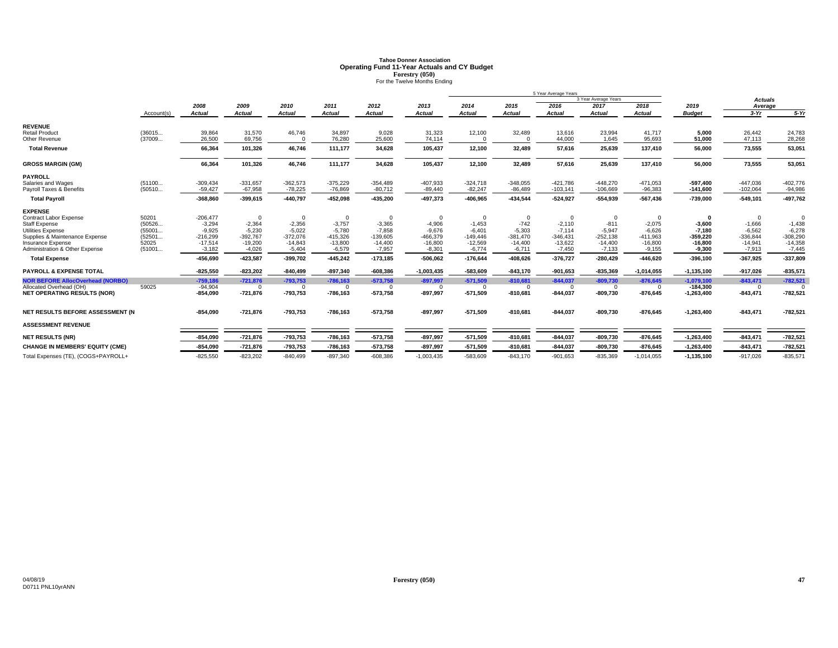# **Tahoe Donner AssociationOperating Fund 11-Year Actuals and CY Budget<br>
<b>Forestry (050)**<br>For the Twelve Months Ending

|                                                     |                 | 5 Year Average Years    |                         |                         |                         |                         |                         |                         |                         |                         |                         |                         |                         |                         |                         |
|-----------------------------------------------------|-----------------|-------------------------|-------------------------|-------------------------|-------------------------|-------------------------|-------------------------|-------------------------|-------------------------|-------------------------|-------------------------|-------------------------|-------------------------|-------------------------|-------------------------|
|                                                     |                 |                         |                         |                         |                         |                         |                         |                         |                         |                         | 3 Year Average Years    |                         |                         | <b>Actuals</b>          |                         |
|                                                     |                 | 2008                    | 2009                    | 2010                    | 2011                    | 2012                    | 2013                    | 2014                    | 2015                    | 2016                    | 2017                    | 2018                    | 2019                    | Average                 |                         |
|                                                     | Account(s)      | <b>Actual</b>           | Actual                  | <b>Actual</b>           | <b>Actual</b>           | <b>Actual</b>           | <b>Actual</b>           | <b>Actual</b>           | <b>Actual</b>           | <b>Actual</b>           | <b>Actual</b>           | <b>Actual</b>           | <b>Budget</b>           | $3-Yr$                  | $5-Yr$                  |
| <b>REVENUE</b>                                      |                 |                         |                         |                         |                         |                         |                         |                         |                         |                         |                         |                         |                         |                         |                         |
| <b>Retail Product</b>                               | (36015          | 39,864                  | 31,570                  | 46,746                  | 34,897                  | 9,028                   | 31,323                  | 12,100                  | 32,489                  | 13,616                  | 23,994                  | 41,717                  | 5,000                   | 26,442                  | 24,783                  |
| Other Revenue                                       | (37009          | 26,500                  | 69,756                  |                         | 76,280                  | 25,600                  | 74,114                  | $\Omega$                |                         | 44,000                  | 1,645                   | 95,693                  | 51,000                  | 47,113                  | 28,268                  |
| <b>Total Revenue</b>                                |                 | 66.364                  | 101,326                 | 46,746                  | 111,177                 | 34,628                  | 105.437                 | 12,100                  | 32,489                  | 57,616                  | 25,639                  | 137,410                 | 56.000                  | 73,555                  | 53,051                  |
| <b>GROSS MARGIN (GM)</b>                            |                 | 66,364                  | 101,326                 | 46,746                  | 111,177                 | 34,628                  | 105,437                 | 12,100                  | 32,489                  | 57,616                  | 25,639                  | 137,410                 | 56,000                  | 73,555                  | 53,051                  |
| <b>PAYROLL</b>                                      |                 |                         |                         |                         |                         |                         |                         |                         |                         |                         |                         |                         |                         |                         |                         |
| Salaries and Wages                                  | (51100          | $-309,434$              | $-331.657$              | $-362,573$              | $-375,229$              | $-354,489$              | $-407,933$              | $-324,718$              | $-348,055$              | $-421.786$              | $-448.270$              | $-471,053$              | $-597.400$              | $-447,036$              | $-402,776$              |
| Payroll Taxes & Benefits                            | (50510          | $-59,427$               | $-67,958$               | $-78,225$               | $-76,869$               | $-80,712$               | $-89,440$               | $-82,247$               | $-86,489$               | $-103,141$              | $-106,669$              | $-96,383$               | $-141,600$              | $-102,064$              | $-94,986$               |
| <b>Total Payroll</b>                                |                 | $-368,860$              | $-399,615$              | $-440,797$              | $-452,098$              | $-435,200$              | -497,373                | $-406,965$              | $-434,544$              | $-524,927$              | $-554,939$              | $-567,436$              | $-739,000$              | $-549,101$              | $-497,762$              |
| <b>EXPENSE</b>                                      |                 |                         |                         |                         |                         |                         |                         |                         |                         |                         |                         |                         |                         |                         |                         |
| <b>Contract Labor Expense</b>                       | 50201           | $-206,477$              | $\Omega$                | $\Omega$                | $\Omega$                | $\Omega$                | $\Omega$                | $\mathbf 0$             | $\Omega$                | $\Omega$                | $\Omega$                |                         | - 0                     | $\Omega$                |                         |
| <b>Staff Expense</b>                                | (50526          | $-3,294$                | $-2,364$                | $-2,356$                | $-3,757$                | $-3,365$                | $-4,906$                | $-1,453$                | $-742$                  | $-2,110$                | $-811$                  | $-2,075$                | $-3,600$                | $-1,666$                | $-1,438$                |
| <b>Utilities Expense</b>                            | (55001          | $-9,925$                | $-5,230$                | $-5,022$                | $-5,780$                | $-7,858$                | $-9,676$                | $-6,401$                | $-5,303$                | $-7,114$                | $-5,947$                | $-6,626$                | $-7,180$                | $-6,562$                | $-6,278$                |
| Supplies & Maintenance Expense<br>Insurance Expense | (52501<br>52025 | $-216,299$<br>$-17,514$ | $-392,767$<br>$-19,200$ | $-372,076$<br>$-14,843$ | $-415,326$<br>$-13,800$ | $-139,605$<br>$-14,400$ | $-466,379$<br>$-16,800$ | $-149,446$<br>$-12,569$ | $-381,470$<br>$-14,400$ | $-346,431$<br>$-13,622$ | $-252,138$<br>$-14,400$ | $-411,963$<br>$-16,800$ | $-359,220$<br>$-16,800$ | $-336,844$<br>$-14,941$ | $-308,290$<br>$-14,358$ |
| Administration & Other Expense                      | (51001          | $-3,182$                | $-4,026$                | $-5,404$                | $-6,579$                | $-7,957$                | $-8,301$                | $-6,774$                | $-6,711$                | $-7,450$                | $-7,133$                | $-9,155$                | $-9,300$                | $-7,913$                | $-7,445$                |
| <b>Total Expense</b>                                |                 | $-456,690$              | $-423,587$              | $-399,702$              | $-445,242$              | $-173,185$              | $-506,062$              | $-176,644$              | $-408,626$              | $-376,727$              | $-280,429$              | $-446,620$              | $-396,100$              | $-367,925$              | $-337,809$              |
| <b>PAYROLL &amp; EXPENSE TOTAL</b>                  |                 | $-825,550$              | $-823,202$              | $-840,499$              | $-897,340$              | $-608,386$              | $-1,003,435$            | $-583,609$              | $-843,170$              | $-901,653$              | $-835,369$              | $-1,014,055$            | $-1, 135, 100$          | $-917,026$              | $-835,571$              |
| <b>NOR BEFORE AllocOverhead (NORBO)</b>             |                 | $-759,186$              | $-721.876$              | $-793,753$              | $-786,163$              | $-573,758$              | $-897.997$              | $-571.509$              | $-810.681$              | $-844,037$              | $-809.730$              | $-876,645$              | $-1.079.100$            | $-843,471$              | $-782,521$              |
| Allocated Overhead (OH)                             | 59025           | $-94,904$               | $\Omega$                | $\Omega$                | $\Omega$                | $\Omega$                | $\Omega$                | $\Omega$                | $\Omega$                | $\Omega$                | $\Omega$                | $\Omega$                | $-184,300$              | $\Omega$                |                         |
| <b>NET OPERATING RESULTS (NOR)</b>                  |                 | $-854,090$              | $-721,876$              | $-793,753$              | $-786,163$              | $-573,758$              | $-897,997$              | $-571,509$              | $-810,681$              | $-844,037$              | $-809,730$              | $-876,645$              | $-1,263,400$            | $-843,471$              | $-782,521$              |
| NET RESULTS BEFORE ASSESSMENT (N                    |                 | $-854,090$              | $-721,876$              | $-793,753$              | $-786,163$              | $-573,758$              | $-897,997$              | $-571,509$              | $-810,681$              | $-844,037$              | $-809,730$              | $-876,645$              | $-1,263,400$            | $-843,471$              | $-782,521$              |
| <b>ASSESSMENT REVENUE</b>                           |                 |                         |                         |                         |                         |                         |                         |                         |                         |                         |                         |                         |                         |                         |                         |
| <b>NET RESULTS (NR)</b>                             |                 | $-854,090$              | $-721,876$              | $-793,753$              | $-786,163$              | $-573,758$              | $-897,997$              | $-571,509$              | $-810,681$              | $-844,037$              | $-809,730$              | $-876,645$              | $-1,263,400$            | $-843,471$              | $-782,521$              |
| <b>CHANGE IN MEMBERS' EQUITY (CME)</b>              |                 | $-854,090$              | $-721,876$              | $-793,753$              | $-786,163$              | $-573,758$              | $-897,997$              | $-571,509$              | $-810,681$              | $-844,037$              | $-809,730$              | $-876,645$              | $-1,263,400$            | $-843,471$              | $-782,521$              |
| Total Expenses (TE), (COGS+PAYROLL+                 |                 | $-825,550$              | $-823,202$              | $-840,499$              | $-897,340$              | $-608,386$              | $-1,003,435$            | $-583,609$              | $-843,170$              | $-901,653$              | $-835,369$              | $-1,014,055$            | $-1, 135, 100$          | $-917,026$              | $-835,571$              |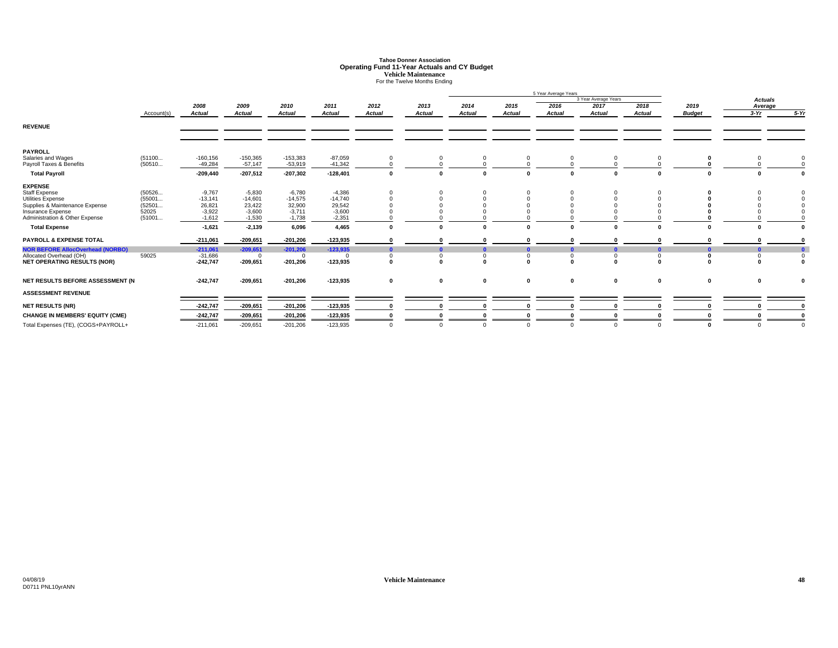# **Tahoe Donner AssociationOperating Fund 11-Year Actuals and CY Budget<br>
Vehicle Maintenance<br>
For the Twelve Months Ending**

|                                                                                                                                                                                                                                                                                                                                |                                                        |                                                                                                                            |                                                                                                                           |                                                                                                                        |                                                                                                                        |               |                   |                                                  |                                                          | 5 Year Average Years |                        |                      |                               |                                                         |              |
|--------------------------------------------------------------------------------------------------------------------------------------------------------------------------------------------------------------------------------------------------------------------------------------------------------------------------------|--------------------------------------------------------|----------------------------------------------------------------------------------------------------------------------------|---------------------------------------------------------------------------------------------------------------------------|------------------------------------------------------------------------------------------------------------------------|------------------------------------------------------------------------------------------------------------------------|---------------|-------------------|--------------------------------------------------|----------------------------------------------------------|----------------------|------------------------|----------------------|-------------------------------|---------------------------------------------------------|--------------|
|                                                                                                                                                                                                                                                                                                                                |                                                        |                                                                                                                            |                                                                                                                           |                                                                                                                        |                                                                                                                        |               |                   |                                                  |                                                          |                      | 3 Year Average Years   |                      |                               | <b>Actuals</b>                                          |              |
|                                                                                                                                                                                                                                                                                                                                |                                                        | 2008                                                                                                                       | 2009                                                                                                                      | 2010                                                                                                                   | 2011                                                                                                                   | 2012          | 2013              | 2014                                             | 2015                                                     | 2016                 | 2017                   | 2018                 | 2019                          | Average                                                 |              |
|                                                                                                                                                                                                                                                                                                                                | Account(s)                                             | <b>Actual</b>                                                                                                              | <b>Actual</b>                                                                                                             | <b>Actual</b>                                                                                                          | <b>Actual</b>                                                                                                          | <b>Actual</b> | <b>Actual</b>     | <b>Actual</b>                                    | <b>Actual</b>                                            | <b>Actual</b>        | <b>Actual</b>          | Actual               | <b>Budget</b>                 | $3-Yr$                                                  | $5-Yr$       |
| <b>REVENUE</b>                                                                                                                                                                                                                                                                                                                 |                                                        |                                                                                                                            |                                                                                                                           |                                                                                                                        |                                                                                                                        |               |                   |                                                  |                                                          |                      |                        |                      |                               |                                                         |              |
| <b>PAYROLL</b><br>Salaries and Wages                                                                                                                                                                                                                                                                                           | (51100                                                 | $-160, 156$                                                                                                                | $-150,365$                                                                                                                | $-153,383$                                                                                                             | $-87,059$                                                                                                              | $\Omega$      |                   |                                                  | 0                                                        |                      |                        |                      |                               |                                                         |              |
| Payroll Taxes & Benefits                                                                                                                                                                                                                                                                                                       | (50510                                                 | $-49,284$                                                                                                                  | $-57,147$                                                                                                                 | $-53,919$                                                                                                              | $-41,342$                                                                                                              |               |                   |                                                  |                                                          |                      |                        |                      |                               |                                                         |              |
| <b>Total Payroll</b>                                                                                                                                                                                                                                                                                                           |                                                        | $-209,440$                                                                                                                 | $-207,512$                                                                                                                | $-207,302$                                                                                                             | $-128,401$                                                                                                             |               |                   | 0                                                | $\mathbf{0}$                                             |                      | $\mathbf{0}$           |                      | 0                             |                                                         |              |
| <b>EXPENSE</b><br><b>Staff Expense</b><br>Utilities Expense<br>Supplies & Maintenance Expense<br>Insurance Expense<br>Administration & Other Expense<br><b>Total Expense</b><br><b>PAYROLL &amp; EXPENSE TOTAL</b><br><b>NOR BEFORE AllocOverhead (NORBO)</b><br>Allocated Overhead (OH)<br><b>NET OPERATING RESULTS (NOR)</b> | (50526<br>(55001<br>(52501<br>52025<br>(51001<br>59025 | $-9,767$<br>$-13,141$<br>26,821<br>$-3,922$<br>$-1,612$<br>$-1,621$<br>$-211,061$<br>$-211,061$<br>$-31,686$<br>$-242,747$ | $-5,830$<br>$-14,601$<br>23,422<br>$-3,600$<br>$-1,530$<br>$-2,139$<br>$-209,651$<br>$-209,651$<br>$\Omega$<br>$-209,651$ | $-6,780$<br>$-14,575$<br>32,900<br>$-3.711$<br>$-1,738$<br>6,096<br>$-201,206$<br>$-201,206$<br>$\Omega$<br>$-201,206$ | $-4,386$<br>$-14,740$<br>29,542<br>$-3,600$<br>$-2,351$<br>4,465<br>$-123,935$<br>$-123,935$<br>$\Omega$<br>$-123,935$ | $\Omega$      | 0<br>$\mathbf{r}$ | $\Omega$<br>$\mathbf{0}$<br>$\Omega$<br>$\Omega$ | $\mathbf{0}$<br>O<br>$\bf{0}$<br>$\mathbf 0$<br>$\bf{0}$ | $\mathbf 0$          | $\Omega$<br>$\sqrt{2}$ | $\Omega$<br>$\Omega$ | $\Omega$<br>0<br>$\mathbf{0}$ | $\sqrt{2}$<br>$\mathbf{0}$<br>$\mathbf 0$<br>$\sqrt{2}$ | $\mathbf{0}$ |
| NET RESULTS BEFORE ASSESSMENT (N                                                                                                                                                                                                                                                                                               |                                                        | $-242,747$                                                                                                                 | $-209,651$                                                                                                                | $-201,206$                                                                                                             | $-123,935$                                                                                                             | $\mathbf 0$   | 0                 | 0                                                | $\mathbf 0$                                              | $\mathbf 0$          | 0                      | 0                    | 0                             | 0                                                       |              |
| <b>ASSESSMENT REVENUE</b>                                                                                                                                                                                                                                                                                                      |                                                        |                                                                                                                            |                                                                                                                           |                                                                                                                        |                                                                                                                        |               |                   |                                                  |                                                          |                      |                        |                      |                               |                                                         |              |
| <b>NET RESULTS (NR)</b>                                                                                                                                                                                                                                                                                                        |                                                        | $-242,747$                                                                                                                 | $-209,651$                                                                                                                | $-201,206$                                                                                                             | $-123,935$                                                                                                             |               |                   |                                                  | 0                                                        |                      |                        |                      |                               |                                                         |              |
| <b>CHANGE IN MEMBERS' EQUITY (CME)</b>                                                                                                                                                                                                                                                                                         |                                                        | $-242,747$                                                                                                                 | $-209,651$                                                                                                                | $-201,206$                                                                                                             | $-123,935$                                                                                                             |               |                   |                                                  | 0                                                        |                      |                        |                      |                               |                                                         |              |
| Total Expenses (TE), (COGS+PAYROLL+                                                                                                                                                                                                                                                                                            |                                                        | $-211,061$                                                                                                                 | $-209,651$                                                                                                                | $-201,206$                                                                                                             | $-123,935$                                                                                                             | $\Omega$      | $\Omega$          | $\Omega$                                         | $\Omega$                                                 | $\Omega$             |                        | $\Omega$             | $\Omega$                      | $\Omega$                                                |              |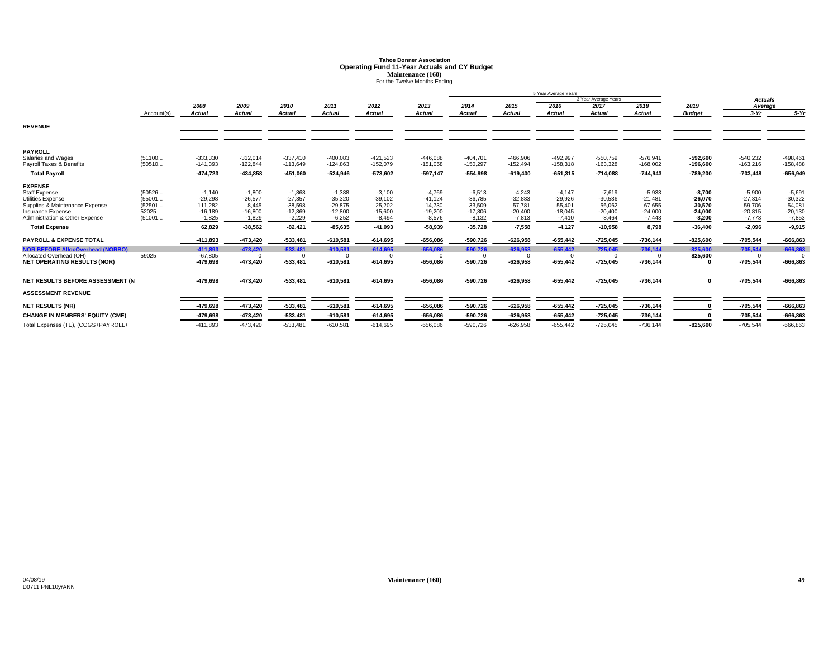# **Tahoe Donner AssociationOperating Fund 11-Year Actuals and CY Budget<br>Maintenance (160)<br>For the Twelve Months Ending**

|                                                                                                                                                                              |                                               | 5 Year Average Years                                                |                                                                      |                                                                          |                                                                          |                                                                       |                                                                       |                                                                       |                                                                      |                                                                      |                                                                       |                                                                   |                                                                       |                                                                      |                                                                      |
|------------------------------------------------------------------------------------------------------------------------------------------------------------------------------|-----------------------------------------------|---------------------------------------------------------------------|----------------------------------------------------------------------|--------------------------------------------------------------------------|--------------------------------------------------------------------------|-----------------------------------------------------------------------|-----------------------------------------------------------------------|-----------------------------------------------------------------------|----------------------------------------------------------------------|----------------------------------------------------------------------|-----------------------------------------------------------------------|-------------------------------------------------------------------|-----------------------------------------------------------------------|----------------------------------------------------------------------|----------------------------------------------------------------------|
|                                                                                                                                                                              |                                               |                                                                     |                                                                      |                                                                          |                                                                          |                                                                       |                                                                       |                                                                       |                                                                      | 3 Year Average Years                                                 |                                                                       |                                                                   |                                                                       | <b>Actuals</b>                                                       |                                                                      |
|                                                                                                                                                                              |                                               | 2008                                                                | 2009                                                                 | 2010                                                                     | 2011                                                                     | 2012                                                                  | 2013                                                                  | 2014                                                                  | 2015                                                                 | 2016                                                                 | 2017                                                                  | 2018                                                              | 2019                                                                  | Average                                                              |                                                                      |
|                                                                                                                                                                              | Account(s)                                    | <b>Actual</b>                                                       | Actual                                                               | <b>Actual</b>                                                            | <b>Actual</b>                                                            | Actual                                                                | <b>Actual</b>                                                         | <b>Actual</b>                                                         | Actual                                                               | <b>Actual</b>                                                        | <b>Actual</b>                                                         | <b>Actual</b>                                                     | <b>Budget</b>                                                         | $3-Yr$                                                               | $5-Yr$                                                               |
| <b>REVENUE</b>                                                                                                                                                               |                                               |                                                                     |                                                                      |                                                                          |                                                                          |                                                                       |                                                                       |                                                                       |                                                                      |                                                                      |                                                                       |                                                                   |                                                                       |                                                                      |                                                                      |
| <b>PAYROLL</b><br>Salaries and Wages                                                                                                                                         | (51100                                        | $-333,330$                                                          | $-312.014$                                                           | $-337.410$                                                               | $-400,083$                                                               | $-421,523$                                                            | $-446,088$                                                            | $-404,701$                                                            | $-466,906$                                                           | $-492.997$                                                           | $-550,759$                                                            | $-576,941$                                                        | $-592,600$                                                            | $-540,232$                                                           | $-498,461$                                                           |
| Payroll Taxes & Benefits                                                                                                                                                     | (50510                                        | $-141,393$                                                          | $-122,844$                                                           | $-113,649$                                                               | $-124,863$                                                               | $-152,079$                                                            | $-151,058$                                                            | $-150,297$                                                            | $-152,494$                                                           | $-158,318$                                                           | $-163,328$                                                            | $-168,002$                                                        | $-196,600$                                                            | $-163,216$                                                           | $-158,488$                                                           |
| <b>Total Pavroll</b>                                                                                                                                                         |                                               | $-474.723$                                                          | $-434.858$                                                           | $-451,060$                                                               | $-524,946$                                                               | $-573,602$                                                            | $-597.147$                                                            | $-554.998$                                                            | $-619.400$                                                           | $-651.315$                                                           | $-714.088$                                                            | $-744.943$                                                        | $-789.200$                                                            | $-703.448$                                                           | $-656,949$                                                           |
| <b>EXPENSE</b><br><b>Staff Expense</b><br>Utilities Expense<br>Supplies & Maintenance Expense<br>Insurance Expense<br>Administration & Other Expense<br><b>Total Expense</b> | (50526<br>(55001<br>(52501<br>52025<br>(51001 | $-1,140$<br>$-29,298$<br>111,282<br>$-16.189$<br>$-1,825$<br>62.829 | $-1,800$<br>$-26,577$<br>8.445<br>$-16,800$<br>$-1,829$<br>$-38.562$ | $-1.868$<br>$-27.357$<br>$-38,598$<br>$-12,369$<br>$-2,229$<br>$-82.421$ | $-1,388$<br>$-35,320$<br>$-29,875$<br>$-12,800$<br>$-6,252$<br>$-85,635$ | $-3,100$<br>$-39,102$<br>25,202<br>$-15,600$<br>$-8,494$<br>$-41.093$ | $-4,769$<br>$-41,124$<br>14,730<br>$-19.200$<br>$-8,576$<br>$-58.939$ | $-6,513$<br>$-36,785$<br>33,509<br>$-17.806$<br>$-8.132$<br>$-35.728$ | $-4.243$<br>$-32.883$<br>57,781<br>$-20,400$<br>$-7.813$<br>$-7.558$ | $-4.147$<br>$-29.926$<br>55,401<br>$-18,045$<br>$-7.410$<br>$-4,127$ | $-7,619$<br>$-30.536$<br>56,062<br>$-20,400$<br>$-8,464$<br>$-10.958$ | $-5,933$<br>$-21,481$<br>67,655<br>$-24,000$<br>$-7,443$<br>8.798 | $-8,700$<br>$-26.070$<br>30,570<br>$-24.000$<br>$-8.200$<br>$-36.400$ | $-5,900$<br>$-27.314$<br>59,706<br>$-20,815$<br>$-7.773$<br>$-2.096$ | $-5,691$<br>$-30,322$<br>54,081<br>$-20,130$<br>$-7,853$<br>$-9,915$ |
| PAYROLL & EXPENSE TOTAL                                                                                                                                                      |                                               | $-411,893$                                                          | $-473,420$                                                           | $-533,481$                                                               | $-610,581$                                                               | $-614,695$                                                            | $-656,086$                                                            | $-590,726$                                                            | $-626,958$                                                           | $-655,442$                                                           | $-725,045$                                                            | $-736, 144$                                                       | $-825,600$                                                            | $-705,544$                                                           | $-666,863$                                                           |
| <b>NOR BEFORE AllocOverhead (NORBO)</b><br>Allocated Overhead (OH)<br><b>NET OPERATING RESULTS (NOR)</b>                                                                     | 59025                                         | $-411.893$<br>$-67,805$<br>$-479,698$                               | $-473.420$<br>$\Omega$<br>$-473,420$                                 | $-533.481$<br>$\Omega$<br>$-533,481$                                     | $-610,581$<br>$-610,581$                                                 | $-614.695$<br>$\Omega$<br>$-614,695$                                  | $-656.086$<br>$\Omega$<br>$-656,086$                                  | $-590.726$<br>$\Omega$<br>$-590,726$                                  | $-626.958$<br>$^{\circ}$<br>$-626,958$                               | $-655.442$<br>$\Omega$<br>$-655,442$                                 | $-725.045$<br>$\Omega$<br>$-725,045$                                  | $-736.144$<br>$\Omega$<br>$-736,144$                              | $-825.600$<br>825,600<br>0                                            | $-705.544$<br>$^{\circ}$<br>$-705,544$                               | $-666,863$<br>$-666,863$                                             |
| NET RESULTS BEFORE ASSESSMENT (N                                                                                                                                             |                                               | -479,698                                                            | $-473,420$                                                           | $-533,481$                                                               | $-610,581$                                                               | $-614,695$                                                            | $-656,086$                                                            | -590,726                                                              | $-626,958$                                                           | $-655,442$                                                           | $-725,045$                                                            | $-736,144$                                                        | 0                                                                     | $-705,544$                                                           | $-666,863$                                                           |
| <b>ASSESSMENT REVENUE</b>                                                                                                                                                    |                                               |                                                                     |                                                                      |                                                                          |                                                                          |                                                                       |                                                                       |                                                                       |                                                                      |                                                                      |                                                                       |                                                                   |                                                                       |                                                                      |                                                                      |
| <b>NET RESULTS (NR)</b>                                                                                                                                                      |                                               | $-479,698$                                                          | $-473,420$                                                           | $-533,481$                                                               | $-610,581$                                                               | $-614,695$                                                            | $-656,086$                                                            | $-590,726$                                                            | $-626,958$                                                           | $-655,442$                                                           | $-725,045$                                                            | $-736,144$                                                        |                                                                       | $-705,544$                                                           | $-666,863$                                                           |
| <b>CHANGE IN MEMBERS' EQUITY (CME)</b>                                                                                                                                       |                                               | $-479.698$                                                          | $-473,420$                                                           | $-533,481$                                                               | $-610,581$                                                               | $-614.695$                                                            | $-656.086$                                                            | $-590.726$                                                            | $-626,958$                                                           | $-655,442$                                                           | $-725,045$                                                            | $-736, 144$                                                       |                                                                       | $-705,544$                                                           | $-666,863$                                                           |
| Total Expenses (TE), (COGS+PAYROLL+                                                                                                                                          |                                               | $-411.893$                                                          | $-473.420$                                                           | $-533.481$                                                               | $-610,581$                                                               | $-614.695$                                                            | $-656.086$                                                            | $-590.726$                                                            | $-626.958$                                                           | $-655.442$                                                           | $-725.045$                                                            | $-736.144$                                                        | $-825.600$                                                            | $-705,544$                                                           | $-666,863$                                                           |